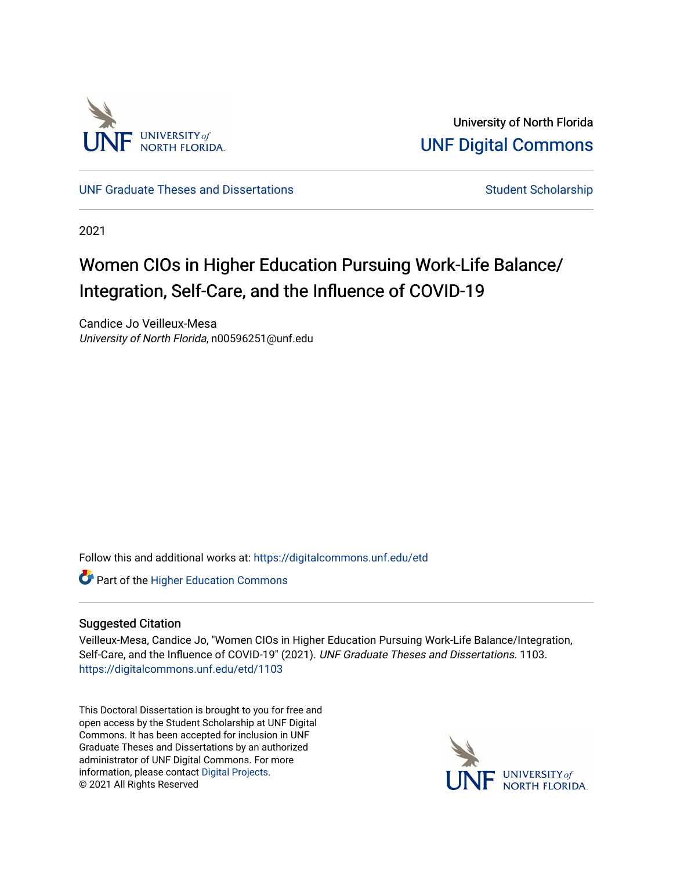

University of North Florida [UNF Digital Commons](https://digitalcommons.unf.edu/) 

[UNF Graduate Theses and Dissertations](https://digitalcommons.unf.edu/etd) [Student Scholarship](https://digitalcommons.unf.edu/student_scholars) Student Scholarship

2021

# Women CIOs in Higher Education Pursuing Work-Life Balance/ Integration, Self-Care, and the Influence of COVID-19

Candice Jo Veilleux-Mesa University of North Florida, n00596251@unf.edu

Follow this and additional works at: [https://digitalcommons.unf.edu/etd](https://digitalcommons.unf.edu/etd?utm_source=digitalcommons.unf.edu%2Fetd%2F1103&utm_medium=PDF&utm_campaign=PDFCoverPages) 

**Part of the Higher Education Commons** 

#### Suggested Citation

Veilleux-Mesa, Candice Jo, "Women CIOs in Higher Education Pursuing Work-Life Balance/Integration, Self-Care, and the Influence of COVID-19" (2021). UNF Graduate Theses and Dissertations. 1103. [https://digitalcommons.unf.edu/etd/1103](https://digitalcommons.unf.edu/etd/1103?utm_source=digitalcommons.unf.edu%2Fetd%2F1103&utm_medium=PDF&utm_campaign=PDFCoverPages) 

This Doctoral Dissertation is brought to you for free and open access by the Student Scholarship at UNF Digital Commons. It has been accepted for inclusion in UNF Graduate Theses and Dissertations by an authorized administrator of UNF Digital Commons. For more information, please contact [Digital Projects](mailto:lib-digital@unf.edu). © 2021 All Rights Reserved

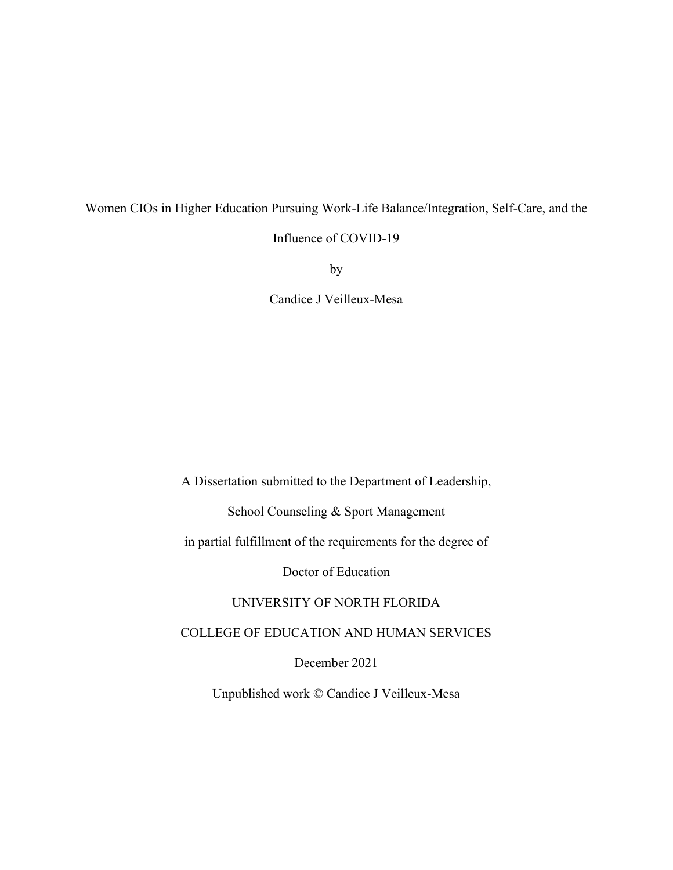# Women CIOs in Higher Education Pursuing Work-Life Balance/Integration, Self-Care, and the

Influence of COVID-19

by

Candice J Veilleux-Mesa

A Dissertation submitted to the Department of Leadership,

School Counseling & Sport Management

in partial fulfillment of the requirements for the degree of

Doctor of Education

#### UNIVERSITY OF NORTH FLORIDA

COLLEGE OF EDUCATION AND HUMAN SERVICES

December 2021

Unpublished work © Candice J Veilleux-Mesa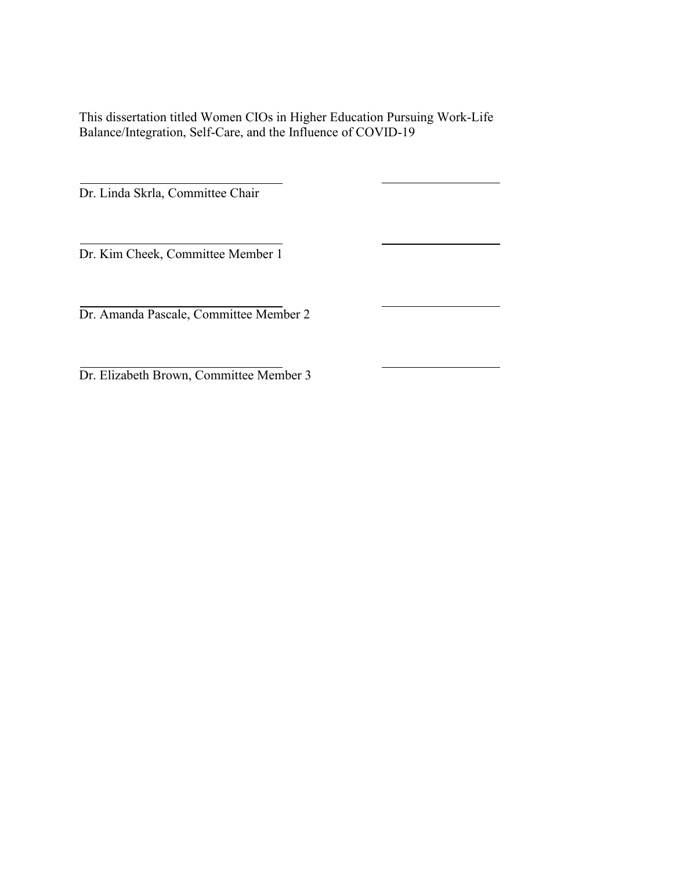This dissertation titled Women CIOs in Higher Education Pursuing Work-Life Balance/Integration, Self-Care, and the Influence of COVID-19

Dr. Linda Skrla, Committee Chair

Dr. Kim Cheek, Committee Member 1

Dr. Amanda Pascale, Committee Member 2

Dr. Elizabeth Brown, Committee Member 3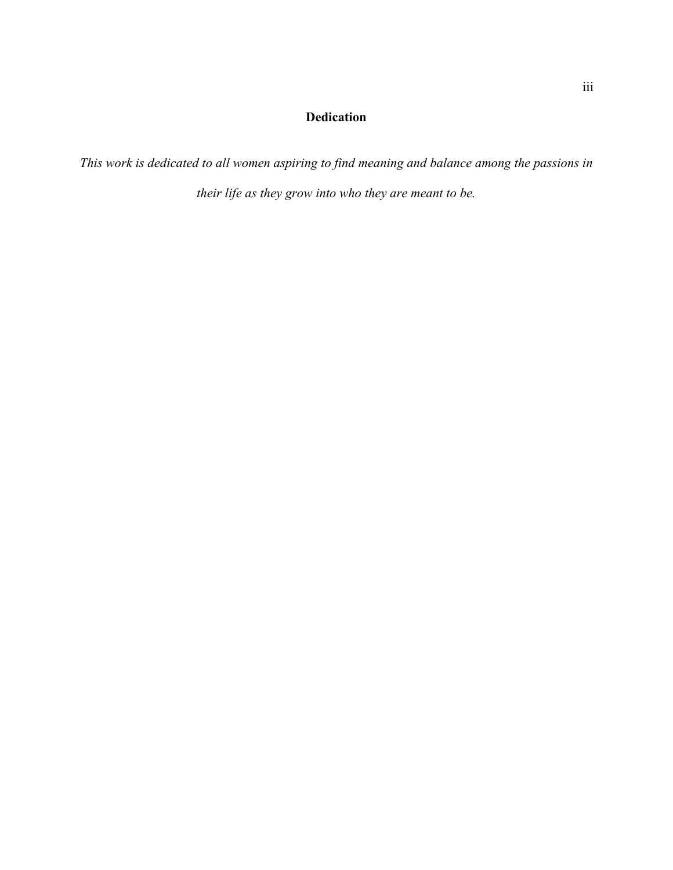### **Dedication**

<span id="page-3-0"></span>*This work is dedicated to all women aspiring to find meaning and balance among the passions in their life as they grow into who they are meant to be.*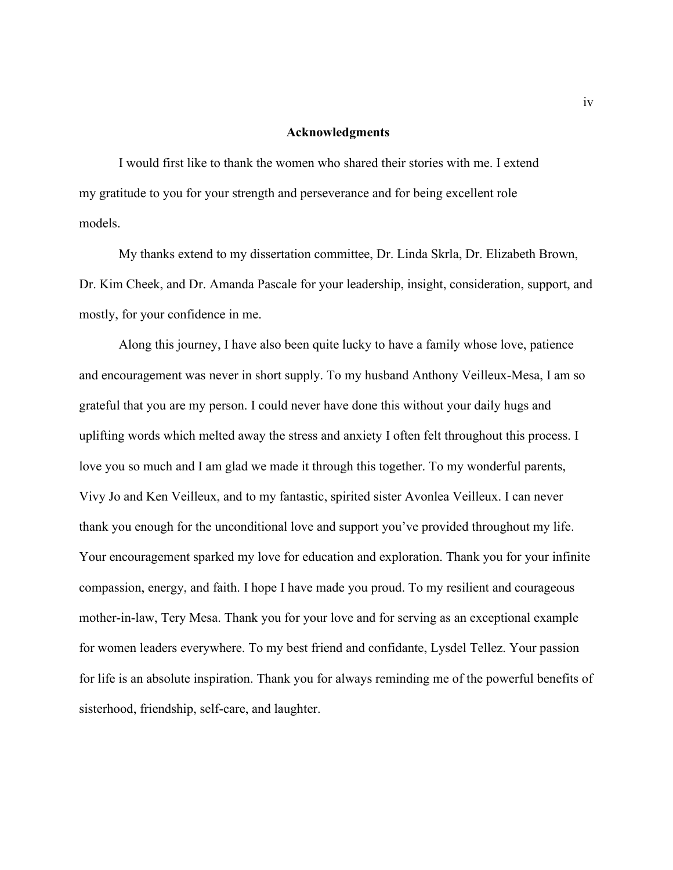#### <span id="page-4-0"></span>**Acknowledgments**

I would first like to thank the women who shared their stories with me. I extend my gratitude to you for your strength and perseverance and for being excellent role models.

My thanks extend to my dissertation committee, Dr. Linda Skrla, Dr. Elizabeth Brown, Dr. Kim Cheek, and Dr. Amanda Pascale for your leadership, insight, consideration, support, and mostly, for your confidence in me.

Along this journey, I have also been quite lucky to have a family whose love, patience and encouragement was never in short supply. To my husband Anthony Veilleux-Mesa, I am so grateful that you are my person. I could never have done this without your daily hugs and uplifting words which melted away the stress and anxiety I often felt throughout this process. I love you so much and I am glad we made it through this together. To my wonderful parents, Vivy Jo and Ken Veilleux, and to my fantastic, spirited sister Avonlea Veilleux. I can never thank you enough for the unconditional love and support you've provided throughout my life. Your encouragement sparked my love for education and exploration. Thank you for your infinite compassion, energy, and faith. I hope I have made you proud. To my resilient and courageous mother-in-law, Tery Mesa. Thank you for your love and for serving as an exceptional example for women leaders everywhere. To my best friend and confidante, Lysdel Tellez. Your passion for life is an absolute inspiration. Thank you for always reminding me of the powerful benefits of sisterhood, friendship, self-care, and laughter.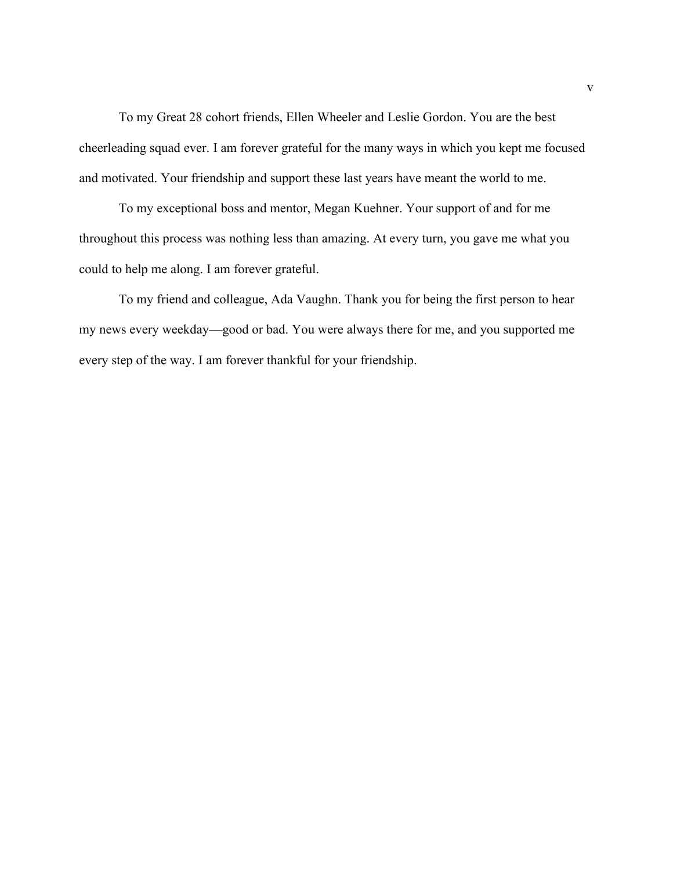To my Great 28 cohort friends, Ellen Wheeler and Leslie Gordon. You are the best cheerleading squad ever. I am forever grateful for the many ways in which you kept me focused and motivated. Your friendship and support these last years have meant the world to me.

To my exceptional boss and mentor, Megan Kuehner. Your support of and for me throughout this process was nothing less than amazing. At every turn, you gave me what you could to help me along. I am forever grateful.

To my friend and colleague, Ada Vaughn. Thank you for being the first person to hear my news every weekday—good or bad. You were always there for me, and you supported me every step of the way. I am forever thankful for your friendship.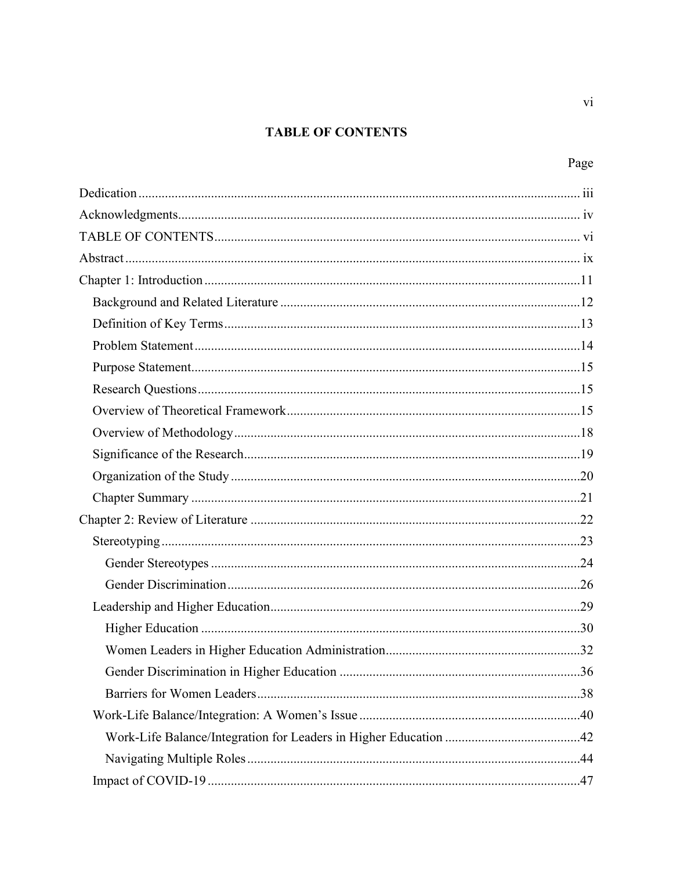## **TABLE OF CONTENTS**

vi

<span id="page-6-0"></span>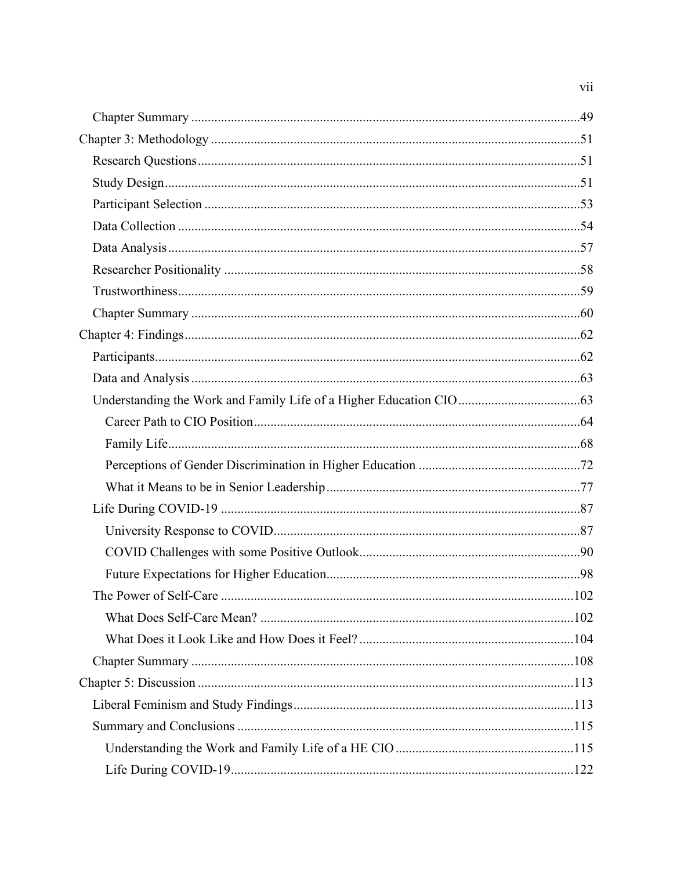$\rm vii$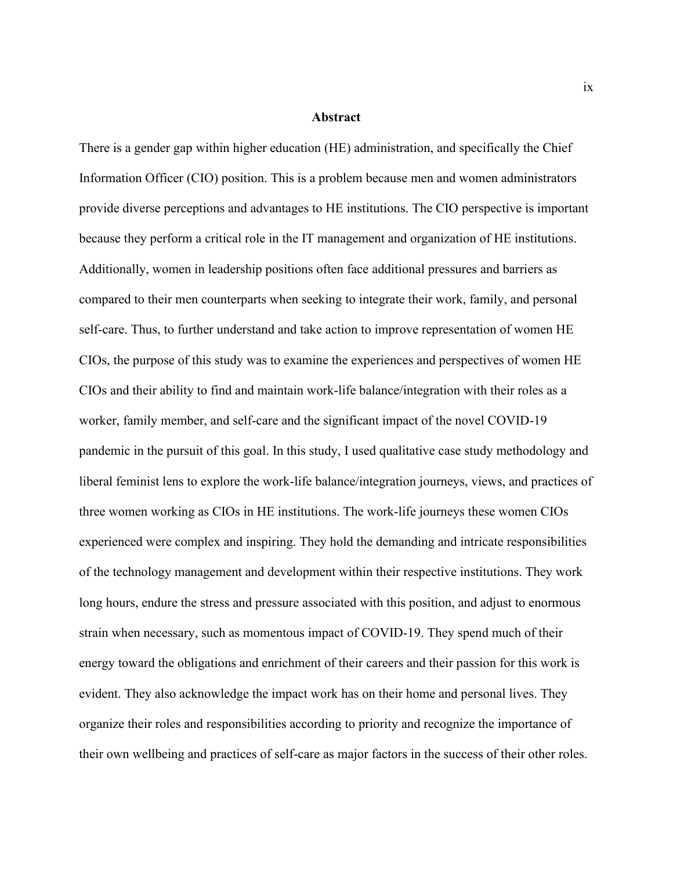#### **Abstract**

<span id="page-9-0"></span>There is a gender gap within higher education (HE) administration, and specifically the Chief Information Officer (CIO) position. This is a problem because men and women administrators provide diverse perceptions and advantages to HE institutions. The CIO perspective is important because they perform a critical role in the IT management and organization of HE institutions. Additionally, women in leadership positions often face additional pressures and barriers as compared to their men counterparts when seeking to integrate their work, family, and personal self-care. Thus, to further understand and take action to improve representation of women HE CIOs, the purpose of this study was to examine the experiences and perspectives of women HE CIOs and their ability to find and maintain work-life balance/integration with their roles as a worker, family member, and self-care and the significant impact of the novel COVID-19 pandemic in the pursuit of this goal. In this study, I used qualitative case study methodology and liberal feminist lens to explore the work-life balance/integration journeys, views, and practices of three women working as CIOs in HE institutions. The work-life journeys these women CIOs experienced were complex and inspiring. They hold the demanding and intricate responsibilities of the technology management and development within their respective institutions. They work long hours, endure the stress and pressure associated with this position, and adjust to enormous strain when necessary, such as momentous impact of COVID-19. They spend much of their energy toward the obligations and enrichment of their careers and their passion for this work is evident. They also acknowledge the impact work has on their home and personal lives. They organize their roles and responsibilities according to priority and recognize the importance of their own wellbeing and practices of self-care as major factors in the success of their other roles.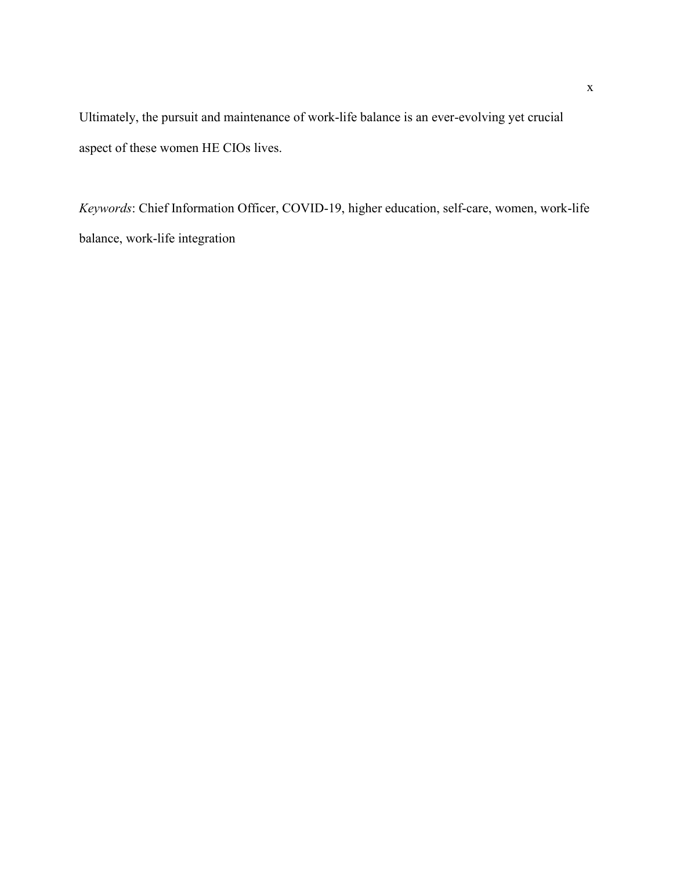Ultimately, the pursuit and maintenance of work-life balance is an ever-evolving yet crucial aspect of these women HE CIOs lives.

*Keywords*: Chief Information Officer, COVID-19, higher education, self-care, women, work-life balance, work-life integration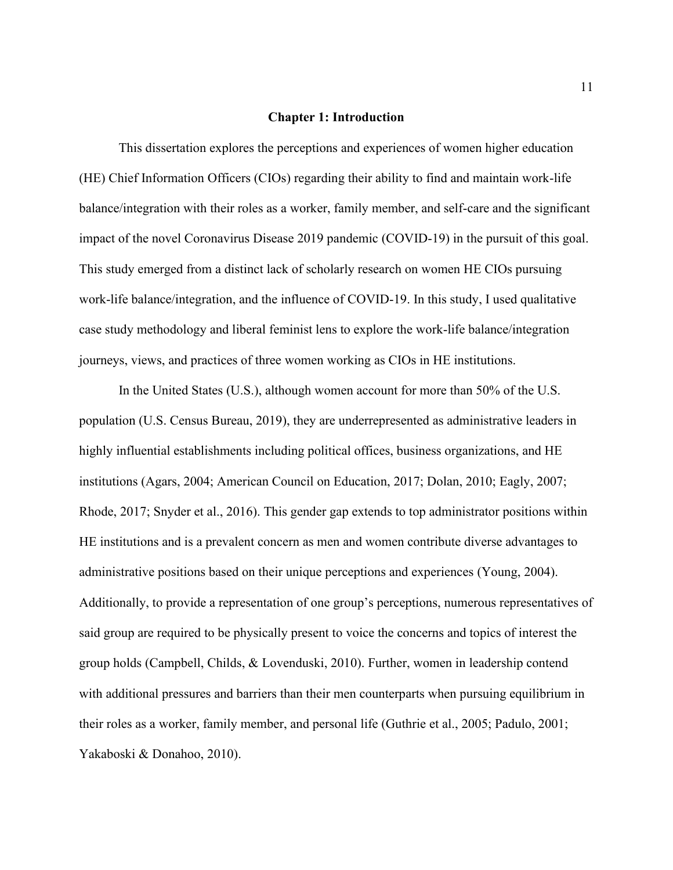#### **Chapter 1: Introduction**

<span id="page-11-0"></span>This dissertation explores the perceptions and experiences of women higher education (HE) Chief Information Officers (CIOs) regarding their ability to find and maintain work-life balance/integration with their roles as a worker, family member, and self-care and the significant impact of the novel Coronavirus Disease 2019 pandemic (COVID-19) in the pursuit of this goal. This study emerged from a distinct lack of scholarly research on women HE CIOs pursuing work-life balance/integration, and the influence of COVID-19. In this study, I used qualitative case study methodology and liberal feminist lens to explore the work-life balance/integration journeys, views, and practices of three women working as CIOs in HE institutions.

In the United States (U.S.), although women account for more than 50% of the U.S. population (U.S. Census Bureau, 2019), they are underrepresented as administrative leaders in highly influential establishments including political offices, business organizations, and HE institutions (Agars, 2004; American Council on Education, 2017; Dolan, 2010; Eagly, 2007; Rhode, 2017; Snyder et al., 2016). This gender gap extends to top administrator positions within HE institutions and is a prevalent concern as men and women contribute diverse advantages to administrative positions based on their unique perceptions and experiences (Young, 2004). Additionally, to provide a representation of one group's perceptions, numerous representatives of said group are required to be physically present to voice the concerns and topics of interest the group holds (Campbell, Childs, & Lovenduski, 2010). Further, women in leadership contend with additional pressures and barriers than their men counterparts when pursuing equilibrium in their roles as a worker, family member, and personal life (Guthrie et al., 2005; Padulo, 2001; Yakaboski & Donahoo, 2010).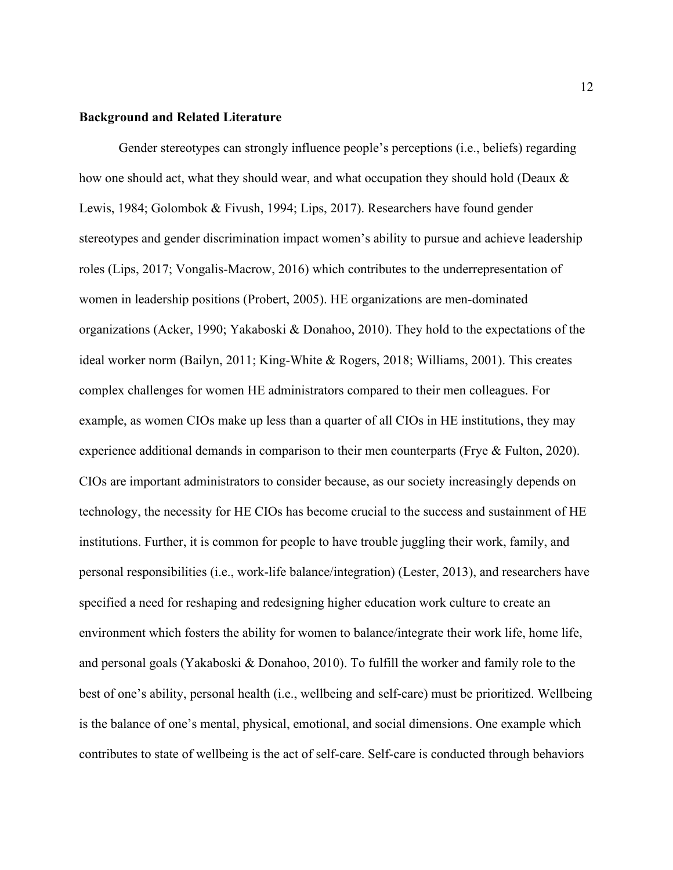#### <span id="page-12-0"></span>**Background and Related Literature**

Gender stereotypes can strongly influence people's perceptions (i.e., beliefs) regarding how one should act, what they should wear, and what occupation they should hold (Deaux & Lewis, 1984; Golombok & Fivush, 1994; Lips, 2017). Researchers have found gender stereotypes and gender discrimination impact women's ability to pursue and achieve leadership roles (Lips, 2017; Vongalis-Macrow, 2016) which contributes to the underrepresentation of women in leadership positions (Probert, 2005). HE organizations are men-dominated organizations (Acker, 1990; Yakaboski & Donahoo, 2010). They hold to the expectations of the ideal worker norm (Bailyn, 2011; King-White & Rogers, 2018; Williams, 2001). This creates complex challenges for women HE administrators compared to their men colleagues. For example, as women CIOs make up less than a quarter of all CIOs in HE institutions, they may experience additional demands in comparison to their men counterparts (Frye & Fulton, 2020). CIOs are important administrators to consider because, as our society increasingly depends on technology, the necessity for HE CIOs has become crucial to the success and sustainment of HE institutions. Further, it is common for people to have trouble juggling their work, family, and personal responsibilities (i.e., work-life balance/integration) (Lester, 2013), and researchers have specified a need for reshaping and redesigning higher education work culture to create an environment which fosters the ability for women to balance/integrate their work life, home life, and personal goals (Yakaboski & Donahoo, 2010). To fulfill the worker and family role to the best of one's ability, personal health (i.e., wellbeing and self-care) must be prioritized. Wellbeing is the balance of one's mental, physical, emotional, and social dimensions. One example which contributes to state of wellbeing is the act of self-care. Self-care is conducted through behaviors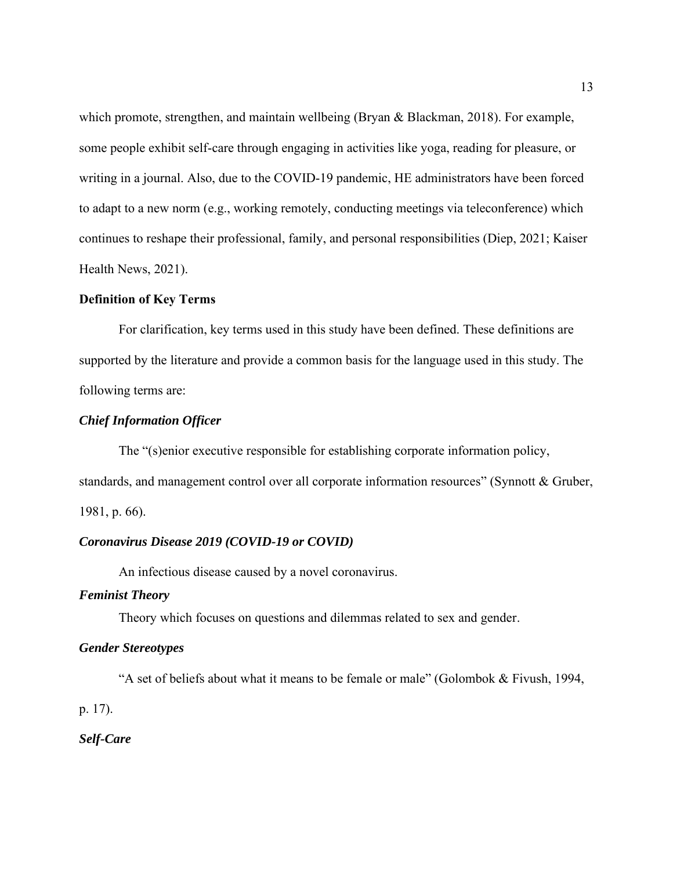which promote, strengthen, and maintain wellbeing (Bryan & Blackman, 2018). For example, some people exhibit self-care through engaging in activities like yoga, reading for pleasure, or writing in a journal. Also, due to the COVID-19 pandemic, HE administrators have been forced to adapt to a new norm (e.g., working remotely, conducting meetings via teleconference) which continues to reshape their professional, family, and personal responsibilities (Diep, 2021; Kaiser Health News, 2021).

#### <span id="page-13-0"></span>**Definition of Key Terms**

For clarification, key terms used in this study have been defined. These definitions are supported by the literature and provide a common basis for the language used in this study. The following terms are:

#### *Chief Information Officer*

The "(s)enior executive responsible for establishing corporate information policy, standards, and management control over all corporate information resources" (Synnott & Gruber, 1981, p. 66).

#### *Coronavirus Disease 2019 (COVID-19 or COVID)*

An infectious disease caused by a novel coronavirus.

#### *Feminist Theory*

Theory which focuses on questions and dilemmas related to sex and gender.

#### *Gender Stereotypes*

"A set of beliefs about what it means to be female or male" (Golombok & Fivush, 1994,

p. 17).

#### *Self-Care*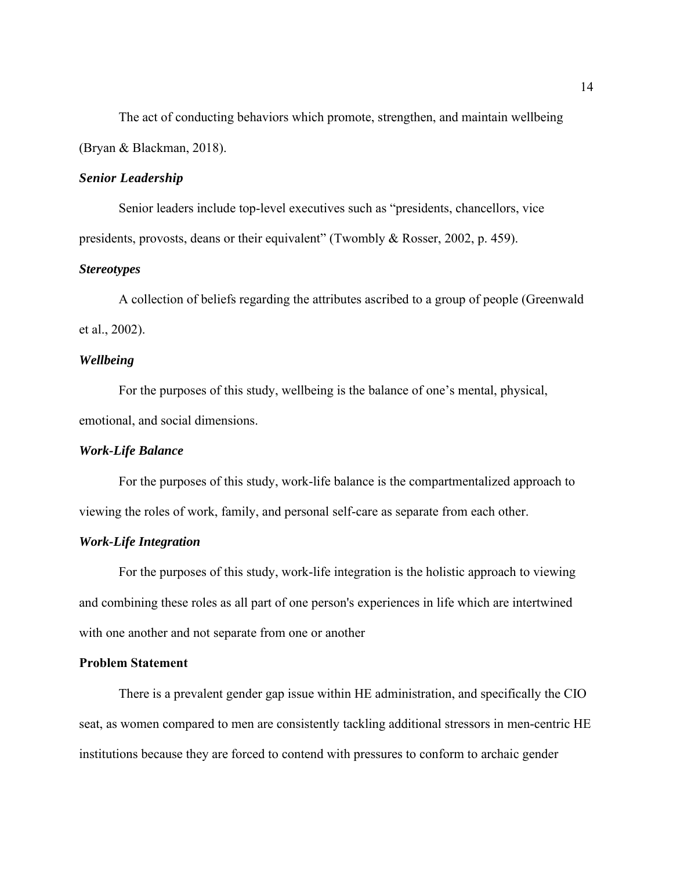The act of conducting behaviors which promote, strengthen, and maintain wellbeing (Bryan & Blackman, 2018).

#### *Senior Leadership*

Senior leaders include top-level executives such as "presidents, chancellors, vice presidents, provosts, deans or their equivalent" (Twombly & Rosser, 2002, p. 459).

#### *Stereotypes*

A collection of beliefs regarding the attributes ascribed to a group of people (Greenwald et al., 2002).

#### *Wellbeing*

For the purposes of this study, wellbeing is the balance of one's mental, physical, emotional, and social dimensions.

#### *Work-Life Balance*

For the purposes of this study, work-life balance is the compartmentalized approach to viewing the roles of work, family, and personal self-care as separate from each other.

#### *Work-Life Integration*

For the purposes of this study, work-life integration is the holistic approach to viewing and combining these roles as all part of one person's experiences in life which are intertwined with one another and not separate from one or another

#### <span id="page-14-0"></span>**Problem Statement**

There is a prevalent gender gap issue within HE administration, and specifically the CIO seat, as women compared to men are consistently tackling additional stressors in men-centric HE institutions because they are forced to contend with pressures to conform to archaic gender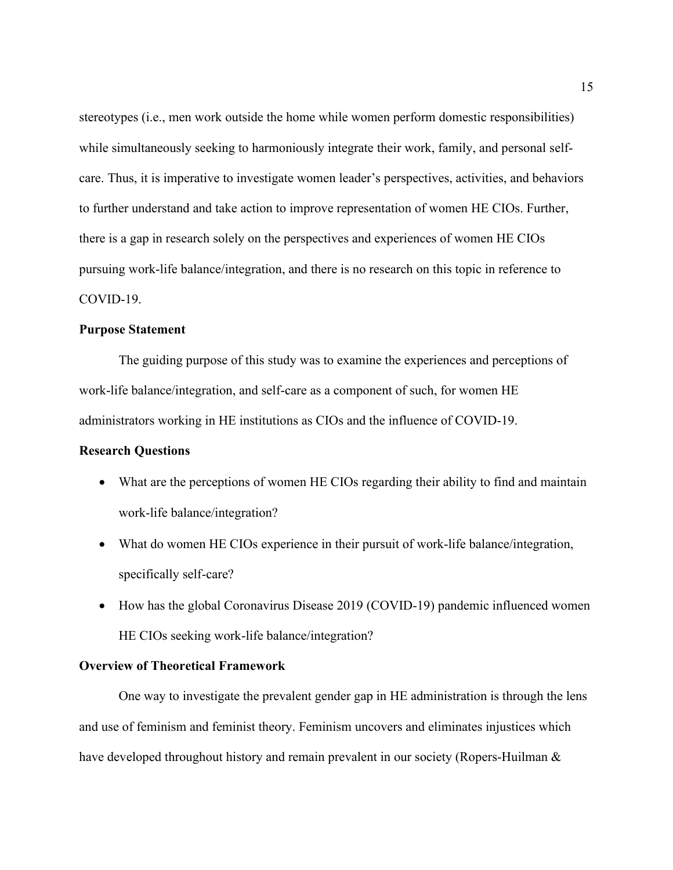stereotypes (i.e., men work outside the home while women perform domestic responsibilities) while simultaneously seeking to harmoniously integrate their work, family, and personal selfcare. Thus, it is imperative to investigate women leader's perspectives, activities, and behaviors to further understand and take action to improve representation of women HE CIOs. Further, there is a gap in research solely on the perspectives and experiences of women HE CIOs pursuing work-life balance/integration, and there is no research on this topic in reference to COVID-19.

#### <span id="page-15-0"></span>**Purpose Statement**

The guiding purpose of this study was to examine the experiences and perceptions of work-life balance/integration, and self-care as a component of such, for women HE administrators working in HE institutions as CIOs and the influence of COVID-19.

#### <span id="page-15-1"></span>**Research Questions**

- What are the perceptions of women HE CIOs regarding their ability to find and maintain work-life balance/integration?
- What do women HE CIOs experience in their pursuit of work-life balance/integration, specifically self-care?
- How has the global Coronavirus Disease 2019 (COVID-19) pandemic influenced women HE CIOs seeking work-life balance/integration?

#### <span id="page-15-2"></span>**Overview of Theoretical Framework**

One way to investigate the prevalent gender gap in HE administration is through the lens and use of feminism and feminist theory. Feminism uncovers and eliminates injustices which have developed throughout history and remain prevalent in our society (Ropers-Huilman  $\&$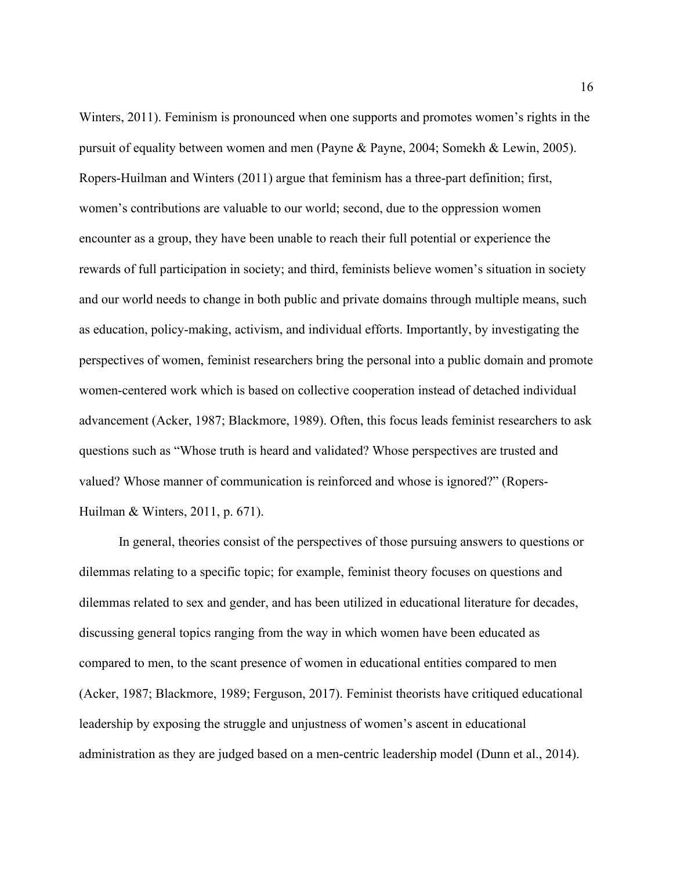Winters, 2011). Feminism is pronounced when one supports and promotes women's rights in the pursuit of equality between women and men (Payne & Payne, 2004; Somekh & Lewin, 2005). Ropers-Huilman and Winters (2011) argue that feminism has a three-part definition; first, women's contributions are valuable to our world; second, due to the oppression women encounter as a group, they have been unable to reach their full potential or experience the rewards of full participation in society; and third, feminists believe women's situation in society and our world needs to change in both public and private domains through multiple means, such as education, policy-making, activism, and individual efforts. Importantly, by investigating the perspectives of women, feminist researchers bring the personal into a public domain and promote women-centered work which is based on collective cooperation instead of detached individual advancement (Acker, 1987; Blackmore, 1989). Often, this focus leads feminist researchers to ask questions such as "Whose truth is heard and validated? Whose perspectives are trusted and valued? Whose manner of communication is reinforced and whose is ignored?" (Ropers-Huilman & Winters, 2011, p. 671).

In general, theories consist of the perspectives of those pursuing answers to questions or dilemmas relating to a specific topic; for example, feminist theory focuses on questions and dilemmas related to sex and gender, and has been utilized in educational literature for decades, discussing general topics ranging from the way in which women have been educated as compared to men, to the scant presence of women in educational entities compared to men (Acker, 1987; Blackmore, 1989; Ferguson, 2017). Feminist theorists have critiqued educational leadership by exposing the struggle and unjustness of women's ascent in educational administration as they are judged based on a men-centric leadership model (Dunn et al., 2014).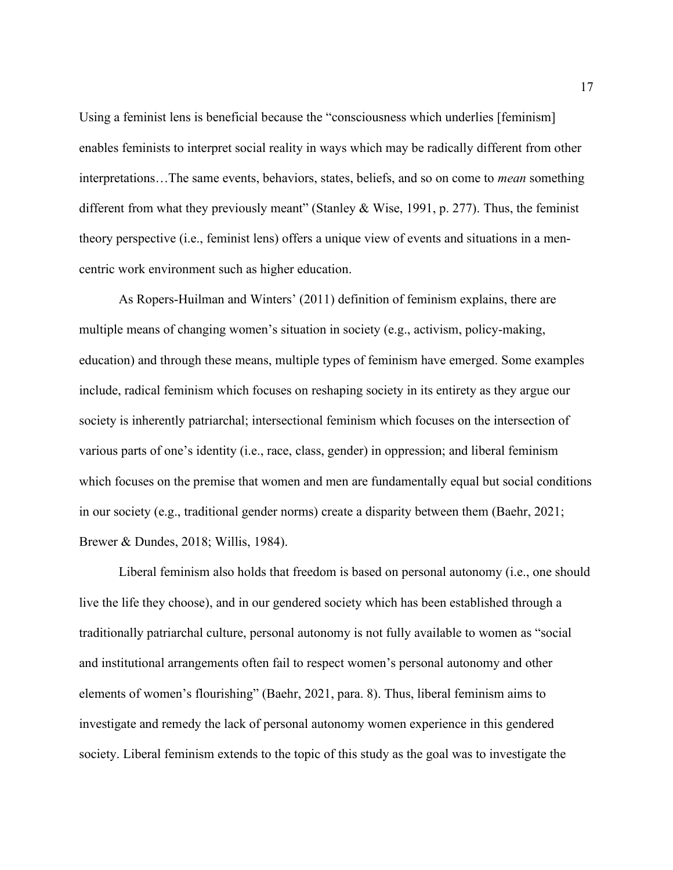Using a feminist lens is beneficial because the "consciousness which underlies [feminism] enables feminists to interpret social reality in ways which may be radically different from other interpretations…The same events, behaviors, states, beliefs, and so on come to *mean* something different from what they previously meant" (Stanley & Wise, 1991, p. 277). Thus, the feminist theory perspective (i.e., feminist lens) offers a unique view of events and situations in a mencentric work environment such as higher education.

As Ropers-Huilman and Winters' (2011) definition of feminism explains, there are multiple means of changing women's situation in society (e.g., activism, policy-making, education) and through these means, multiple types of feminism have emerged. Some examples include, radical feminism which focuses on reshaping society in its entirety as they argue our society is inherently patriarchal; intersectional feminism which focuses on the intersection of various parts of one's identity (i.e., race, class, gender) in oppression; and liberal feminism which focuses on the premise that women and men are fundamentally equal but social conditions in our society (e.g., traditional gender norms) create a disparity between them (Baehr, 2021; Brewer & Dundes, 2018; Willis, 1984).

Liberal feminism also holds that freedom is based on personal autonomy (i.e., one should live the life they choose), and in our gendered society which has been established through a traditionally patriarchal culture, personal autonomy is not fully available to women as "social and institutional arrangements often fail to respect women's personal autonomy and other elements of women's flourishing" (Baehr, 2021, para. 8). Thus, liberal feminism aims to investigate and remedy the lack of personal autonomy women experience in this gendered society. Liberal feminism extends to the topic of this study as the goal was to investigate the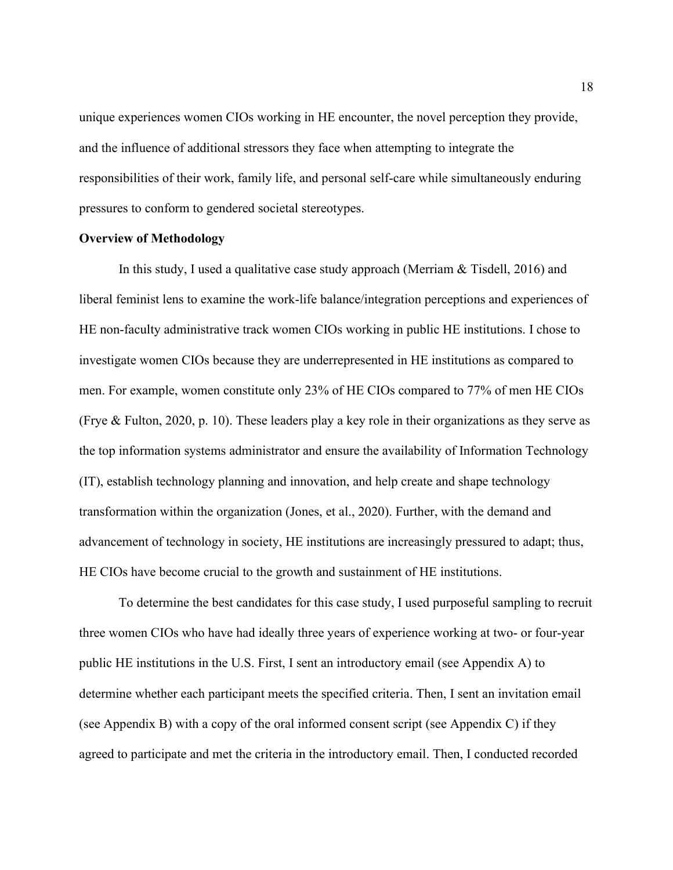unique experiences women CIOs working in HE encounter, the novel perception they provide, and the influence of additional stressors they face when attempting to integrate the responsibilities of their work, family life, and personal self-care while simultaneously enduring pressures to conform to gendered societal stereotypes.

#### <span id="page-18-0"></span>**Overview of Methodology**

In this study, I used a qualitative case study approach (Merriam & Tisdell, 2016) and liberal feminist lens to examine the work-life balance/integration perceptions and experiences of HE non-faculty administrative track women CIOs working in public HE institutions. I chose to investigate women CIOs because they are underrepresented in HE institutions as compared to men. For example, women constitute only 23% of HE CIOs compared to 77% of men HE CIOs (Frye & Fulton, 2020, p. 10). These leaders play a key role in their organizations as they serve as the top information systems administrator and ensure the availability of Information Technology (IT), establish technology planning and innovation, and help create and shape technology transformation within the organization (Jones, et al., 2020). Further, with the demand and advancement of technology in society, HE institutions are increasingly pressured to adapt; thus, HE CIOs have become crucial to the growth and sustainment of HE institutions.

To determine the best candidates for this case study, I used purposeful sampling to recruit three women CIOs who have had ideally three years of experience working at two- or four-year public HE institutions in the U.S. First, I sent an introductory email (see Appendix A) to determine whether each participant meets the specified criteria. Then, I sent an invitation email (see Appendix B) with a copy of the oral informed consent script (see Appendix C) if they agreed to participate and met the criteria in the introductory email. Then, I conducted recorded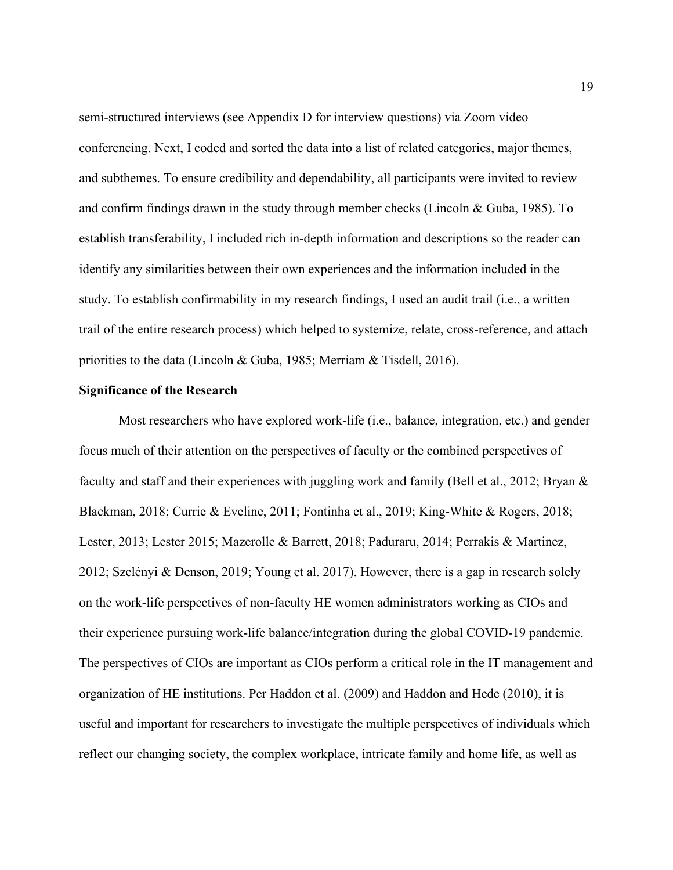semi-structured interviews (see Appendix D for interview questions) via Zoom video conferencing. Next, I coded and sorted the data into a list of related categories, major themes, and subthemes. To ensure credibility and dependability, all participants were invited to review and confirm findings drawn in the study through member checks (Lincoln & Guba, 1985). To establish transferability, I included rich in-depth information and descriptions so the reader can identify any similarities between their own experiences and the information included in the study. To establish confirmability in my research findings, I used an audit trail (i.e., a written trail of the entire research process) which helped to systemize, relate, cross-reference, and attach priorities to the data (Lincoln & Guba, 1985; Merriam & Tisdell, 2016).

#### <span id="page-19-0"></span>**Significance of the Research**

Most researchers who have explored work-life (i.e., balance, integration, etc.) and gender focus much of their attention on the perspectives of faculty or the combined perspectives of faculty and staff and their experiences with juggling work and family (Bell et al., 2012; Bryan & Blackman, 2018; Currie & Eveline, 2011; Fontinha et al., 2019; King-White & Rogers, 2018; Lester, 2013; Lester 2015; Mazerolle & Barrett, 2018; Paduraru, 2014; Perrakis & Martinez, 2012; Szelényi & Denson, 2019; Young et al. 2017). However, there is a gap in research solely on the work-life perspectives of non-faculty HE women administrators working as CIOs and their experience pursuing work-life balance/integration during the global COVID-19 pandemic. The perspectives of CIOs are important as CIOs perform a critical role in the IT management and organization of HE institutions. Per Haddon et al. (2009) and Haddon and Hede (2010), it is useful and important for researchers to investigate the multiple perspectives of individuals which reflect our changing society, the complex workplace, intricate family and home life, as well as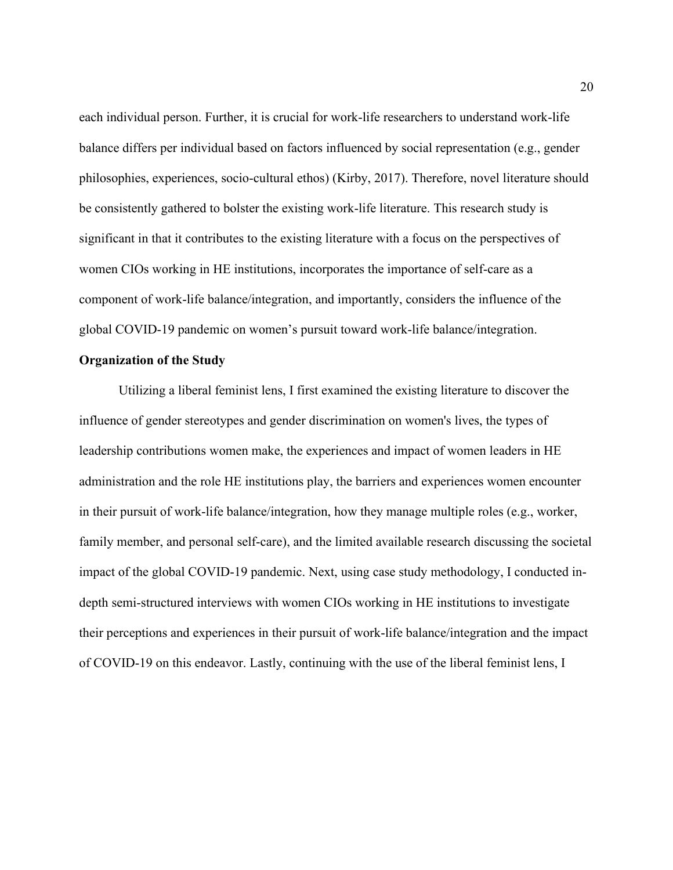each individual person. Further, it is crucial for work-life researchers to understand work-life balance differs per individual based on factors influenced by social representation (e.g., gender philosophies, experiences, socio-cultural ethos) (Kirby, 2017). Therefore, novel literature should be consistently gathered to bolster the existing work-life literature. This research study is significant in that it contributes to the existing literature with a focus on the perspectives of women CIOs working in HE institutions, incorporates the importance of self-care as a component of work-life balance/integration, and importantly, considers the influence of the global COVID-19 pandemic on women's pursuit toward work-life balance/integration.

#### <span id="page-20-0"></span>**Organization of the Study**

Utilizing a liberal feminist lens, I first examined the existing literature to discover the influence of gender stereotypes and gender discrimination on women's lives, the types of leadership contributions women make, the experiences and impact of women leaders in HE administration and the role HE institutions play, the barriers and experiences women encounter in their pursuit of work-life balance/integration, how they manage multiple roles (e.g., worker, family member, and personal self-care), and the limited available research discussing the societal impact of the global COVID-19 pandemic. Next, using case study methodology, I conducted indepth semi-structured interviews with women CIOs working in HE institutions to investigate their perceptions and experiences in their pursuit of work-life balance/integration and the impact of COVID-19 on this endeavor. Lastly, continuing with the use of the liberal feminist lens, I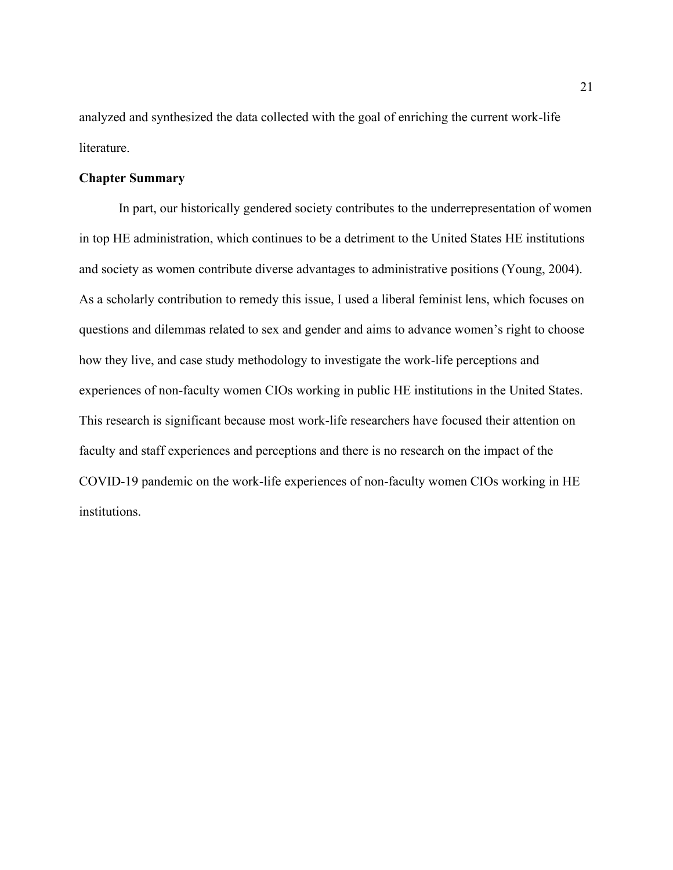analyzed and synthesized the data collected with the goal of enriching the current work-life literature.

#### <span id="page-21-0"></span>**Chapter Summary**

In part, our historically gendered society contributes to the underrepresentation of women in top HE administration, which continues to be a detriment to the United States HE institutions and society as women contribute diverse advantages to administrative positions (Young, 2004). As a scholarly contribution to remedy this issue, I used a liberal feminist lens, which focuses on questions and dilemmas related to sex and gender and aims to advance women's right to choose how they live, and case study methodology to investigate the work-life perceptions and experiences of non-faculty women CIOs working in public HE institutions in the United States. This research is significant because most work-life researchers have focused their attention on faculty and staff experiences and perceptions and there is no research on the impact of the COVID-19 pandemic on the work-life experiences of non-faculty women CIOs working in HE institutions.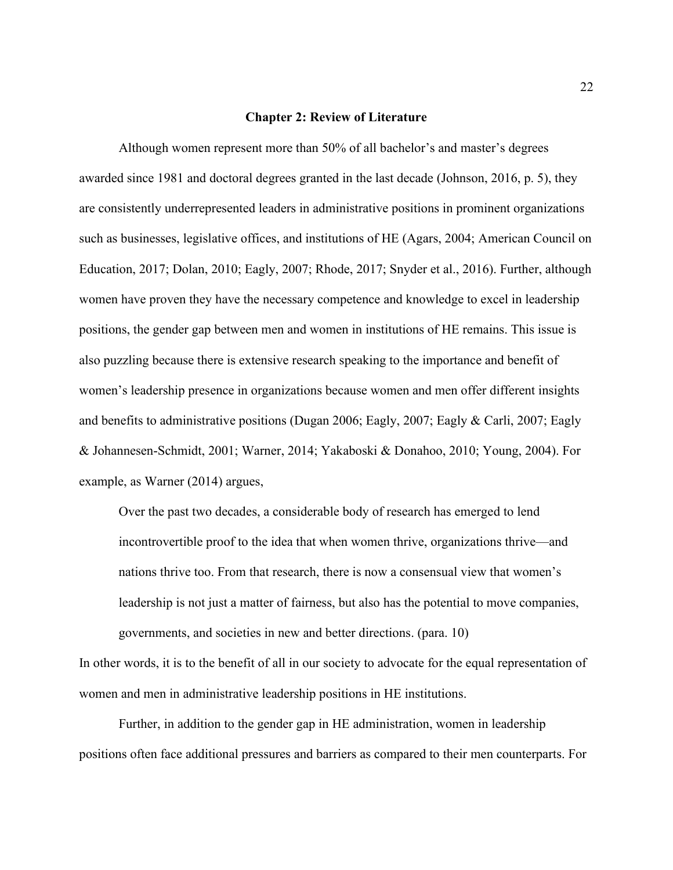#### **Chapter 2: Review of Literature**

<span id="page-22-0"></span>Although women represent more than 50% of all bachelor's and master's degrees awarded since 1981 and doctoral degrees granted in the last decade (Johnson, 2016, p. 5), they are consistently underrepresented leaders in administrative positions in prominent organizations such as businesses, legislative offices, and institutions of HE (Agars, 2004; American Council on Education, 2017; Dolan, 2010; Eagly, 2007; Rhode, 2017; Snyder et al., 2016). Further, although women have proven they have the necessary competence and knowledge to excel in leadership positions, the gender gap between men and women in institutions of HE remains. This issue is also puzzling because there is extensive research speaking to the importance and benefit of women's leadership presence in organizations because women and men offer different insights and benefits to administrative positions (Dugan 2006; Eagly, 2007; Eagly & Carli, 2007; Eagly & Johannesen-Schmidt, 2001; Warner, 2014; Yakaboski & Donahoo, 2010; Young, 2004). For example, as Warner (2014) argues,

Over the past two decades, a considerable body of research has emerged to lend incontrovertible proof to the idea that when women thrive, organizations thrive—and nations thrive too. From that research, there is now a consensual view that women's leadership is not just a matter of fairness, but also has the potential to move companies, governments, and societies in new and better directions. (para. 10)

In other words, it is to the benefit of all in our society to advocate for the equal representation of women and men in administrative leadership positions in HE institutions.

Further, in addition to the gender gap in HE administration, women in leadership positions often face additional pressures and barriers as compared to their men counterparts. For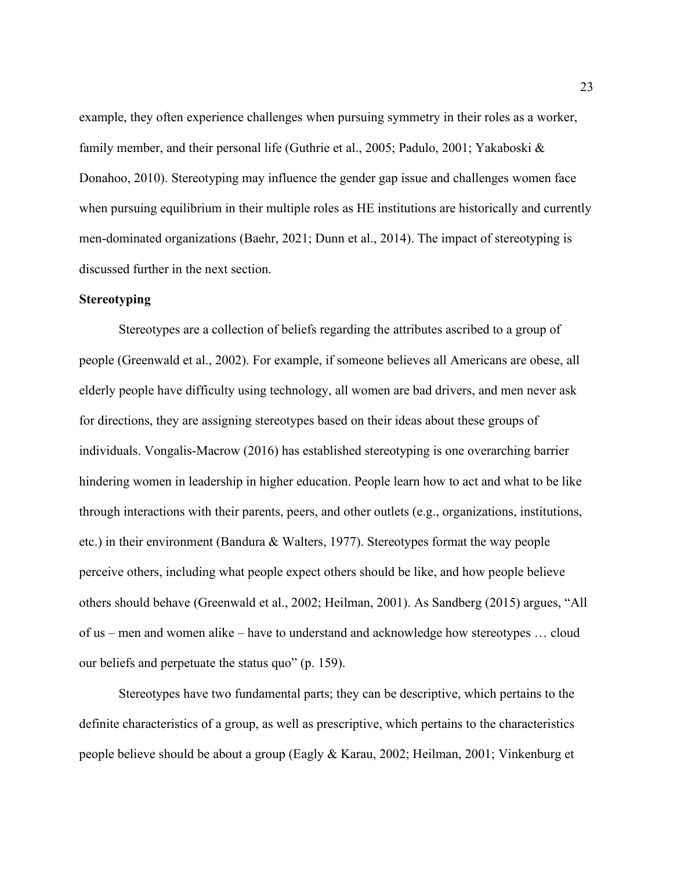example, they often experience challenges when pursuing symmetry in their roles as a worker, family member, and their personal life (Guthrie et al., 2005; Padulo, 2001; Yakaboski & Donahoo, 2010). Stereotyping may influence the gender gap issue and challenges women face when pursuing equilibrium in their multiple roles as HE institutions are historically and currently men-dominated organizations (Baehr, 2021; Dunn et al., 2014). The impact of stereotyping is discussed further in the next section.

#### <span id="page-23-0"></span>**Stereotyping**

Stereotypes are a collection of beliefs regarding the attributes ascribed to a group of people (Greenwald et al., 2002). For example, if someone believes all Americans are obese, all elderly people have difficulty using technology, all women are bad drivers, and men never ask for directions, they are assigning stereotypes based on their ideas about these groups of individuals. Vongalis-Macrow (2016) has established stereotyping is one overarching barrier hindering women in leadership in higher education. People learn how to act and what to be like through interactions with their parents, peers, and other outlets (e.g., organizations, institutions, etc.) in their environment (Bandura & Walters, 1977). Stereotypes format the way people perceive others, including what people expect others should be like, and how people believe others should behave (Greenwald et al., 2002; Heilman, 2001). As Sandberg (2015) argues, "All of us – men and women alike – have to understand and acknowledge how stereotypes … cloud our beliefs and perpetuate the status quo" (p. 159).

Stereotypes have two fundamental parts; they can be descriptive, which pertains to the definite characteristics of a group, as well as prescriptive, which pertains to the characteristics people believe should be about a group (Eagly & Karau, 2002; Heilman, 2001; Vinkenburg et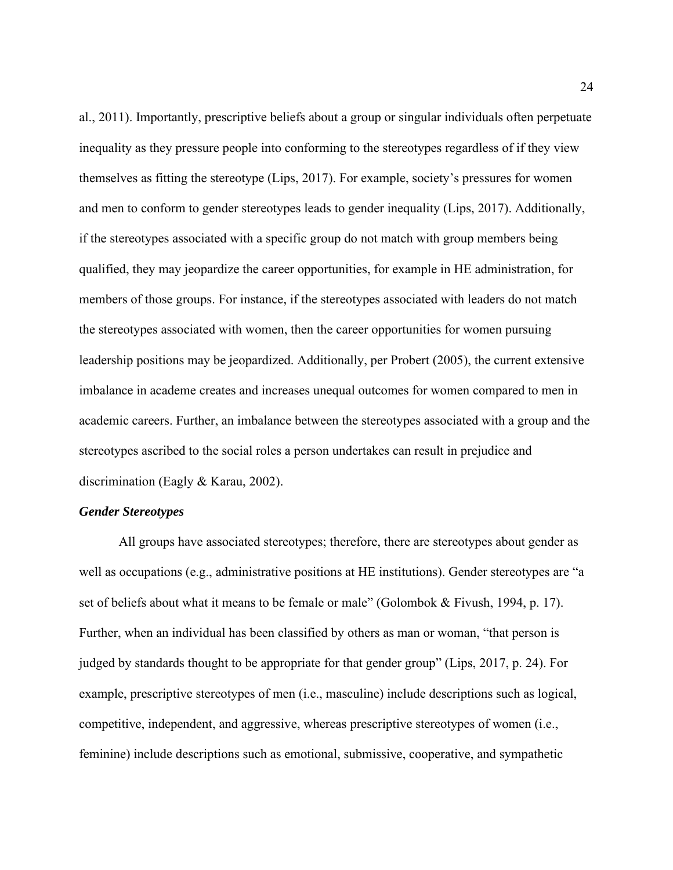al., 2011). Importantly, prescriptive beliefs about a group or singular individuals often perpetuate inequality as they pressure people into conforming to the stereotypes regardless of if they view themselves as fitting the stereotype (Lips, 2017). For example, society's pressures for women and men to conform to gender stereotypes leads to gender inequality (Lips, 2017). Additionally, if the stereotypes associated with a specific group do not match with group members being qualified, they may jeopardize the career opportunities, for example in HE administration, for members of those groups. For instance, if the stereotypes associated with leaders do not match the stereotypes associated with women, then the career opportunities for women pursuing leadership positions may be jeopardized. Additionally, per Probert (2005), the current extensive imbalance in academe creates and increases unequal outcomes for women compared to men in academic careers. Further, an imbalance between the stereotypes associated with a group and the stereotypes ascribed to the social roles a person undertakes can result in prejudice and discrimination (Eagly & Karau, 2002).

#### <span id="page-24-0"></span>*Gender Stereotypes*

All groups have associated stereotypes; therefore, there are stereotypes about gender as well as occupations (e.g., administrative positions at HE institutions). Gender stereotypes are "a set of beliefs about what it means to be female or male" (Golombok & Fivush, 1994, p. 17). Further, when an individual has been classified by others as man or woman, "that person is judged by standards thought to be appropriate for that gender group" (Lips, 2017, p. 24). For example, prescriptive stereotypes of men (i.e., masculine) include descriptions such as logical, competitive, independent, and aggressive, whereas prescriptive stereotypes of women (i.e., feminine) include descriptions such as emotional, submissive, cooperative, and sympathetic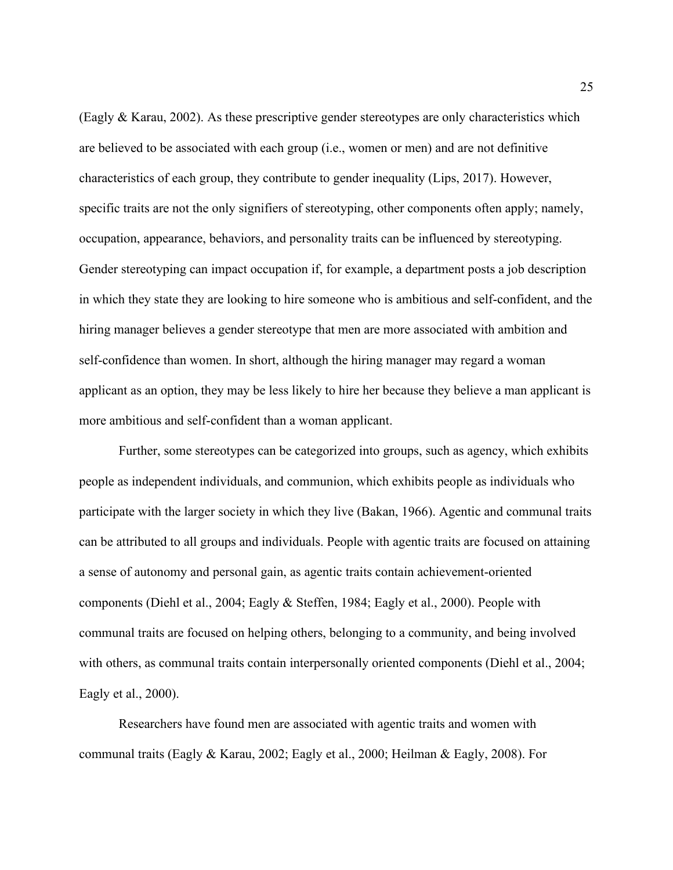(Eagly & Karau, 2002). As these prescriptive gender stereotypes are only characteristics which are believed to be associated with each group (i.e., women or men) and are not definitive characteristics of each group, they contribute to gender inequality (Lips, 2017). However, specific traits are not the only signifiers of stereotyping, other components often apply; namely, occupation, appearance, behaviors, and personality traits can be influenced by stereotyping. Gender stereotyping can impact occupation if, for example, a department posts a job description in which they state they are looking to hire someone who is ambitious and self-confident, and the hiring manager believes a gender stereotype that men are more associated with ambition and self-confidence than women. In short, although the hiring manager may regard a woman applicant as an option, they may be less likely to hire her because they believe a man applicant is more ambitious and self-confident than a woman applicant.

Further, some stereotypes can be categorized into groups, such as agency, which exhibits people as independent individuals, and communion, which exhibits people as individuals who participate with the larger society in which they live (Bakan, 1966). Agentic and communal traits can be attributed to all groups and individuals. People with agentic traits are focused on attaining a sense of autonomy and personal gain, as agentic traits contain achievement-oriented components (Diehl et al., 2004; Eagly & Steffen, 1984; Eagly et al., 2000). People with communal traits are focused on helping others, belonging to a community, and being involved with others, as communal traits contain interpersonally oriented components (Diehl et al., 2004; Eagly et al., 2000).

Researchers have found men are associated with agentic traits and women with communal traits (Eagly & Karau, 2002; Eagly et al., 2000; Heilman & Eagly, 2008). For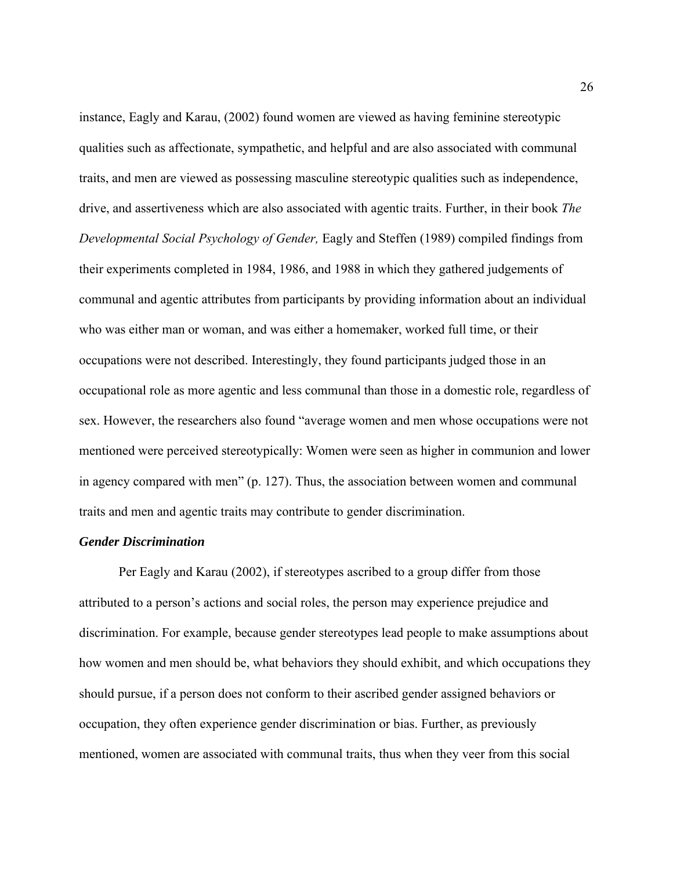instance, Eagly and Karau, (2002) found women are viewed as having feminine stereotypic qualities such as affectionate, sympathetic, and helpful and are also associated with communal traits, and men are viewed as possessing masculine stereotypic qualities such as independence, drive, and assertiveness which are also associated with agentic traits. Further, in their book *The Developmental Social Psychology of Gender,* Eagly and Steffen (1989) compiled findings from their experiments completed in 1984, 1986, and 1988 in which they gathered judgements of communal and agentic attributes from participants by providing information about an individual who was either man or woman, and was either a homemaker, worked full time, or their occupations were not described. Interestingly, they found participants judged those in an occupational role as more agentic and less communal than those in a domestic role, regardless of sex. However, the researchers also found "average women and men whose occupations were not mentioned were perceived stereotypically: Women were seen as higher in communion and lower in agency compared with men" (p. 127). Thus, the association between women and communal traits and men and agentic traits may contribute to gender discrimination.

#### <span id="page-26-0"></span>*Gender Discrimination*

Per Eagly and Karau (2002), if stereotypes ascribed to a group differ from those attributed to a person's actions and social roles, the person may experience prejudice and discrimination. For example, because gender stereotypes lead people to make assumptions about how women and men should be, what behaviors they should exhibit, and which occupations they should pursue, if a person does not conform to their ascribed gender assigned behaviors or occupation, they often experience gender discrimination or bias. Further, as previously mentioned, women are associated with communal traits, thus when they veer from this social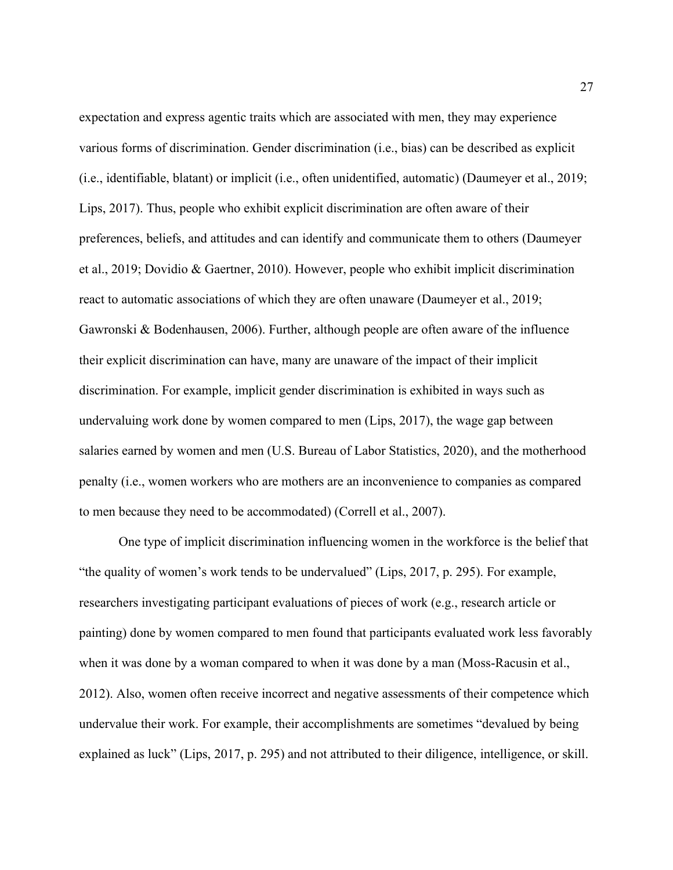expectation and express agentic traits which are associated with men, they may experience various forms of discrimination. Gender discrimination (i.e., bias) can be described as explicit (i.e., identifiable, blatant) or implicit (i.e., often unidentified, automatic) (Daumeyer et al., 2019; Lips, 2017). Thus, people who exhibit explicit discrimination are often aware of their preferences, beliefs, and attitudes and can identify and communicate them to others (Daumeyer et al., 2019; Dovidio & Gaertner, 2010). However, people who exhibit implicit discrimination react to automatic associations of which they are often unaware (Daumeyer et al., 2019; Gawronski & Bodenhausen, 2006). Further, although people are often aware of the influence their explicit discrimination can have, many are unaware of the impact of their implicit discrimination. For example, implicit gender discrimination is exhibited in ways such as undervaluing work done by women compared to men (Lips, 2017), the wage gap between salaries earned by women and men (U.S. Bureau of Labor Statistics, 2020), and the motherhood penalty (i.e., women workers who are mothers are an inconvenience to companies as compared to men because they need to be accommodated) (Correll et al., 2007).

One type of implicit discrimination influencing women in the workforce is the belief that "the quality of women's work tends to be undervalued" (Lips, 2017, p. 295). For example, researchers investigating participant evaluations of pieces of work (e.g., research article or painting) done by women compared to men found that participants evaluated work less favorably when it was done by a woman compared to when it was done by a man (Moss-Racusin et al., 2012). Also, women often receive incorrect and negative assessments of their competence which undervalue their work. For example, their accomplishments are sometimes "devalued by being explained as luck" (Lips, 2017, p. 295) and not attributed to their diligence, intelligence, or skill.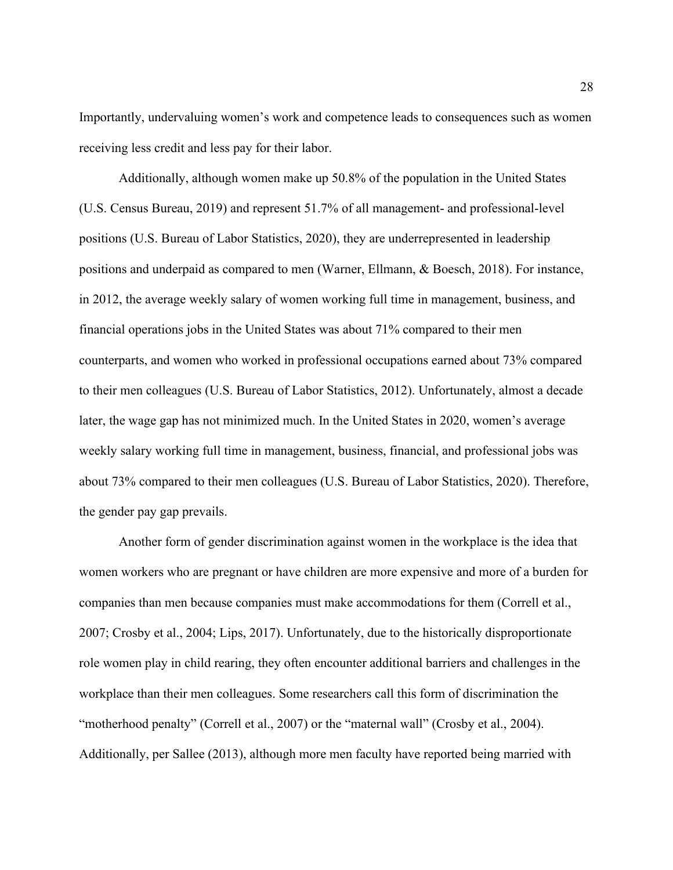Importantly, undervaluing women's work and competence leads to consequences such as women receiving less credit and less pay for their labor.

Additionally, although women make up 50.8% of the population in the United States (U.S. Census Bureau, 2019) and represent 51.7% of all management- and professional-level positions (U.S. Bureau of Labor Statistics, 2020), they are underrepresented in leadership positions and underpaid as compared to men (Warner, Ellmann, & Boesch, 2018). For instance, in 2012, the average weekly salary of women working full time in management, business, and financial operations jobs in the United States was about 71% compared to their men counterparts, and women who worked in professional occupations earned about 73% compared to their men colleagues (U.S. Bureau of Labor Statistics, 2012). Unfortunately, almost a decade later, the wage gap has not minimized much. In the United States in 2020, women's average weekly salary working full time in management, business, financial, and professional jobs was about 73% compared to their men colleagues (U.S. Bureau of Labor Statistics, 2020). Therefore, the gender pay gap prevails.

Another form of gender discrimination against women in the workplace is the idea that women workers who are pregnant or have children are more expensive and more of a burden for companies than men because companies must make accommodations for them (Correll et al., 2007; Crosby et al., 2004; Lips, 2017). Unfortunately, due to the historically disproportionate role women play in child rearing, they often encounter additional barriers and challenges in the workplace than their men colleagues. Some researchers call this form of discrimination the "motherhood penalty" (Correll et al., 2007) or the "maternal wall" (Crosby et al., 2004). Additionally, per Sallee (2013), although more men faculty have reported being married with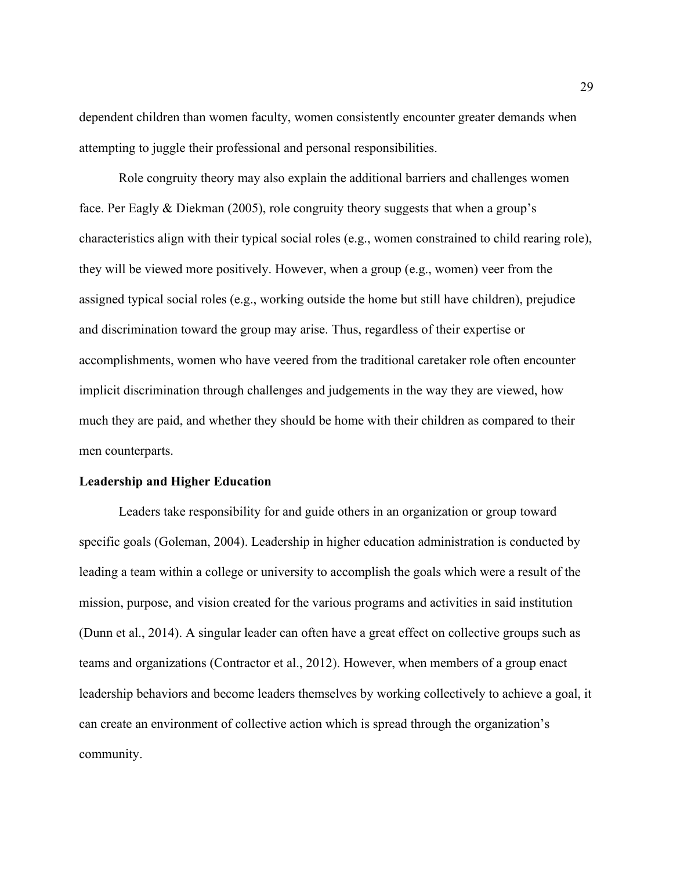dependent children than women faculty, women consistently encounter greater demands when attempting to juggle their professional and personal responsibilities.

Role congruity theory may also explain the additional barriers and challenges women face. Per Eagly & Diekman (2005), role congruity theory suggests that when a group's characteristics align with their typical social roles (e.g., women constrained to child rearing role), they will be viewed more positively. However, when a group (e.g., women) veer from the assigned typical social roles (e.g., working outside the home but still have children), prejudice and discrimination toward the group may arise. Thus, regardless of their expertise or accomplishments, women who have veered from the traditional caretaker role often encounter implicit discrimination through challenges and judgements in the way they are viewed, how much they are paid, and whether they should be home with their children as compared to their men counterparts.

#### <span id="page-29-0"></span>**Leadership and Higher Education**

Leaders take responsibility for and guide others in an organization or group toward specific goals (Goleman, 2004). Leadership in higher education administration is conducted by leading a team within a college or university to accomplish the goals which were a result of the mission, purpose, and vision created for the various programs and activities in said institution (Dunn et al., 2014). A singular leader can often have a great effect on collective groups such as teams and organizations (Contractor et al., 2012). However, when members of a group enact leadership behaviors and become leaders themselves by working collectively to achieve a goal, it can create an environment of collective action which is spread through the organization's community.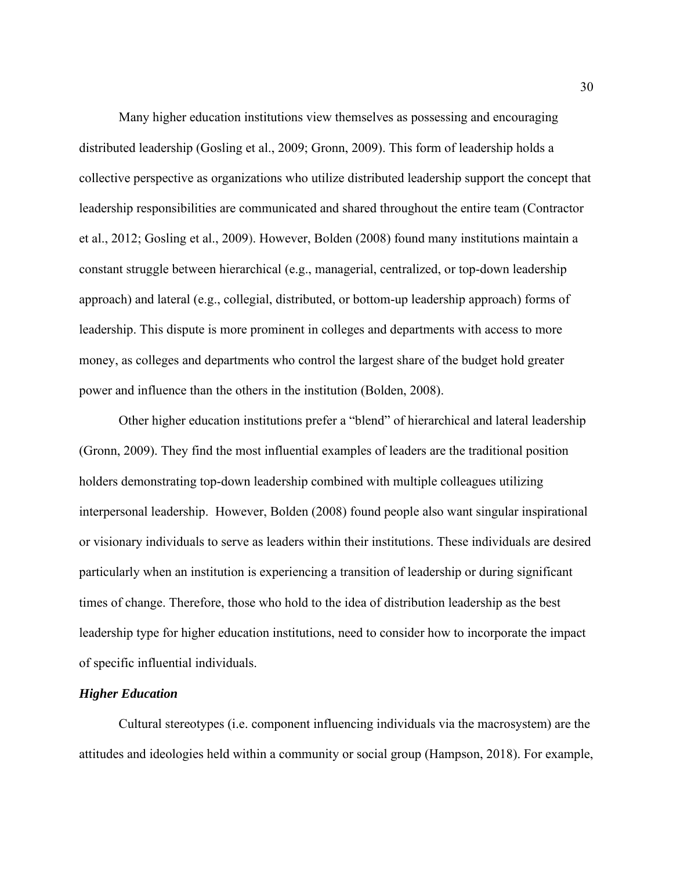Many higher education institutions view themselves as possessing and encouraging distributed leadership (Gosling et al., 2009; Gronn, 2009). This form of leadership holds a collective perspective as organizations who utilize distributed leadership support the concept that leadership responsibilities are communicated and shared throughout the entire team (Contractor et al., 2012; Gosling et al., 2009). However, Bolden (2008) found many institutions maintain a constant struggle between hierarchical (e.g., managerial, centralized, or top-down leadership approach) and lateral (e.g., collegial, distributed, or bottom-up leadership approach) forms of leadership. This dispute is more prominent in colleges and departments with access to more money, as colleges and departments who control the largest share of the budget hold greater power and influence than the others in the institution (Bolden, 2008).

Other higher education institutions prefer a "blend" of hierarchical and lateral leadership (Gronn, 2009). They find the most influential examples of leaders are the traditional position holders demonstrating top-down leadership combined with multiple colleagues utilizing interpersonal leadership. However, Bolden (2008) found people also want singular inspirational or visionary individuals to serve as leaders within their institutions. These individuals are desired particularly when an institution is experiencing a transition of leadership or during significant times of change. Therefore, those who hold to the idea of distribution leadership as the best leadership type for higher education institutions, need to consider how to incorporate the impact of specific influential individuals.

#### <span id="page-30-0"></span>*Higher Education*

Cultural stereotypes (i.e. component influencing individuals via the macrosystem) are the attitudes and ideologies held within a community or social group (Hampson, 2018). For example,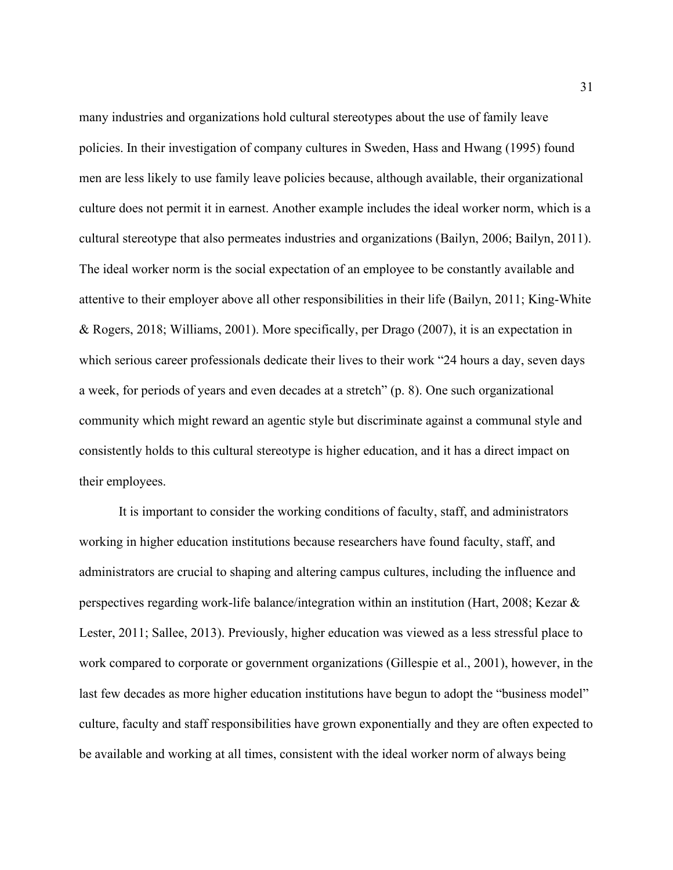many industries and organizations hold cultural stereotypes about the use of family leave policies. In their investigation of company cultures in Sweden, Hass and Hwang (1995) found men are less likely to use family leave policies because, although available, their organizational culture does not permit it in earnest. Another example includes the ideal worker norm, which is a cultural stereotype that also permeates industries and organizations (Bailyn, 2006; Bailyn, 2011). The ideal worker norm is the social expectation of an employee to be constantly available and attentive to their employer above all other responsibilities in their life (Bailyn, 2011; King-White & Rogers, 2018; Williams, 2001). More specifically, per Drago (2007), it is an expectation in which serious career professionals dedicate their lives to their work "24 hours a day, seven days a week, for periods of years and even decades at a stretch" (p. 8). One such organizational community which might reward an agentic style but discriminate against a communal style and consistently holds to this cultural stereotype is higher education, and it has a direct impact on their employees.

It is important to consider the working conditions of faculty, staff, and administrators working in higher education institutions because researchers have found faculty, staff, and administrators are crucial to shaping and altering campus cultures, including the influence and perspectives regarding work-life balance/integration within an institution (Hart, 2008; Kezar & Lester, 2011; Sallee, 2013). Previously, higher education was viewed as a less stressful place to work compared to corporate or government organizations (Gillespie et al., 2001), however, in the last few decades as more higher education institutions have begun to adopt the "business model" culture, faculty and staff responsibilities have grown exponentially and they are often expected to be available and working at all times, consistent with the ideal worker norm of always being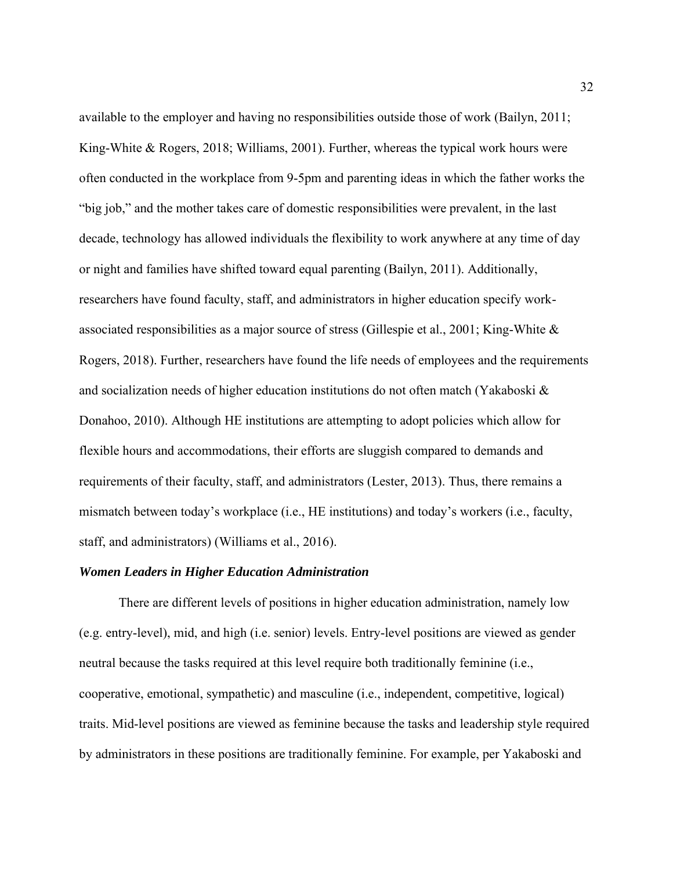available to the employer and having no responsibilities outside those of work (Bailyn, 2011; King-White & Rogers, 2018; Williams, 2001). Further, whereas the typical work hours were often conducted in the workplace from 9-5pm and parenting ideas in which the father works the "big job," and the mother takes care of domestic responsibilities were prevalent, in the last decade, technology has allowed individuals the flexibility to work anywhere at any time of day or night and families have shifted toward equal parenting (Bailyn, 2011). Additionally, researchers have found faculty, staff, and administrators in higher education specify workassociated responsibilities as a major source of stress (Gillespie et al., 2001; King-White & Rogers, 2018). Further, researchers have found the life needs of employees and the requirements and socialization needs of higher education institutions do not often match (Yakaboski & Donahoo, 2010). Although HE institutions are attempting to adopt policies which allow for flexible hours and accommodations, their efforts are sluggish compared to demands and requirements of their faculty, staff, and administrators (Lester, 2013). Thus, there remains a mismatch between today's workplace (i.e., HE institutions) and today's workers (i.e., faculty, staff, and administrators) (Williams et al., 2016).

#### <span id="page-32-0"></span>*Women Leaders in Higher Education Administration*

There are different levels of positions in higher education administration, namely low (e.g. entry-level), mid, and high (i.e. senior) levels. Entry-level positions are viewed as gender neutral because the tasks required at this level require both traditionally feminine (i.e., cooperative, emotional, sympathetic) and masculine (i.e., independent, competitive, logical) traits. Mid-level positions are viewed as feminine because the tasks and leadership style required by administrators in these positions are traditionally feminine. For example, per Yakaboski and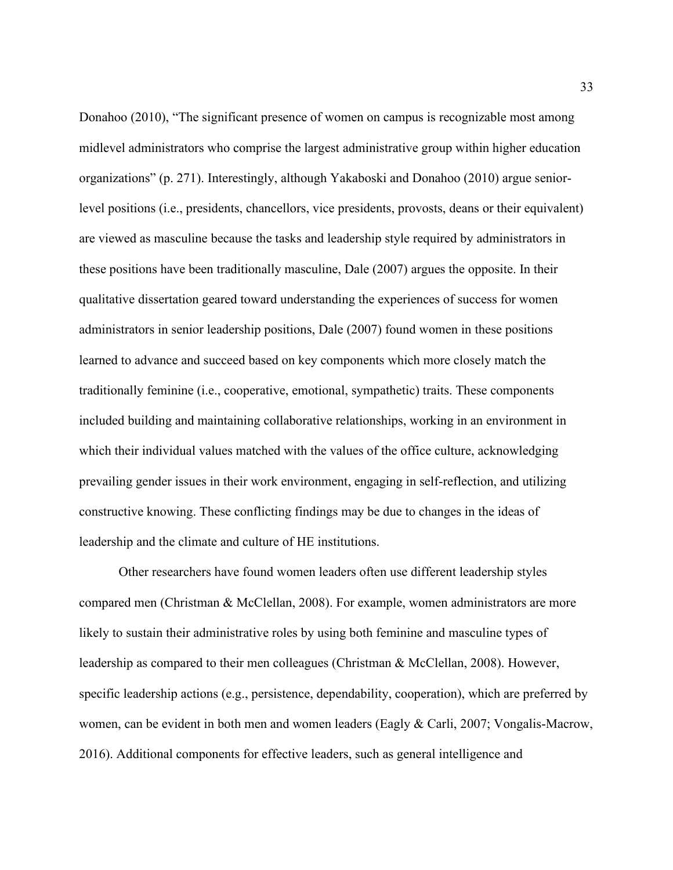Donahoo (2010), "The significant presence of women on campus is recognizable most among midlevel administrators who comprise the largest administrative group within higher education organizations" (p. 271). Interestingly, although Yakaboski and Donahoo (2010) argue seniorlevel positions (i.e., presidents, chancellors, vice presidents, provosts, deans or their equivalent) are viewed as masculine because the tasks and leadership style required by administrators in these positions have been traditionally masculine, Dale (2007) argues the opposite. In their qualitative dissertation geared toward understanding the experiences of success for women administrators in senior leadership positions, Dale (2007) found women in these positions learned to advance and succeed based on key components which more closely match the traditionally feminine (i.e., cooperative, emotional, sympathetic) traits. These components included building and maintaining collaborative relationships, working in an environment in which their individual values matched with the values of the office culture, acknowledging prevailing gender issues in their work environment, engaging in self-reflection, and utilizing constructive knowing. These conflicting findings may be due to changes in the ideas of leadership and the climate and culture of HE institutions.

Other researchers have found women leaders often use different leadership styles compared men (Christman & McClellan, 2008). For example, women administrators are more likely to sustain their administrative roles by using both feminine and masculine types of leadership as compared to their men colleagues (Christman & McClellan, 2008). However, specific leadership actions (e.g., persistence, dependability, cooperation), which are preferred by women, can be evident in both men and women leaders (Eagly & Carli, 2007; Vongalis-Macrow, 2016). Additional components for effective leaders, such as general intelligence and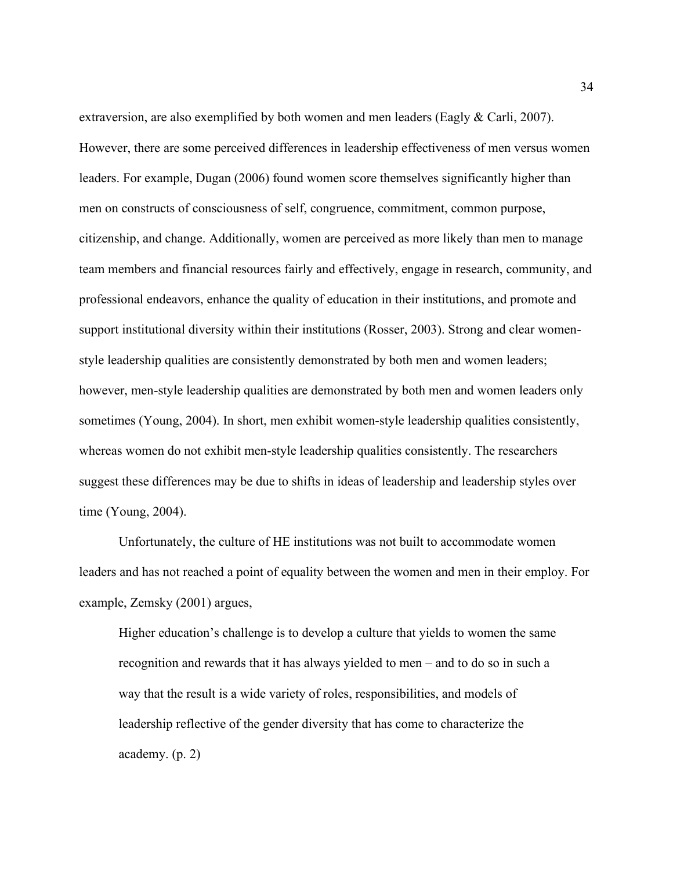extraversion, are also exemplified by both women and men leaders (Eagly & Carli, 2007). However, there are some perceived differences in leadership effectiveness of men versus women leaders. For example, Dugan (2006) found women score themselves significantly higher than men on constructs of consciousness of self, congruence, commitment, common purpose, citizenship, and change. Additionally, women are perceived as more likely than men to manage team members and financial resources fairly and effectively, engage in research, community, and professional endeavors, enhance the quality of education in their institutions, and promote and support institutional diversity within their institutions (Rosser, 2003). Strong and clear womenstyle leadership qualities are consistently demonstrated by both men and women leaders; however, men-style leadership qualities are demonstrated by both men and women leaders only sometimes (Young, 2004). In short, men exhibit women-style leadership qualities consistently, whereas women do not exhibit men-style leadership qualities consistently. The researchers suggest these differences may be due to shifts in ideas of leadership and leadership styles over time (Young, 2004).

Unfortunately, the culture of HE institutions was not built to accommodate women leaders and has not reached a point of equality between the women and men in their employ. For example, Zemsky (2001) argues,

Higher education's challenge is to develop a culture that yields to women the same recognition and rewards that it has always yielded to men – and to do so in such a way that the result is a wide variety of roles, responsibilities, and models of leadership reflective of the gender diversity that has come to characterize the academy. (p. 2)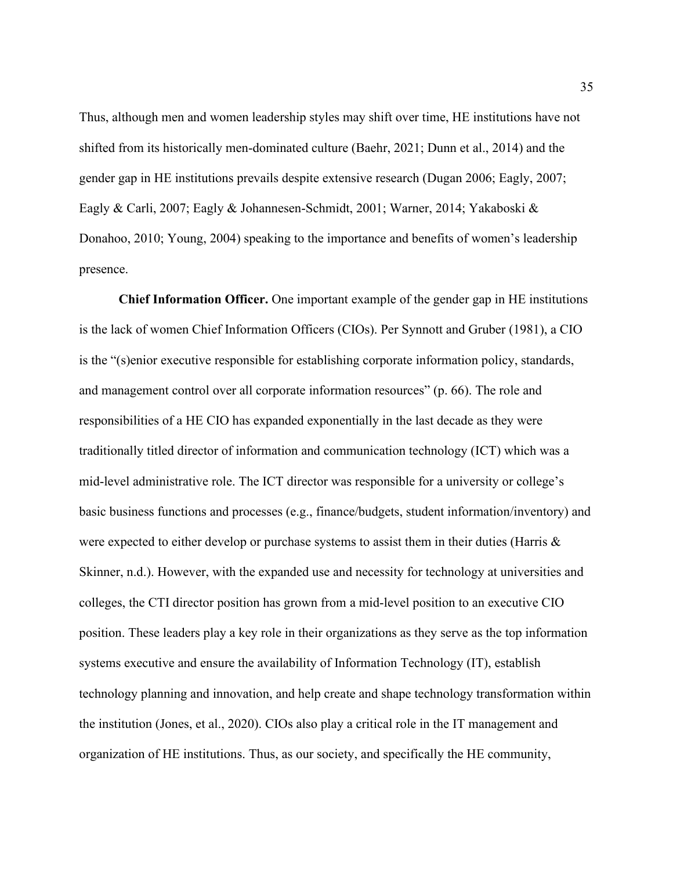Thus, although men and women leadership styles may shift over time, HE institutions have not shifted from its historically men-dominated culture (Baehr, 2021; Dunn et al., 2014) and the gender gap in HE institutions prevails despite extensive research (Dugan 2006; Eagly, 2007; Eagly & Carli, 2007; Eagly & Johannesen-Schmidt, 2001; Warner, 2014; Yakaboski & Donahoo, 2010; Young, 2004) speaking to the importance and benefits of women's leadership presence.

**Chief Information Officer.** One important example of the gender gap in HE institutions is the lack of women Chief Information Officers (CIOs). Per Synnott and Gruber (1981), a CIO is the "(s)enior executive responsible for establishing corporate information policy, standards, and management control over all corporate information resources" (p. 66). The role and responsibilities of a HE CIO has expanded exponentially in the last decade as they were traditionally titled director of information and communication technology (ICT) which was a mid-level administrative role. The ICT director was responsible for a university or college's basic business functions and processes (e.g., finance/budgets, student information/inventory) and were expected to either develop or purchase systems to assist them in their duties (Harris  $\&$ Skinner, n.d.). However, with the expanded use and necessity for technology at universities and colleges, the CTI director position has grown from a mid-level position to an executive CIO position. These leaders play a key role in their organizations as they serve as the top information systems executive and ensure the availability of Information Technology (IT), establish technology planning and innovation, and help create and shape technology transformation within the institution (Jones, et al., 2020). CIOs also play a critical role in the IT management and organization of HE institutions. Thus, as our society, and specifically the HE community,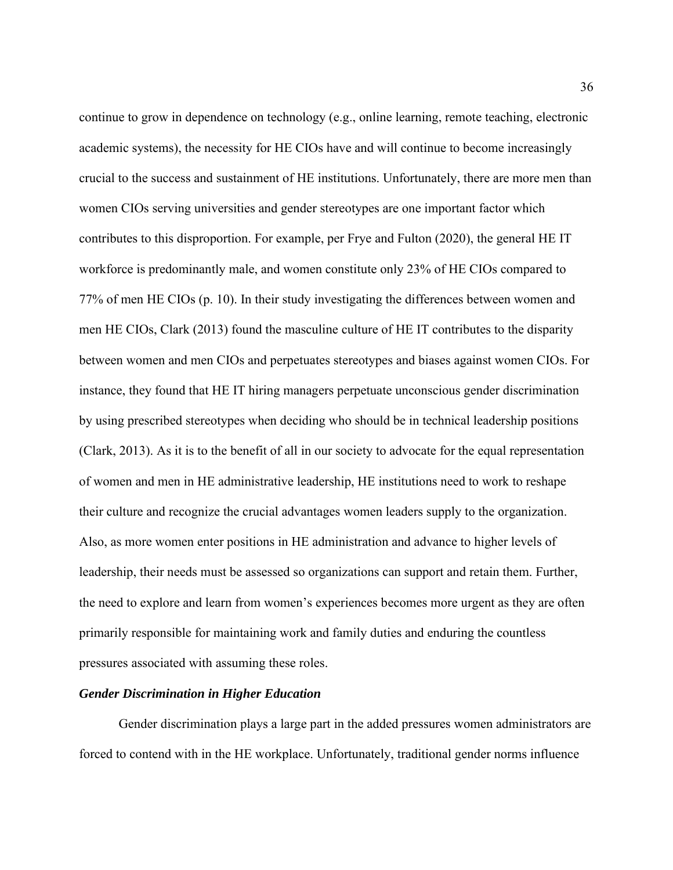continue to grow in dependence on technology (e.g., online learning, remote teaching, electronic academic systems), the necessity for HE CIOs have and will continue to become increasingly crucial to the success and sustainment of HE institutions. Unfortunately, there are more men than women CIOs serving universities and gender stereotypes are one important factor which contributes to this disproportion. For example, per Frye and Fulton (2020), the general HE IT workforce is predominantly male, and women constitute only 23% of HE CIOs compared to 77% of men HE CIOs (p. 10). In their study investigating the differences between women and men HE CIOs, Clark (2013) found the masculine culture of HE IT contributes to the disparity between women and men CIOs and perpetuates stereotypes and biases against women CIOs. For instance, they found that HE IT hiring managers perpetuate unconscious gender discrimination by using prescribed stereotypes when deciding who should be in technical leadership positions (Clark, 2013). As it is to the benefit of all in our society to advocate for the equal representation of women and men in HE administrative leadership, HE institutions need to work to reshape their culture and recognize the crucial advantages women leaders supply to the organization. Also, as more women enter positions in HE administration and advance to higher levels of leadership, their needs must be assessed so organizations can support and retain them. Further, the need to explore and learn from women's experiences becomes more urgent as they are often primarily responsible for maintaining work and family duties and enduring the countless pressures associated with assuming these roles.

### *Gender Discrimination in Higher Education*

Gender discrimination plays a large part in the added pressures women administrators are forced to contend with in the HE workplace. Unfortunately, traditional gender norms influence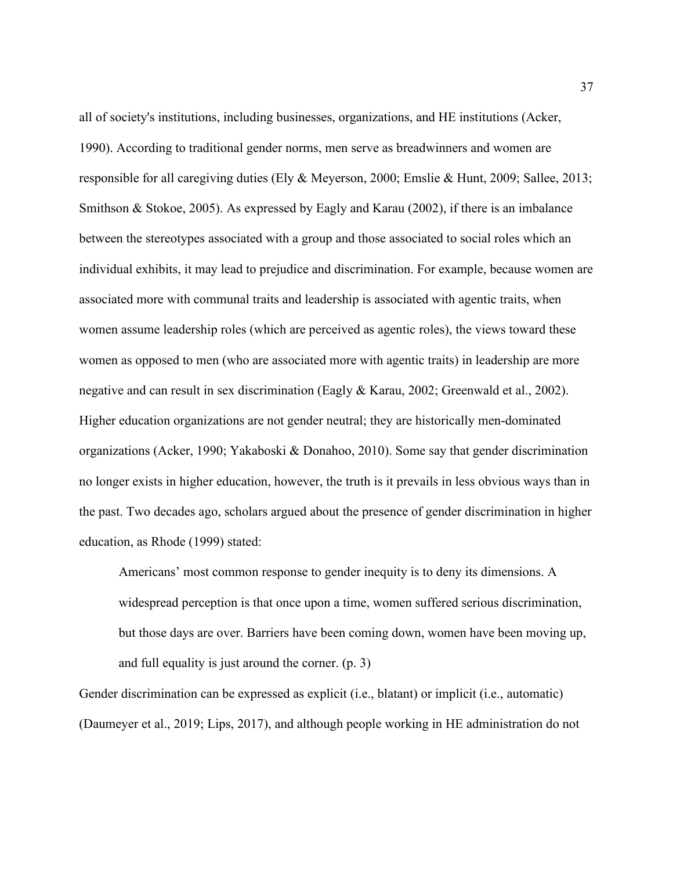all of society's institutions, including businesses, organizations, and HE institutions (Acker, 1990). According to traditional gender norms, men serve as breadwinners and women are responsible for all caregiving duties (Ely & Meyerson, 2000; Emslie & Hunt, 2009; Sallee, 2013; Smithson & Stokoe, 2005). As expressed by Eagly and Karau (2002), if there is an imbalance between the stereotypes associated with a group and those associated to social roles which an individual exhibits, it may lead to prejudice and discrimination. For example, because women are associated more with communal traits and leadership is associated with agentic traits, when women assume leadership roles (which are perceived as agentic roles), the views toward these women as opposed to men (who are associated more with agentic traits) in leadership are more negative and can result in sex discrimination (Eagly & Karau, 2002; Greenwald et al., 2002). Higher education organizations are not gender neutral; they are historically men-dominated organizations (Acker, 1990; Yakaboski & Donahoo, 2010). Some say that gender discrimination no longer exists in higher education, however, the truth is it prevails in less obvious ways than in the past. Two decades ago, scholars argued about the presence of gender discrimination in higher education, as Rhode (1999) stated:

Americans' most common response to gender inequity is to deny its dimensions. A widespread perception is that once upon a time, women suffered serious discrimination, but those days are over. Barriers have been coming down, women have been moving up, and full equality is just around the corner. (p. 3)

Gender discrimination can be expressed as explicit (i.e., blatant) or implicit (i.e., automatic) (Daumeyer et al., 2019; Lips, 2017), and although people working in HE administration do not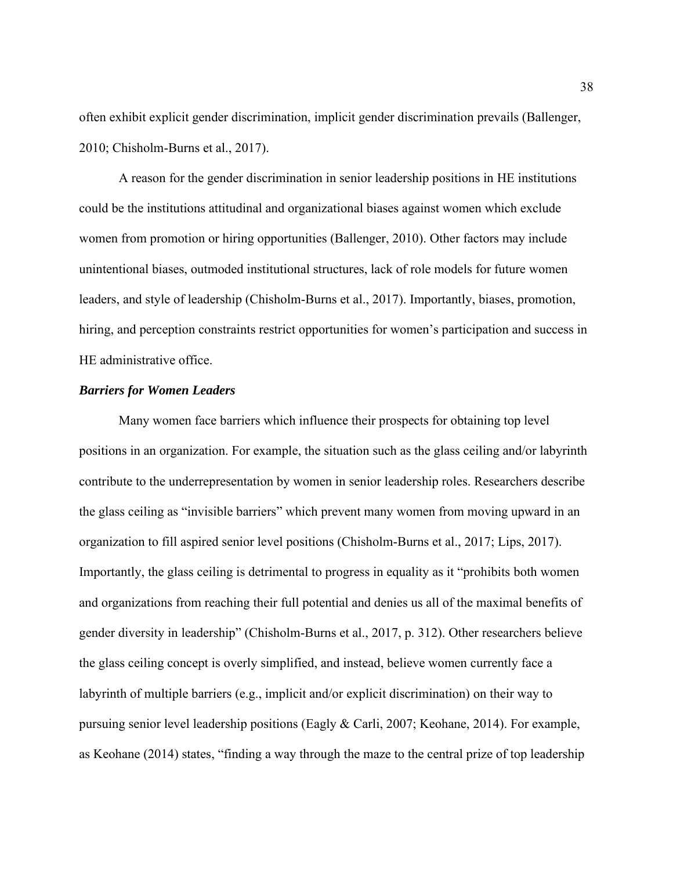often exhibit explicit gender discrimination, implicit gender discrimination prevails (Ballenger, 2010; Chisholm-Burns et al., 2017).

A reason for the gender discrimination in senior leadership positions in HE institutions could be the institutions attitudinal and organizational biases against women which exclude women from promotion or hiring opportunities (Ballenger, 2010). Other factors may include unintentional biases, outmoded institutional structures, lack of role models for future women leaders, and style of leadership (Chisholm-Burns et al., 2017). Importantly, biases, promotion, hiring, and perception constraints restrict opportunities for women's participation and success in HE administrative office.

## *Barriers for Women Leaders*

Many women face barriers which influence their prospects for obtaining top level positions in an organization. For example, the situation such as the glass ceiling and/or labyrinth contribute to the underrepresentation by women in senior leadership roles. Researchers describe the glass ceiling as "invisible barriers" which prevent many women from moving upward in an organization to fill aspired senior level positions (Chisholm-Burns et al., 2017; Lips, 2017). Importantly, the glass ceiling is detrimental to progress in equality as it "prohibits both women and organizations from reaching their full potential and denies us all of the maximal benefits of gender diversity in leadership" (Chisholm-Burns et al., 2017, p. 312). Other researchers believe the glass ceiling concept is overly simplified, and instead, believe women currently face a labyrinth of multiple barriers (e.g., implicit and/or explicit discrimination) on their way to pursuing senior level leadership positions (Eagly & Carli, 2007; Keohane, 2014). For example, as Keohane (2014) states, "finding a way through the maze to the central prize of top leadership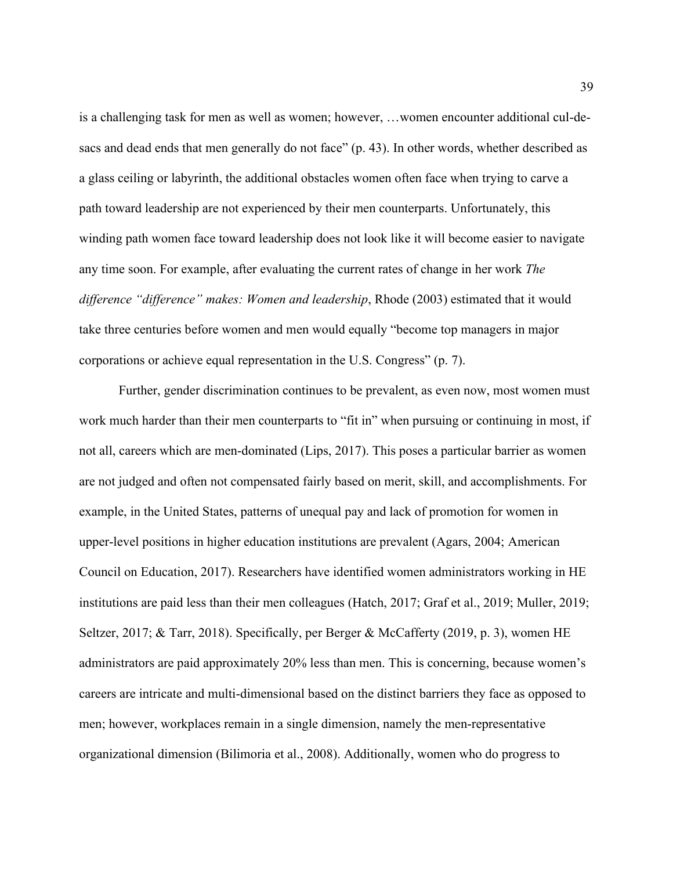is a challenging task for men as well as women; however, …women encounter additional cul-desacs and dead ends that men generally do not face" (p. 43). In other words, whether described as a glass ceiling or labyrinth, the additional obstacles women often face when trying to carve a path toward leadership are not experienced by their men counterparts. Unfortunately, this winding path women face toward leadership does not look like it will become easier to navigate any time soon. For example, after evaluating the current rates of change in her work *The difference "difference" makes: Women and leadership*, Rhode (2003) estimated that it would take three centuries before women and men would equally "become top managers in major corporations or achieve equal representation in the U.S. Congress" (p. 7).

Further, gender discrimination continues to be prevalent, as even now, most women must work much harder than their men counterparts to "fit in" when pursuing or continuing in most, if not all, careers which are men-dominated (Lips, 2017). This poses a particular barrier as women are not judged and often not compensated fairly based on merit, skill, and accomplishments. For example, in the United States, patterns of unequal pay and lack of promotion for women in upper-level positions in higher education institutions are prevalent (Agars, 2004; American Council on Education, 2017). Researchers have identified women administrators working in HE institutions are paid less than their men colleagues (Hatch, 2017; Graf et al., 2019; Muller, 2019; Seltzer, 2017; & Tarr, 2018). Specifically, per Berger & McCafferty (2019, p. 3), women HE administrators are paid approximately 20% less than men. This is concerning, because women's careers are intricate and multi-dimensional based on the distinct barriers they face as opposed to men; however, workplaces remain in a single dimension, namely the men-representative organizational dimension (Bilimoria et al., 2008). Additionally, women who do progress to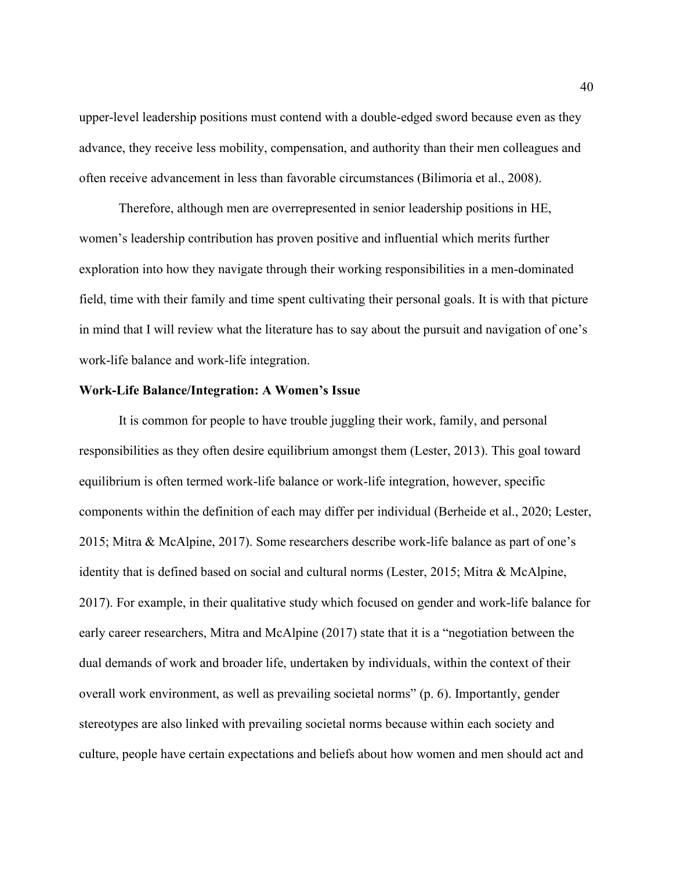upper-level leadership positions must contend with a double-edged sword because even as they advance, they receive less mobility, compensation, and authority than their men colleagues and often receive advancement in less than favorable circumstances (Bilimoria et al., 2008).

Therefore, although men are overrepresented in senior leadership positions in HE, women's leadership contribution has proven positive and influential which merits further exploration into how they navigate through their working responsibilities in a men-dominated field, time with their family and time spent cultivating their personal goals. It is with that picture in mind that I will review what the literature has to say about the pursuit and navigation of one's work-life balance and work-life integration.

### **Work-Life Balance/Integration: A Women's Issue**

It is common for people to have trouble juggling their work, family, and personal responsibilities as they often desire equilibrium amongst them (Lester, 2013). This goal toward equilibrium is often termed work-life balance or work-life integration, however, specific components within the definition of each may differ per individual (Berheide et al., 2020; Lester, 2015; Mitra & McAlpine, 2017). Some researchers describe work-life balance as part of one's identity that is defined based on social and cultural norms (Lester, 2015; Mitra & McAlpine, 2017). For example, in their qualitative study which focused on gender and work-life balance for early career researchers, Mitra and McAlpine (2017) state that it is a "negotiation between the dual demands of work and broader life, undertaken by individuals, within the context of their overall work environment, as well as prevailing societal norms" (p. 6). Importantly, gender stereotypes are also linked with prevailing societal norms because within each society and culture, people have certain expectations and beliefs about how women and men should act and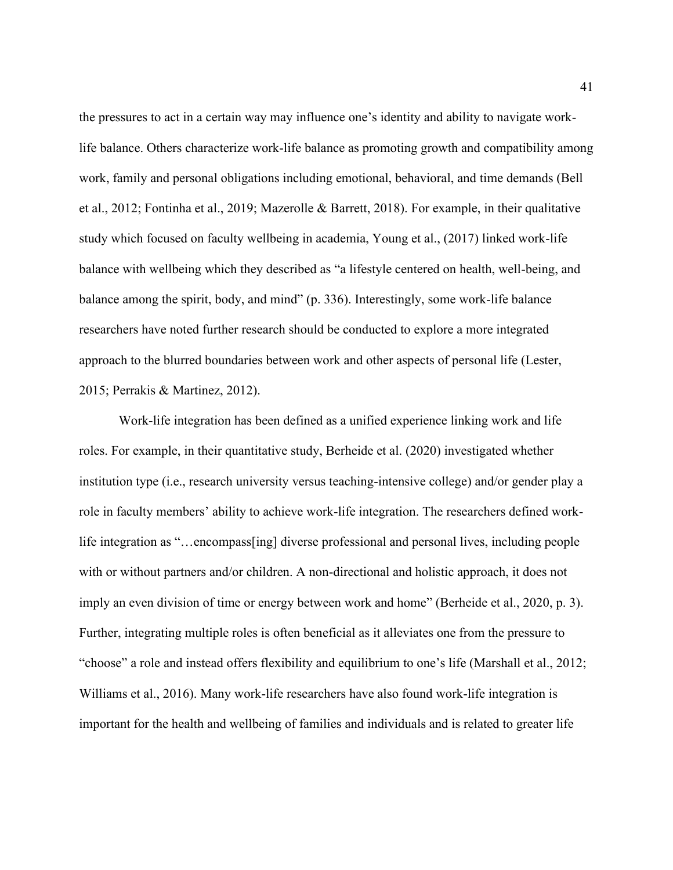the pressures to act in a certain way may influence one's identity and ability to navigate worklife balance. Others characterize work-life balance as promoting growth and compatibility among work, family and personal obligations including emotional, behavioral, and time demands (Bell et al., 2012; Fontinha et al., 2019; Mazerolle & Barrett, 2018). For example, in their qualitative study which focused on faculty wellbeing in academia, Young et al., (2017) linked work-life balance with wellbeing which they described as "a lifestyle centered on health, well-being, and balance among the spirit, body, and mind" (p. 336). Interestingly, some work-life balance researchers have noted further research should be conducted to explore a more integrated approach to the blurred boundaries between work and other aspects of personal life (Lester, 2015; Perrakis & Martinez, 2012).

Work-life integration has been defined as a unified experience linking work and life roles. For example, in their quantitative study, Berheide et al. (2020) investigated whether institution type (i.e., research university versus teaching-intensive college) and/or gender play a role in faculty members' ability to achieve work-life integration. The researchers defined worklife integration as "…encompass[ing] diverse professional and personal lives, including people with or without partners and/or children. A non-directional and holistic approach, it does not imply an even division of time or energy between work and home" (Berheide et al., 2020, p. 3). Further, integrating multiple roles is often beneficial as it alleviates one from the pressure to "choose" a role and instead offers flexibility and equilibrium to one's life (Marshall et al., 2012; Williams et al., 2016). Many work-life researchers have also found work-life integration is important for the health and wellbeing of families and individuals and is related to greater life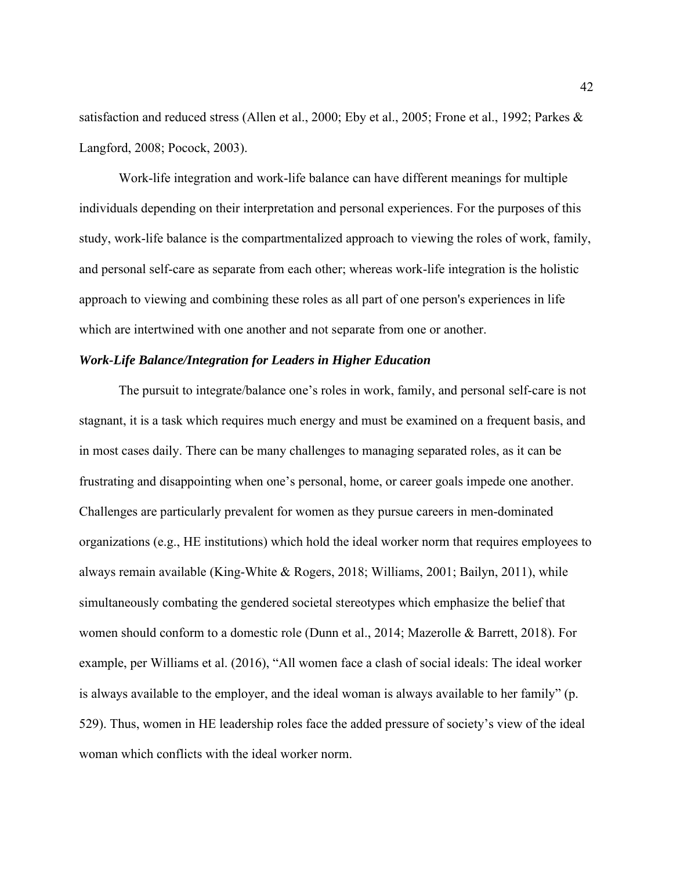satisfaction and reduced stress (Allen et al., 2000; Eby et al., 2005; Frone et al., 1992; Parkes & Langford, 2008; Pocock, 2003).

Work-life integration and work-life balance can have different meanings for multiple individuals depending on their interpretation and personal experiences. For the purposes of this study, work-life balance is the compartmentalized approach to viewing the roles of work, family, and personal self-care as separate from each other; whereas work-life integration is the holistic approach to viewing and combining these roles as all part of one person's experiences in life which are intertwined with one another and not separate from one or another.

### *Work-Life Balance/Integration for Leaders in Higher Education*

The pursuit to integrate/balance one's roles in work, family, and personal self-care is not stagnant, it is a task which requires much energy and must be examined on a frequent basis, and in most cases daily. There can be many challenges to managing separated roles, as it can be frustrating and disappointing when one's personal, home, or career goals impede one another. Challenges are particularly prevalent for women as they pursue careers in men-dominated organizations (e.g., HE institutions) which hold the ideal worker norm that requires employees to always remain available (King-White & Rogers, 2018; Williams, 2001; Bailyn, 2011), while simultaneously combating the gendered societal stereotypes which emphasize the belief that women should conform to a domestic role (Dunn et al., 2014; Mazerolle & Barrett, 2018). For example, per Williams et al. (2016), "All women face a clash of social ideals: The ideal worker is always available to the employer, and the ideal woman is always available to her family" (p. 529). Thus, women in HE leadership roles face the added pressure of society's view of the ideal woman which conflicts with the ideal worker norm.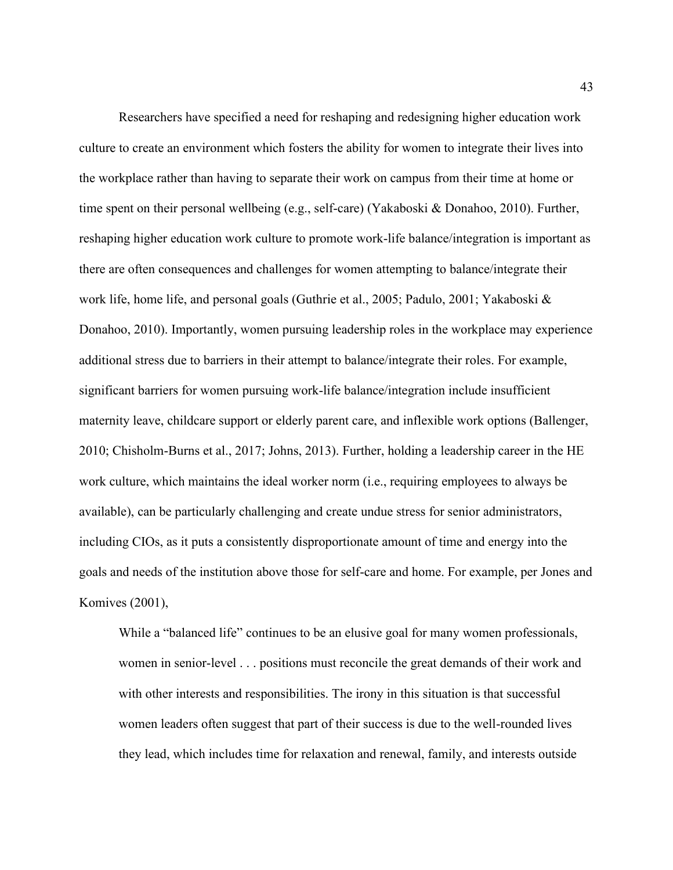Researchers have specified a need for reshaping and redesigning higher education work culture to create an environment which fosters the ability for women to integrate their lives into the workplace rather than having to separate their work on campus from their time at home or time spent on their personal wellbeing (e.g., self-care) (Yakaboski & Donahoo, 2010). Further, reshaping higher education work culture to promote work-life balance/integration is important as there are often consequences and challenges for women attempting to balance/integrate their work life, home life, and personal goals (Guthrie et al., 2005; Padulo, 2001; Yakaboski & Donahoo, 2010). Importantly, women pursuing leadership roles in the workplace may experience additional stress due to barriers in their attempt to balance/integrate their roles. For example, significant barriers for women pursuing work-life balance/integration include insufficient maternity leave, childcare support or elderly parent care, and inflexible work options (Ballenger, 2010; Chisholm-Burns et al., 2017; Johns, 2013). Further, holding a leadership career in the HE work culture, which maintains the ideal worker norm (i.e., requiring employees to always be available), can be particularly challenging and create undue stress for senior administrators, including CIOs, as it puts a consistently disproportionate amount of time and energy into the goals and needs of the institution above those for self-care and home. For example, per Jones and Komives (2001),

While a "balanced life" continues to be an elusive goal for many women professionals, women in senior-level . . . positions must reconcile the great demands of their work and with other interests and responsibilities. The irony in this situation is that successful women leaders often suggest that part of their success is due to the well-rounded lives they lead, which includes time for relaxation and renewal, family, and interests outside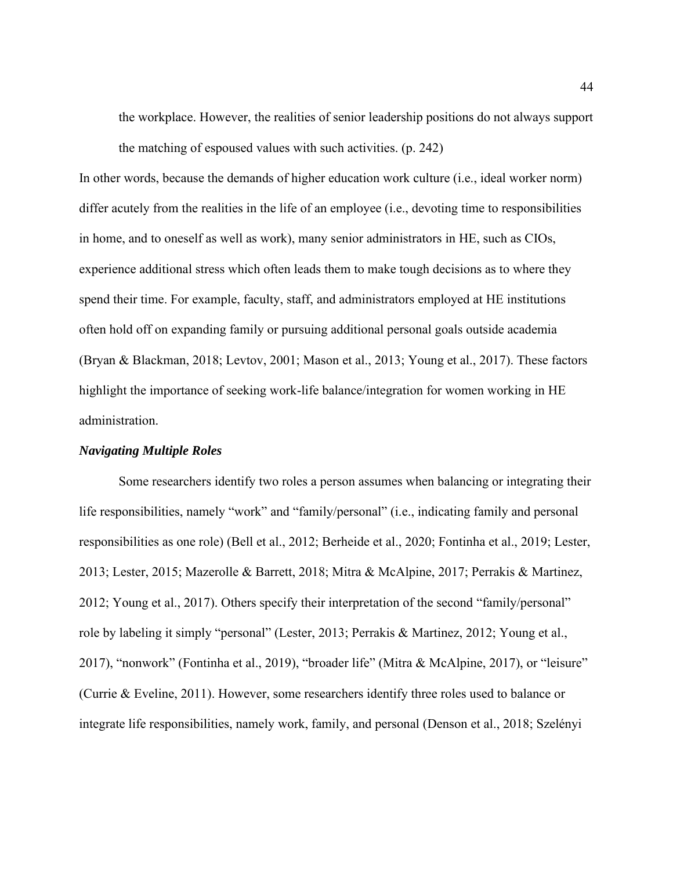the workplace. However, the realities of senior leadership positions do not always support the matching of espoused values with such activities. (p. 242)

In other words, because the demands of higher education work culture (i.e., ideal worker norm) differ acutely from the realities in the life of an employee (i.e., devoting time to responsibilities in home, and to oneself as well as work), many senior administrators in HE, such as CIOs, experience additional stress which often leads them to make tough decisions as to where they spend their time. For example, faculty, staff, and administrators employed at HE institutions often hold off on expanding family or pursuing additional personal goals outside academia (Bryan & Blackman, 2018; Levtov, 2001; Mason et al., 2013; Young et al., 2017). These factors highlight the importance of seeking work-life balance/integration for women working in HE administration.

#### *Navigating Multiple Roles*

Some researchers identify two roles a person assumes when balancing or integrating their life responsibilities, namely "work" and "family/personal" (i.e., indicating family and personal responsibilities as one role) (Bell et al., 2012; Berheide et al., 2020; Fontinha et al., 2019; Lester, 2013; Lester, 2015; Mazerolle & Barrett, 2018; Mitra & McAlpine, 2017; Perrakis & Martinez, 2012; Young et al., 2017). Others specify their interpretation of the second "family/personal" role by labeling it simply "personal" (Lester, 2013; Perrakis & Martinez, 2012; Young et al., 2017), "nonwork" (Fontinha et al., 2019), "broader life" (Mitra & McAlpine, 2017), or "leisure" (Currie & Eveline, 2011). However, some researchers identify three roles used to balance or integrate life responsibilities, namely work, family, and personal (Denson et al., 2018; Szelényi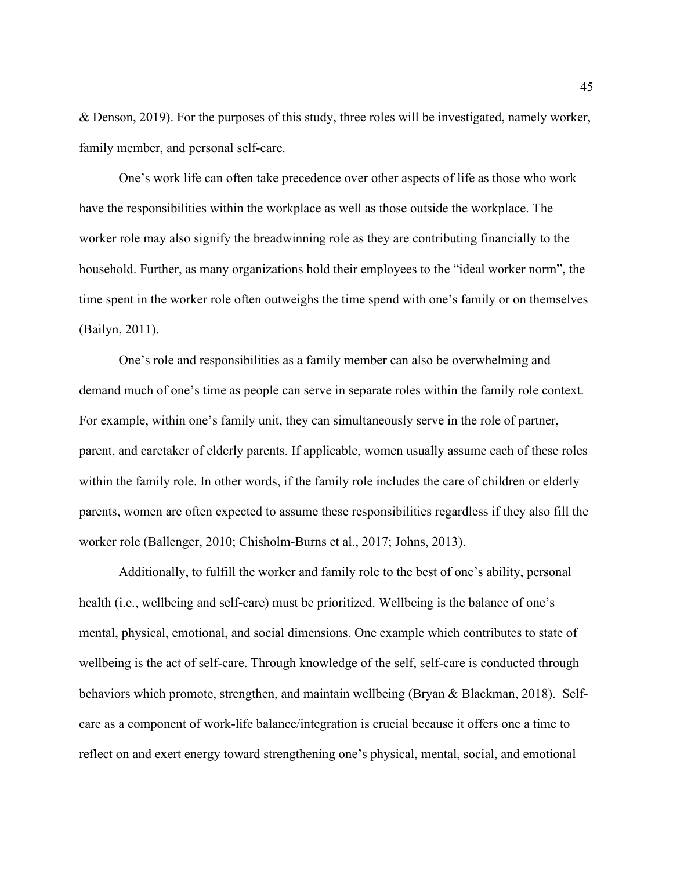& Denson, 2019). For the purposes of this study, three roles will be investigated, namely worker, family member, and personal self-care.

One's work life can often take precedence over other aspects of life as those who work have the responsibilities within the workplace as well as those outside the workplace. The worker role may also signify the breadwinning role as they are contributing financially to the household. Further, as many organizations hold their employees to the "ideal worker norm", the time spent in the worker role often outweighs the time spend with one's family or on themselves (Bailyn, 2011).

One's role and responsibilities as a family member can also be overwhelming and demand much of one's time as people can serve in separate roles within the family role context. For example, within one's family unit, they can simultaneously serve in the role of partner, parent, and caretaker of elderly parents. If applicable, women usually assume each of these roles within the family role. In other words, if the family role includes the care of children or elderly parents, women are often expected to assume these responsibilities regardless if they also fill the worker role (Ballenger, 2010; Chisholm-Burns et al., 2017; Johns, 2013).

Additionally, to fulfill the worker and family role to the best of one's ability, personal health (i.e., wellbeing and self-care) must be prioritized. Wellbeing is the balance of one's mental, physical, emotional, and social dimensions. One example which contributes to state of wellbeing is the act of self-care. Through knowledge of the self, self-care is conducted through behaviors which promote, strengthen, and maintain wellbeing (Bryan & Blackman, 2018). Selfcare as a component of work-life balance/integration is crucial because it offers one a time to reflect on and exert energy toward strengthening one's physical, mental, social, and emotional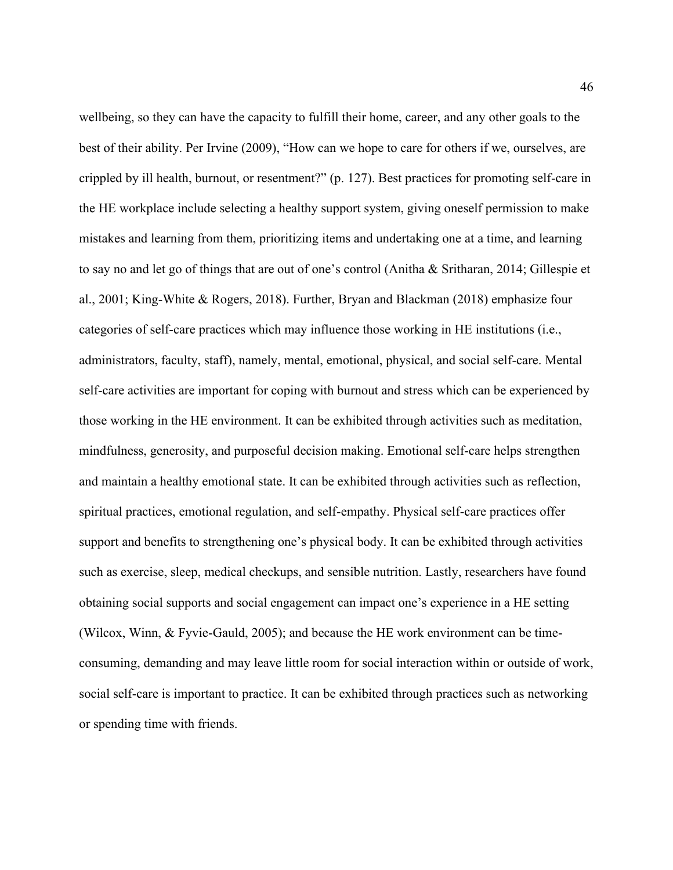wellbeing, so they can have the capacity to fulfill their home, career, and any other goals to the best of their ability. Per Irvine (2009), "How can we hope to care for others if we, ourselves, are crippled by ill health, burnout, or resentment?" (p. 127). Best practices for promoting self-care in the HE workplace include selecting a healthy support system, giving oneself permission to make mistakes and learning from them, prioritizing items and undertaking one at a time, and learning to say no and let go of things that are out of one's control (Anitha & Sritharan, 2014; Gillespie et al., 2001; King-White & Rogers, 2018). Further, Bryan and Blackman (2018) emphasize four categories of self-care practices which may influence those working in HE institutions (i.e., administrators, faculty, staff), namely, mental, emotional, physical, and social self-care. Mental self-care activities are important for coping with burnout and stress which can be experienced by those working in the HE environment. It can be exhibited through activities such as meditation, mindfulness, generosity, and purposeful decision making. Emotional self-care helps strengthen and maintain a healthy emotional state. It can be exhibited through activities such as reflection, spiritual practices, emotional regulation, and self-empathy. Physical self-care practices offer support and benefits to strengthening one's physical body. It can be exhibited through activities such as exercise, sleep, medical checkups, and sensible nutrition. Lastly, researchers have found obtaining social supports and social engagement can impact one's experience in a HE setting (Wilcox, Winn, & Fyvie‐Gauld, 2005); and because the HE work environment can be timeconsuming, demanding and may leave little room for social interaction within or outside of work, social self-care is important to practice. It can be exhibited through practices such as networking or spending time with friends.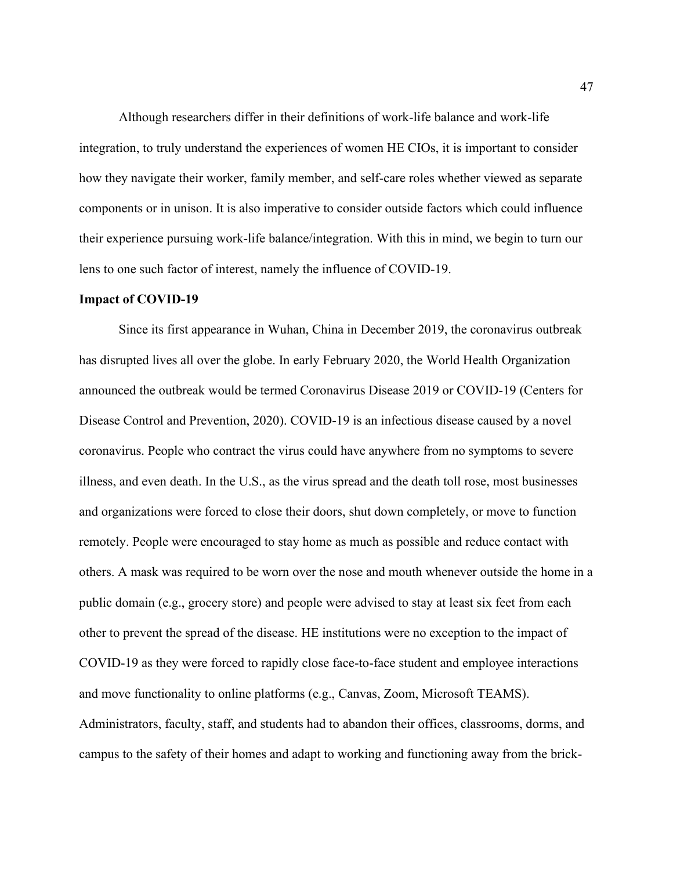Although researchers differ in their definitions of work-life balance and work-life integration, to truly understand the experiences of women HE CIOs, it is important to consider how they navigate their worker, family member, and self-care roles whether viewed as separate components or in unison. It is also imperative to consider outside factors which could influence their experience pursuing work-life balance/integration. With this in mind, we begin to turn our lens to one such factor of interest, namely the influence of COVID-19.

### **Impact of COVID-19**

Since its first appearance in Wuhan, China in December 2019, the coronavirus outbreak has disrupted lives all over the globe. In early February 2020, the World Health Organization announced the outbreak would be termed Coronavirus Disease 2019 or COVID-19 (Centers for Disease Control and Prevention, 2020). COVID-19 is an infectious disease caused by a novel coronavirus. People who contract the virus could have anywhere from no symptoms to severe illness, and even death. In the U.S., as the virus spread and the death toll rose, most businesses and organizations were forced to close their doors, shut down completely, or move to function remotely. People were encouraged to stay home as much as possible and reduce contact with others. A mask was required to be worn over the nose and mouth whenever outside the home in a public domain (e.g., grocery store) and people were advised to stay at least six feet from each other to prevent the spread of the disease. HE institutions were no exception to the impact of COVID-19 as they were forced to rapidly close face-to-face student and employee interactions and move functionality to online platforms (e.g., Canvas, Zoom, Microsoft TEAMS). Administrators, faculty, staff, and students had to abandon their offices, classrooms, dorms, and campus to the safety of their homes and adapt to working and functioning away from the brick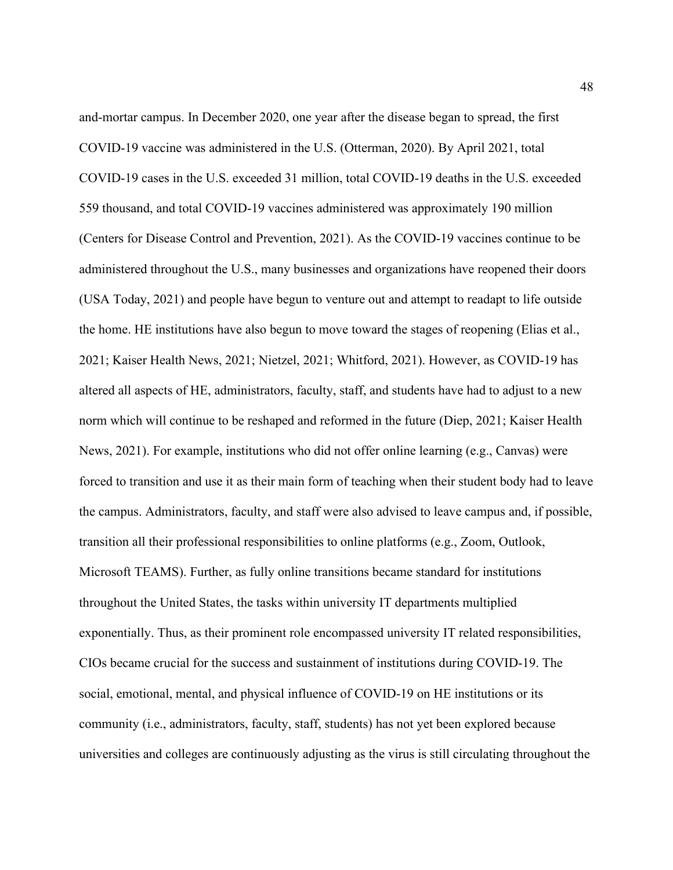and-mortar campus. In December 2020, one year after the disease began to spread, the first COVID-19 vaccine was administered in the U.S. (Otterman, 2020). By April 2021, total COVID-19 cases in the U.S. exceeded 31 million, total COVID-19 deaths in the U.S. exceeded 559 thousand, and total COVID-19 vaccines administered was approximately 190 million (Centers for Disease Control and Prevention, 2021). As the COVID-19 vaccines continue to be administered throughout the U.S., many businesses and organizations have reopened their doors (USA Today, 2021) and people have begun to venture out and attempt to readapt to life outside the home. HE institutions have also begun to move toward the stages of reopening (Elias et al., 2021; Kaiser Health News, 2021; Nietzel, 2021; Whitford, 2021). However, as COVID-19 has altered all aspects of HE, administrators, faculty, staff, and students have had to adjust to a new norm which will continue to be reshaped and reformed in the future (Diep, 2021; Kaiser Health News, 2021). For example, institutions who did not offer online learning (e.g., Canvas) were forced to transition and use it as their main form of teaching when their student body had to leave the campus. Administrators, faculty, and staff were also advised to leave campus and, if possible, transition all their professional responsibilities to online platforms (e.g., Zoom, Outlook, Microsoft TEAMS). Further, as fully online transitions became standard for institutions throughout the United States, the tasks within university IT departments multiplied exponentially. Thus, as their prominent role encompassed university IT related responsibilities, CIOs became crucial for the success and sustainment of institutions during COVID-19. The social, emotional, mental, and physical influence of COVID-19 on HE institutions or its community (i.e., administrators, faculty, staff, students) has not yet been explored because universities and colleges are continuously adjusting as the virus is still circulating throughout the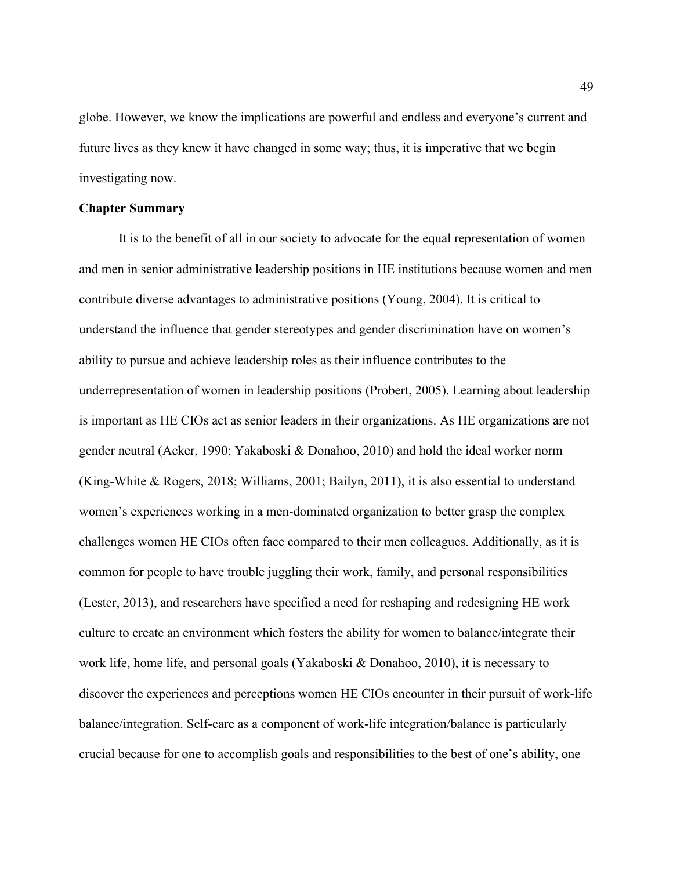globe. However, we know the implications are powerful and endless and everyone's current and future lives as they knew it have changed in some way; thus, it is imperative that we begin investigating now.

#### **Chapter Summary**

It is to the benefit of all in our society to advocate for the equal representation of women and men in senior administrative leadership positions in HE institutions because women and men contribute diverse advantages to administrative positions (Young, 2004). It is critical to understand the influence that gender stereotypes and gender discrimination have on women's ability to pursue and achieve leadership roles as their influence contributes to the underrepresentation of women in leadership positions (Probert, 2005). Learning about leadership is important as HE CIOs act as senior leaders in their organizations. As HE organizations are not gender neutral (Acker, 1990; Yakaboski & Donahoo, 2010) and hold the ideal worker norm (King-White & Rogers, 2018; Williams, 2001; Bailyn, 2011), it is also essential to understand women's experiences working in a men-dominated organization to better grasp the complex challenges women HE CIOs often face compared to their men colleagues. Additionally, as it is common for people to have trouble juggling their work, family, and personal responsibilities (Lester, 2013), and researchers have specified a need for reshaping and redesigning HE work culture to create an environment which fosters the ability for women to balance/integrate their work life, home life, and personal goals (Yakaboski & Donahoo, 2010), it is necessary to discover the experiences and perceptions women HE CIOs encounter in their pursuit of work-life balance/integration. Self-care as a component of work-life integration/balance is particularly crucial because for one to accomplish goals and responsibilities to the best of one's ability, one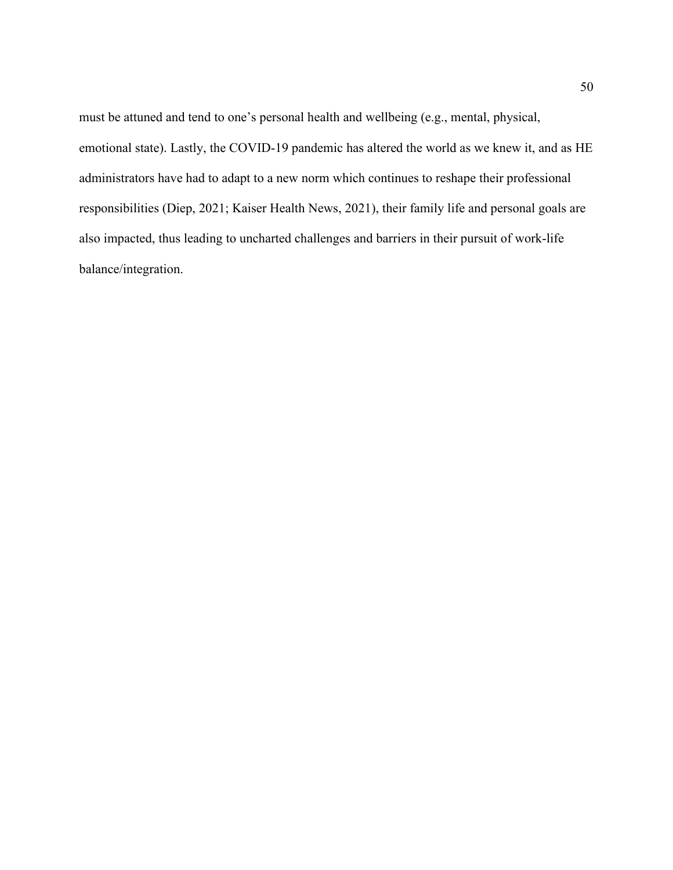must be attuned and tend to one's personal health and wellbeing (e.g., mental, physical, emotional state). Lastly, the COVID-19 pandemic has altered the world as we knew it, and as HE administrators have had to adapt to a new norm which continues to reshape their professional responsibilities (Diep, 2021; Kaiser Health News, 2021), their family life and personal goals are also impacted, thus leading to uncharted challenges and barriers in their pursuit of work-life balance/integration.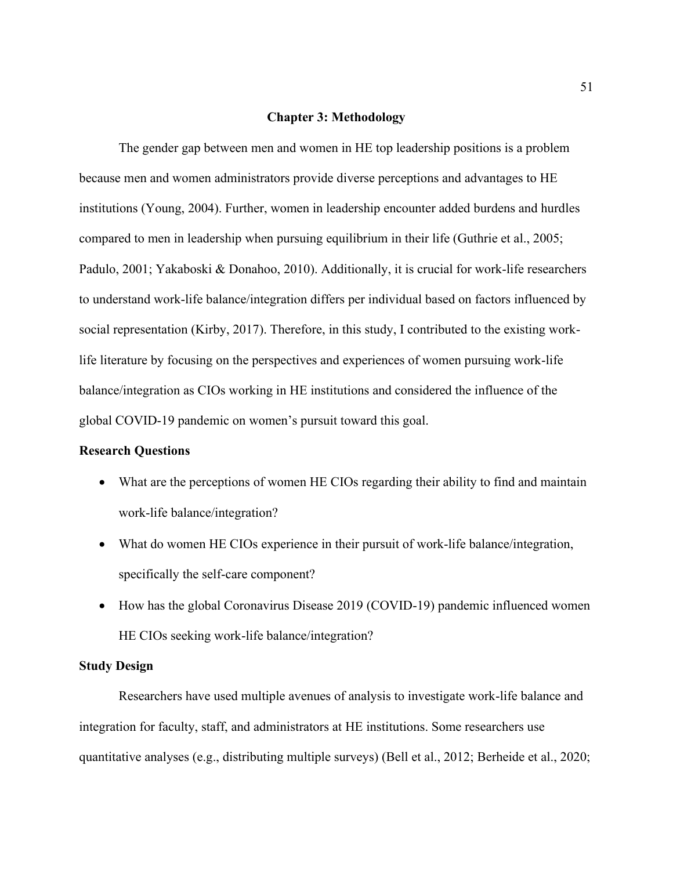# **Chapter 3: Methodology**

The gender gap between men and women in HE top leadership positions is a problem because men and women administrators provide diverse perceptions and advantages to HE institutions (Young, 2004). Further, women in leadership encounter added burdens and hurdles compared to men in leadership when pursuing equilibrium in their life (Guthrie et al., 2005; Padulo, 2001; Yakaboski & Donahoo, 2010). Additionally, it is crucial for work-life researchers to understand work-life balance/integration differs per individual based on factors influenced by social representation (Kirby, 2017). Therefore, in this study, I contributed to the existing worklife literature by focusing on the perspectives and experiences of women pursuing work-life balance/integration as CIOs working in HE institutions and considered the influence of the global COVID-19 pandemic on women's pursuit toward this goal.

# **Research Questions**

- What are the perceptions of women HE CIOs regarding their ability to find and maintain work-life balance/integration?
- What do women HE CIOs experience in their pursuit of work-life balance/integration, specifically the self-care component?
- How has the global Coronavirus Disease 2019 (COVID-19) pandemic influenced women HE CIOs seeking work-life balance/integration?

# **Study Design**

Researchers have used multiple avenues of analysis to investigate work-life balance and integration for faculty, staff, and administrators at HE institutions. Some researchers use quantitative analyses (e.g., distributing multiple surveys) (Bell et al., 2012; Berheide et al., 2020;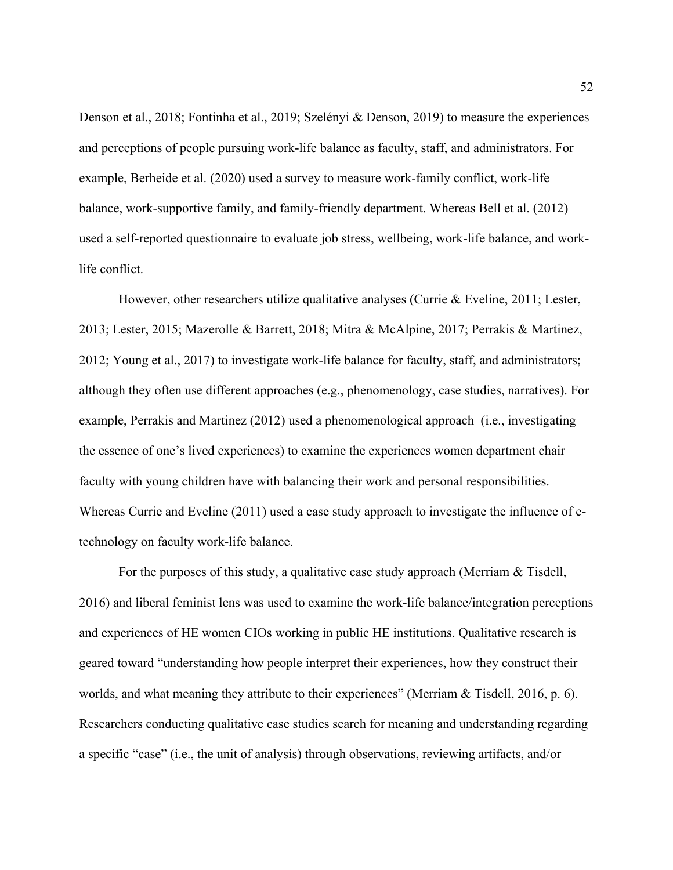Denson et al., 2018; Fontinha et al., 2019; Szelényi & Denson, 2019) to measure the experiences and perceptions of people pursuing work-life balance as faculty, staff, and administrators. For example, Berheide et al. (2020) used a survey to measure work-family conflict, work-life balance, work-supportive family, and family-friendly department. Whereas Bell et al. (2012) used a self-reported questionnaire to evaluate job stress, wellbeing, work-life balance, and worklife conflict.

However, other researchers utilize qualitative analyses (Currie & Eveline, 2011; Lester, 2013; Lester, 2015; Mazerolle & Barrett, 2018; Mitra & McAlpine, 2017; Perrakis & Martinez, 2012; Young et al., 2017) to investigate work-life balance for faculty, staff, and administrators; although they often use different approaches (e.g., phenomenology, case studies, narratives). For example, Perrakis and Martinez (2012) used a phenomenological approach (i.e., investigating the essence of one's lived experiences) to examine the experiences women department chair faculty with young children have with balancing their work and personal responsibilities. Whereas Currie and Eveline (2011) used a case study approach to investigate the influence of etechnology on faculty work-life balance.

For the purposes of this study, a qualitative case study approach (Merriam & Tisdell, 2016) and liberal feminist lens was used to examine the work-life balance/integration perceptions and experiences of HE women CIOs working in public HE institutions. Qualitative research is geared toward "understanding how people interpret their experiences, how they construct their worlds, and what meaning they attribute to their experiences" (Merriam & Tisdell, 2016, p. 6). Researchers conducting qualitative case studies search for meaning and understanding regarding a specific "case" (i.e., the unit of analysis) through observations, reviewing artifacts, and/or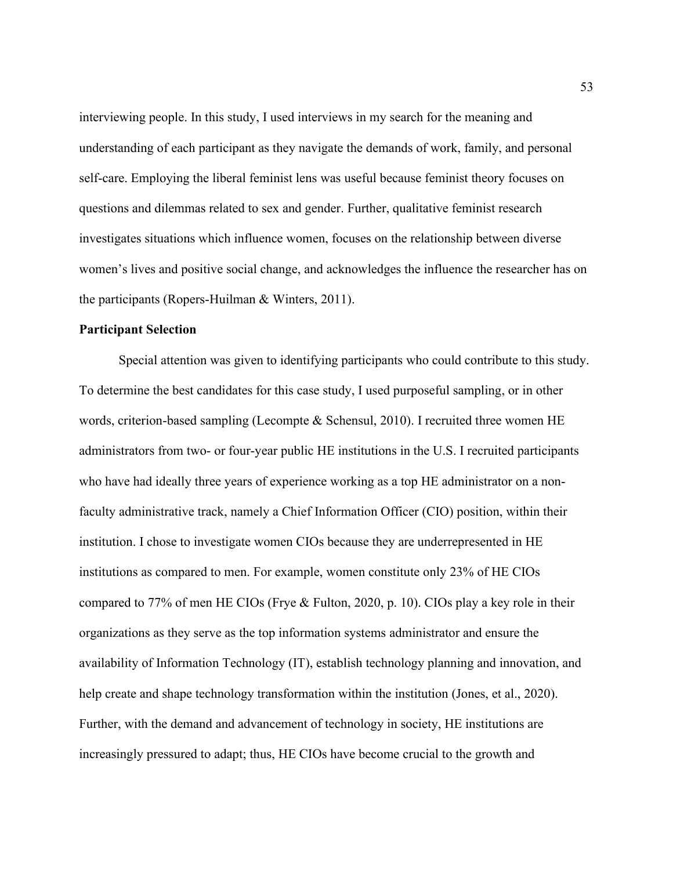interviewing people. In this study, I used interviews in my search for the meaning and understanding of each participant as they navigate the demands of work, family, and personal self-care. Employing the liberal feminist lens was useful because feminist theory focuses on questions and dilemmas related to sex and gender. Further, qualitative feminist research investigates situations which influence women, focuses on the relationship between diverse women's lives and positive social change, and acknowledges the influence the researcher has on the participants (Ropers-Huilman & Winters, 2011).

# **Participant Selection**

Special attention was given to identifying participants who could contribute to this study. To determine the best candidates for this case study, I used purposeful sampling, or in other words, criterion-based sampling (Lecompte & Schensul, 2010). I recruited three women HE administrators from two- or four-year public HE institutions in the U.S. I recruited participants who have had ideally three years of experience working as a top HE administrator on a nonfaculty administrative track, namely a Chief Information Officer (CIO) position, within their institution. I chose to investigate women CIOs because they are underrepresented in HE institutions as compared to men. For example, women constitute only 23% of HE CIOs compared to 77% of men HE CIOs (Frye & Fulton, 2020, p. 10). CIOs play a key role in their organizations as they serve as the top information systems administrator and ensure the availability of Information Technology (IT), establish technology planning and innovation, and help create and shape technology transformation within the institution (Jones, et al., 2020). Further, with the demand and advancement of technology in society, HE institutions are increasingly pressured to adapt; thus, HE CIOs have become crucial to the growth and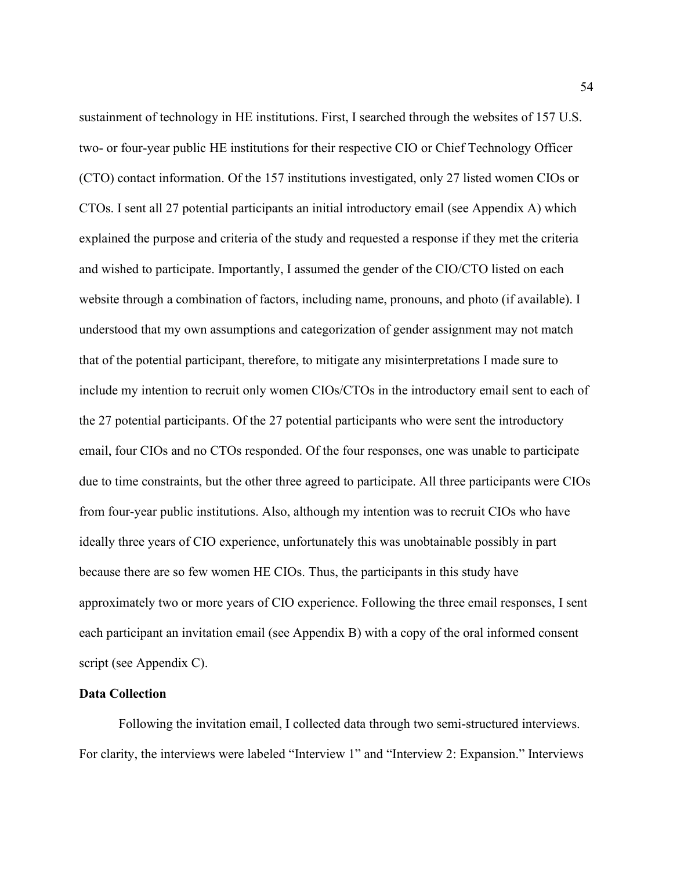sustainment of technology in HE institutions. First, I searched through the websites of 157 U.S. two- or four-year public HE institutions for their respective CIO or Chief Technology Officer (CTO) contact information. Of the 157 institutions investigated, only 27 listed women CIOs or CTOs. I sent all 27 potential participants an initial introductory email (see Appendix A) which explained the purpose and criteria of the study and requested a response if they met the criteria and wished to participate. Importantly, I assumed the gender of the CIO/CTO listed on each website through a combination of factors, including name, pronouns, and photo (if available). I understood that my own assumptions and categorization of gender assignment may not match that of the potential participant, therefore, to mitigate any misinterpretations I made sure to include my intention to recruit only women CIOs/CTOs in the introductory email sent to each of the 27 potential participants. Of the 27 potential participants who were sent the introductory email, four CIOs and no CTOs responded. Of the four responses, one was unable to participate due to time constraints, but the other three agreed to participate. All three participants were CIOs from four-year public institutions. Also, although my intention was to recruit CIOs who have ideally three years of CIO experience, unfortunately this was unobtainable possibly in part because there are so few women HE CIOs. Thus, the participants in this study have approximately two or more years of CIO experience. Following the three email responses, I sent each participant an invitation email (see Appendix B) with a copy of the oral informed consent script (see Appendix C).

# **Data Collection**

Following the invitation email, I collected data through two semi-structured interviews. For clarity, the interviews were labeled "Interview 1" and "Interview 2: Expansion." Interviews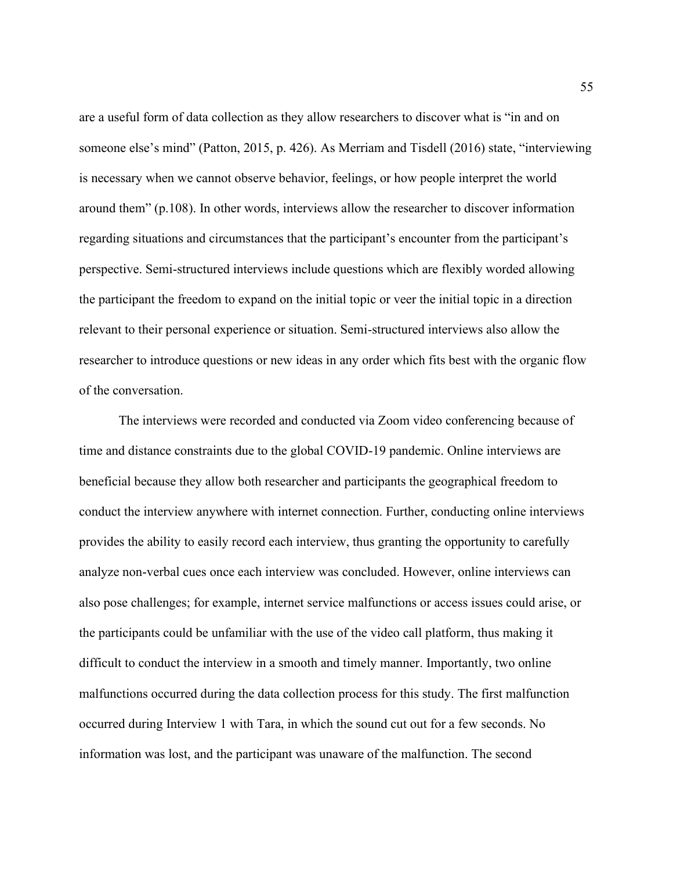are a useful form of data collection as they allow researchers to discover what is "in and on someone else's mind" (Patton, 2015, p. 426). As Merriam and Tisdell (2016) state, "interviewing is necessary when we cannot observe behavior, feelings, or how people interpret the world around them" (p.108). In other words, interviews allow the researcher to discover information regarding situations and circumstances that the participant's encounter from the participant's perspective. Semi-structured interviews include questions which are flexibly worded allowing the participant the freedom to expand on the initial topic or veer the initial topic in a direction relevant to their personal experience or situation. Semi-structured interviews also allow the researcher to introduce questions or new ideas in any order which fits best with the organic flow of the conversation.

The interviews were recorded and conducted via Zoom video conferencing because of time and distance constraints due to the global COVID-19 pandemic. Online interviews are beneficial because they allow both researcher and participants the geographical freedom to conduct the interview anywhere with internet connection. Further, conducting online interviews provides the ability to easily record each interview, thus granting the opportunity to carefully analyze non-verbal cues once each interview was concluded. However, online interviews can also pose challenges; for example, internet service malfunctions or access issues could arise, or the participants could be unfamiliar with the use of the video call platform, thus making it difficult to conduct the interview in a smooth and timely manner. Importantly, two online malfunctions occurred during the data collection process for this study. The first malfunction occurred during Interview 1 with Tara, in which the sound cut out for a few seconds. No information was lost, and the participant was unaware of the malfunction. The second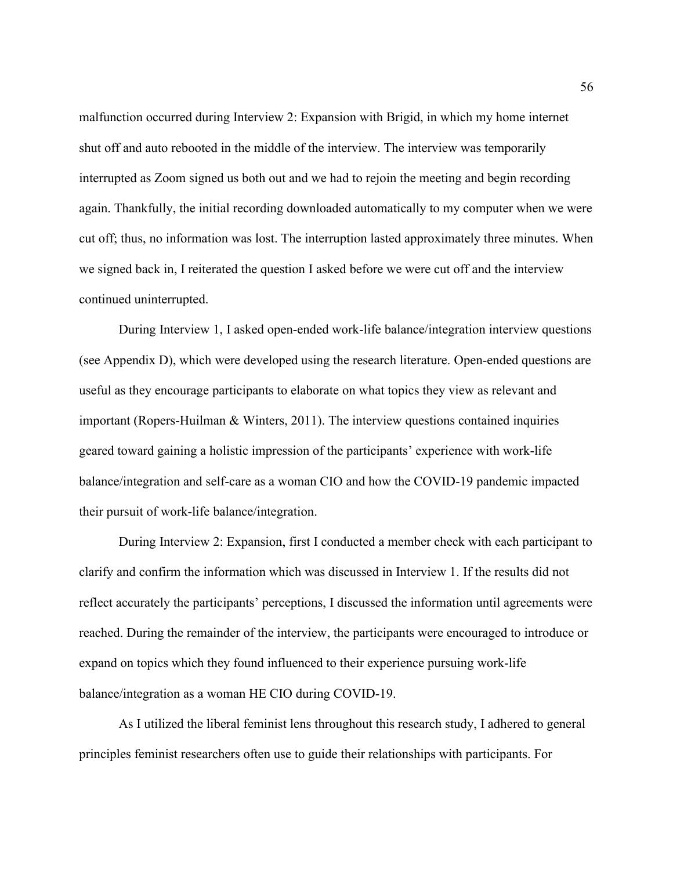malfunction occurred during Interview 2: Expansion with Brigid, in which my home internet shut off and auto rebooted in the middle of the interview. The interview was temporarily interrupted as Zoom signed us both out and we had to rejoin the meeting and begin recording again. Thankfully, the initial recording downloaded automatically to my computer when we were cut off; thus, no information was lost. The interruption lasted approximately three minutes. When we signed back in, I reiterated the question I asked before we were cut off and the interview continued uninterrupted.

During Interview 1, I asked open-ended work-life balance/integration interview questions (see Appendix D), which were developed using the research literature. Open-ended questions are useful as they encourage participants to elaborate on what topics they view as relevant and important (Ropers-Huilman & Winters, 2011). The interview questions contained inquiries geared toward gaining a holistic impression of the participants' experience with work-life balance/integration and self-care as a woman CIO and how the COVID-19 pandemic impacted their pursuit of work-life balance/integration.

During Interview 2: Expansion, first I conducted a member check with each participant to clarify and confirm the information which was discussed in Interview 1. If the results did not reflect accurately the participants' perceptions, I discussed the information until agreements were reached. During the remainder of the interview, the participants were encouraged to introduce or expand on topics which they found influenced to their experience pursuing work-life balance/integration as a woman HE CIO during COVID-19.

As I utilized the liberal feminist lens throughout this research study, I adhered to general principles feminist researchers often use to guide their relationships with participants. For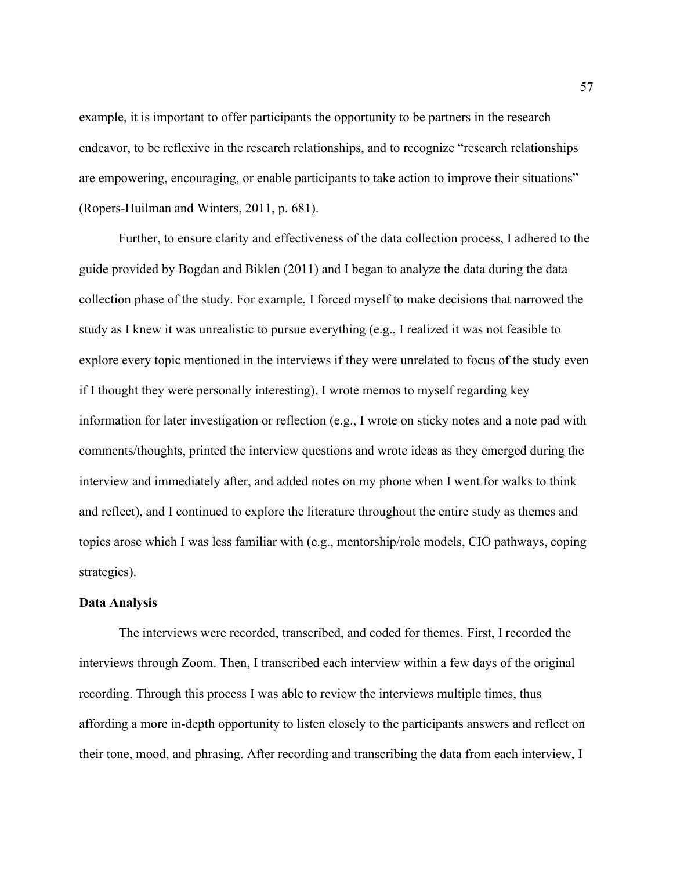example, it is important to offer participants the opportunity to be partners in the research endeavor, to be reflexive in the research relationships, and to recognize "research relationships are empowering, encouraging, or enable participants to take action to improve their situations" (Ropers-Huilman and Winters, 2011, p. 681).

Further, to ensure clarity and effectiveness of the data collection process, I adhered to the guide provided by Bogdan and Biklen (2011) and I began to analyze the data during the data collection phase of the study. For example, I forced myself to make decisions that narrowed the study as I knew it was unrealistic to pursue everything (e.g., I realized it was not feasible to explore every topic mentioned in the interviews if they were unrelated to focus of the study even if I thought they were personally interesting), I wrote memos to myself regarding key information for later investigation or reflection (e.g., I wrote on sticky notes and a note pad with comments/thoughts, printed the interview questions and wrote ideas as they emerged during the interview and immediately after, and added notes on my phone when I went for walks to think and reflect), and I continued to explore the literature throughout the entire study as themes and topics arose which I was less familiar with (e.g., mentorship/role models, CIO pathways, coping strategies).

# **Data Analysis**

The interviews were recorded, transcribed, and coded for themes. First, I recorded the interviews through Zoom. Then, I transcribed each interview within a few days of the original recording. Through this process I was able to review the interviews multiple times, thus affording a more in-depth opportunity to listen closely to the participants answers and reflect on their tone, mood, and phrasing. After recording and transcribing the data from each interview, I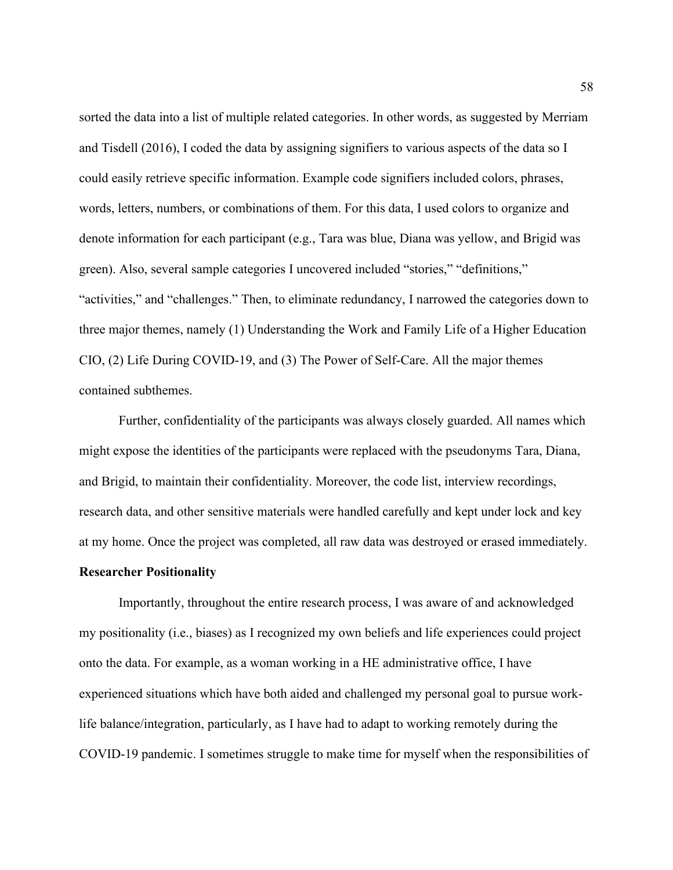sorted the data into a list of multiple related categories. In other words, as suggested by Merriam and Tisdell (2016), I coded the data by assigning signifiers to various aspects of the data so I could easily retrieve specific information. Example code signifiers included colors, phrases, words, letters, numbers, or combinations of them. For this data, I used colors to organize and denote information for each participant (e.g., Tara was blue, Diana was yellow, and Brigid was green). Also, several sample categories I uncovered included "stories," "definitions," "activities," and "challenges." Then, to eliminate redundancy, I narrowed the categories down to three major themes, namely (1) Understanding the Work and Family Life of a Higher Education CIO, (2) Life During COVID-19, and (3) The Power of Self-Care. All the major themes contained subthemes.

Further, confidentiality of the participants was always closely guarded. All names which might expose the identities of the participants were replaced with the pseudonyms Tara, Diana, and Brigid, to maintain their confidentiality. Moreover, the code list, interview recordings, research data, and other sensitive materials were handled carefully and kept under lock and key at my home. Once the project was completed, all raw data was destroyed or erased immediately.

#### **Researcher Positionality**

Importantly, throughout the entire research process, I was aware of and acknowledged my positionality (i.e., biases) as I recognized my own beliefs and life experiences could project onto the data. For example, as a woman working in a HE administrative office, I have experienced situations which have both aided and challenged my personal goal to pursue worklife balance/integration, particularly, as I have had to adapt to working remotely during the COVID-19 pandemic. I sometimes struggle to make time for myself when the responsibilities of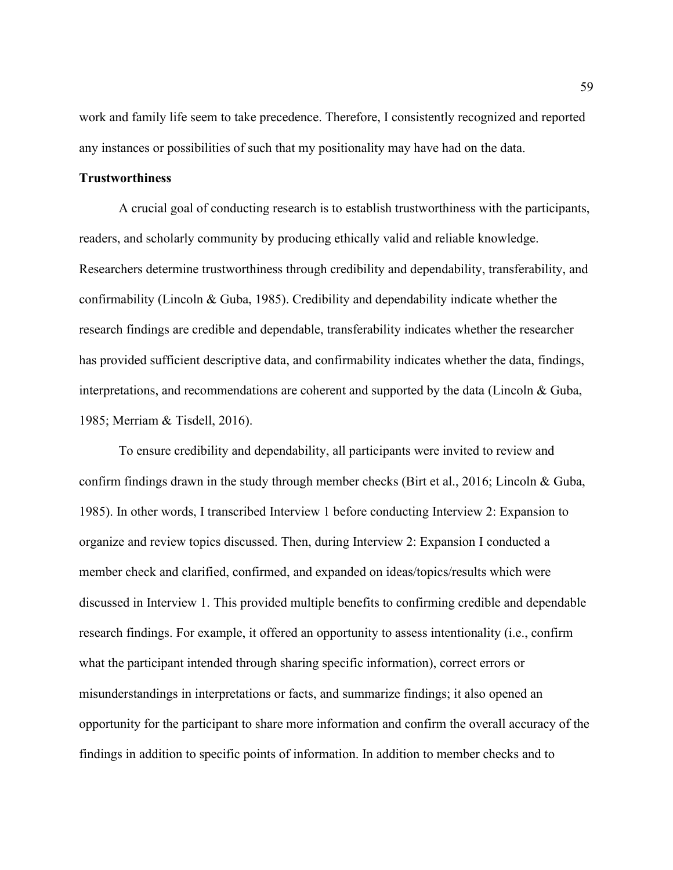work and family life seem to take precedence. Therefore, I consistently recognized and reported any instances or possibilities of such that my positionality may have had on the data.

# **Trustworthiness**

A crucial goal of conducting research is to establish trustworthiness with the participants, readers, and scholarly community by producing ethically valid and reliable knowledge. Researchers determine trustworthiness through credibility and dependability, transferability, and confirmability (Lincoln & Guba, 1985). Credibility and dependability indicate whether the research findings are credible and dependable, transferability indicates whether the researcher has provided sufficient descriptive data, and confirmability indicates whether the data, findings, interpretations, and recommendations are coherent and supported by the data (Lincoln & Guba, 1985; Merriam & Tisdell, 2016).

To ensure credibility and dependability, all participants were invited to review and confirm findings drawn in the study through member checks (Birt et al., 2016; Lincoln & Guba, 1985). In other words, I transcribed Interview 1 before conducting Interview 2: Expansion to organize and review topics discussed. Then, during Interview 2: Expansion I conducted a member check and clarified, confirmed, and expanded on ideas/topics/results which were discussed in Interview 1. This provided multiple benefits to confirming credible and dependable research findings. For example, it offered an opportunity to assess intentionality (i.e., confirm what the participant intended through sharing specific information), correct errors or misunderstandings in interpretations or facts, and summarize findings; it also opened an opportunity for the participant to share more information and confirm the overall accuracy of the findings in addition to specific points of information. In addition to member checks and to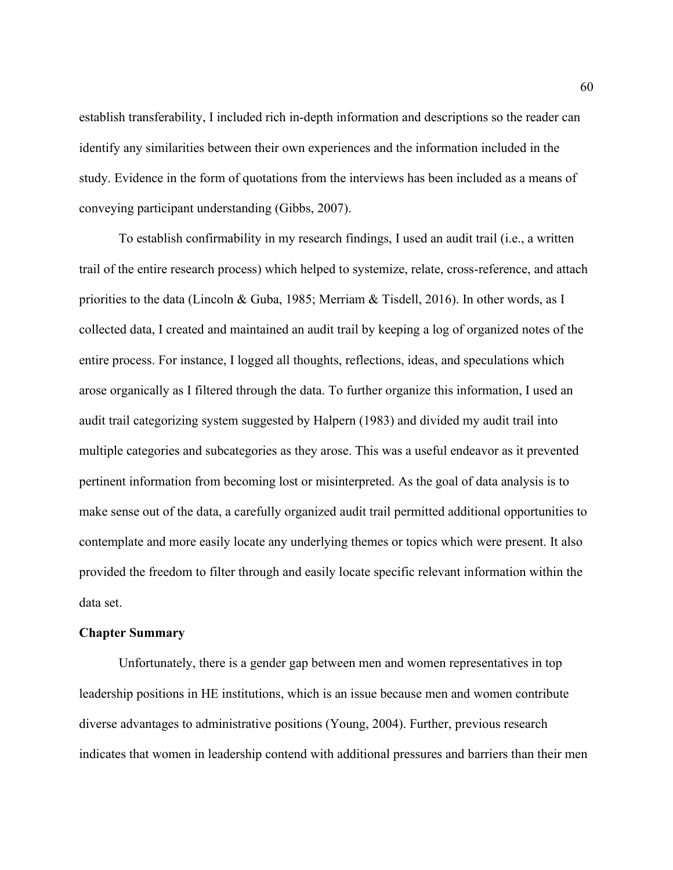establish transferability, I included rich in-depth information and descriptions so the reader can identify any similarities between their own experiences and the information included in the study. Evidence in the form of quotations from the interviews has been included as a means of conveying participant understanding (Gibbs, 2007).

To establish confirmability in my research findings, I used an audit trail (i.e., a written trail of the entire research process) which helped to systemize, relate, cross-reference, and attach priorities to the data (Lincoln & Guba, 1985; Merriam & Tisdell, 2016). In other words, as I collected data, I created and maintained an audit trail by keeping a log of organized notes of the entire process. For instance, I logged all thoughts, reflections, ideas, and speculations which arose organically as I filtered through the data. To further organize this information, I used an audit trail categorizing system suggested by Halpern (1983) and divided my audit trail into multiple categories and subcategories as they arose. This was a useful endeavor as it prevented pertinent information from becoming lost or misinterpreted. As the goal of data analysis is to make sense out of the data, a carefully organized audit trail permitted additional opportunities to contemplate and more easily locate any underlying themes or topics which were present. It also provided the freedom to filter through and easily locate specific relevant information within the data set.

#### **Chapter Summary**

Unfortunately, there is a gender gap between men and women representatives in top leadership positions in HE institutions, which is an issue because men and women contribute diverse advantages to administrative positions (Young, 2004). Further, previous research indicates that women in leadership contend with additional pressures and barriers than their men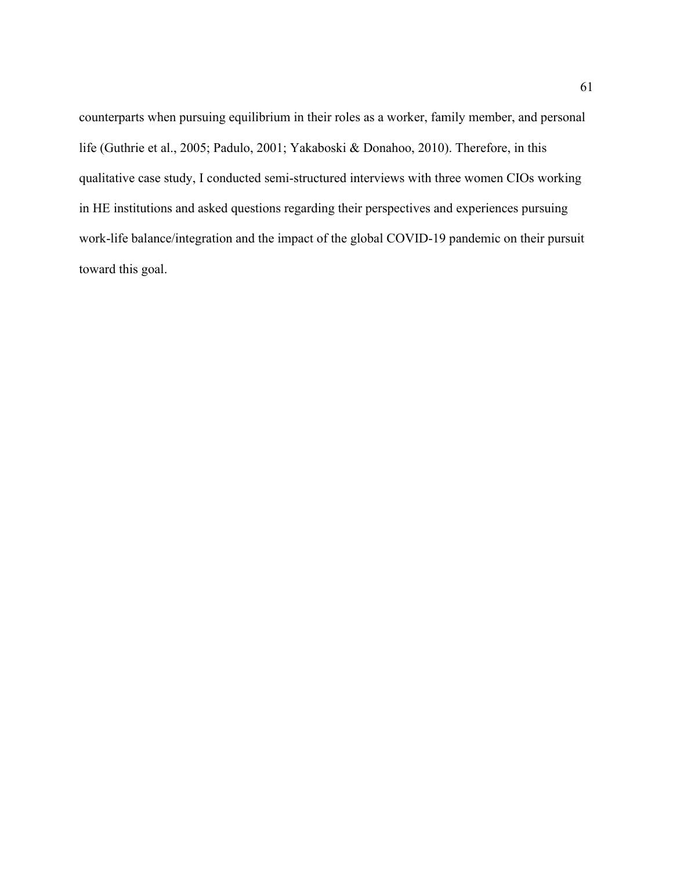counterparts when pursuing equilibrium in their roles as a worker, family member, and personal life (Guthrie et al., 2005; Padulo, 2001; Yakaboski & Donahoo, 2010). Therefore, in this qualitative case study, I conducted semi-structured interviews with three women CIOs working in HE institutions and asked questions regarding their perspectives and experiences pursuing work-life balance/integration and the impact of the global COVID-19 pandemic on their pursuit toward this goal.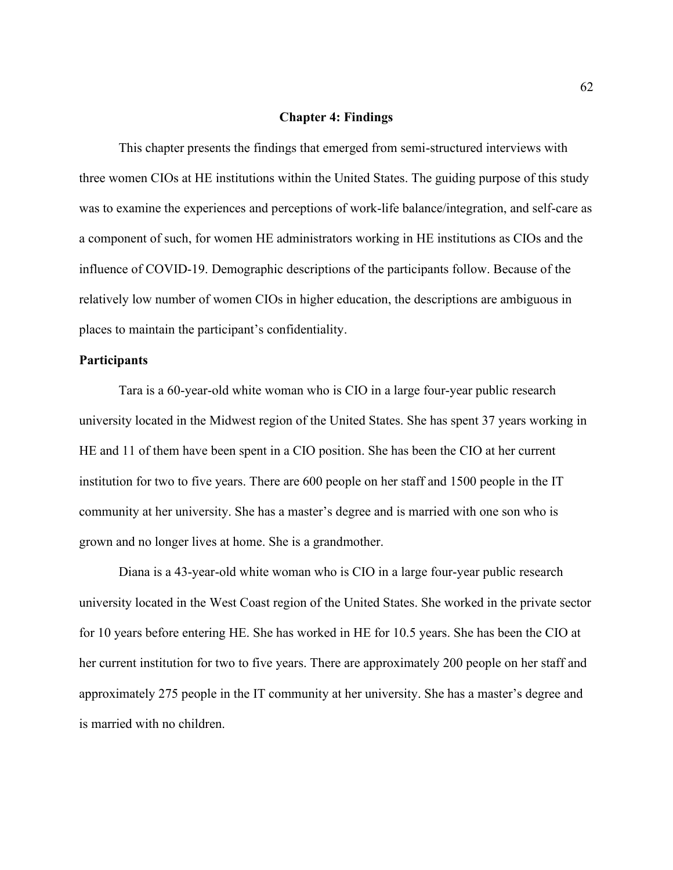### **Chapter 4: Findings**

This chapter presents the findings that emerged from semi-structured interviews with three women CIOs at HE institutions within the United States. The guiding purpose of this study was to examine the experiences and perceptions of work-life balance/integration, and self-care as a component of such, for women HE administrators working in HE institutions as CIOs and the influence of COVID-19. Demographic descriptions of the participants follow. Because of the relatively low number of women CIOs in higher education, the descriptions are ambiguous in places to maintain the participant's confidentiality.

# **Participants**

Tara is a 60-year-old white woman who is CIO in a large four-year public research university located in the Midwest region of the United States. She has spent 37 years working in HE and 11 of them have been spent in a CIO position. She has been the CIO at her current institution for two to five years. There are 600 people on her staff and 1500 people in the IT community at her university. She has a master's degree and is married with one son who is grown and no longer lives at home. She is a grandmother.

Diana is a 43-year-old white woman who is CIO in a large four-year public research university located in the West Coast region of the United States. She worked in the private sector for 10 years before entering HE. She has worked in HE for 10.5 years. She has been the CIO at her current institution for two to five years. There are approximately 200 people on her staff and approximately 275 people in the IT community at her university. She has a master's degree and is married with no children.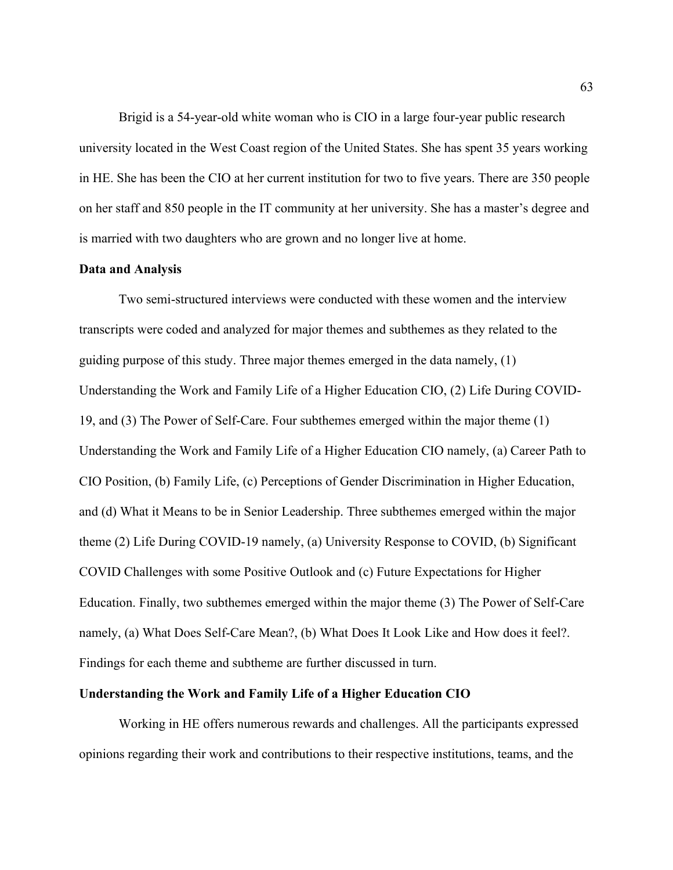Brigid is a 54-year-old white woman who is CIO in a large four-year public research university located in the West Coast region of the United States. She has spent 35 years working in HE. She has been the CIO at her current institution for two to five years. There are 350 people on her staff and 850 people in the IT community at her university. She has a master's degree and is married with two daughters who are grown and no longer live at home.

### **Data and Analysis**

Two semi-structured interviews were conducted with these women and the interview transcripts were coded and analyzed for major themes and subthemes as they related to the guiding purpose of this study. Three major themes emerged in the data namely, (1) Understanding the Work and Family Life of a Higher Education CIO, (2) Life During COVID-19, and (3) The Power of Self-Care. Four subthemes emerged within the major theme (1) Understanding the Work and Family Life of a Higher Education CIO namely, (a) Career Path to CIO Position, (b) Family Life, (c) Perceptions of Gender Discrimination in Higher Education, and (d) What it Means to be in Senior Leadership. Three subthemes emerged within the major theme (2) Life During COVID-19 namely, (a) University Response to COVID, (b) Significant COVID Challenges with some Positive Outlook and (c) Future Expectations for Higher Education. Finally, two subthemes emerged within the major theme (3) The Power of Self-Care namely, (a) What Does Self-Care Mean?, (b) What Does It Look Like and How does it feel?. Findings for each theme and subtheme are further discussed in turn.

#### **Understanding the Work and Family Life of a Higher Education CIO**

Working in HE offers numerous rewards and challenges. All the participants expressed opinions regarding their work and contributions to their respective institutions, teams, and the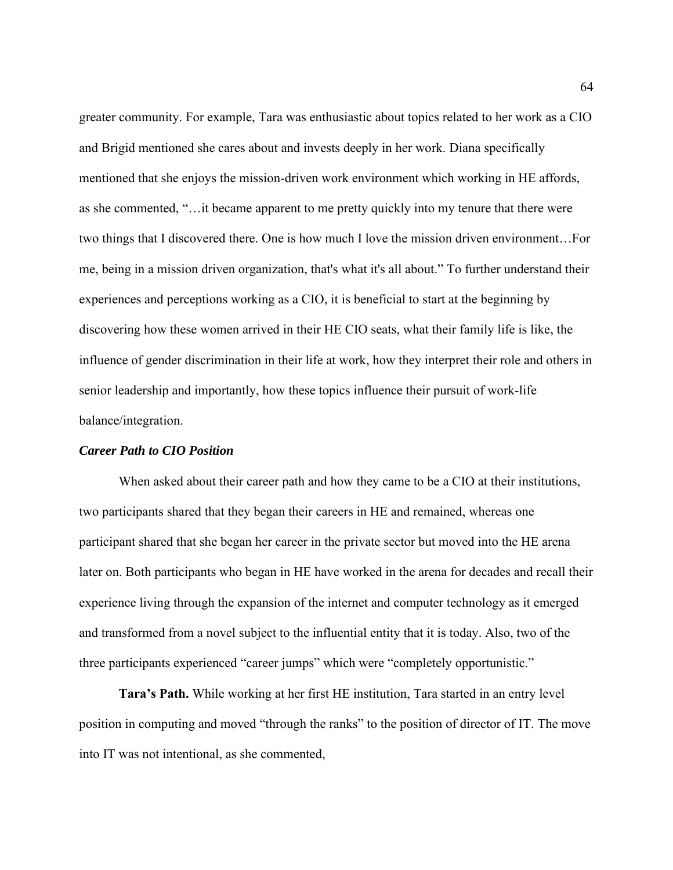greater community. For example, Tara was enthusiastic about topics related to her work as a CIO and Brigid mentioned she cares about and invests deeply in her work. Diana specifically mentioned that she enjoys the mission-driven work environment which working in HE affords, as she commented, "…it became apparent to me pretty quickly into my tenure that there were two things that I discovered there. One is how much I love the mission driven environment…For me, being in a mission driven organization, that's what it's all about." To further understand their experiences and perceptions working as a CIO, it is beneficial to start at the beginning by discovering how these women arrived in their HE CIO seats, what their family life is like, the influence of gender discrimination in their life at work, how they interpret their role and others in senior leadership and importantly, how these topics influence their pursuit of work-life balance/integration.

#### *Career Path to CIO Position*

When asked about their career path and how they came to be a CIO at their institutions, two participants shared that they began their careers in HE and remained, whereas one participant shared that she began her career in the private sector but moved into the HE arena later on. Both participants who began in HE have worked in the arena for decades and recall their experience living through the expansion of the internet and computer technology as it emerged and transformed from a novel subject to the influential entity that it is today. Also, two of the three participants experienced "career jumps" which were "completely opportunistic."

**Tara's Path.** While working at her first HE institution, Tara started in an entry level position in computing and moved "through the ranks" to the position of director of IT. The move into IT was not intentional, as she commented,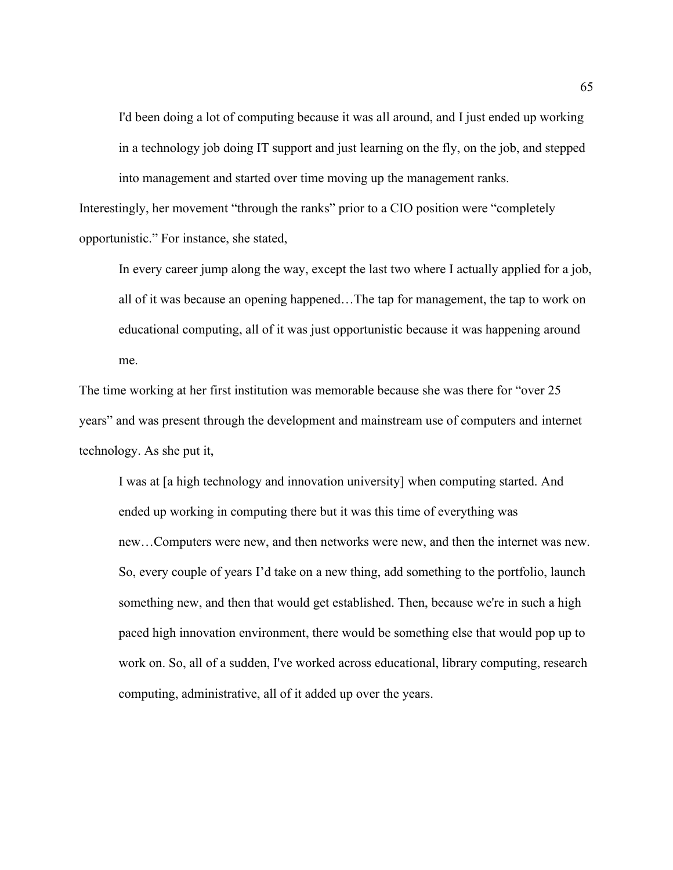I'd been doing a lot of computing because it was all around, and I just ended up working in a technology job doing IT support and just learning on the fly, on the job, and stepped into management and started over time moving up the management ranks.

Interestingly, her movement "through the ranks" prior to a CIO position were "completely opportunistic." For instance, she stated,

In every career jump along the way, except the last two where I actually applied for a job, all of it was because an opening happened…The tap for management, the tap to work on educational computing, all of it was just opportunistic because it was happening around me.

The time working at her first institution was memorable because she was there for "over 25 years" and was present through the development and mainstream use of computers and internet technology. As she put it,

I was at [a high technology and innovation university] when computing started. And ended up working in computing there but it was this time of everything was new…Computers were new, and then networks were new, and then the internet was new. So, every couple of years I'd take on a new thing, add something to the portfolio, launch something new, and then that would get established. Then, because we're in such a high paced high innovation environment, there would be something else that would pop up to work on. So, all of a sudden, I've worked across educational, library computing, research computing, administrative, all of it added up over the years.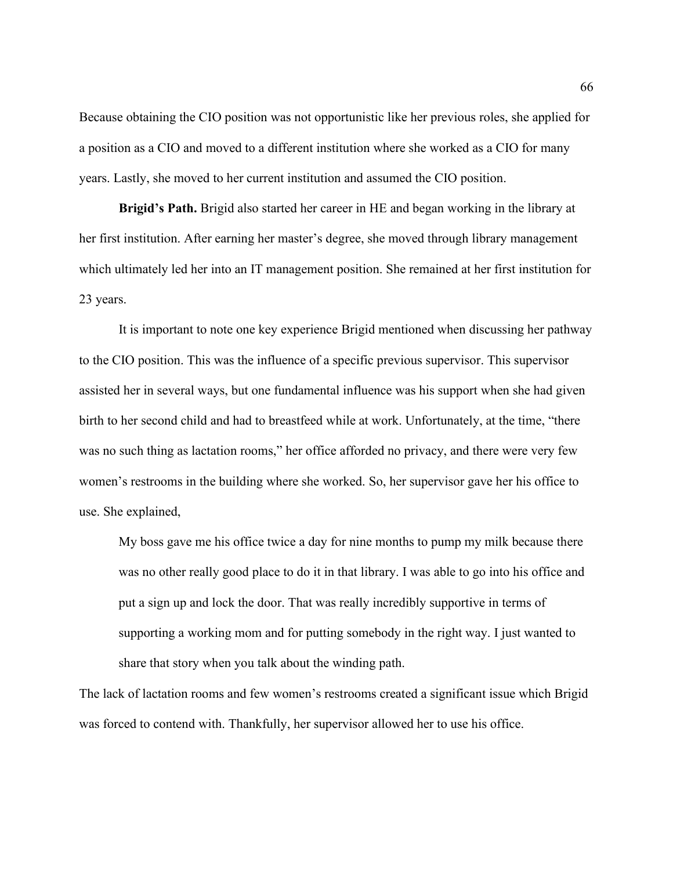Because obtaining the CIO position was not opportunistic like her previous roles, she applied for a position as a CIO and moved to a different institution where she worked as a CIO for many years. Lastly, she moved to her current institution and assumed the CIO position.

**Brigid's Path.** Brigid also started her career in HE and began working in the library at her first institution. After earning her master's degree, she moved through library management which ultimately led her into an IT management position. She remained at her first institution for 23 years.

It is important to note one key experience Brigid mentioned when discussing her pathway to the CIO position. This was the influence of a specific previous supervisor. This supervisor assisted her in several ways, but one fundamental influence was his support when she had given birth to her second child and had to breastfeed while at work. Unfortunately, at the time, "there was no such thing as lactation rooms," her office afforded no privacy, and there were very few women's restrooms in the building where she worked. So, her supervisor gave her his office to use. She explained,

My boss gave me his office twice a day for nine months to pump my milk because there was no other really good place to do it in that library. I was able to go into his office and put a sign up and lock the door. That was really incredibly supportive in terms of supporting a working mom and for putting somebody in the right way. I just wanted to share that story when you talk about the winding path.

The lack of lactation rooms and few women's restrooms created a significant issue which Brigid was forced to contend with. Thankfully, her supervisor allowed her to use his office.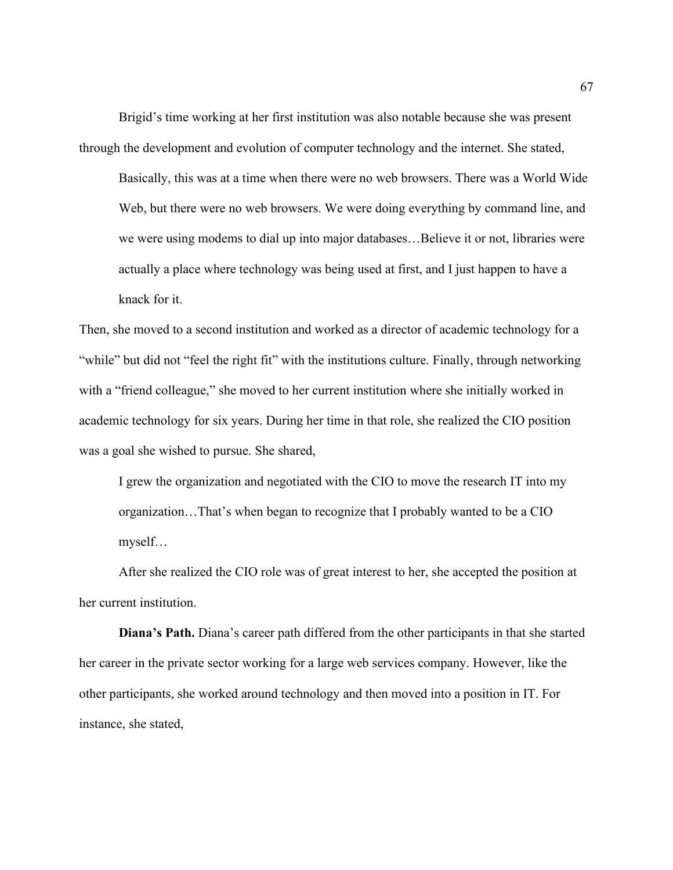Brigid's time working at her first institution was also notable because she was present through the development and evolution of computer technology and the internet. She stated,

Basically, this was at a time when there were no web browsers. There was a World Wide Web, but there were no web browsers. We were doing everything by command line, and we were using modems to dial up into major databases…Believe it or not, libraries were actually a place where technology was being used at first, and I just happen to have a knack for it.

Then, she moved to a second institution and worked as a director of academic technology for a "while" but did not "feel the right fit" with the institutions culture. Finally, through networking with a "friend colleague," she moved to her current institution where she initially worked in academic technology for six years. During her time in that role, she realized the CIO position was a goal she wished to pursue. She shared,

I grew the organization and negotiated with the CIO to move the research IT into my organization…That's when began to recognize that I probably wanted to be a CIO myself…

After she realized the CIO role was of great interest to her, she accepted the position at her current institution.

**Diana's Path.** Diana's career path differed from the other participants in that she started her career in the private sector working for a large web services company. However, like the other participants, she worked around technology and then moved into a position in IT. For instance, she stated,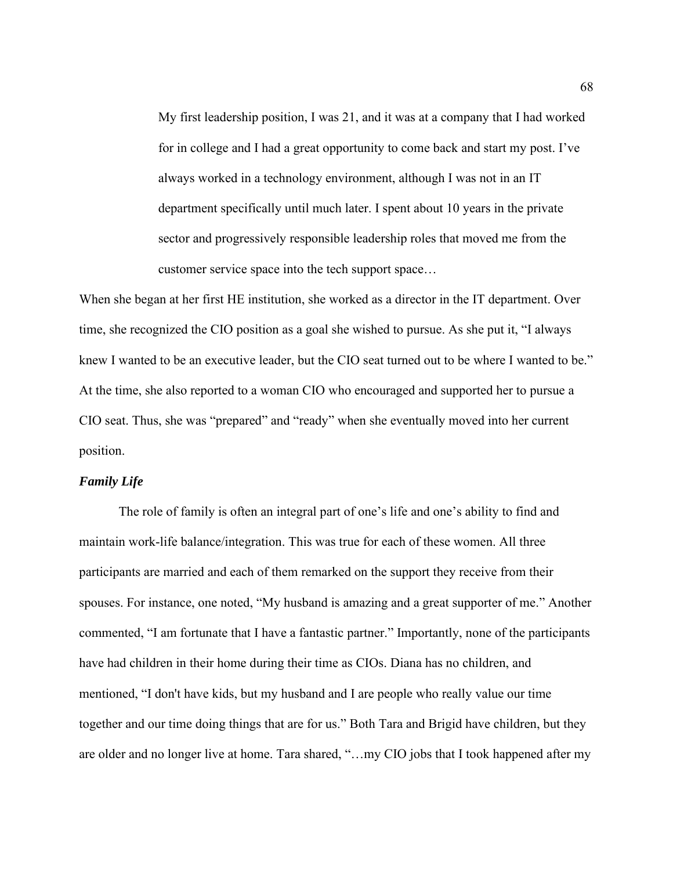My first leadership position, I was 21, and it was at a company that I had worked for in college and I had a great opportunity to come back and start my post. I've always worked in a technology environment, although I was not in an IT department specifically until much later. I spent about 10 years in the private sector and progressively responsible leadership roles that moved me from the customer service space into the tech support space…

When she began at her first HE institution, she worked as a director in the IT department. Over time, she recognized the CIO position as a goal she wished to pursue. As she put it, "I always knew I wanted to be an executive leader, but the CIO seat turned out to be where I wanted to be." At the time, she also reported to a woman CIO who encouraged and supported her to pursue a CIO seat. Thus, she was "prepared" and "ready" when she eventually moved into her current position.

### *Family Life*

The role of family is often an integral part of one's life and one's ability to find and maintain work-life balance/integration. This was true for each of these women. All three participants are married and each of them remarked on the support they receive from their spouses. For instance, one noted, "My husband is amazing and a great supporter of me." Another commented, "I am fortunate that I have a fantastic partner." Importantly, none of the participants have had children in their home during their time as CIOs. Diana has no children, and mentioned, "I don't have kids, but my husband and I are people who really value our time together and our time doing things that are for us." Both Tara and Brigid have children, but they are older and no longer live at home. Tara shared, "…my CIO jobs that I took happened after my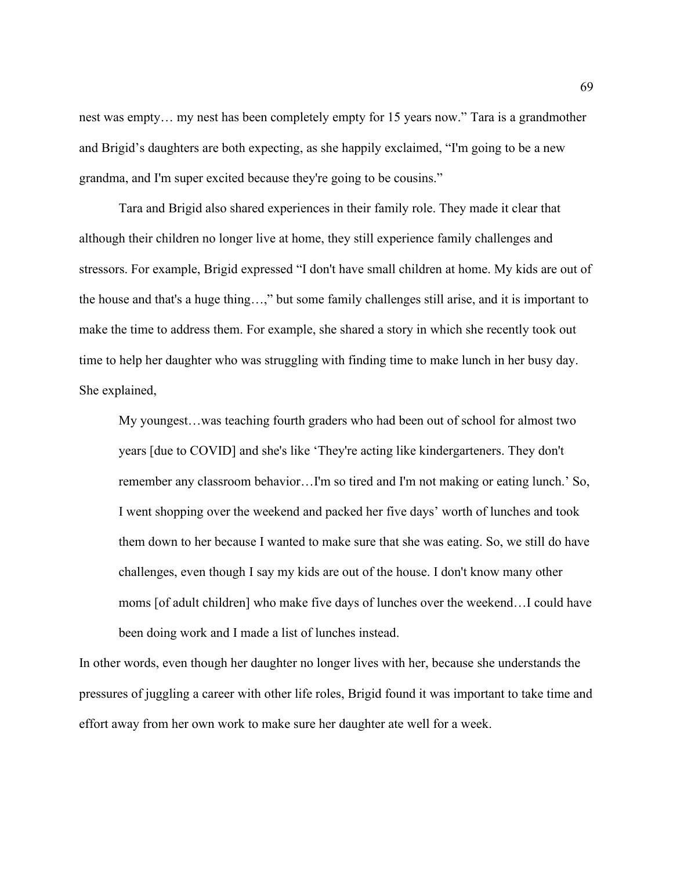nest was empty… my nest has been completely empty for 15 years now." Tara is a grandmother and Brigid's daughters are both expecting, as she happily exclaimed, "I'm going to be a new grandma, and I'm super excited because they're going to be cousins."

Tara and Brigid also shared experiences in their family role. They made it clear that although their children no longer live at home, they still experience family challenges and stressors. For example, Brigid expressed "I don't have small children at home. My kids are out of the house and that's a huge thing…," but some family challenges still arise, and it is important to make the time to address them. For example, she shared a story in which she recently took out time to help her daughter who was struggling with finding time to make lunch in her busy day. She explained,

My youngest…was teaching fourth graders who had been out of school for almost two years [due to COVID] and she's like 'They're acting like kindergarteners. They don't remember any classroom behavior…I'm so tired and I'm not making or eating lunch.' So, I went shopping over the weekend and packed her five days' worth of lunches and took them down to her because I wanted to make sure that she was eating. So, we still do have challenges, even though I say my kids are out of the house. I don't know many other moms [of adult children] who make five days of lunches over the weekend…I could have been doing work and I made a list of lunches instead.

In other words, even though her daughter no longer lives with her, because she understands the pressures of juggling a career with other life roles, Brigid found it was important to take time and effort away from her own work to make sure her daughter ate well for a week.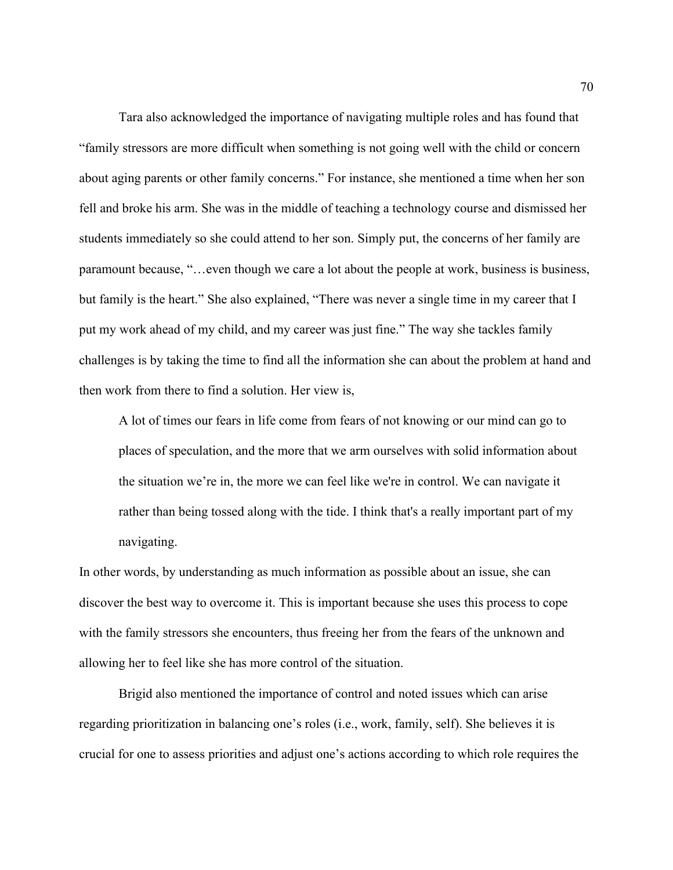Tara also acknowledged the importance of navigating multiple roles and has found that "family stressors are more difficult when something is not going well with the child or concern about aging parents or other family concerns." For instance, she mentioned a time when her son fell and broke his arm. She was in the middle of teaching a technology course and dismissed her students immediately so she could attend to her son. Simply put, the concerns of her family are paramount because, "…even though we care a lot about the people at work, business is business, but family is the heart." She also explained, "There was never a single time in my career that I put my work ahead of my child, and my career was just fine." The way she tackles family challenges is by taking the time to find all the information she can about the problem at hand and then work from there to find a solution. Her view is,

A lot of times our fears in life come from fears of not knowing or our mind can go to places of speculation, and the more that we arm ourselves with solid information about the situation we're in, the more we can feel like we're in control. We can navigate it rather than being tossed along with the tide. I think that's a really important part of my navigating.

In other words, by understanding as much information as possible about an issue, she can discover the best way to overcome it. This is important because she uses this process to cope with the family stressors she encounters, thus freeing her from the fears of the unknown and allowing her to feel like she has more control of the situation.

Brigid also mentioned the importance of control and noted issues which can arise regarding prioritization in balancing one's roles (i.e., work, family, self). She believes it is crucial for one to assess priorities and adjust one's actions according to which role requires the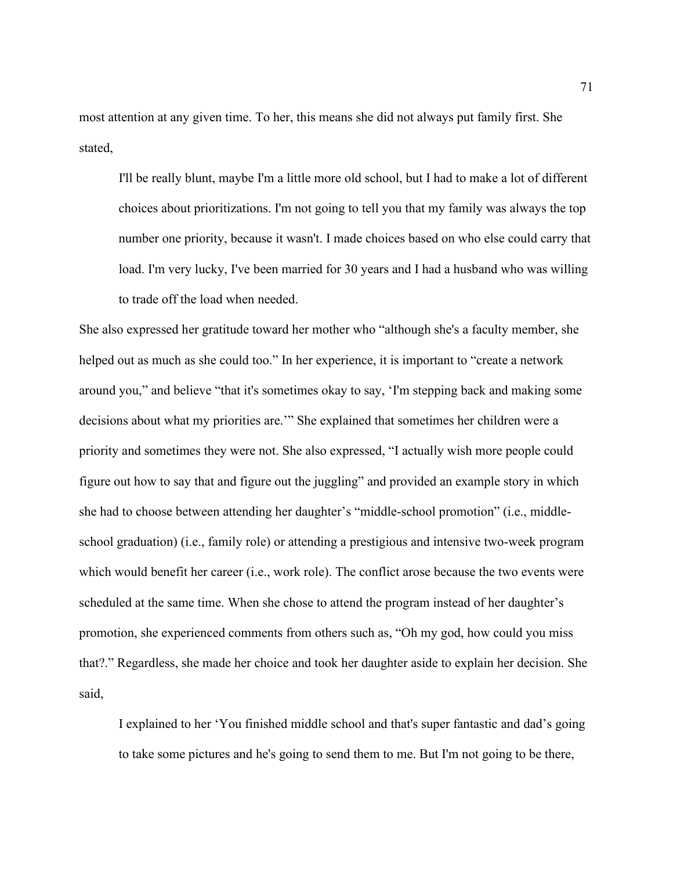most attention at any given time. To her, this means she did not always put family first. She stated,

I'll be really blunt, maybe I'm a little more old school, but I had to make a lot of different choices about prioritizations. I'm not going to tell you that my family was always the top number one priority, because it wasn't. I made choices based on who else could carry that load. I'm very lucky, I've been married for 30 years and I had a husband who was willing to trade off the load when needed.

She also expressed her gratitude toward her mother who "although she's a faculty member, she helped out as much as she could too." In her experience, it is important to "create a network around you," and believe "that it's sometimes okay to say, 'I'm stepping back and making some decisions about what my priorities are.'" She explained that sometimes her children were a priority and sometimes they were not. She also expressed, "I actually wish more people could figure out how to say that and figure out the juggling" and provided an example story in which she had to choose between attending her daughter's "middle-school promotion" (i.e., middleschool graduation) (i.e., family role) or attending a prestigious and intensive two-week program which would benefit her career (i.e., work role). The conflict arose because the two events were scheduled at the same time. When she chose to attend the program instead of her daughter's promotion, she experienced comments from others such as, "Oh my god, how could you miss that?." Regardless, she made her choice and took her daughter aside to explain her decision. She said,

I explained to her 'You finished middle school and that's super fantastic and dad's going to take some pictures and he's going to send them to me. But I'm not going to be there,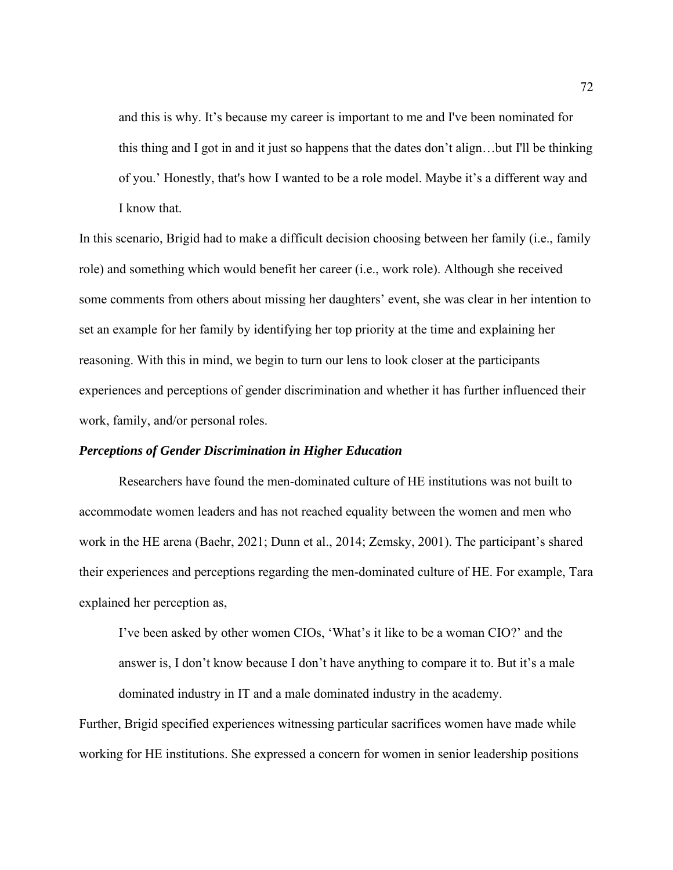and this is why. It's because my career is important to me and I've been nominated for this thing and I got in and it just so happens that the dates don't align…but I'll be thinking of you.' Honestly, that's how I wanted to be a role model. Maybe it's a different way and I know that.

In this scenario, Brigid had to make a difficult decision choosing between her family (i.e., family role) and something which would benefit her career (i.e., work role). Although she received some comments from others about missing her daughters' event, she was clear in her intention to set an example for her family by identifying her top priority at the time and explaining her reasoning. With this in mind, we begin to turn our lens to look closer at the participants experiences and perceptions of gender discrimination and whether it has further influenced their work, family, and/or personal roles.

## *Perceptions of Gender Discrimination in Higher Education*

Researchers have found the men-dominated culture of HE institutions was not built to accommodate women leaders and has not reached equality between the women and men who work in the HE arena (Baehr, 2021; Dunn et al., 2014; Zemsky, 2001). The participant's shared their experiences and perceptions regarding the men-dominated culture of HE. For example, Tara explained her perception as,

I've been asked by other women CIOs, 'What's it like to be a woman CIO?' and the answer is, I don't know because I don't have anything to compare it to. But it's a male dominated industry in IT and a male dominated industry in the academy.

Further, Brigid specified experiences witnessing particular sacrifices women have made while working for HE institutions. She expressed a concern for women in senior leadership positions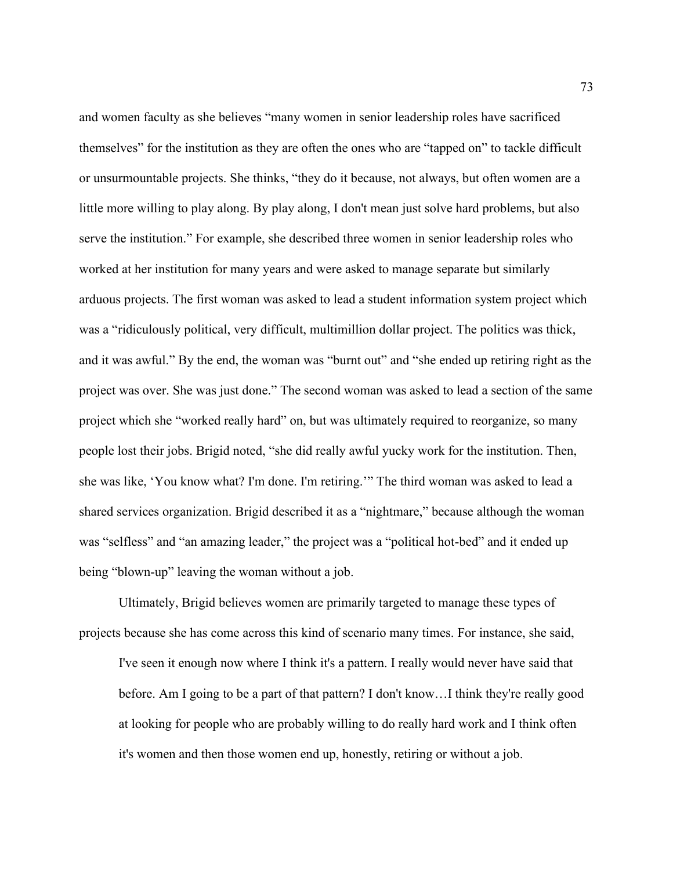and women faculty as she believes "many women in senior leadership roles have sacrificed themselves" for the institution as they are often the ones who are "tapped on" to tackle difficult or unsurmountable projects. She thinks, "they do it because, not always, but often women are a little more willing to play along. By play along, I don't mean just solve hard problems, but also serve the institution." For example, she described three women in senior leadership roles who worked at her institution for many years and were asked to manage separate but similarly arduous projects. The first woman was asked to lead a student information system project which was a "ridiculously political, very difficult, multimillion dollar project. The politics was thick, and it was awful." By the end, the woman was "burnt out" and "she ended up retiring right as the project was over. She was just done." The second woman was asked to lead a section of the same project which she "worked really hard" on, but was ultimately required to reorganize, so many people lost their jobs. Brigid noted, "she did really awful yucky work for the institution. Then, she was like, 'You know what? I'm done. I'm retiring.'" The third woman was asked to lead a shared services organization. Brigid described it as a "nightmare," because although the woman was "selfless" and "an amazing leader," the project was a "political hot-bed" and it ended up being "blown-up" leaving the woman without a job.

Ultimately, Brigid believes women are primarily targeted to manage these types of projects because she has come across this kind of scenario many times. For instance, she said,

I've seen it enough now where I think it's a pattern. I really would never have said that before. Am I going to be a part of that pattern? I don't know…I think they're really good at looking for people who are probably willing to do really hard work and I think often it's women and then those women end up, honestly, retiring or without a job.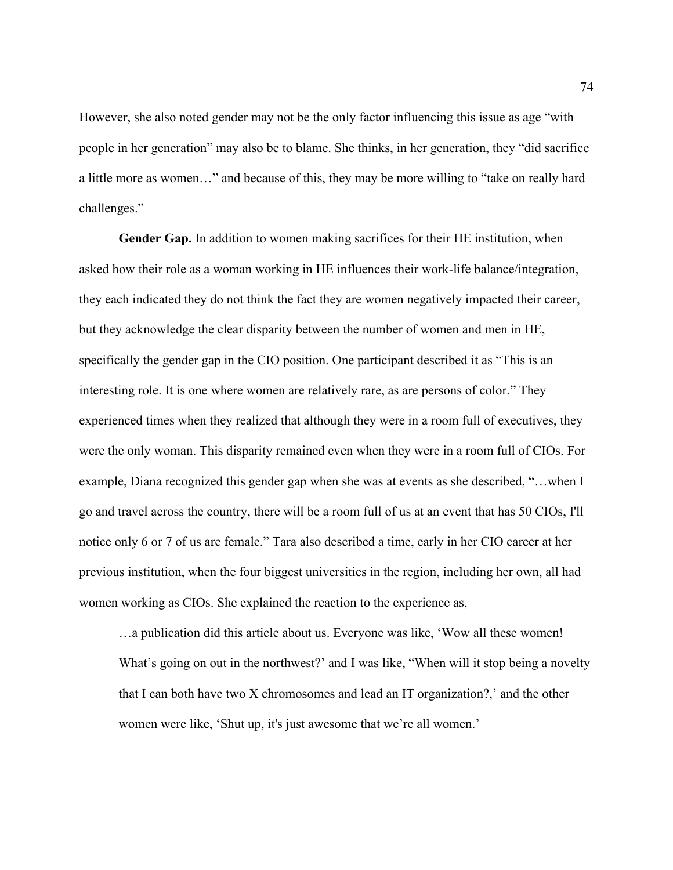However, she also noted gender may not be the only factor influencing this issue as age "with people in her generation" may also be to blame. She thinks, in her generation, they "did sacrifice a little more as women…" and because of this, they may be more willing to "take on really hard challenges."

**Gender Gap.** In addition to women making sacrifices for their HE institution, when asked how their role as a woman working in HE influences their work-life balance/integration, they each indicated they do not think the fact they are women negatively impacted their career, but they acknowledge the clear disparity between the number of women and men in HE, specifically the gender gap in the CIO position. One participant described it as "This is an interesting role. It is one where women are relatively rare, as are persons of color." They experienced times when they realized that although they were in a room full of executives, they were the only woman. This disparity remained even when they were in a room full of CIOs. For example, Diana recognized this gender gap when she was at events as she described, "…when I go and travel across the country, there will be a room full of us at an event that has 50 CIOs, I'll notice only 6 or 7 of us are female." Tara also described a time, early in her CIO career at her previous institution, when the four biggest universities in the region, including her own, all had women working as CIOs. She explained the reaction to the experience as,

…a publication did this article about us. Everyone was like, 'Wow all these women! What's going on out in the northwest?' and I was like, "When will it stop being a novelty that I can both have two X chromosomes and lead an IT organization?,' and the other women were like, 'Shut up, it's just awesome that we're all women.'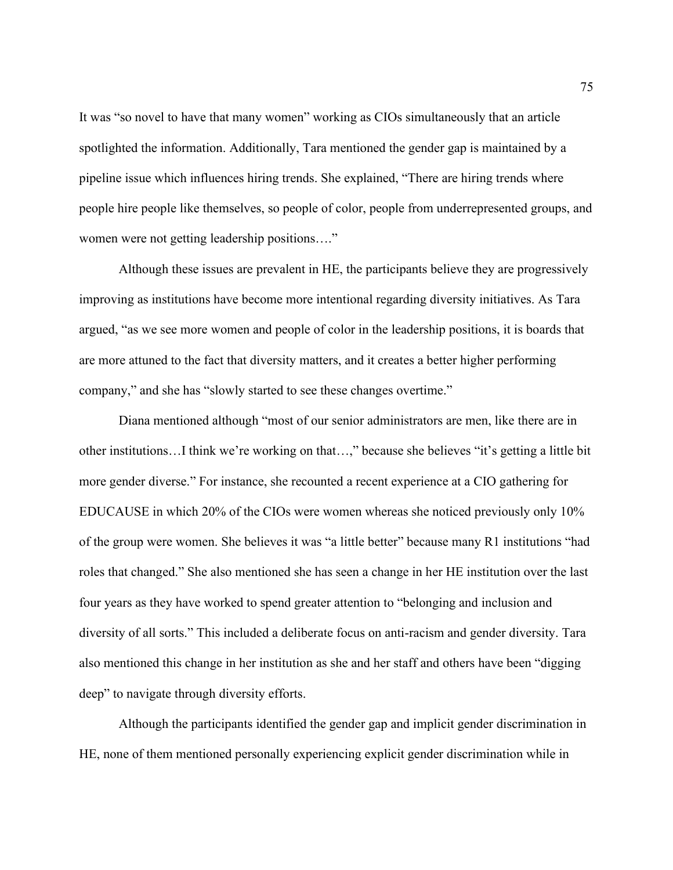It was "so novel to have that many women" working as CIOs simultaneously that an article spotlighted the information. Additionally, Tara mentioned the gender gap is maintained by a pipeline issue which influences hiring trends. She explained, "There are hiring trends where people hire people like themselves, so people of color, people from underrepresented groups, and women were not getting leadership positions…."

Although these issues are prevalent in HE, the participants believe they are progressively improving as institutions have become more intentional regarding diversity initiatives. As Tara argued, "as we see more women and people of color in the leadership positions, it is boards that are more attuned to the fact that diversity matters, and it creates a better higher performing company," and she has "slowly started to see these changes overtime."

Diana mentioned although "most of our senior administrators are men, like there are in other institutions…I think we're working on that…," because she believes "it's getting a little bit more gender diverse." For instance, she recounted a recent experience at a CIO gathering for EDUCAUSE in which 20% of the CIOs were women whereas she noticed previously only 10% of the group were women. She believes it was "a little better" because many R1 institutions "had roles that changed." She also mentioned she has seen a change in her HE institution over the last four years as they have worked to spend greater attention to "belonging and inclusion and diversity of all sorts." This included a deliberate focus on anti-racism and gender diversity. Tara also mentioned this change in her institution as she and her staff and others have been "digging deep" to navigate through diversity efforts.

Although the participants identified the gender gap and implicit gender discrimination in HE, none of them mentioned personally experiencing explicit gender discrimination while in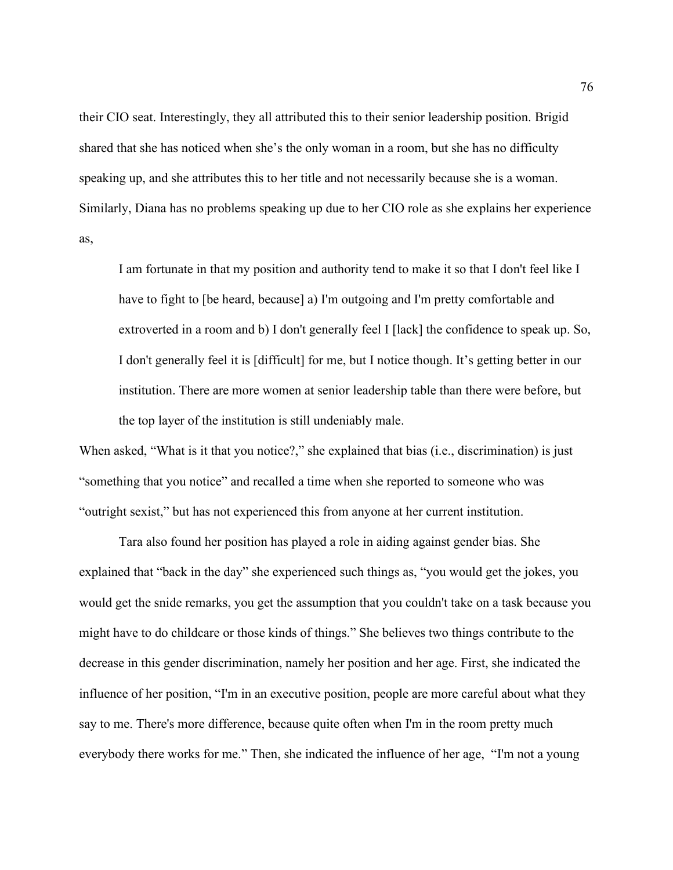their CIO seat. Interestingly, they all attributed this to their senior leadership position. Brigid shared that she has noticed when she's the only woman in a room, but she has no difficulty speaking up, and she attributes this to her title and not necessarily because she is a woman. Similarly, Diana has no problems speaking up due to her CIO role as she explains her experience as,

I am fortunate in that my position and authority tend to make it so that I don't feel like I have to fight to [be heard, because] a) I'm outgoing and I'm pretty comfortable and extroverted in a room and b) I don't generally feel I [lack] the confidence to speak up. So, I don't generally feel it is [difficult] for me, but I notice though. It's getting better in our institution. There are more women at senior leadership table than there were before, but the top layer of the institution is still undeniably male.

When asked, "What is it that you notice?," she explained that bias (i.e., discrimination) is just "something that you notice" and recalled a time when she reported to someone who was "outright sexist," but has not experienced this from anyone at her current institution.

Tara also found her position has played a role in aiding against gender bias. She explained that "back in the day" she experienced such things as, "you would get the jokes, you would get the snide remarks, you get the assumption that you couldn't take on a task because you might have to do childcare or those kinds of things." She believes two things contribute to the decrease in this gender discrimination, namely her position and her age. First, she indicated the influence of her position, "I'm in an executive position, people are more careful about what they say to me. There's more difference, because quite often when I'm in the room pretty much everybody there works for me." Then, she indicated the influence of her age, "I'm not a young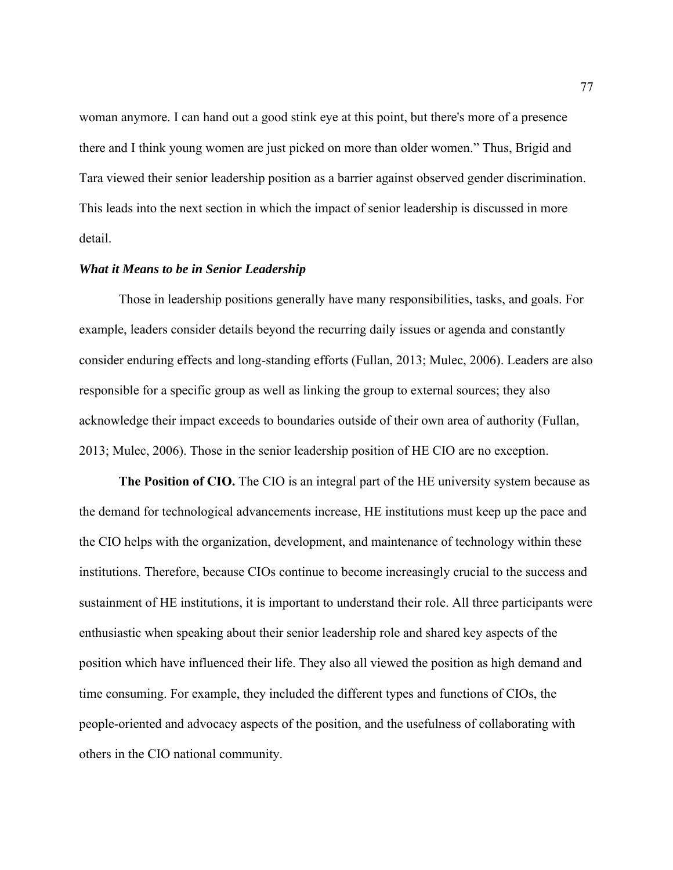woman anymore. I can hand out a good stink eye at this point, but there's more of a presence there and I think young women are just picked on more than older women." Thus, Brigid and Tara viewed their senior leadership position as a barrier against observed gender discrimination. This leads into the next section in which the impact of senior leadership is discussed in more detail.

# *What it Means to be in Senior Leadership*

Those in leadership positions generally have many responsibilities, tasks, and goals. For example, leaders consider details beyond the recurring daily issues or agenda and constantly consider enduring effects and long-standing efforts (Fullan, 2013; Mulec, 2006). Leaders are also responsible for a specific group as well as linking the group to external sources; they also acknowledge their impact exceeds to boundaries outside of their own area of authority (Fullan, 2013; Mulec, 2006). Those in the senior leadership position of HE CIO are no exception.

**The Position of CIO.** The CIO is an integral part of the HE university system because as the demand for technological advancements increase, HE institutions must keep up the pace and the CIO helps with the organization, development, and maintenance of technology within these institutions. Therefore, because CIOs continue to become increasingly crucial to the success and sustainment of HE institutions, it is important to understand their role. All three participants were enthusiastic when speaking about their senior leadership role and shared key aspects of the position which have influenced their life. They also all viewed the position as high demand and time consuming. For example, they included the different types and functions of CIOs, the people-oriented and advocacy aspects of the position, and the usefulness of collaborating with others in the CIO national community.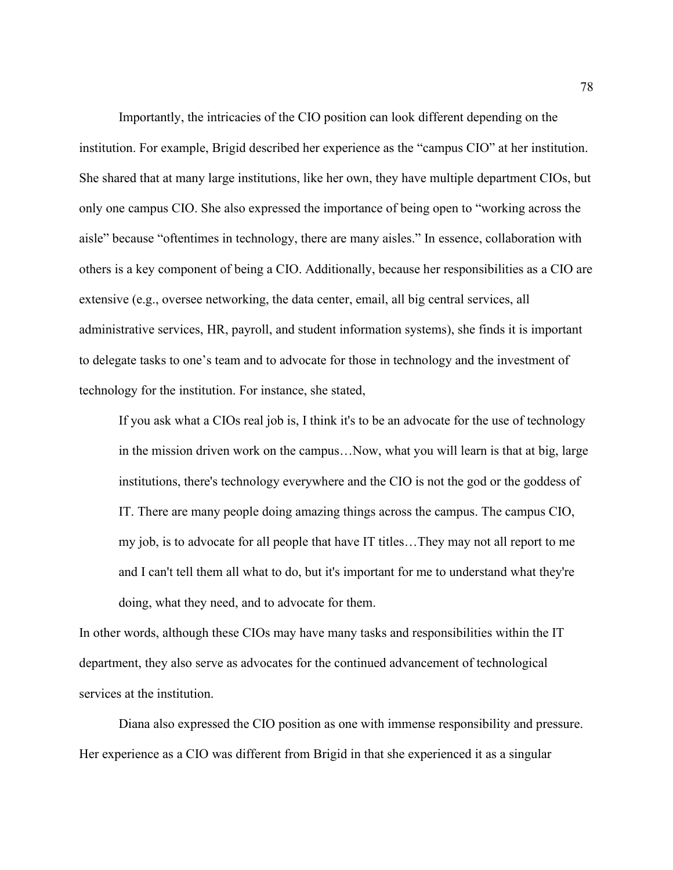Importantly, the intricacies of the CIO position can look different depending on the institution. For example, Brigid described her experience as the "campus CIO" at her institution. She shared that at many large institutions, like her own, they have multiple department CIOs, but only one campus CIO. She also expressed the importance of being open to "working across the aisle" because "oftentimes in technology, there are many aisles." In essence, collaboration with others is a key component of being a CIO. Additionally, because her responsibilities as a CIO are extensive (e.g., oversee networking, the data center, email, all big central services, all administrative services, HR, payroll, and student information systems), she finds it is important to delegate tasks to one's team and to advocate for those in technology and the investment of technology for the institution. For instance, she stated,

If you ask what a CIOs real job is, I think it's to be an advocate for the use of technology in the mission driven work on the campus…Now, what you will learn is that at big, large institutions, there's technology everywhere and the CIO is not the god or the goddess of IT. There are many people doing amazing things across the campus. The campus CIO, my job, is to advocate for all people that have IT titles…They may not all report to me and I can't tell them all what to do, but it's important for me to understand what they're doing, what they need, and to advocate for them.

In other words, although these CIOs may have many tasks and responsibilities within the IT department, they also serve as advocates for the continued advancement of technological services at the institution.

Diana also expressed the CIO position as one with immense responsibility and pressure. Her experience as a CIO was different from Brigid in that she experienced it as a singular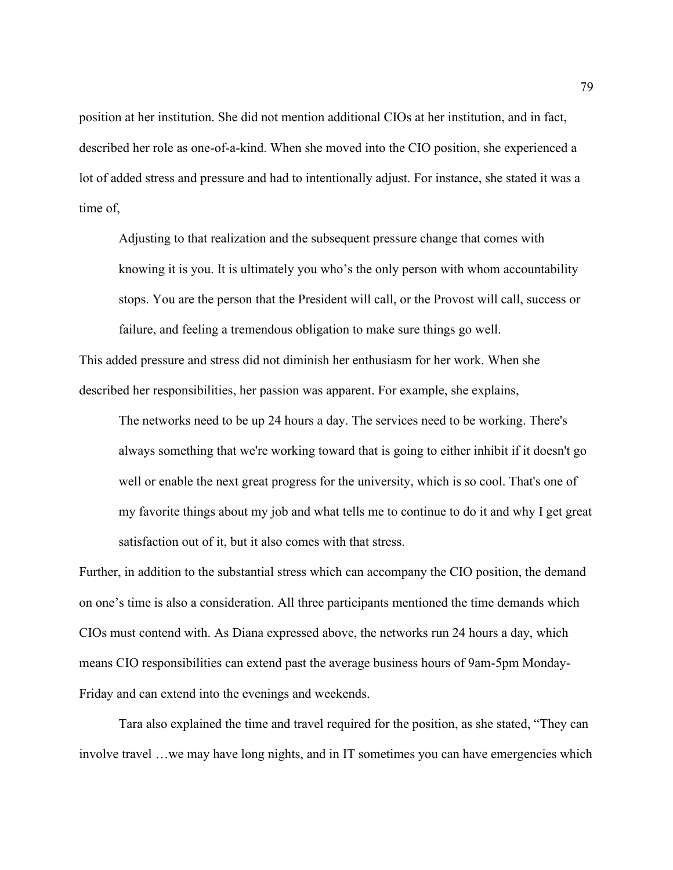position at her institution. She did not mention additional CIOs at her institution, and in fact, described her role as one-of-a-kind. When she moved into the CIO position, she experienced a lot of added stress and pressure and had to intentionally adjust. For instance, she stated it was a time of,

Adjusting to that realization and the subsequent pressure change that comes with knowing it is you. It is ultimately you who's the only person with whom accountability stops. You are the person that the President will call, or the Provost will call, success or failure, and feeling a tremendous obligation to make sure things go well.

This added pressure and stress did not diminish her enthusiasm for her work. When she described her responsibilities, her passion was apparent. For example, she explains,

The networks need to be up 24 hours a day. The services need to be working. There's always something that we're working toward that is going to either inhibit if it doesn't go well or enable the next great progress for the university, which is so cool. That's one of my favorite things about my job and what tells me to continue to do it and why I get great satisfaction out of it, but it also comes with that stress.

Further, in addition to the substantial stress which can accompany the CIO position, the demand on one's time is also a consideration. All three participants mentioned the time demands which CIOs must contend with. As Diana expressed above, the networks run 24 hours a day, which means CIO responsibilities can extend past the average business hours of 9am-5pm Monday-Friday and can extend into the evenings and weekends.

Tara also explained the time and travel required for the position, as she stated, "They can involve travel …we may have long nights, and in IT sometimes you can have emergencies which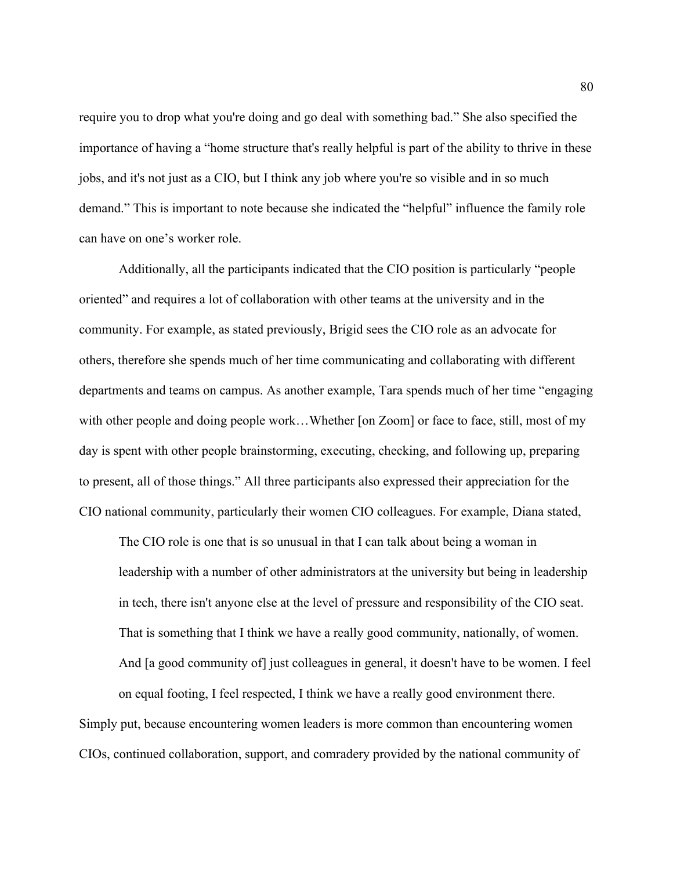require you to drop what you're doing and go deal with something bad." She also specified the importance of having a "home structure that's really helpful is part of the ability to thrive in these jobs, and it's not just as a CIO, but I think any job where you're so visible and in so much demand." This is important to note because she indicated the "helpful" influence the family role can have on one's worker role.

Additionally, all the participants indicated that the CIO position is particularly "people oriented" and requires a lot of collaboration with other teams at the university and in the community. For example, as stated previously, Brigid sees the CIO role as an advocate for others, therefore she spends much of her time communicating and collaborating with different departments and teams on campus. As another example, Tara spends much of her time "engaging with other people and doing people work...Whether [on Zoom] or face to face, still, most of my day is spent with other people brainstorming, executing, checking, and following up, preparing to present, all of those things." All three participants also expressed their appreciation for the CIO national community, particularly their women CIO colleagues. For example, Diana stated,

The CIO role is one that is so unusual in that I can talk about being a woman in leadership with a number of other administrators at the university but being in leadership in tech, there isn't anyone else at the level of pressure and responsibility of the CIO seat. That is something that I think we have a really good community, nationally, of women. And [a good community of] just colleagues in general, it doesn't have to be women. I feel on equal footing, I feel respected, I think we have a really good environment there.

Simply put, because encountering women leaders is more common than encountering women CIOs, continued collaboration, support, and comradery provided by the national community of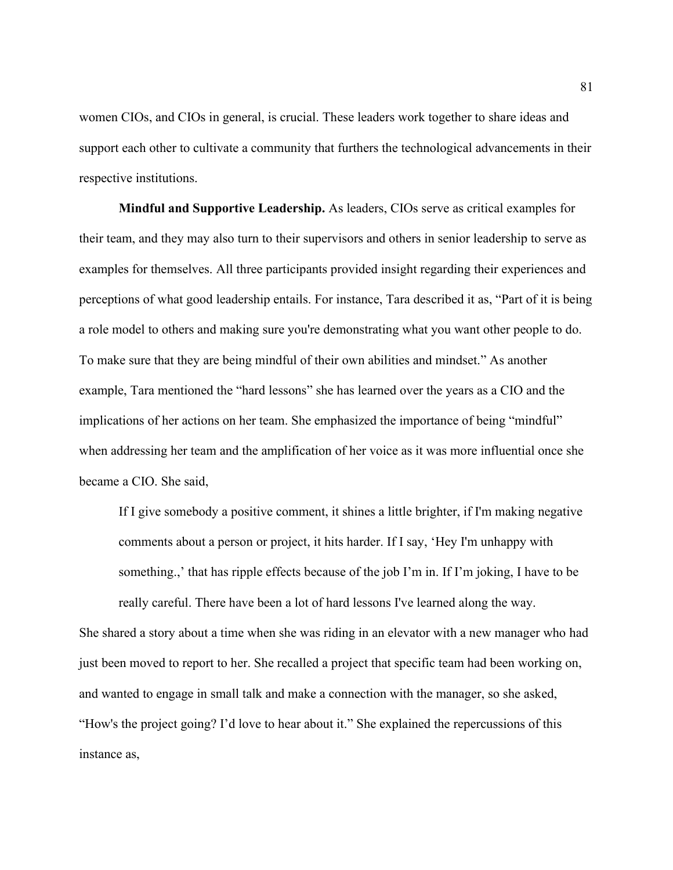women CIOs, and CIOs in general, is crucial. These leaders work together to share ideas and support each other to cultivate a community that furthers the technological advancements in their respective institutions.

**Mindful and Supportive Leadership.** As leaders, CIOs serve as critical examples for their team, and they may also turn to their supervisors and others in senior leadership to serve as examples for themselves. All three participants provided insight regarding their experiences and perceptions of what good leadership entails. For instance, Tara described it as, "Part of it is being a role model to others and making sure you're demonstrating what you want other people to do. To make sure that they are being mindful of their own abilities and mindset." As another example, Tara mentioned the "hard lessons" she has learned over the years as a CIO and the implications of her actions on her team. She emphasized the importance of being "mindful" when addressing her team and the amplification of her voice as it was more influential once she became a CIO. She said,

If I give somebody a positive comment, it shines a little brighter, if I'm making negative comments about a person or project, it hits harder. If I say, 'Hey I'm unhappy with something.,' that has ripple effects because of the job I'm in. If I'm joking, I have to be really careful. There have been a lot of hard lessons I've learned along the way.

She shared a story about a time when she was riding in an elevator with a new manager who had just been moved to report to her. She recalled a project that specific team had been working on, and wanted to engage in small talk and make a connection with the manager, so she asked, "How's the project going? I'd love to hear about it." She explained the repercussions of this instance as,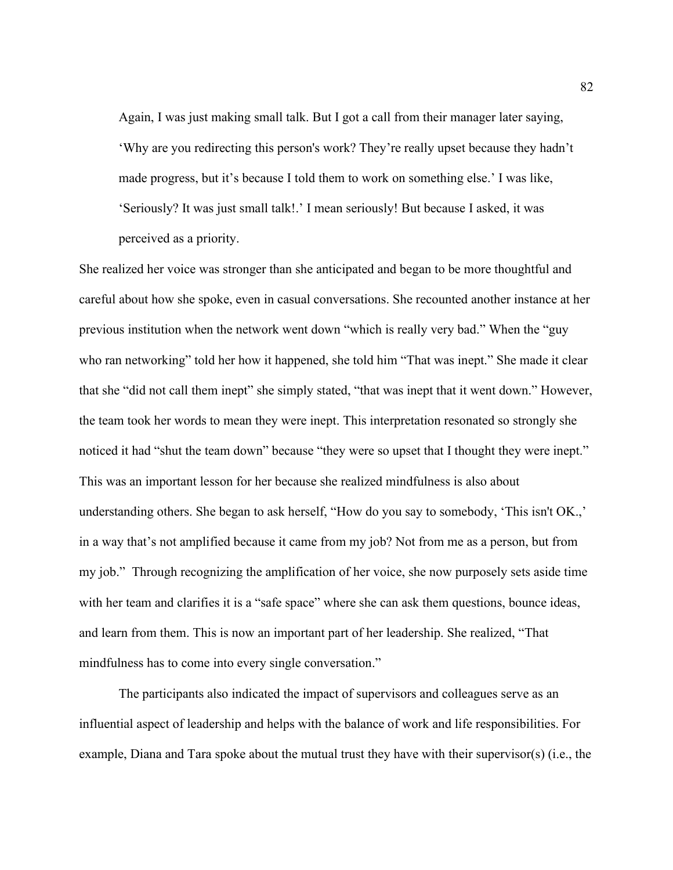Again, I was just making small talk. But I got a call from their manager later saying, 'Why are you redirecting this person's work? They're really upset because they hadn't made progress, but it's because I told them to work on something else.' I was like, 'Seriously? It was just small talk!.' I mean seriously! But because I asked, it was perceived as a priority.

She realized her voice was stronger than she anticipated and began to be more thoughtful and careful about how she spoke, even in casual conversations. She recounted another instance at her previous institution when the network went down "which is really very bad." When the "guy who ran networking" told her how it happened, she told him "That was inept." She made it clear that she "did not call them inept" she simply stated, "that was inept that it went down." However, the team took her words to mean they were inept. This interpretation resonated so strongly she noticed it had "shut the team down" because "they were so upset that I thought they were inept." This was an important lesson for her because she realized mindfulness is also about understanding others. She began to ask herself, "How do you say to somebody, 'This isn't OK.,' in a way that's not amplified because it came from my job? Not from me as a person, but from my job." Through recognizing the amplification of her voice, she now purposely sets aside time with her team and clarifies it is a "safe space" where she can ask them questions, bounce ideas, and learn from them. This is now an important part of her leadership. She realized, "That mindfulness has to come into every single conversation."

The participants also indicated the impact of supervisors and colleagues serve as an influential aspect of leadership and helps with the balance of work and life responsibilities. For example, Diana and Tara spoke about the mutual trust they have with their supervisor(s) (i.e., the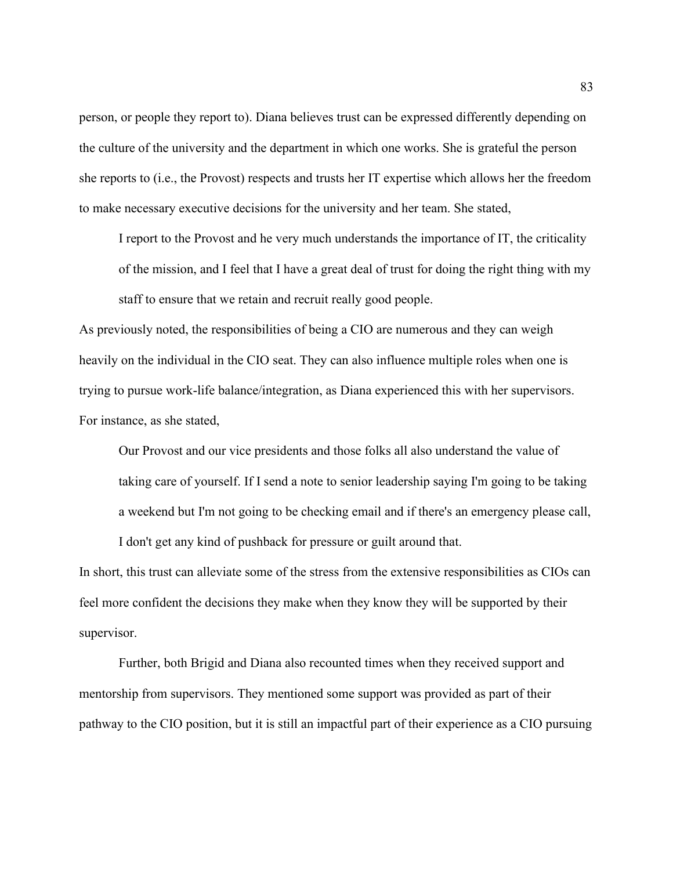person, or people they report to). Diana believes trust can be expressed differently depending on the culture of the university and the department in which one works. She is grateful the person she reports to (i.e., the Provost) respects and trusts her IT expertise which allows her the freedom to make necessary executive decisions for the university and her team. She stated,

I report to the Provost and he very much understands the importance of IT, the criticality of the mission, and I feel that I have a great deal of trust for doing the right thing with my staff to ensure that we retain and recruit really good people.

As previously noted, the responsibilities of being a CIO are numerous and they can weigh heavily on the individual in the CIO seat. They can also influence multiple roles when one is trying to pursue work-life balance/integration, as Diana experienced this with her supervisors. For instance, as she stated,

Our Provost and our vice presidents and those folks all also understand the value of taking care of yourself. If I send a note to senior leadership saying I'm going to be taking a weekend but I'm not going to be checking email and if there's an emergency please call,

I don't get any kind of pushback for pressure or guilt around that.

In short, this trust can alleviate some of the stress from the extensive responsibilities as CIOs can feel more confident the decisions they make when they know they will be supported by their supervisor.

Further, both Brigid and Diana also recounted times when they received support and mentorship from supervisors. They mentioned some support was provided as part of their pathway to the CIO position, but it is still an impactful part of their experience as a CIO pursuing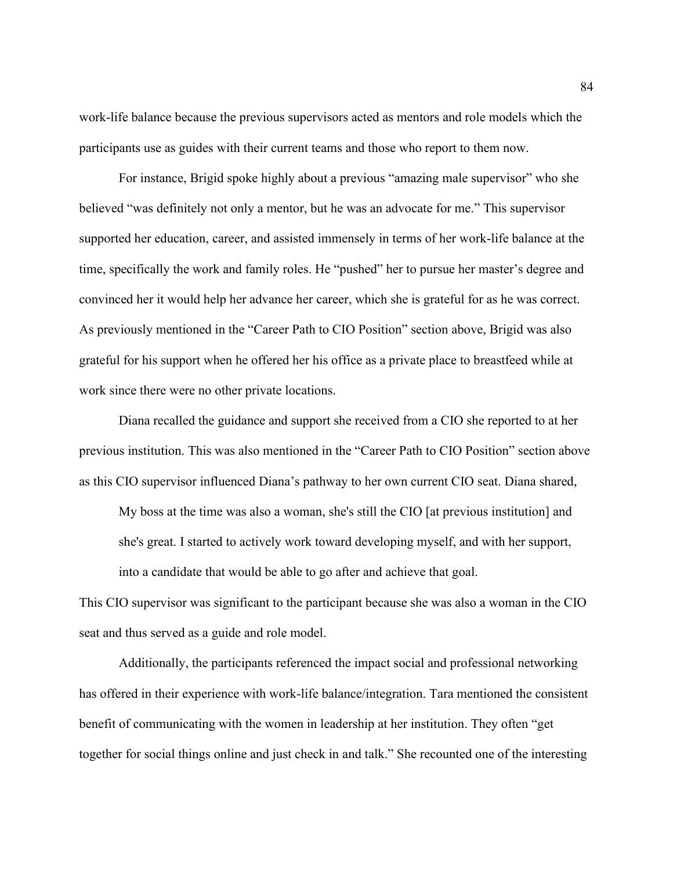work-life balance because the previous supervisors acted as mentors and role models which the participants use as guides with their current teams and those who report to them now.

For instance, Brigid spoke highly about a previous "amazing male supervisor" who she believed "was definitely not only a mentor, but he was an advocate for me." This supervisor supported her education, career, and assisted immensely in terms of her work-life balance at the time, specifically the work and family roles. He "pushed" her to pursue her master's degree and convinced her it would help her advance her career, which she is grateful for as he was correct. As previously mentioned in the "Career Path to CIO Position" section above, Brigid was also grateful for his support when he offered her his office as a private place to breastfeed while at work since there were no other private locations.

Diana recalled the guidance and support she received from a CIO she reported to at her previous institution. This was also mentioned in the "Career Path to CIO Position" section above as this CIO supervisor influenced Diana's pathway to her own current CIO seat. Diana shared,

My boss at the time was also a woman, she's still the CIO [at previous institution] and she's great. I started to actively work toward developing myself, and with her support, into a candidate that would be able to go after and achieve that goal.

This CIO supervisor was significant to the participant because she was also a woman in the CIO seat and thus served as a guide and role model.

Additionally, the participants referenced the impact social and professional networking has offered in their experience with work-life balance/integration. Tara mentioned the consistent benefit of communicating with the women in leadership at her institution. They often "get together for social things online and just check in and talk." She recounted one of the interesting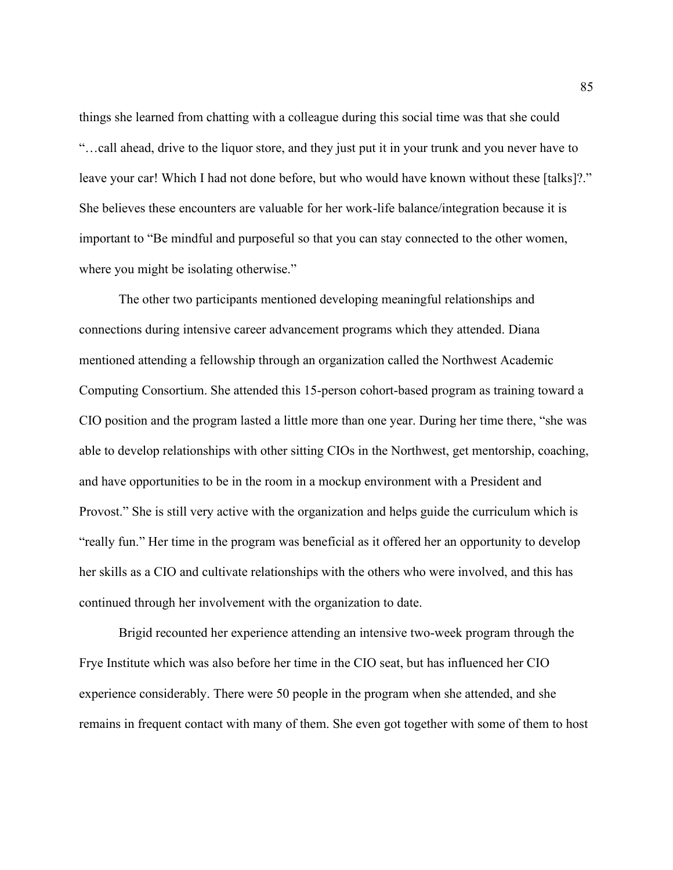things she learned from chatting with a colleague during this social time was that she could "…call ahead, drive to the liquor store, and they just put it in your trunk and you never have to leave your car! Which I had not done before, but who would have known without these [talks]?." She believes these encounters are valuable for her work-life balance/integration because it is important to "Be mindful and purposeful so that you can stay connected to the other women, where you might be isolating otherwise."

The other two participants mentioned developing meaningful relationships and connections during intensive career advancement programs which they attended. Diana mentioned attending a fellowship through an organization called the Northwest Academic Computing Consortium. She attended this 15-person cohort-based program as training toward a CIO position and the program lasted a little more than one year. During her time there, "she was able to develop relationships with other sitting CIOs in the Northwest, get mentorship, coaching, and have opportunities to be in the room in a mockup environment with a President and Provost." She is still very active with the organization and helps guide the curriculum which is "really fun." Her time in the program was beneficial as it offered her an opportunity to develop her skills as a CIO and cultivate relationships with the others who were involved, and this has continued through her involvement with the organization to date.

Brigid recounted her experience attending an intensive two-week program through the Frye Institute which was also before her time in the CIO seat, but has influenced her CIO experience considerably. There were 50 people in the program when she attended, and she remains in frequent contact with many of them. She even got together with some of them to host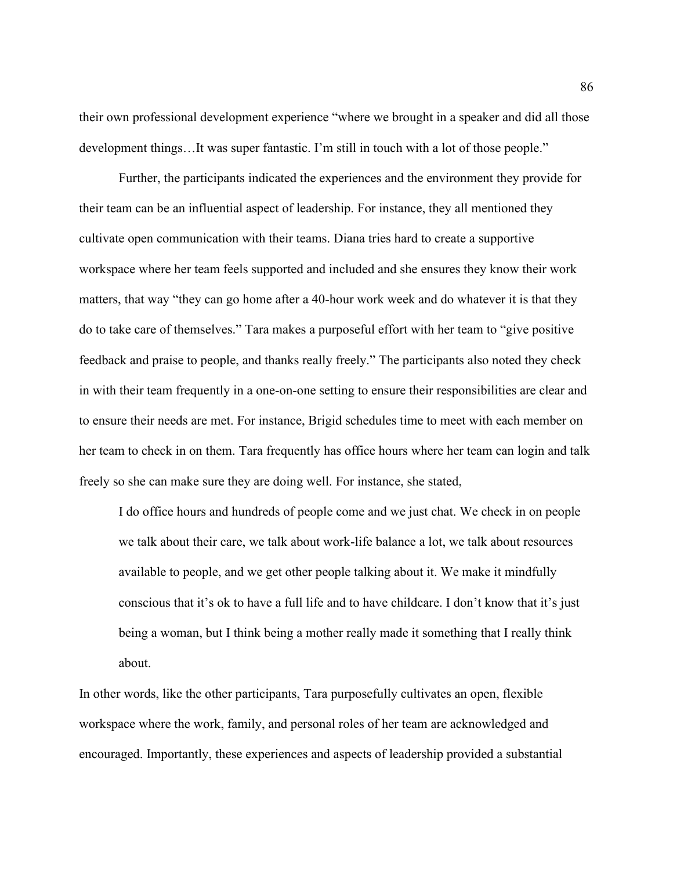their own professional development experience "where we brought in a speaker and did all those development things…It was super fantastic. I'm still in touch with a lot of those people."

Further, the participants indicated the experiences and the environment they provide for their team can be an influential aspect of leadership. For instance, they all mentioned they cultivate open communication with their teams. Diana tries hard to create a supportive workspace where her team feels supported and included and she ensures they know their work matters, that way "they can go home after a 40-hour work week and do whatever it is that they do to take care of themselves." Tara makes a purposeful effort with her team to "give positive feedback and praise to people, and thanks really freely." The participants also noted they check in with their team frequently in a one-on-one setting to ensure their responsibilities are clear and to ensure their needs are met. For instance, Brigid schedules time to meet with each member on her team to check in on them. Tara frequently has office hours where her team can login and talk freely so she can make sure they are doing well. For instance, she stated,

I do office hours and hundreds of people come and we just chat. We check in on people we talk about their care, we talk about work-life balance a lot, we talk about resources available to people, and we get other people talking about it. We make it mindfully conscious that it's ok to have a full life and to have childcare. I don't know that it's just being a woman, but I think being a mother really made it something that I really think about.

In other words, like the other participants, Tara purposefully cultivates an open, flexible workspace where the work, family, and personal roles of her team are acknowledged and encouraged. Importantly, these experiences and aspects of leadership provided a substantial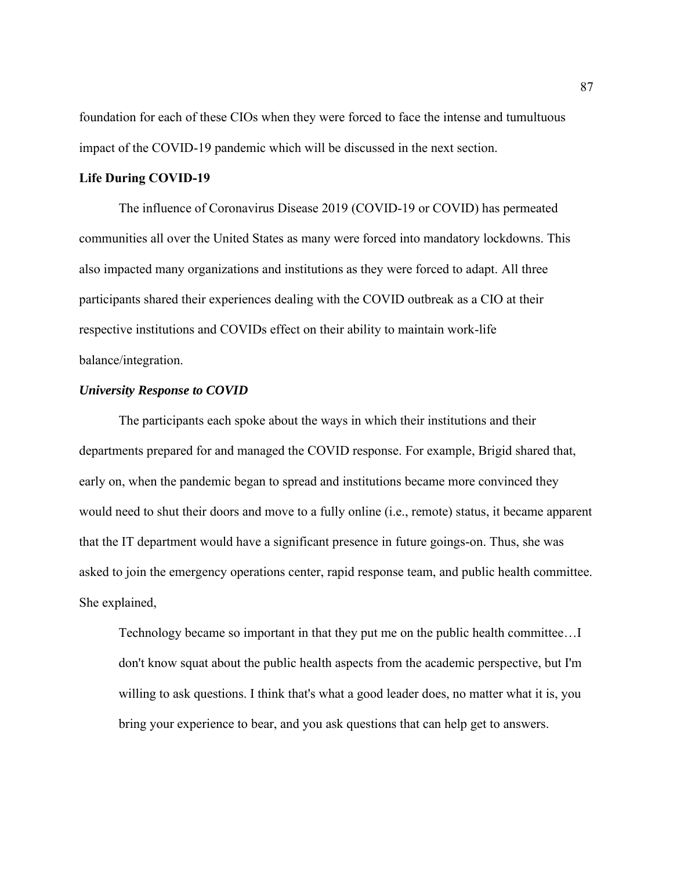foundation for each of these CIOs when they were forced to face the intense and tumultuous impact of the COVID-19 pandemic which will be discussed in the next section.

## **Life During COVID-19**

The influence of Coronavirus Disease 2019 (COVID-19 or COVID) has permeated communities all over the United States as many were forced into mandatory lockdowns. This also impacted many organizations and institutions as they were forced to adapt. All three participants shared their experiences dealing with the COVID outbreak as a CIO at their respective institutions and COVIDs effect on their ability to maintain work-life balance/integration.

## *University Response to COVID*

The participants each spoke about the ways in which their institutions and their departments prepared for and managed the COVID response. For example, Brigid shared that, early on, when the pandemic began to spread and institutions became more convinced they would need to shut their doors and move to a fully online (i.e., remote) status, it became apparent that the IT department would have a significant presence in future goings-on. Thus, she was asked to join the emergency operations center, rapid response team, and public health committee. She explained,

Technology became so important in that they put me on the public health committee…I don't know squat about the public health aspects from the academic perspective, but I'm willing to ask questions. I think that's what a good leader does, no matter what it is, you bring your experience to bear, and you ask questions that can help get to answers.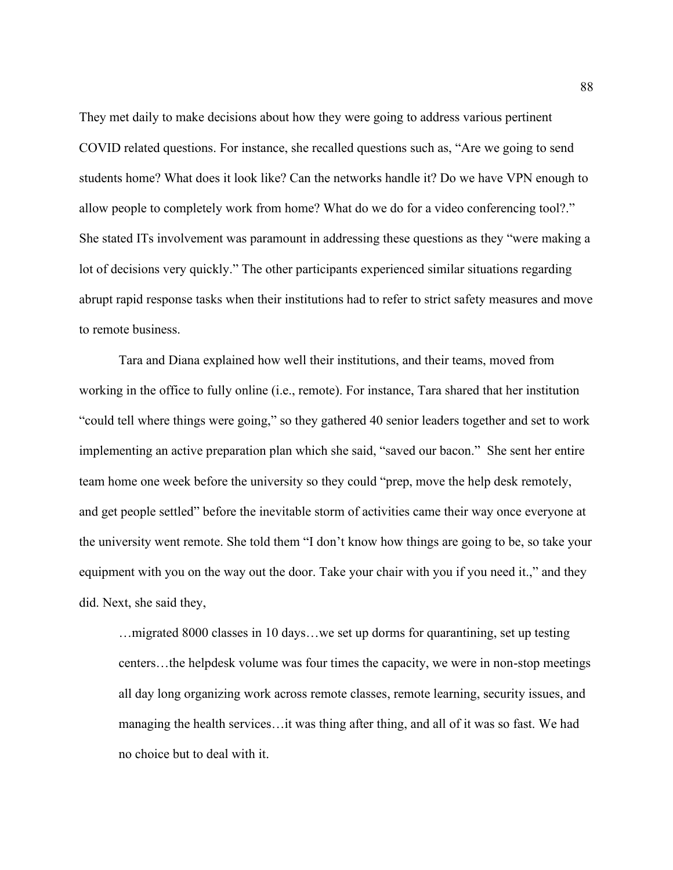They met daily to make decisions about how they were going to address various pertinent COVID related questions. For instance, she recalled questions such as, "Are we going to send students home? What does it look like? Can the networks handle it? Do we have VPN enough to allow people to completely work from home? What do we do for a video conferencing tool?." She stated ITs involvement was paramount in addressing these questions as they "were making a lot of decisions very quickly." The other participants experienced similar situations regarding abrupt rapid response tasks when their institutions had to refer to strict safety measures and move to remote business.

Tara and Diana explained how well their institutions, and their teams, moved from working in the office to fully online (i.e., remote). For instance, Tara shared that her institution "could tell where things were going," so they gathered 40 senior leaders together and set to work implementing an active preparation plan which she said, "saved our bacon." She sent her entire team home one week before the university so they could "prep, move the help desk remotely, and get people settled" before the inevitable storm of activities came their way once everyone at the university went remote. She told them "I don't know how things are going to be, so take your equipment with you on the way out the door. Take your chair with you if you need it.," and they did. Next, she said they,

…migrated 8000 classes in 10 days…we set up dorms for quarantining, set up testing centers…the helpdesk volume was four times the capacity, we were in non-stop meetings all day long organizing work across remote classes, remote learning, security issues, and managing the health services…it was thing after thing, and all of it was so fast. We had no choice but to deal with it.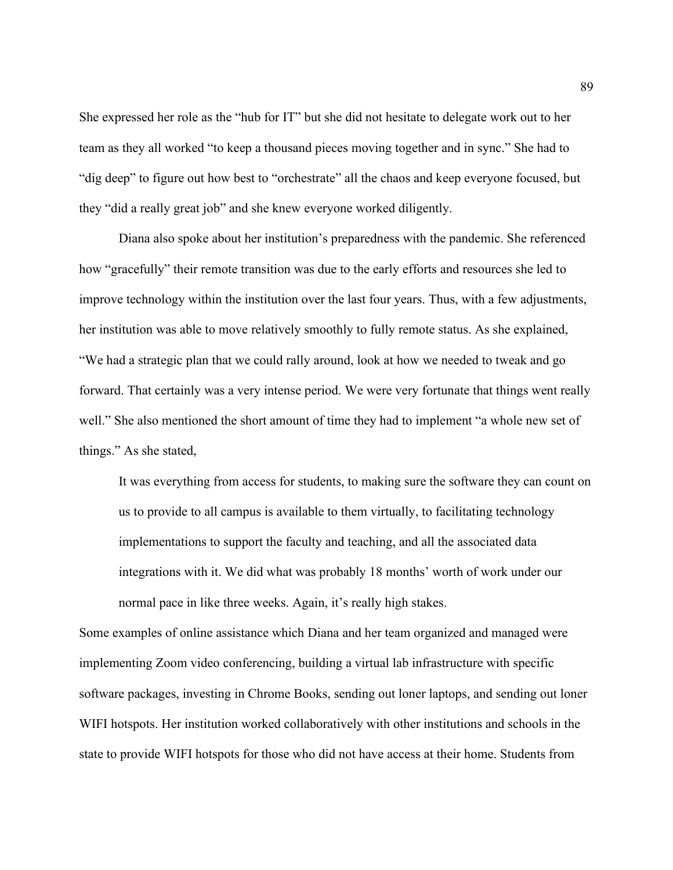She expressed her role as the "hub for IT" but she did not hesitate to delegate work out to her team as they all worked "to keep a thousand pieces moving together and in sync." She had to "dig deep" to figure out how best to "orchestrate" all the chaos and keep everyone focused, but they "did a really great job" and she knew everyone worked diligently.

Diana also spoke about her institution's preparedness with the pandemic. She referenced how "gracefully" their remote transition was due to the early efforts and resources she led to improve technology within the institution over the last four years. Thus, with a few adjustments, her institution was able to move relatively smoothly to fully remote status. As she explained, "We had a strategic plan that we could rally around, look at how we needed to tweak and go forward. That certainly was a very intense period. We were very fortunate that things went really well." She also mentioned the short amount of time they had to implement "a whole new set of things." As she stated,

It was everything from access for students, to making sure the software they can count on us to provide to all campus is available to them virtually, to facilitating technology implementations to support the faculty and teaching, and all the associated data integrations with it. We did what was probably 18 months' worth of work under our normal pace in like three weeks. Again, it's really high stakes.

Some examples of online assistance which Diana and her team organized and managed were implementing Zoom video conferencing, building a virtual lab infrastructure with specific software packages, investing in Chrome Books, sending out loner laptops, and sending out loner WIFI hotspots. Her institution worked collaboratively with other institutions and schools in the state to provide WIFI hotspots for those who did not have access at their home. Students from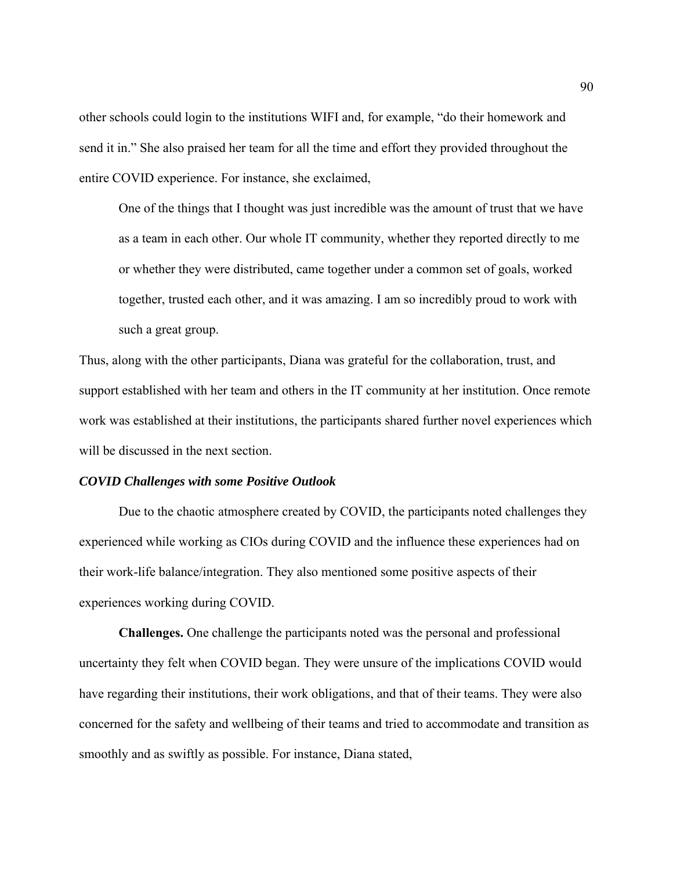other schools could login to the institutions WIFI and, for example, "do their homework and send it in." She also praised her team for all the time and effort they provided throughout the entire COVID experience. For instance, she exclaimed,

One of the things that I thought was just incredible was the amount of trust that we have as a team in each other. Our whole IT community, whether they reported directly to me or whether they were distributed, came together under a common set of goals, worked together, trusted each other, and it was amazing. I am so incredibly proud to work with such a great group.

Thus, along with the other participants, Diana was grateful for the collaboration, trust, and support established with her team and others in the IT community at her institution. Once remote work was established at their institutions, the participants shared further novel experiences which will be discussed in the next section.

#### *COVID Challenges with some Positive Outlook*

Due to the chaotic atmosphere created by COVID, the participants noted challenges they experienced while working as CIOs during COVID and the influence these experiences had on their work-life balance/integration. They also mentioned some positive aspects of their experiences working during COVID.

**Challenges.** One challenge the participants noted was the personal and professional uncertainty they felt when COVID began. They were unsure of the implications COVID would have regarding their institutions, their work obligations, and that of their teams. They were also concerned for the safety and wellbeing of their teams and tried to accommodate and transition as smoothly and as swiftly as possible. For instance, Diana stated,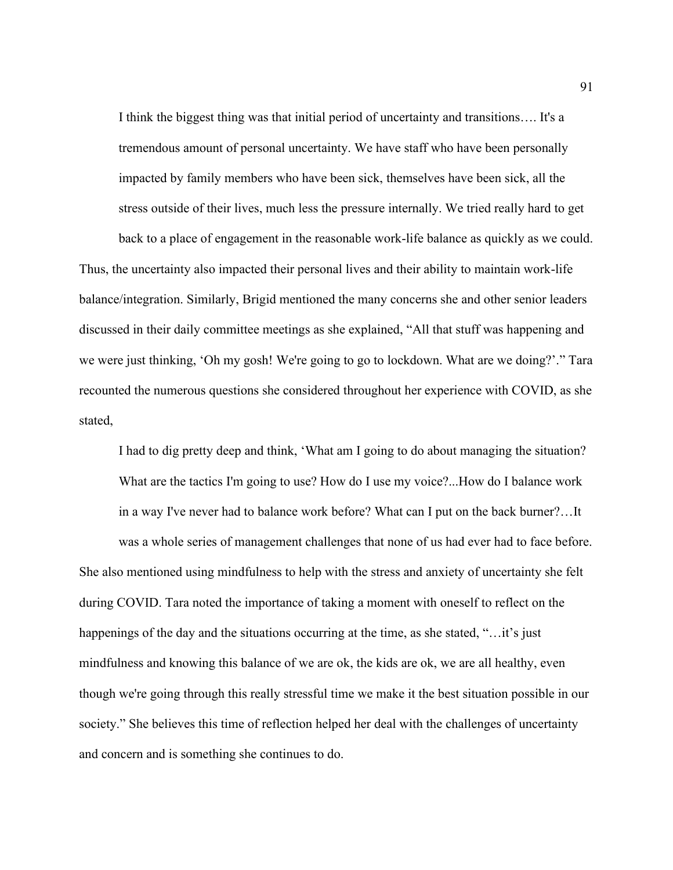I think the biggest thing was that initial period of uncertainty and transitions…. It's a tremendous amount of personal uncertainty. We have staff who have been personally impacted by family members who have been sick, themselves have been sick, all the stress outside of their lives, much less the pressure internally. We tried really hard to get

back to a place of engagement in the reasonable work-life balance as quickly as we could. Thus, the uncertainty also impacted their personal lives and their ability to maintain work-life balance/integration. Similarly, Brigid mentioned the many concerns she and other senior leaders discussed in their daily committee meetings as she explained, "All that stuff was happening and we were just thinking, 'Oh my gosh! We're going to go to lockdown. What are we doing?'." Tara recounted the numerous questions she considered throughout her experience with COVID, as she stated,

I had to dig pretty deep and think, 'What am I going to do about managing the situation? What are the tactics I'm going to use? How do I use my voice?...How do I balance work in a way I've never had to balance work before? What can I put on the back burner?…It

was a whole series of management challenges that none of us had ever had to face before. She also mentioned using mindfulness to help with the stress and anxiety of uncertainty she felt during COVID. Tara noted the importance of taking a moment with oneself to reflect on the happenings of the day and the situations occurring at the time, as she stated, "... it's just mindfulness and knowing this balance of we are ok, the kids are ok, we are all healthy, even though we're going through this really stressful time we make it the best situation possible in our society." She believes this time of reflection helped her deal with the challenges of uncertainty and concern and is something she continues to do.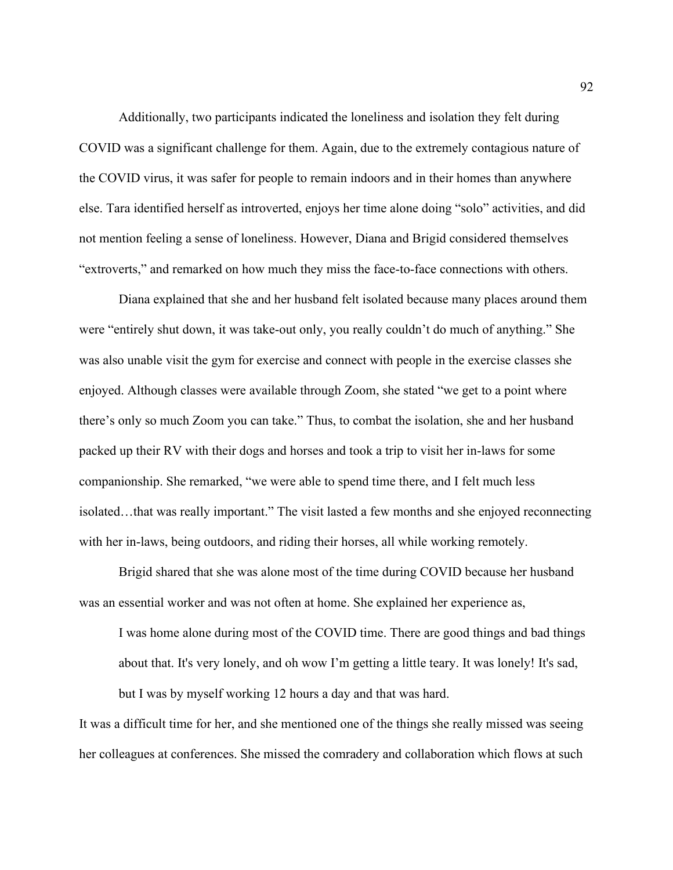Additionally, two participants indicated the loneliness and isolation they felt during COVID was a significant challenge for them. Again, due to the extremely contagious nature of the COVID virus, it was safer for people to remain indoors and in their homes than anywhere else. Tara identified herself as introverted, enjoys her time alone doing "solo" activities, and did not mention feeling a sense of loneliness. However, Diana and Brigid considered themselves "extroverts," and remarked on how much they miss the face-to-face connections with others.

Diana explained that she and her husband felt isolated because many places around them were "entirely shut down, it was take-out only, you really couldn't do much of anything." She was also unable visit the gym for exercise and connect with people in the exercise classes she enjoyed. Although classes were available through Zoom, she stated "we get to a point where there's only so much Zoom you can take." Thus, to combat the isolation, she and her husband packed up their RV with their dogs and horses and took a trip to visit her in-laws for some companionship. She remarked, "we were able to spend time there, and I felt much less isolated…that was really important." The visit lasted a few months and she enjoyed reconnecting with her in-laws, being outdoors, and riding their horses, all while working remotely.

Brigid shared that she was alone most of the time during COVID because her husband was an essential worker and was not often at home. She explained her experience as,

I was home alone during most of the COVID time. There are good things and bad things about that. It's very lonely, and oh wow I'm getting a little teary. It was lonely! It's sad,

but I was by myself working 12 hours a day and that was hard.

It was a difficult time for her, and she mentioned one of the things she really missed was seeing her colleagues at conferences. She missed the comradery and collaboration which flows at such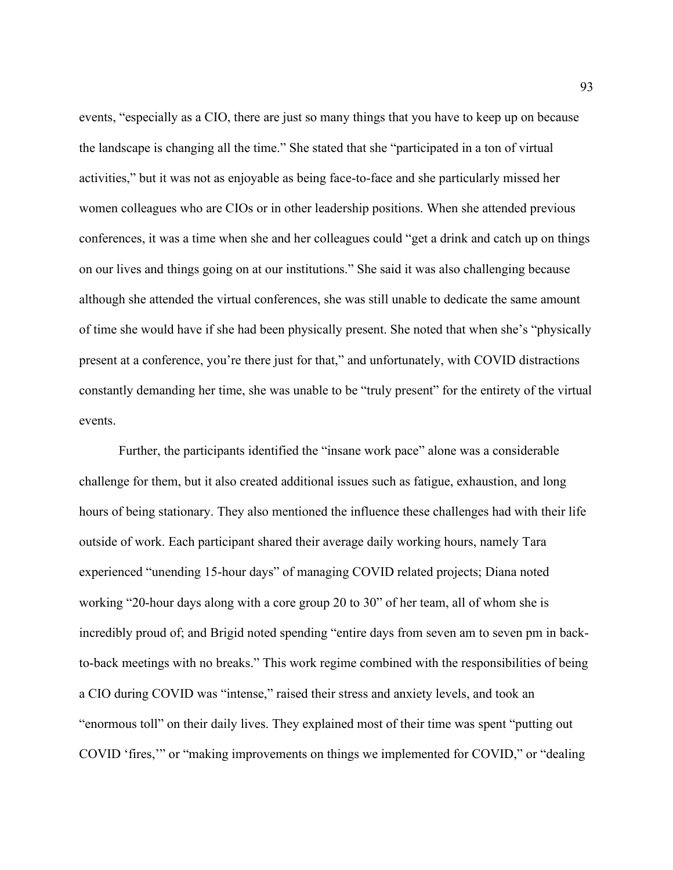events, "especially as a CIO, there are just so many things that you have to keep up on because the landscape is changing all the time." She stated that she "participated in a ton of virtual activities," but it was not as enjoyable as being face-to-face and she particularly missed her women colleagues who are CIOs or in other leadership positions. When she attended previous conferences, it was a time when she and her colleagues could "get a drink and catch up on things on our lives and things going on at our institutions." She said it was also challenging because although she attended the virtual conferences, she was still unable to dedicate the same amount of time she would have if she had been physically present. She noted that when she's "physically present at a conference, you're there just for that," and unfortunately, with COVID distractions constantly demanding her time, she was unable to be "truly present" for the entirety of the virtual events.

Further, the participants identified the "insane work pace" alone was a considerable challenge for them, but it also created additional issues such as fatigue, exhaustion, and long hours of being stationary. They also mentioned the influence these challenges had with their life outside of work. Each participant shared their average daily working hours, namely Tara experienced "unending 15-hour days" of managing COVID related projects; Diana noted working "20-hour days along with a core group 20 to 30" of her team, all of whom she is incredibly proud of; and Brigid noted spending "entire days from seven am to seven pm in backto-back meetings with no breaks." This work regime combined with the responsibilities of being a CIO during COVID was "intense," raised their stress and anxiety levels, and took an "enormous toll" on their daily lives. They explained most of their time was spent "putting out COVID 'fires,'" or "making improvements on things we implemented for COVID," or "dealing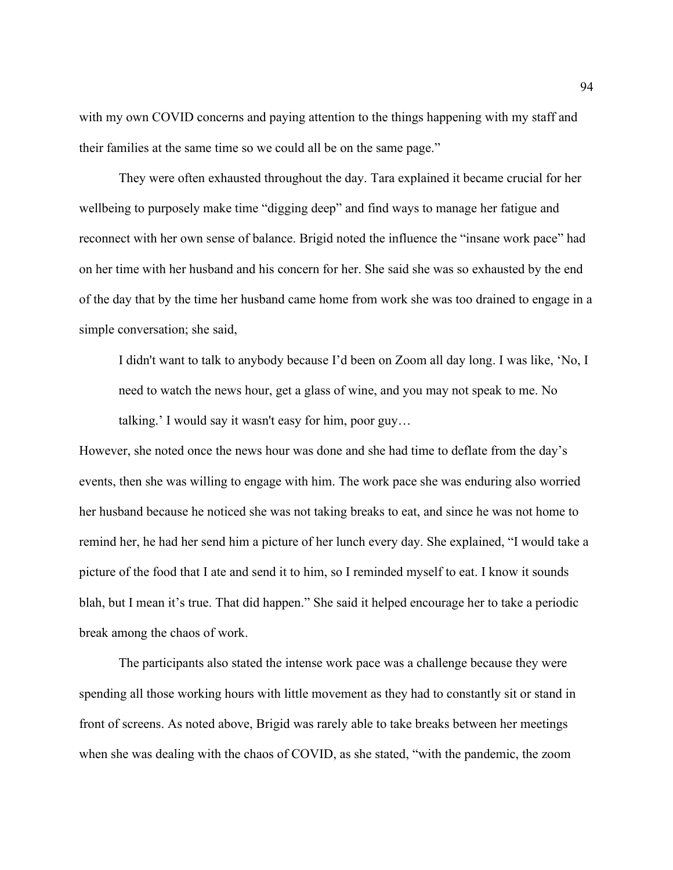with my own COVID concerns and paying attention to the things happening with my staff and their families at the same time so we could all be on the same page."

They were often exhausted throughout the day. Tara explained it became crucial for her wellbeing to purposely make time "digging deep" and find ways to manage her fatigue and reconnect with her own sense of balance. Brigid noted the influence the "insane work pace" had on her time with her husband and his concern for her. She said she was so exhausted by the end of the day that by the time her husband came home from work she was too drained to engage in a simple conversation; she said,

I didn't want to talk to anybody because I'd been on Zoom all day long. I was like, 'No, I need to watch the news hour, get a glass of wine, and you may not speak to me. No talking.' I would say it wasn't easy for him, poor guy…

However, she noted once the news hour was done and she had time to deflate from the day's events, then she was willing to engage with him. The work pace she was enduring also worried her husband because he noticed she was not taking breaks to eat, and since he was not home to remind her, he had her send him a picture of her lunch every day. She explained, "I would take a picture of the food that I ate and send it to him, so I reminded myself to eat. I know it sounds blah, but I mean it's true. That did happen." She said it helped encourage her to take a periodic break among the chaos of work.

The participants also stated the intense work pace was a challenge because they were spending all those working hours with little movement as they had to constantly sit or stand in front of screens. As noted above, Brigid was rarely able to take breaks between her meetings when she was dealing with the chaos of COVID, as she stated, "with the pandemic, the zoom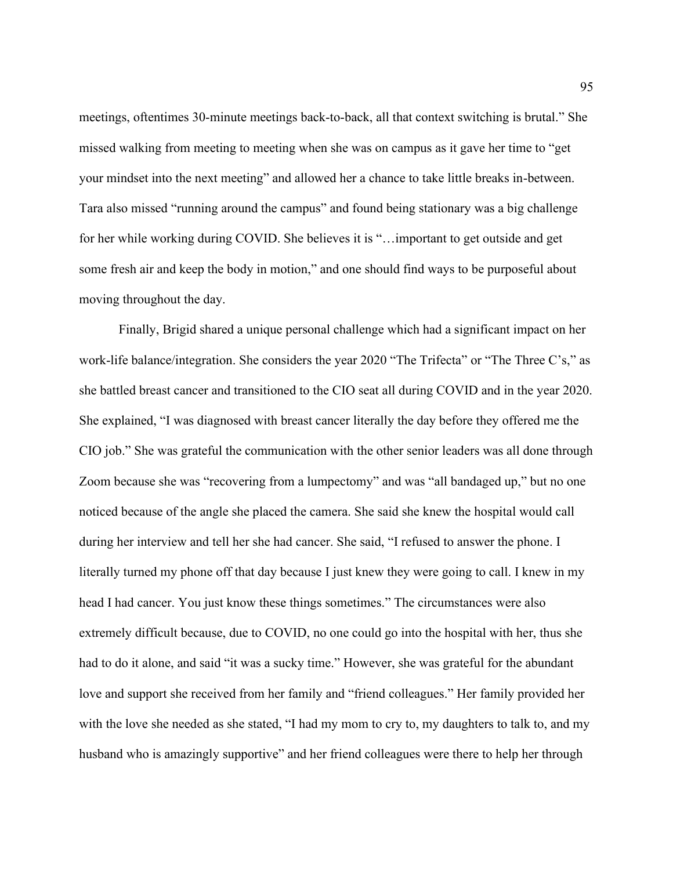meetings, oftentimes 30-minute meetings back-to-back, all that context switching is brutal." She missed walking from meeting to meeting when she was on campus as it gave her time to "get your mindset into the next meeting" and allowed her a chance to take little breaks in-between. Tara also missed "running around the campus" and found being stationary was a big challenge for her while working during COVID. She believes it is "…important to get outside and get some fresh air and keep the body in motion," and one should find ways to be purposeful about moving throughout the day.

Finally, Brigid shared a unique personal challenge which had a significant impact on her work-life balance/integration. She considers the year 2020 "The Trifecta" or "The Three C's," as she battled breast cancer and transitioned to the CIO seat all during COVID and in the year 2020. She explained, "I was diagnosed with breast cancer literally the day before they offered me the CIO job." She was grateful the communication with the other senior leaders was all done through Zoom because she was "recovering from a lumpectomy" and was "all bandaged up," but no one noticed because of the angle she placed the camera. She said she knew the hospital would call during her interview and tell her she had cancer. She said, "I refused to answer the phone. I literally turned my phone off that day because I just knew they were going to call. I knew in my head I had cancer. You just know these things sometimes." The circumstances were also extremely difficult because, due to COVID, no one could go into the hospital with her, thus she had to do it alone, and said "it was a sucky time." However, she was grateful for the abundant love and support she received from her family and "friend colleagues." Her family provided her with the love she needed as she stated, "I had my mom to cry to, my daughters to talk to, and my husband who is amazingly supportive" and her friend colleagues were there to help her through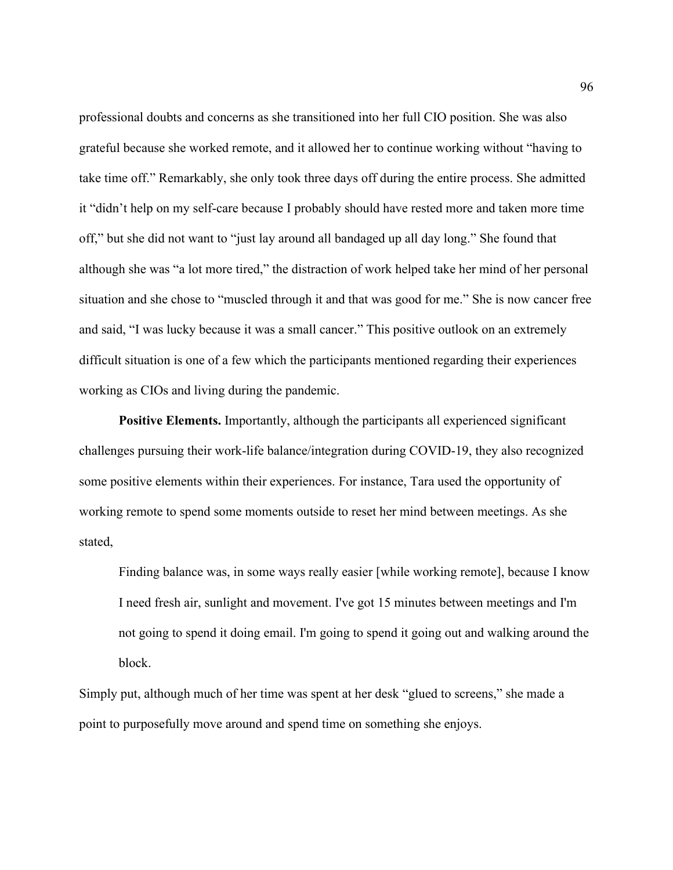professional doubts and concerns as she transitioned into her full CIO position. She was also grateful because she worked remote, and it allowed her to continue working without "having to take time off." Remarkably, she only took three days off during the entire process. She admitted it "didn't help on my self-care because I probably should have rested more and taken more time off," but she did not want to "just lay around all bandaged up all day long." She found that although she was "a lot more tired," the distraction of work helped take her mind of her personal situation and she chose to "muscled through it and that was good for me." She is now cancer free and said, "I was lucky because it was a small cancer." This positive outlook on an extremely difficult situation is one of a few which the participants mentioned regarding their experiences working as CIOs and living during the pandemic.

**Positive Elements.** Importantly, although the participants all experienced significant challenges pursuing their work-life balance/integration during COVID-19, they also recognized some positive elements within their experiences. For instance, Tara used the opportunity of working remote to spend some moments outside to reset her mind between meetings. As she stated,

Finding balance was, in some ways really easier [while working remote], because I know I need fresh air, sunlight and movement. I've got 15 minutes between meetings and I'm not going to spend it doing email. I'm going to spend it going out and walking around the block.

Simply put, although much of her time was spent at her desk "glued to screens," she made a point to purposefully move around and spend time on something she enjoys.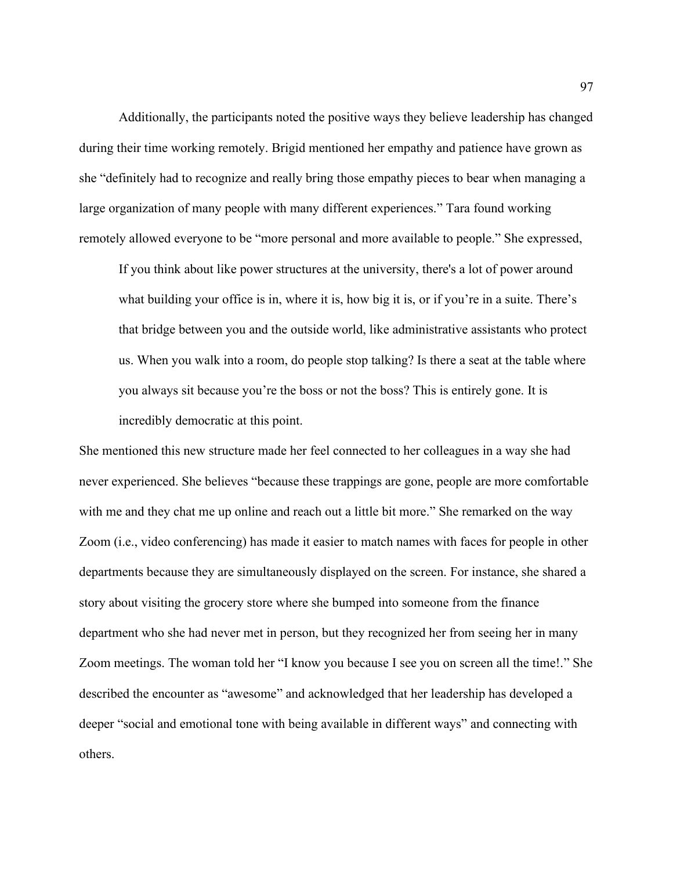Additionally, the participants noted the positive ways they believe leadership has changed during their time working remotely. Brigid mentioned her empathy and patience have grown as she "definitely had to recognize and really bring those empathy pieces to bear when managing a large organization of many people with many different experiences." Tara found working remotely allowed everyone to be "more personal and more available to people." She expressed,

If you think about like power structures at the university, there's a lot of power around what building your office is in, where it is, how big it is, or if you're in a suite. There's that bridge between you and the outside world, like administrative assistants who protect us. When you walk into a room, do people stop talking? Is there a seat at the table where you always sit because you're the boss or not the boss? This is entirely gone. It is incredibly democratic at this point.

She mentioned this new structure made her feel connected to her colleagues in a way she had never experienced. She believes "because these trappings are gone, people are more comfortable with me and they chat me up online and reach out a little bit more." She remarked on the way Zoom (i.e., video conferencing) has made it easier to match names with faces for people in other departments because they are simultaneously displayed on the screen. For instance, she shared a story about visiting the grocery store where she bumped into someone from the finance department who she had never met in person, but they recognized her from seeing her in many Zoom meetings. The woman told her "I know you because I see you on screen all the time!." She described the encounter as "awesome" and acknowledged that her leadership has developed a deeper "social and emotional tone with being available in different ways" and connecting with others.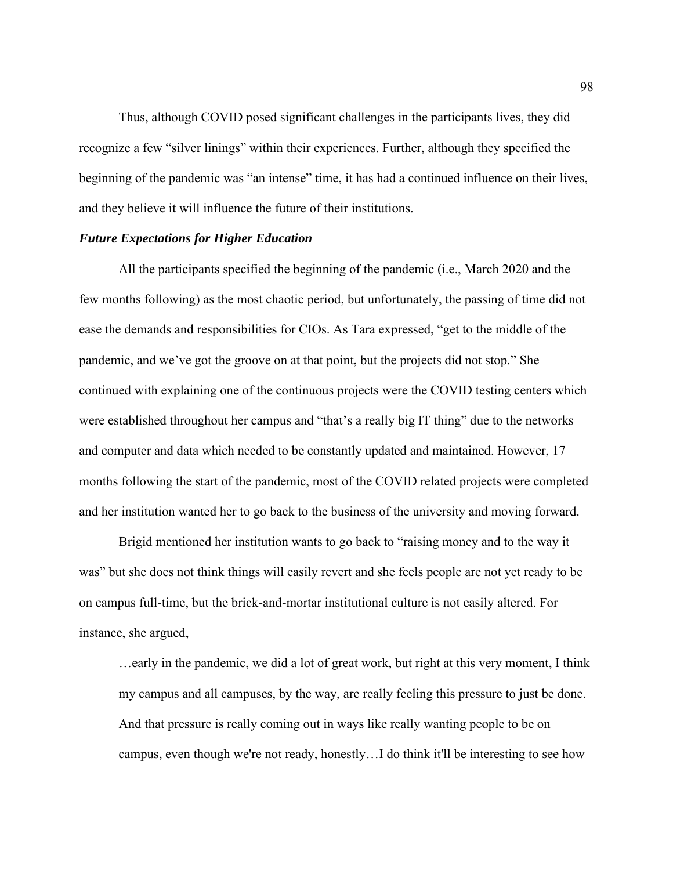Thus, although COVID posed significant challenges in the participants lives, they did recognize a few "silver linings" within their experiences. Further, although they specified the beginning of the pandemic was "an intense" time, it has had a continued influence on their lives, and they believe it will influence the future of their institutions.

## *Future Expectations for Higher Education*

All the participants specified the beginning of the pandemic (i.e., March 2020 and the few months following) as the most chaotic period, but unfortunately, the passing of time did not ease the demands and responsibilities for CIOs. As Tara expressed, "get to the middle of the pandemic, and we've got the groove on at that point, but the projects did not stop." She continued with explaining one of the continuous projects were the COVID testing centers which were established throughout her campus and "that's a really big IT thing" due to the networks and computer and data which needed to be constantly updated and maintained. However, 17 months following the start of the pandemic, most of the COVID related projects were completed and her institution wanted her to go back to the business of the university and moving forward.

Brigid mentioned her institution wants to go back to "raising money and to the way it was" but she does not think things will easily revert and she feels people are not yet ready to be on campus full-time, but the brick-and-mortar institutional culture is not easily altered. For instance, she argued,

…early in the pandemic, we did a lot of great work, but right at this very moment, I think my campus and all campuses, by the way, are really feeling this pressure to just be done. And that pressure is really coming out in ways like really wanting people to be on campus, even though we're not ready, honestly…I do think it'll be interesting to see how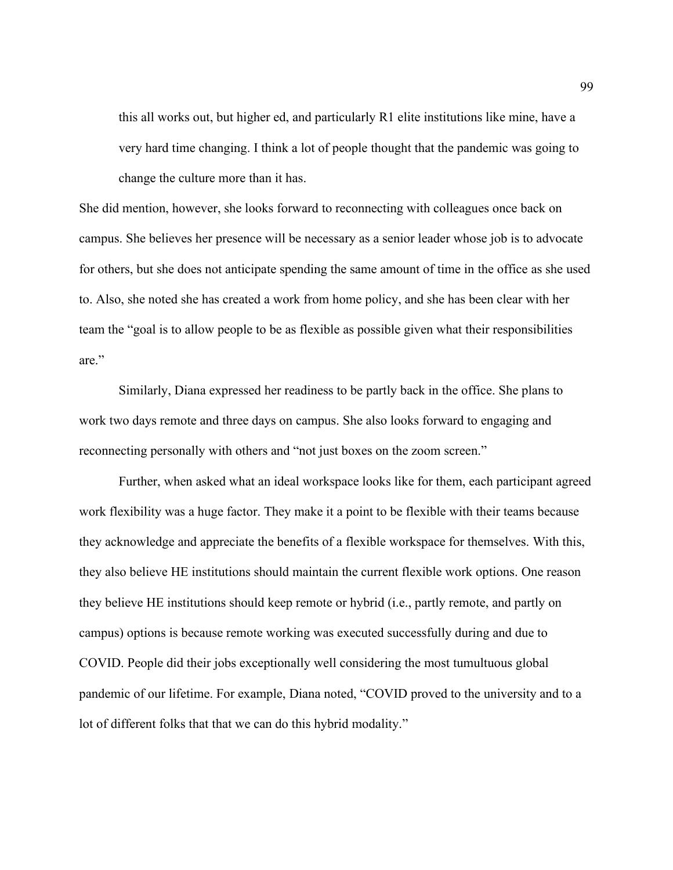this all works out, but higher ed, and particularly R1 elite institutions like mine, have a very hard time changing. I think a lot of people thought that the pandemic was going to change the culture more than it has.

She did mention, however, she looks forward to reconnecting with colleagues once back on campus. She believes her presence will be necessary as a senior leader whose job is to advocate for others, but she does not anticipate spending the same amount of time in the office as she used to. Also, she noted she has created a work from home policy, and she has been clear with her team the "goal is to allow people to be as flexible as possible given what their responsibilities are."

Similarly, Diana expressed her readiness to be partly back in the office. She plans to work two days remote and three days on campus. She also looks forward to engaging and reconnecting personally with others and "not just boxes on the zoom screen."

Further, when asked what an ideal workspace looks like for them, each participant agreed work flexibility was a huge factor. They make it a point to be flexible with their teams because they acknowledge and appreciate the benefits of a flexible workspace for themselves. With this, they also believe HE institutions should maintain the current flexible work options. One reason they believe HE institutions should keep remote or hybrid (i.e., partly remote, and partly on campus) options is because remote working was executed successfully during and due to COVID. People did their jobs exceptionally well considering the most tumultuous global pandemic of our lifetime. For example, Diana noted, "COVID proved to the university and to a lot of different folks that that we can do this hybrid modality."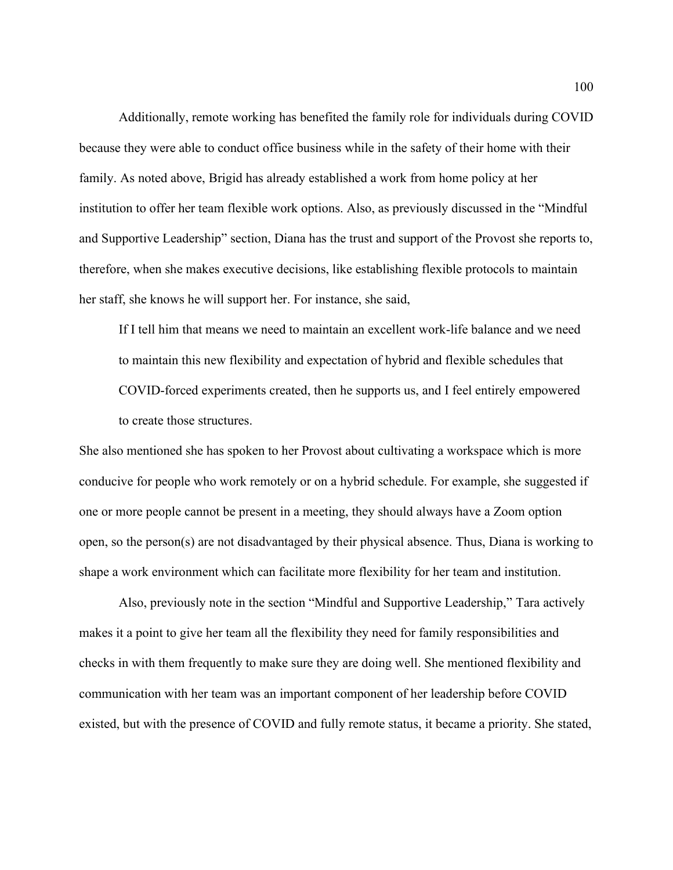Additionally, remote working has benefited the family role for individuals during COVID because they were able to conduct office business while in the safety of their home with their family. As noted above, Brigid has already established a work from home policy at her institution to offer her team flexible work options. Also, as previously discussed in the "Mindful and Supportive Leadership" section, Diana has the trust and support of the Provost she reports to, therefore, when she makes executive decisions, like establishing flexible protocols to maintain her staff, she knows he will support her. For instance, she said,

If I tell him that means we need to maintain an excellent work-life balance and we need to maintain this new flexibility and expectation of hybrid and flexible schedules that COVID-forced experiments created, then he supports us, and I feel entirely empowered to create those structures.

She also mentioned she has spoken to her Provost about cultivating a workspace which is more conducive for people who work remotely or on a hybrid schedule. For example, she suggested if one or more people cannot be present in a meeting, they should always have a Zoom option open, so the person(s) are not disadvantaged by their physical absence. Thus, Diana is working to shape a work environment which can facilitate more flexibility for her team and institution.

Also, previously note in the section "Mindful and Supportive Leadership," Tara actively makes it a point to give her team all the flexibility they need for family responsibilities and checks in with them frequently to make sure they are doing well. She mentioned flexibility and communication with her team was an important component of her leadership before COVID existed, but with the presence of COVID and fully remote status, it became a priority. She stated,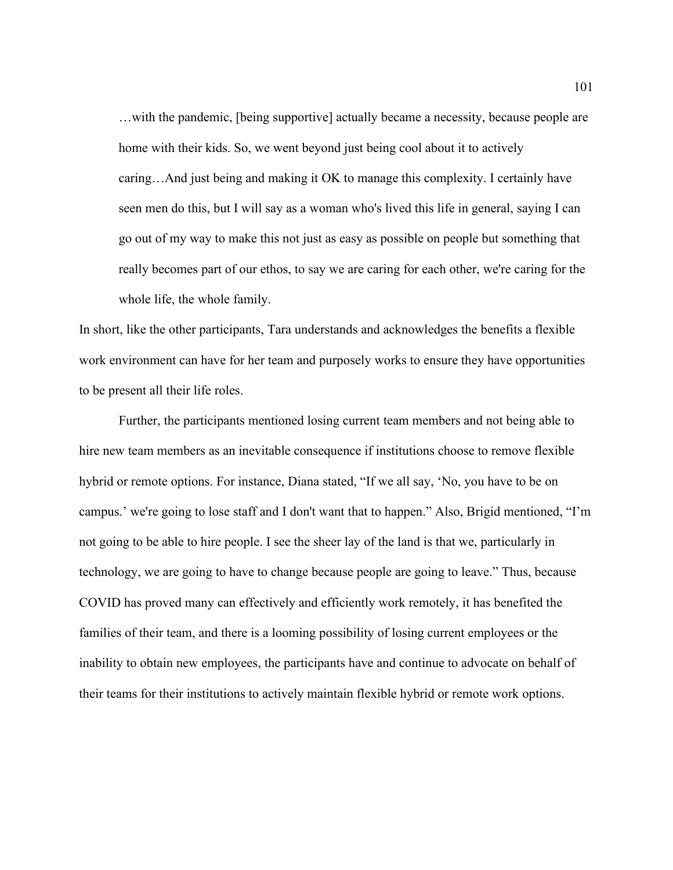…with the pandemic, [being supportive] actually became a necessity, because people are home with their kids. So, we went beyond just being cool about it to actively caring…And just being and making it OK to manage this complexity. I certainly have seen men do this, but I will say as a woman who's lived this life in general, saying I can go out of my way to make this not just as easy as possible on people but something that really becomes part of our ethos, to say we are caring for each other, we're caring for the whole life, the whole family.

In short, like the other participants, Tara understands and acknowledges the benefits a flexible work environment can have for her team and purposely works to ensure they have opportunities to be present all their life roles.

Further, the participants mentioned losing current team members and not being able to hire new team members as an inevitable consequence if institutions choose to remove flexible hybrid or remote options. For instance, Diana stated, "If we all say, 'No, you have to be on campus.' we're going to lose staff and I don't want that to happen." Also, Brigid mentioned, "I'm not going to be able to hire people. I see the sheer lay of the land is that we, particularly in technology, we are going to have to change because people are going to leave." Thus, because COVID has proved many can effectively and efficiently work remotely, it has benefited the families of their team, and there is a looming possibility of losing current employees or the inability to obtain new employees, the participants have and continue to advocate on behalf of their teams for their institutions to actively maintain flexible hybrid or remote work options.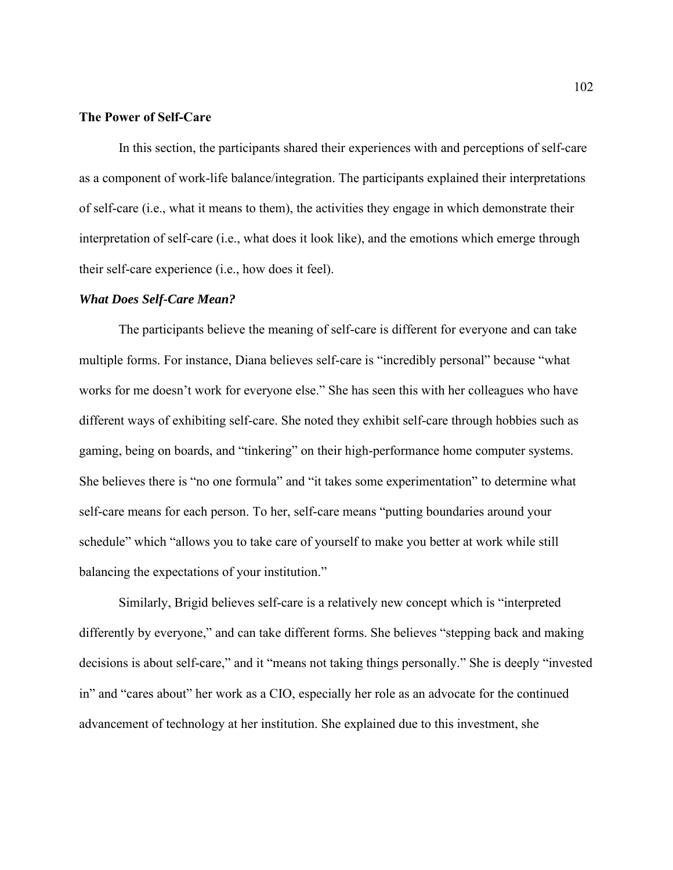# **The Power of Self-Care**

In this section, the participants shared their experiences with and perceptions of self-care as a component of work-life balance/integration. The participants explained their interpretations of self-care (i.e., what it means to them), the activities they engage in which demonstrate their interpretation of self-care (i.e., what does it look like), and the emotions which emerge through their self-care experience (i.e., how does it feel).

## *What Does Self-Care Mean?*

The participants believe the meaning of self-care is different for everyone and can take multiple forms. For instance, Diana believes self-care is "incredibly personal" because "what works for me doesn't work for everyone else." She has seen this with her colleagues who have different ways of exhibiting self-care. She noted they exhibit self-care through hobbies such as gaming, being on boards, and "tinkering" on their high-performance home computer systems. She believes there is "no one formula" and "it takes some experimentation" to determine what self-care means for each person. To her, self-care means "putting boundaries around your schedule" which "allows you to take care of yourself to make you better at work while still balancing the expectations of your institution."

Similarly, Brigid believes self-care is a relatively new concept which is "interpreted differently by everyone," and can take different forms. She believes "stepping back and making decisions is about self-care," and it "means not taking things personally." She is deeply "invested in" and "cares about" her work as a CIO, especially her role as an advocate for the continued advancement of technology at her institution. She explained due to this investment, she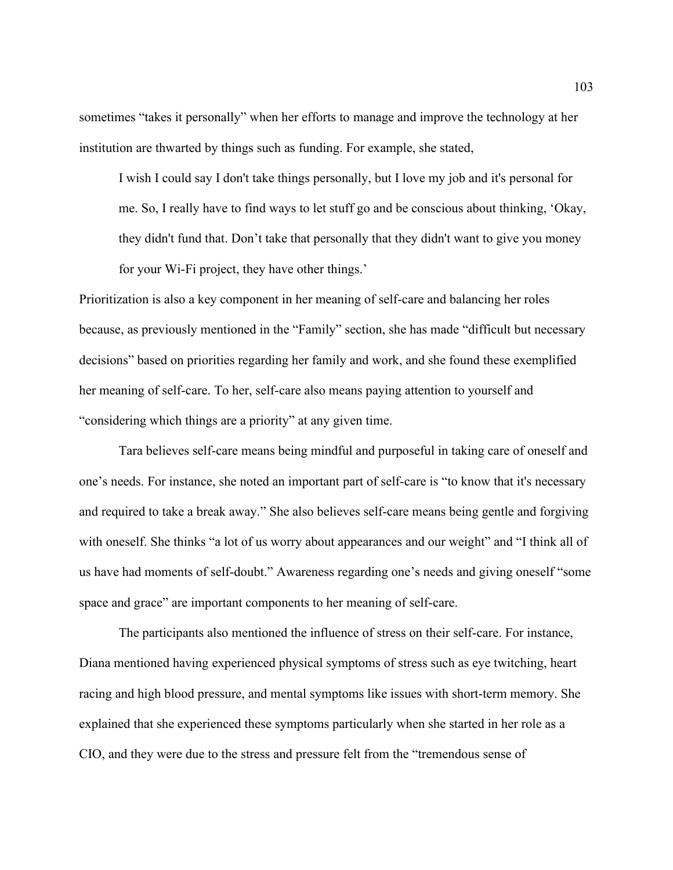sometimes "takes it personally" when her efforts to manage and improve the technology at her institution are thwarted by things such as funding. For example, she stated,

I wish I could say I don't take things personally, but I love my job and it's personal for me. So, I really have to find ways to let stuff go and be conscious about thinking, 'Okay, they didn't fund that. Don't take that personally that they didn't want to give you money for your Wi-Fi project, they have other things.'

Prioritization is also a key component in her meaning of self-care and balancing her roles because, as previously mentioned in the "Family" section, she has made "difficult but necessary decisions" based on priorities regarding her family and work, and she found these exemplified her meaning of self-care. To her, self-care also means paying attention to yourself and "considering which things are a priority" at any given time.

Tara believes self-care means being mindful and purposeful in taking care of oneself and one's needs. For instance, she noted an important part of self-care is "to know that it's necessary and required to take a break away." She also believes self-care means being gentle and forgiving with oneself. She thinks "a lot of us worry about appearances and our weight" and "I think all of us have had moments of self-doubt." Awareness regarding one's needs and giving oneself "some space and grace" are important components to her meaning of self-care.

The participants also mentioned the influence of stress on their self-care. For instance, Diana mentioned having experienced physical symptoms of stress such as eye twitching, heart racing and high blood pressure, and mental symptoms like issues with short-term memory. She explained that she experienced these symptoms particularly when she started in her role as a CIO, and they were due to the stress and pressure felt from the "tremendous sense of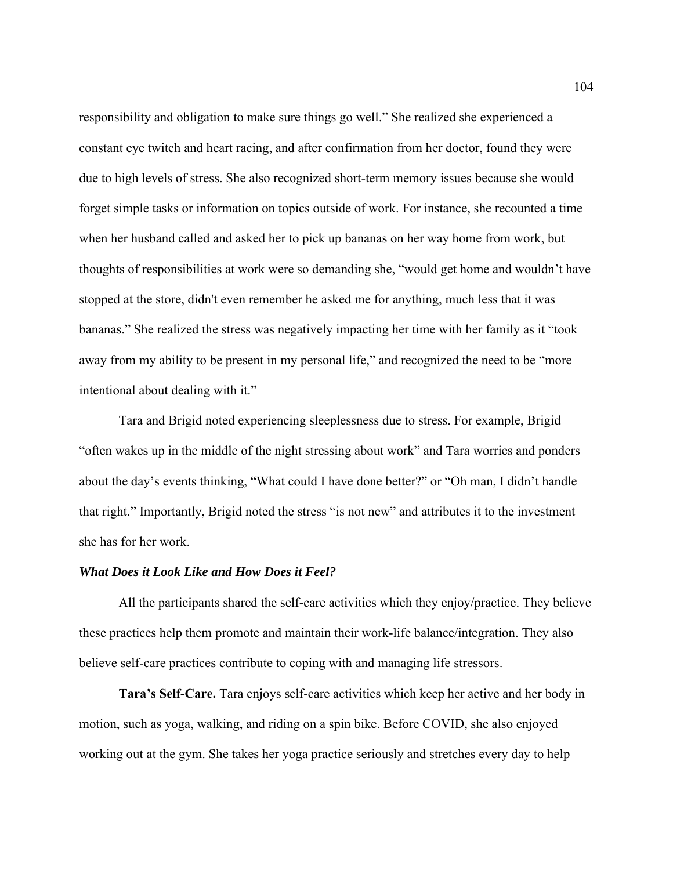responsibility and obligation to make sure things go well." She realized she experienced a constant eye twitch and heart racing, and after confirmation from her doctor, found they were due to high levels of stress. She also recognized short-term memory issues because she would forget simple tasks or information on topics outside of work. For instance, she recounted a time when her husband called and asked her to pick up bananas on her way home from work, but thoughts of responsibilities at work were so demanding she, "would get home and wouldn't have stopped at the store, didn't even remember he asked me for anything, much less that it was bananas." She realized the stress was negatively impacting her time with her family as it "took away from my ability to be present in my personal life," and recognized the need to be "more intentional about dealing with it."

Tara and Brigid noted experiencing sleeplessness due to stress. For example, Brigid "often wakes up in the middle of the night stressing about work" and Tara worries and ponders about the day's events thinking, "What could I have done better?" or "Oh man, I didn't handle that right." Importantly, Brigid noted the stress "is not new" and attributes it to the investment she has for her work.

## *What Does it Look Like and How Does it Feel?*

All the participants shared the self-care activities which they enjoy/practice. They believe these practices help them promote and maintain their work-life balance/integration. They also believe self-care practices contribute to coping with and managing life stressors.

**Tara's Self-Care.** Tara enjoys self-care activities which keep her active and her body in motion, such as yoga, walking, and riding on a spin bike. Before COVID, she also enjoyed working out at the gym. She takes her yoga practice seriously and stretches every day to help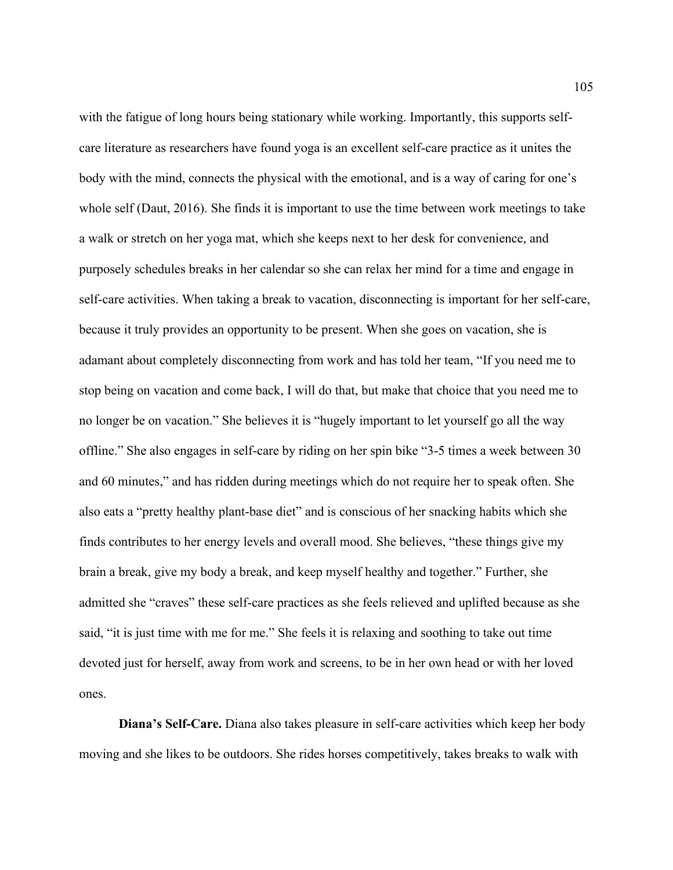with the fatigue of long hours being stationary while working. Importantly, this supports selfcare literature as researchers have found yoga is an excellent self-care practice as it unites the body with the mind, connects the physical with the emotional, and is a way of caring for one's whole self (Daut, 2016). She finds it is important to use the time between work meetings to take a walk or stretch on her yoga mat, which she keeps next to her desk for convenience, and purposely schedules breaks in her calendar so she can relax her mind for a time and engage in self-care activities. When taking a break to vacation, disconnecting is important for her self-care, because it truly provides an opportunity to be present. When she goes on vacation, she is adamant about completely disconnecting from work and has told her team, "If you need me to stop being on vacation and come back, I will do that, but make that choice that you need me to no longer be on vacation." She believes it is "hugely important to let yourself go all the way offline." She also engages in self-care by riding on her spin bike "3-5 times a week between 30 and 60 minutes," and has ridden during meetings which do not require her to speak often. She also eats a "pretty healthy plant-base diet" and is conscious of her snacking habits which she finds contributes to her energy levels and overall mood. She believes, "these things give my brain a break, give my body a break, and keep myself healthy and together." Further, she admitted she "craves" these self-care practices as she feels relieved and uplifted because as she said, "it is just time with me for me." She feels it is relaxing and soothing to take out time devoted just for herself, away from work and screens, to be in her own head or with her loved ones.

**Diana's Self-Care.** Diana also takes pleasure in self-care activities which keep her body moving and she likes to be outdoors. She rides horses competitively, takes breaks to walk with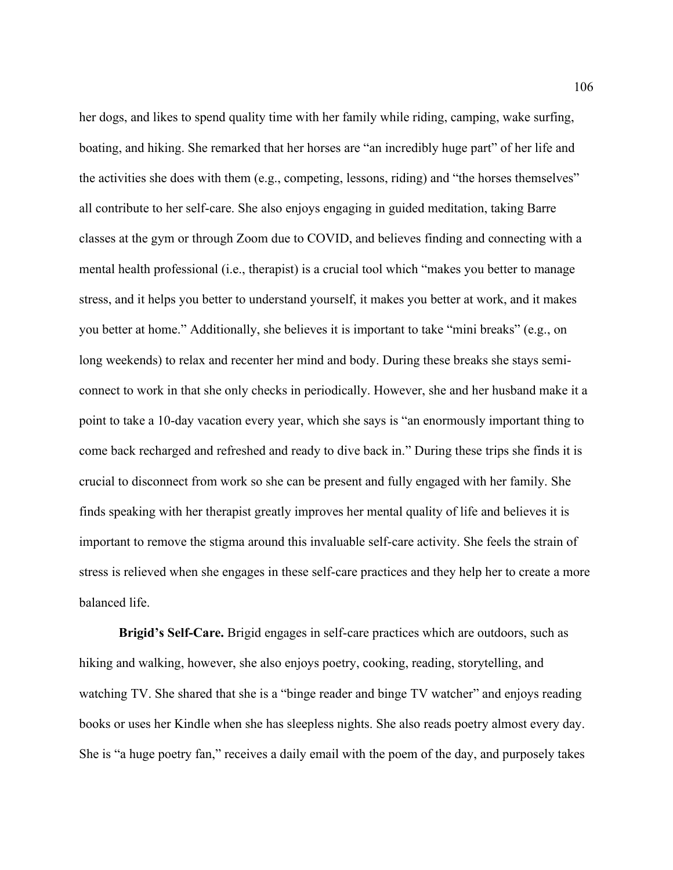her dogs, and likes to spend quality time with her family while riding, camping, wake surfing, boating, and hiking. She remarked that her horses are "an incredibly huge part" of her life and the activities she does with them (e.g., competing, lessons, riding) and "the horses themselves" all contribute to her self-care. She also enjoys engaging in guided meditation, taking Barre classes at the gym or through Zoom due to COVID, and believes finding and connecting with a mental health professional (i.e., therapist) is a crucial tool which "makes you better to manage stress, and it helps you better to understand yourself, it makes you better at work, and it makes you better at home." Additionally, she believes it is important to take "mini breaks" (e.g., on long weekends) to relax and recenter her mind and body. During these breaks she stays semiconnect to work in that she only checks in periodically. However, she and her husband make it a point to take a 10-day vacation every year, which she says is "an enormously important thing to come back recharged and refreshed and ready to dive back in." During these trips she finds it is crucial to disconnect from work so she can be present and fully engaged with her family. She finds speaking with her therapist greatly improves her mental quality of life and believes it is important to remove the stigma around this invaluable self-care activity. She feels the strain of stress is relieved when she engages in these self-care practices and they help her to create a more balanced life.

**Brigid's Self-Care.** Brigid engages in self-care practices which are outdoors, such as hiking and walking, however, she also enjoys poetry, cooking, reading, storytelling, and watching TV. She shared that she is a "binge reader and binge TV watcher" and enjoys reading books or uses her Kindle when she has sleepless nights. She also reads poetry almost every day. She is "a huge poetry fan," receives a daily email with the poem of the day, and purposely takes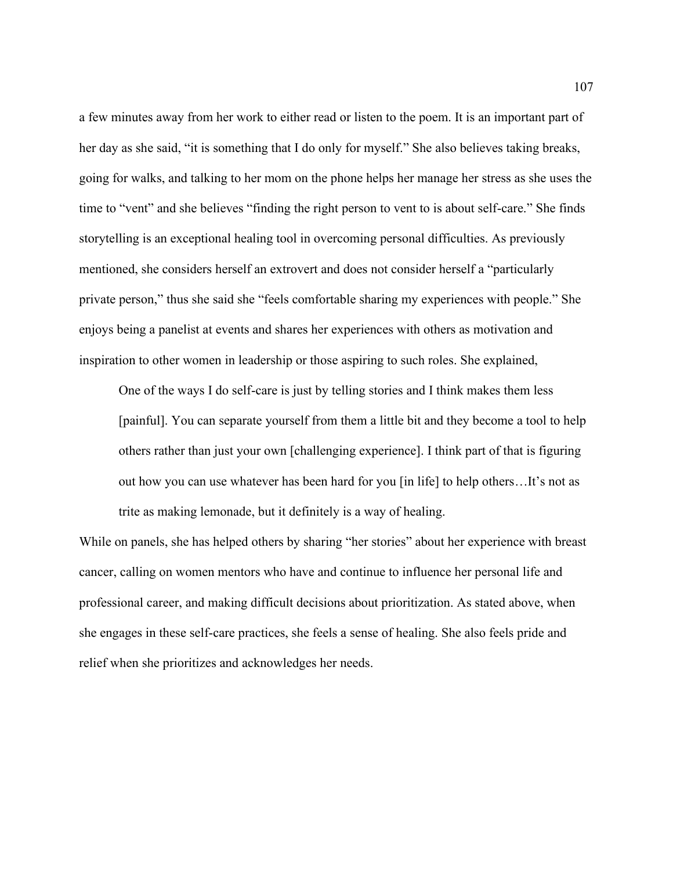a few minutes away from her work to either read or listen to the poem. It is an important part of her day as she said, "it is something that I do only for myself." She also believes taking breaks, going for walks, and talking to her mom on the phone helps her manage her stress as she uses the time to "vent" and she believes "finding the right person to vent to is about self-care." She finds storytelling is an exceptional healing tool in overcoming personal difficulties. As previously mentioned, she considers herself an extrovert and does not consider herself a "particularly private person," thus she said she "feels comfortable sharing my experiences with people." She enjoys being a panelist at events and shares her experiences with others as motivation and inspiration to other women in leadership or those aspiring to such roles. She explained,

One of the ways I do self-care is just by telling stories and I think makes them less [painful]. You can separate yourself from them a little bit and they become a tool to help others rather than just your own [challenging experience]. I think part of that is figuring out how you can use whatever has been hard for you [in life] to help others…It's not as trite as making lemonade, but it definitely is a way of healing.

While on panels, she has helped others by sharing "her stories" about her experience with breast cancer, calling on women mentors who have and continue to influence her personal life and professional career, and making difficult decisions about prioritization. As stated above, when she engages in these self-care practices, she feels a sense of healing. She also feels pride and relief when she prioritizes and acknowledges her needs.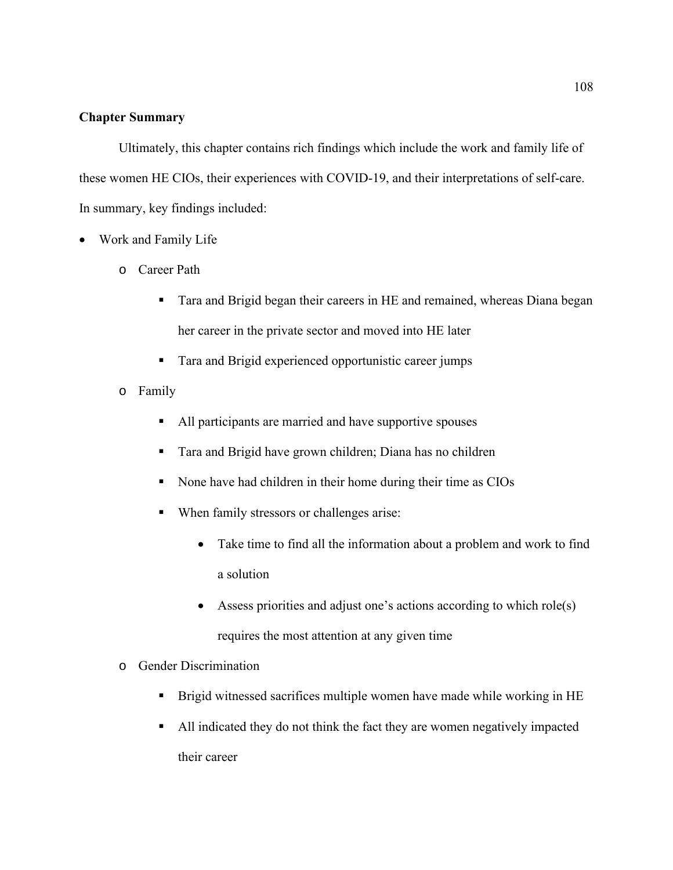# **Chapter Summary**

Ultimately, this chapter contains rich findings which include the work and family life of these women HE CIOs, their experiences with COVID-19, and their interpretations of self-care. In summary, key findings included:

- Work and Family Life
	- o Career Path
		- **Tara and Brigid began their careers in HE and remained, whereas Diana began** her career in the private sector and moved into HE later
		- **Tara and Brigid experienced opportunistic career jumps**
	- o Family
		- All participants are married and have supportive spouses
		- Tara and Brigid have grown children; Diana has no children
		- None have had children in their home during their time as CIOs
		- When family stressors or challenges arise:
			- Take time to find all the information about a problem and work to find a solution
			- Assess priorities and adjust one's actions according to which role(s) requires the most attention at any given time
	- o Gender Discrimination
		- Brigid witnessed sacrifices multiple women have made while working in HE
		- All indicated they do not think the fact they are women negatively impacted their career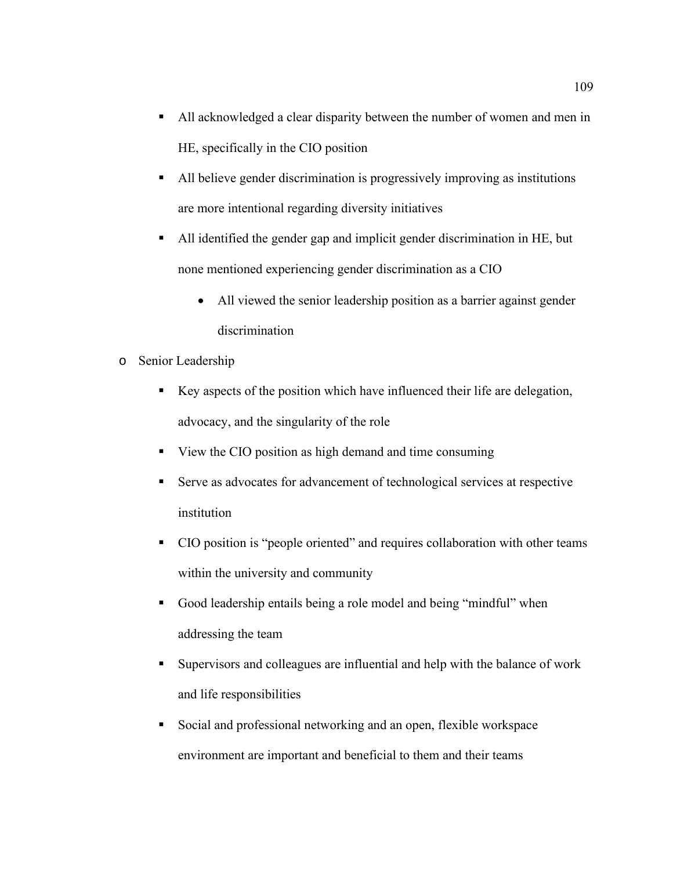- All acknowledged a clear disparity between the number of women and men in HE, specifically in the CIO position
- All believe gender discrimination is progressively improving as institutions are more intentional regarding diversity initiatives
- All identified the gender gap and implicit gender discrimination in HE, but none mentioned experiencing gender discrimination as a CIO
	- All viewed the senior leadership position as a barrier against gender discrimination
- o Senior Leadership
	- Key aspects of the position which have influenced their life are delegation, advocacy, and the singularity of the role
	- View the CIO position as high demand and time consuming
	- Serve as advocates for advancement of technological services at respective institution
	- CIO position is "people oriented" and requires collaboration with other teams within the university and community
	- Good leadership entails being a role model and being "mindful" when addressing the team
	- Supervisors and colleagues are influential and help with the balance of work and life responsibilities
	- Social and professional networking and an open, flexible workspace environment are important and beneficial to them and their teams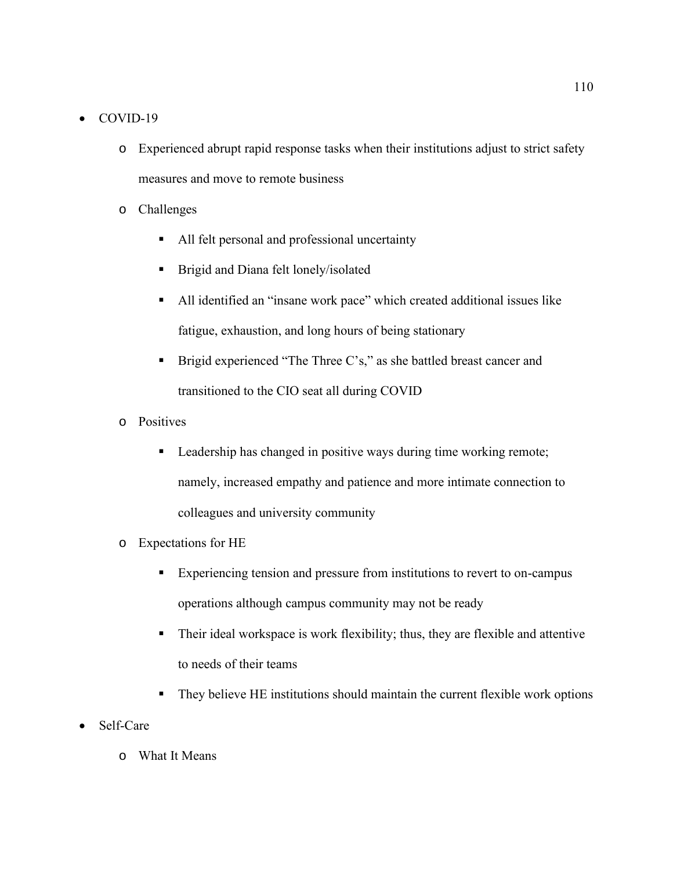# • COVID-19

- o Experienced abrupt rapid response tasks when their institutions adjust to strict safety measures and move to remote business
- o Challenges
	- All felt personal and professional uncertainty
	- Brigid and Diana felt lonely/isolated
	- All identified an "insane work pace" which created additional issues like fatigue, exhaustion, and long hours of being stationary
	- Brigid experienced "The Three C's," as she battled breast cancer and transitioned to the CIO seat all during COVID
- o Positives
	- Leadership has changed in positive ways during time working remote; namely, increased empathy and patience and more intimate connection to colleagues and university community
- o Expectations for HE
	- Experiencing tension and pressure from institutions to revert to on-campus operations although campus community may not be ready
	- **Their ideal workspace is work flexibility; thus, they are flexible and attentive** to needs of their teams
	- **•** They believe HE institutions should maintain the current flexible work options
- Self-Care
	- o What It Means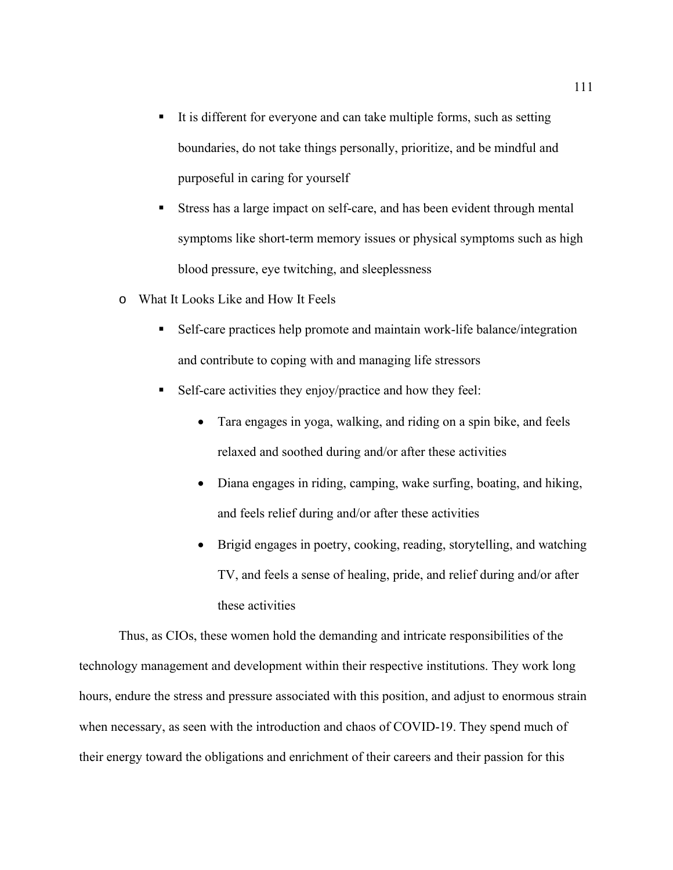- It is different for everyone and can take multiple forms, such as setting boundaries, do not take things personally, prioritize, and be mindful and purposeful in caring for yourself
- Stress has a large impact on self-care, and has been evident through mental symptoms like short-term memory issues or physical symptoms such as high blood pressure, eye twitching, and sleeplessness
- o What It Looks Like and How It Feels
	- Self-care practices help promote and maintain work-life balance/integration and contribute to coping with and managing life stressors
	- Self-care activities they enjoy/practice and how they feel:
		- Tara engages in yoga, walking, and riding on a spin bike, and feels relaxed and soothed during and/or after these activities
		- Diana engages in riding, camping, wake surfing, boating, and hiking, and feels relief during and/or after these activities
		- Brigid engages in poetry, cooking, reading, storytelling, and watching TV, and feels a sense of healing, pride, and relief during and/or after these activities

Thus, as CIOs, these women hold the demanding and intricate responsibilities of the technology management and development within their respective institutions. They work long hours, endure the stress and pressure associated with this position, and adjust to enormous strain when necessary, as seen with the introduction and chaos of COVID-19. They spend much of their energy toward the obligations and enrichment of their careers and their passion for this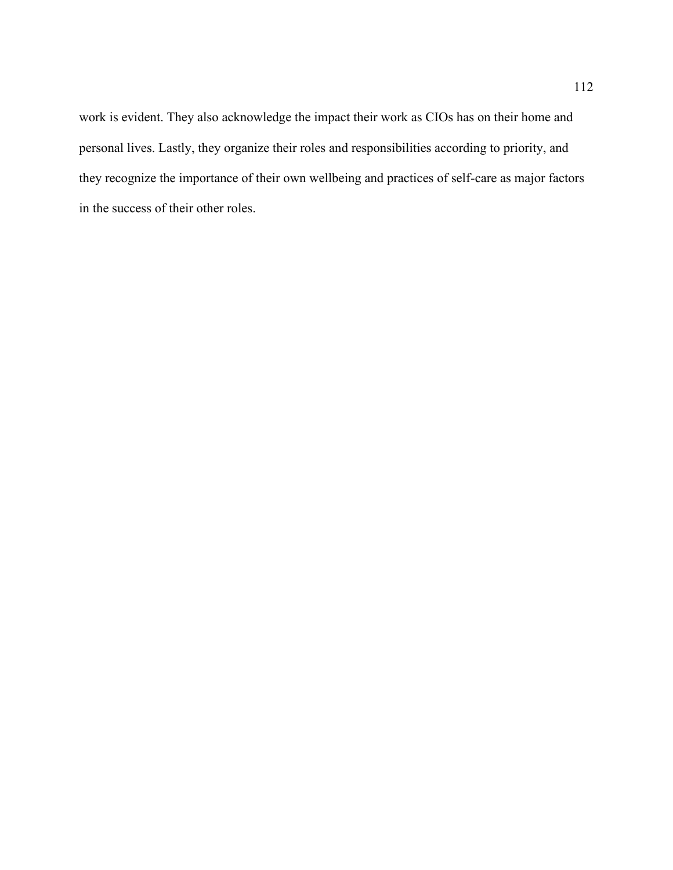work is evident. They also acknowledge the impact their work as CIOs has on their home and personal lives. Lastly, they organize their roles and responsibilities according to priority, and they recognize the importance of their own wellbeing and practices of self-care as major factors in the success of their other roles.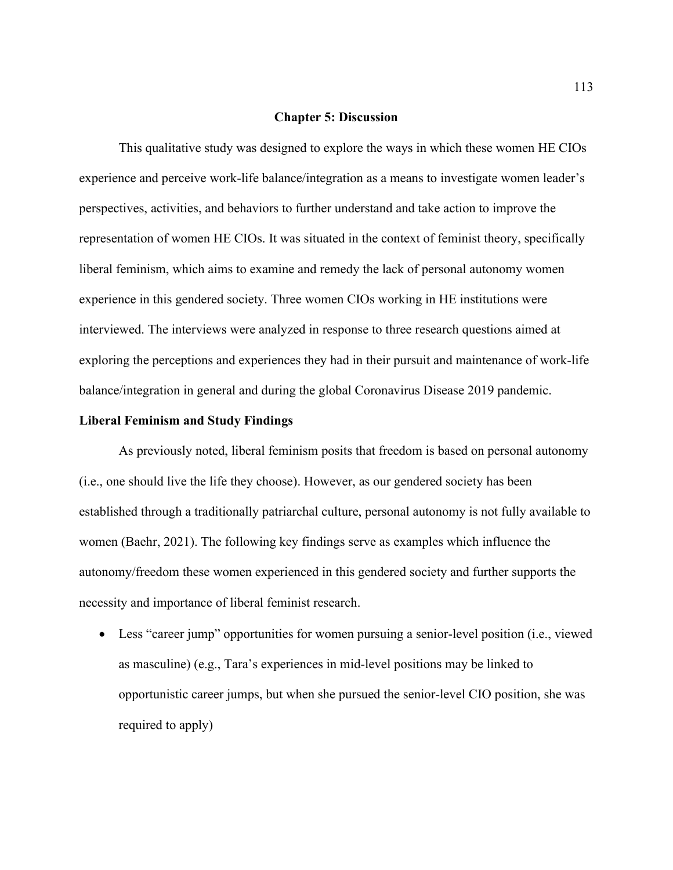#### **Chapter 5: Discussion**

This qualitative study was designed to explore the ways in which these women HE CIOs experience and perceive work-life balance/integration as a means to investigate women leader's perspectives, activities, and behaviors to further understand and take action to improve the representation of women HE CIOs. It was situated in the context of feminist theory, specifically liberal feminism, which aims to examine and remedy the lack of personal autonomy women experience in this gendered society. Three women CIOs working in HE institutions were interviewed. The interviews were analyzed in response to three research questions aimed at exploring the perceptions and experiences they had in their pursuit and maintenance of work-life balance/integration in general and during the global Coronavirus Disease 2019 pandemic.

## **Liberal Feminism and Study Findings**

As previously noted, liberal feminism posits that freedom is based on personal autonomy (i.e., one should live the life they choose). However, as our gendered society has been established through a traditionally patriarchal culture, personal autonomy is not fully available to women (Baehr, 2021). The following key findings serve as examples which influence the autonomy/freedom these women experienced in this gendered society and further supports the necessity and importance of liberal feminist research.

• Less "career jump" opportunities for women pursuing a senior-level position (i.e., viewed as masculine) (e.g., Tara's experiences in mid-level positions may be linked to opportunistic career jumps, but when she pursued the senior-level CIO position, she was required to apply)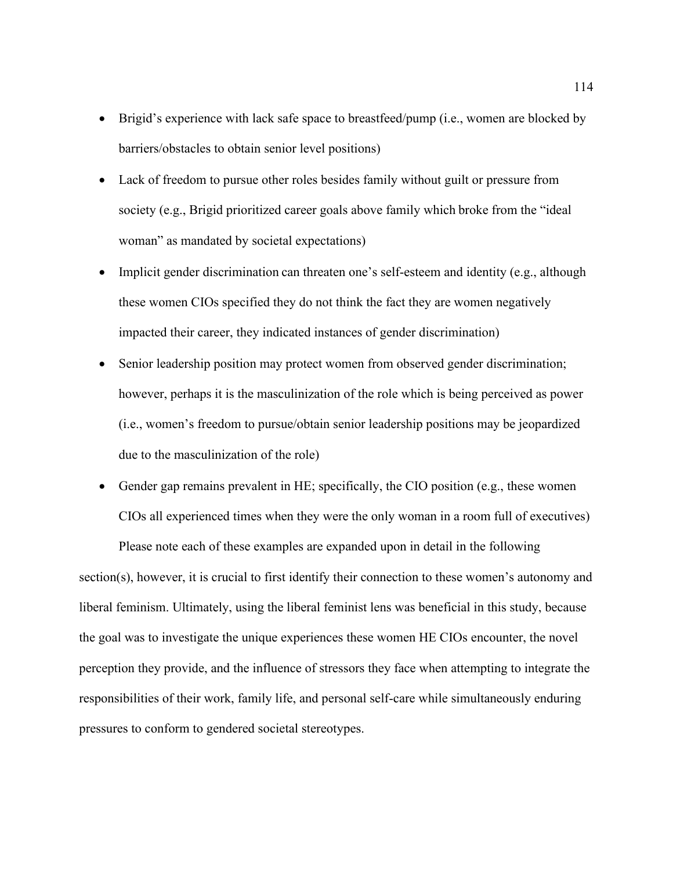- Brigid's experience with lack safe space to breastfeed/pump (i.e., women are blocked by barriers/obstacles to obtain senior level positions)
- Lack of freedom to pursue other roles besides family without guilt or pressure from society (e.g., Brigid prioritized career goals above family which broke from the "ideal woman" as mandated by societal expectations)
- Implicit gender discrimination can threaten one's self-esteem and identity (e.g., although these women CIOs specified they do not think the fact they are women negatively impacted their career, they indicated instances of gender discrimination)
- Senior leadership position may protect women from observed gender discrimination; however, perhaps it is the masculinization of the role which is being perceived as power (i.e., women's freedom to pursue/obtain senior leadership positions may be jeopardized due to the masculinization of the role)
- Gender gap remains prevalent in HE; specifically, the CIO position (e.g., these women CIOs all experienced times when they were the only woman in a room full of executives)

Please note each of these examples are expanded upon in detail in the following section(s), however, it is crucial to first identify their connection to these women's autonomy and liberal feminism. Ultimately, using the liberal feminist lens was beneficial in this study, because the goal was to investigate the unique experiences these women HE CIOs encounter, the novel perception they provide, and the influence of stressors they face when attempting to integrate the responsibilities of their work, family life, and personal self-care while simultaneously enduring pressures to conform to gendered societal stereotypes.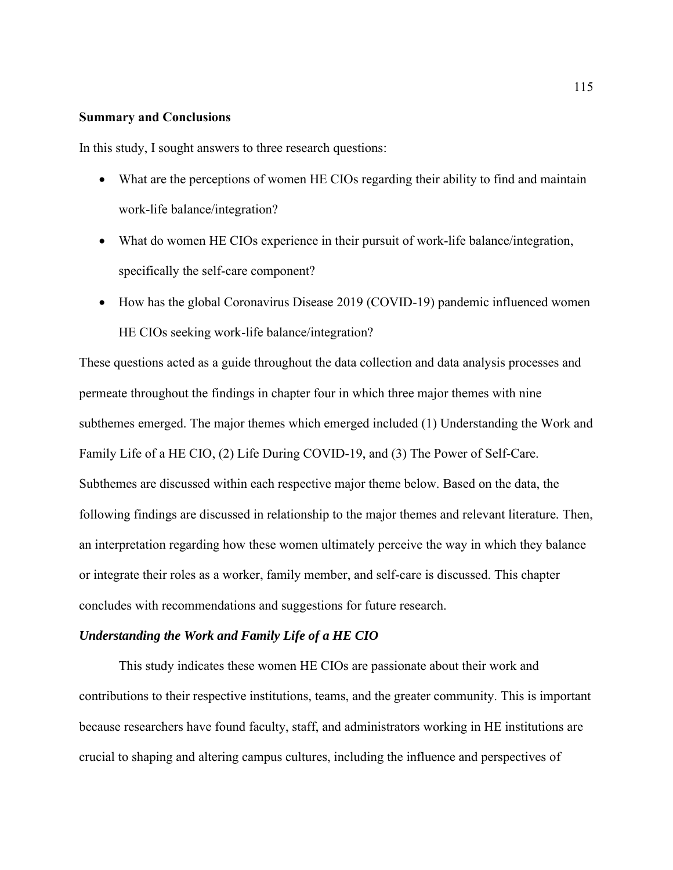### **Summary and Conclusions**

In this study, I sought answers to three research questions:

- What are the perceptions of women HE CIOs regarding their ability to find and maintain work-life balance/integration?
- What do women HE CIOs experience in their pursuit of work-life balance/integration, specifically the self-care component?
- How has the global Coronavirus Disease 2019 (COVID-19) pandemic influenced women HE CIOs seeking work-life balance/integration?

These questions acted as a guide throughout the data collection and data analysis processes and permeate throughout the findings in chapter four in which three major themes with nine subthemes emerged. The major themes which emerged included (1) Understanding the Work and Family Life of a HE CIO, (2) Life During COVID-19, and (3) The Power of Self-Care. Subthemes are discussed within each respective major theme below. Based on the data, the following findings are discussed in relationship to the major themes and relevant literature. Then, an interpretation regarding how these women ultimately perceive the way in which they balance or integrate their roles as a worker, family member, and self-care is discussed. This chapter concludes with recommendations and suggestions for future research.

#### *Understanding the Work and Family Life of a HE CIO*

This study indicates these women HE CIOs are passionate about their work and contributions to their respective institutions, teams, and the greater community. This is important because researchers have found faculty, staff, and administrators working in HE institutions are crucial to shaping and altering campus cultures, including the influence and perspectives of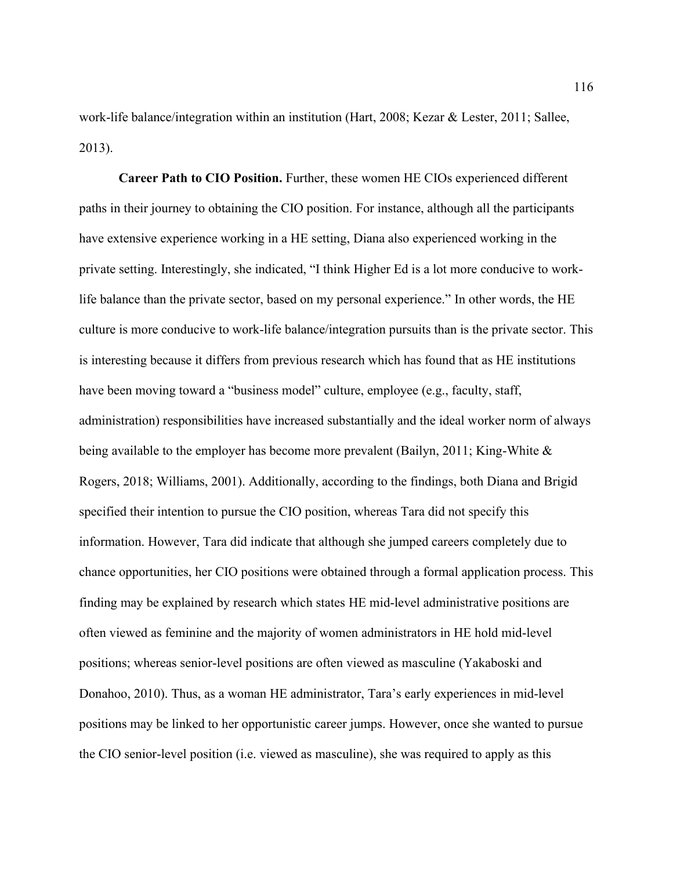work-life balance/integration within an institution (Hart, 2008; Kezar & Lester, 2011; Sallee, 2013).

**Career Path to CIO Position.** Further, these women HE CIOs experienced different paths in their journey to obtaining the CIO position. For instance, although all the participants have extensive experience working in a HE setting, Diana also experienced working in the private setting. Interestingly, she indicated, "I think Higher Ed is a lot more conducive to worklife balance than the private sector, based on my personal experience." In other words, the HE culture is more conducive to work-life balance/integration pursuits than is the private sector. This is interesting because it differs from previous research which has found that as HE institutions have been moving toward a "business model" culture, employee (e.g., faculty, staff, administration) responsibilities have increased substantially and the ideal worker norm of always being available to the employer has become more prevalent (Bailyn, 2011; King-White & Rogers, 2018; Williams, 2001). Additionally, according to the findings, both Diana and Brigid specified their intention to pursue the CIO position, whereas Tara did not specify this information. However, Tara did indicate that although she jumped careers completely due to chance opportunities, her CIO positions were obtained through a formal application process. This finding may be explained by research which states HE mid-level administrative positions are often viewed as feminine and the majority of women administrators in HE hold mid-level positions; whereas senior-level positions are often viewed as masculine (Yakaboski and Donahoo, 2010). Thus, as a woman HE administrator, Tara's early experiences in mid-level positions may be linked to her opportunistic career jumps. However, once she wanted to pursue the CIO senior-level position (i.e. viewed as masculine), she was required to apply as this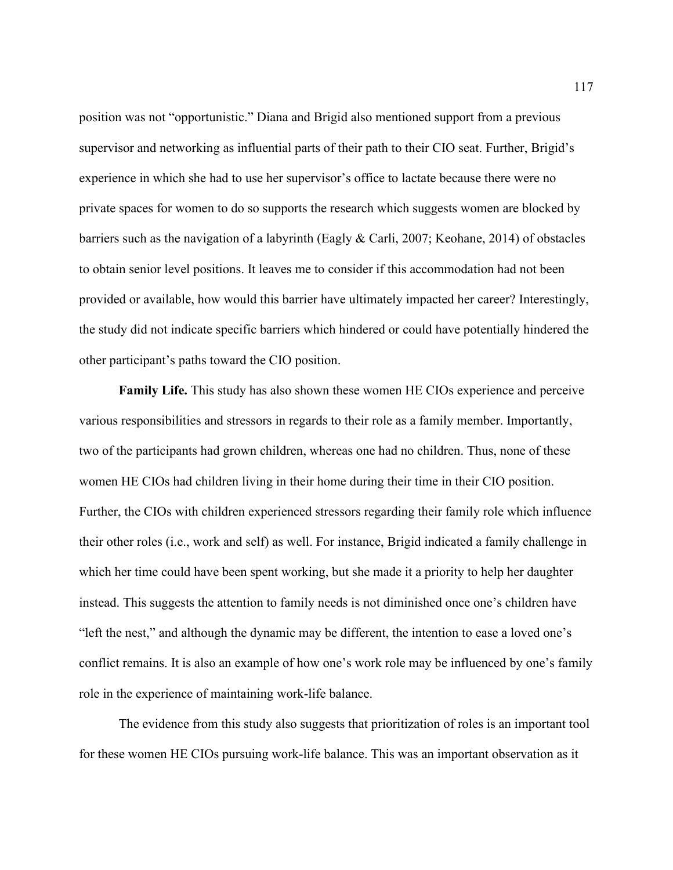position was not "opportunistic." Diana and Brigid also mentioned support from a previous supervisor and networking as influential parts of their path to their CIO seat. Further, Brigid's experience in which she had to use her supervisor's office to lactate because there were no private spaces for women to do so supports the research which suggests women are blocked by barriers such as the navigation of a labyrinth (Eagly & Carli, 2007; Keohane, 2014) of obstacles to obtain senior level positions. It leaves me to consider if this accommodation had not been provided or available, how would this barrier have ultimately impacted her career? Interestingly, the study did not indicate specific barriers which hindered or could have potentially hindered the other participant's paths toward the CIO position.

**Family Life.** This study has also shown these women HE CIOs experience and perceive various responsibilities and stressors in regards to their role as a family member. Importantly, two of the participants had grown children, whereas one had no children. Thus, none of these women HE CIOs had children living in their home during their time in their CIO position. Further, the CIOs with children experienced stressors regarding their family role which influence their other roles (i.e., work and self) as well. For instance, Brigid indicated a family challenge in which her time could have been spent working, but she made it a priority to help her daughter instead. This suggests the attention to family needs is not diminished once one's children have "left the nest," and although the dynamic may be different, the intention to ease a loved one's conflict remains. It is also an example of how one's work role may be influenced by one's family role in the experience of maintaining work-life balance.

The evidence from this study also suggests that prioritization of roles is an important tool for these women HE CIOs pursuing work-life balance. This was an important observation as it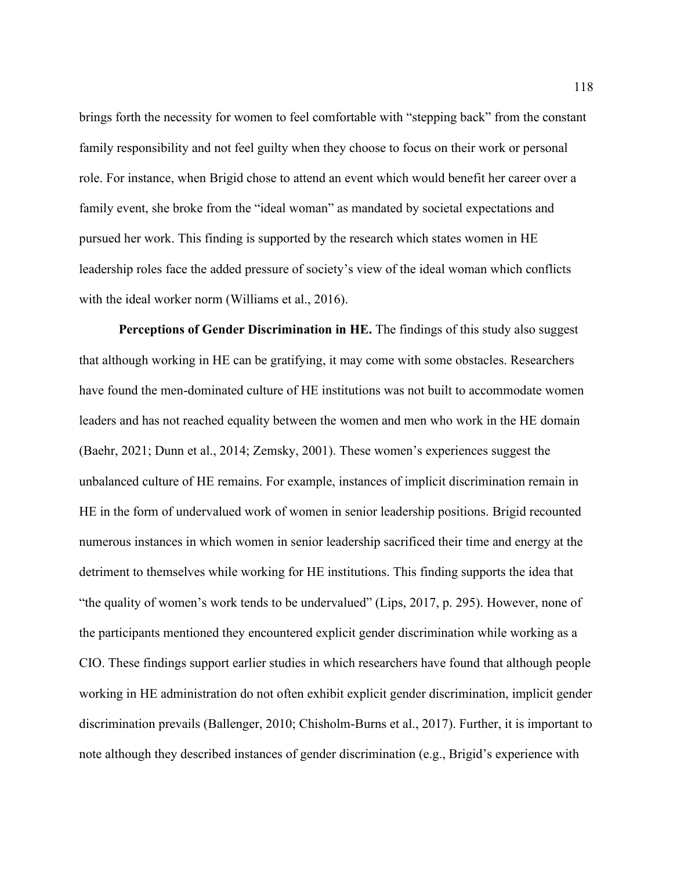brings forth the necessity for women to feel comfortable with "stepping back" from the constant family responsibility and not feel guilty when they choose to focus on their work or personal role. For instance, when Brigid chose to attend an event which would benefit her career over a family event, she broke from the "ideal woman" as mandated by societal expectations and pursued her work. This finding is supported by the research which states women in HE leadership roles face the added pressure of society's view of the ideal woman which conflicts with the ideal worker norm (Williams et al., 2016).

**Perceptions of Gender Discrimination in HE.** The findings of this study also suggest that although working in HE can be gratifying, it may come with some obstacles. Researchers have found the men-dominated culture of HE institutions was not built to accommodate women leaders and has not reached equality between the women and men who work in the HE domain (Baehr, 2021; Dunn et al., 2014; Zemsky, 2001). These women's experiences suggest the unbalanced culture of HE remains. For example, instances of implicit discrimination remain in HE in the form of undervalued work of women in senior leadership positions. Brigid recounted numerous instances in which women in senior leadership sacrificed their time and energy at the detriment to themselves while working for HE institutions. This finding supports the idea that "the quality of women's work tends to be undervalued" (Lips, 2017, p. 295). However, none of the participants mentioned they encountered explicit gender discrimination while working as a CIO. These findings support earlier studies in which researchers have found that although people working in HE administration do not often exhibit explicit gender discrimination, implicit gender discrimination prevails (Ballenger, 2010; Chisholm-Burns et al., 2017). Further, it is important to note although they described instances of gender discrimination (e.g., Brigid's experience with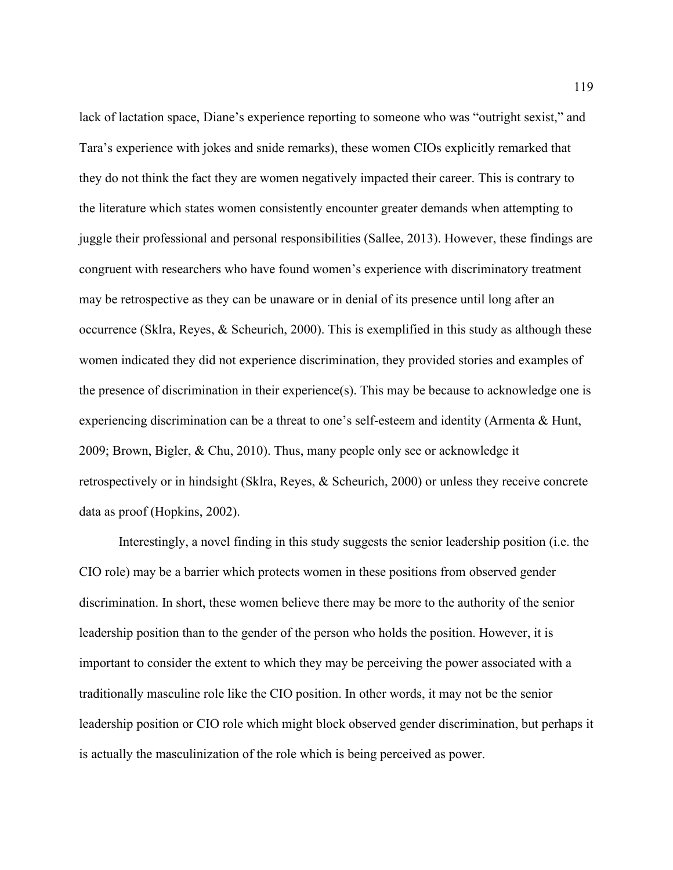lack of lactation space, Diane's experience reporting to someone who was "outright sexist," and Tara's experience with jokes and snide remarks), these women CIOs explicitly remarked that they do not think the fact they are women negatively impacted their career. This is contrary to the literature which states women consistently encounter greater demands when attempting to juggle their professional and personal responsibilities (Sallee, 2013). However, these findings are congruent with researchers who have found women's experience with discriminatory treatment may be retrospective as they can be unaware or in denial of its presence until long after an occurrence (Sklra, Reyes, & Scheurich, 2000). This is exemplified in this study as although these women indicated they did not experience discrimination, they provided stories and examples of the presence of discrimination in their experience(s). This may be because to acknowledge one is experiencing discrimination can be a threat to one's self-esteem and identity (Armenta & Hunt, 2009; Brown, Bigler, & Chu, 2010). Thus, many people only see or acknowledge it retrospectively or in hindsight (Sklra, Reyes, & Scheurich, 2000) or unless they receive concrete data as proof (Hopkins, 2002).

Interestingly, a novel finding in this study suggests the senior leadership position (i.e. the CIO role) may be a barrier which protects women in these positions from observed gender discrimination. In short, these women believe there may be more to the authority of the senior leadership position than to the gender of the person who holds the position. However, it is important to consider the extent to which they may be perceiving the power associated with a traditionally masculine role like the CIO position. In other words, it may not be the senior leadership position or CIO role which might block observed gender discrimination, but perhaps it is actually the masculinization of the role which is being perceived as power.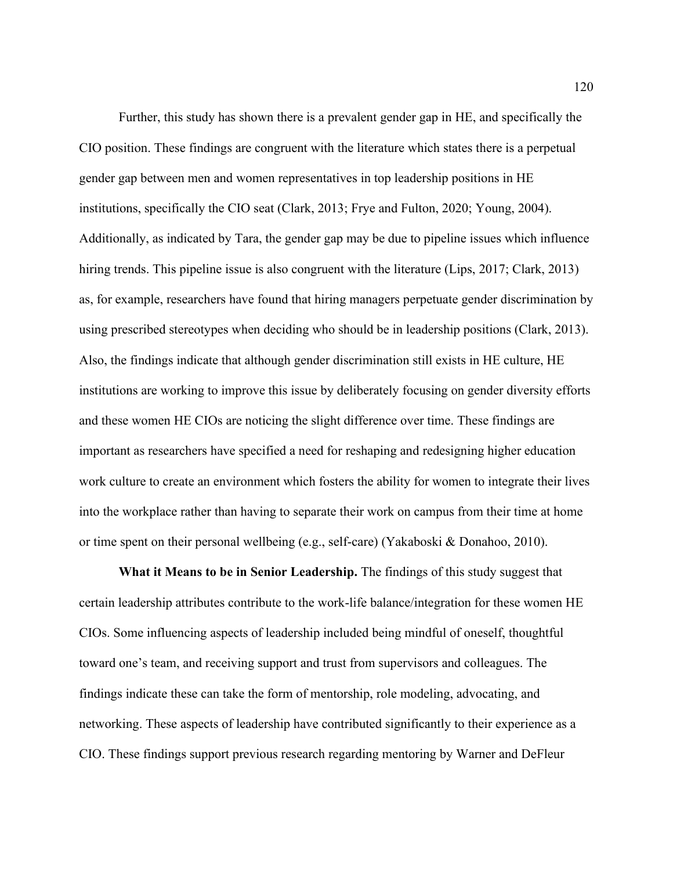Further, this study has shown there is a prevalent gender gap in HE, and specifically the CIO position. These findings are congruent with the literature which states there is a perpetual gender gap between men and women representatives in top leadership positions in HE institutions, specifically the CIO seat (Clark, 2013; Frye and Fulton, 2020; Young, 2004). Additionally, as indicated by Tara, the gender gap may be due to pipeline issues which influence hiring trends. This pipeline issue is also congruent with the literature (Lips, 2017; Clark, 2013) as, for example, researchers have found that hiring managers perpetuate gender discrimination by using prescribed stereotypes when deciding who should be in leadership positions (Clark, 2013). Also, the findings indicate that although gender discrimination still exists in HE culture, HE institutions are working to improve this issue by deliberately focusing on gender diversity efforts and these women HE CIOs are noticing the slight difference over time. These findings are important as researchers have specified a need for reshaping and redesigning higher education work culture to create an environment which fosters the ability for women to integrate their lives into the workplace rather than having to separate their work on campus from their time at home or time spent on their personal wellbeing (e.g., self-care) (Yakaboski & Donahoo, 2010).

**What it Means to be in Senior Leadership.** The findings of this study suggest that certain leadership attributes contribute to the work-life balance/integration for these women HE CIOs. Some influencing aspects of leadership included being mindful of oneself, thoughtful toward one's team, and receiving support and trust from supervisors and colleagues. The findings indicate these can take the form of mentorship, role modeling, advocating, and networking. These aspects of leadership have contributed significantly to their experience as a CIO. These findings support previous research regarding mentoring by Warner and DeFleur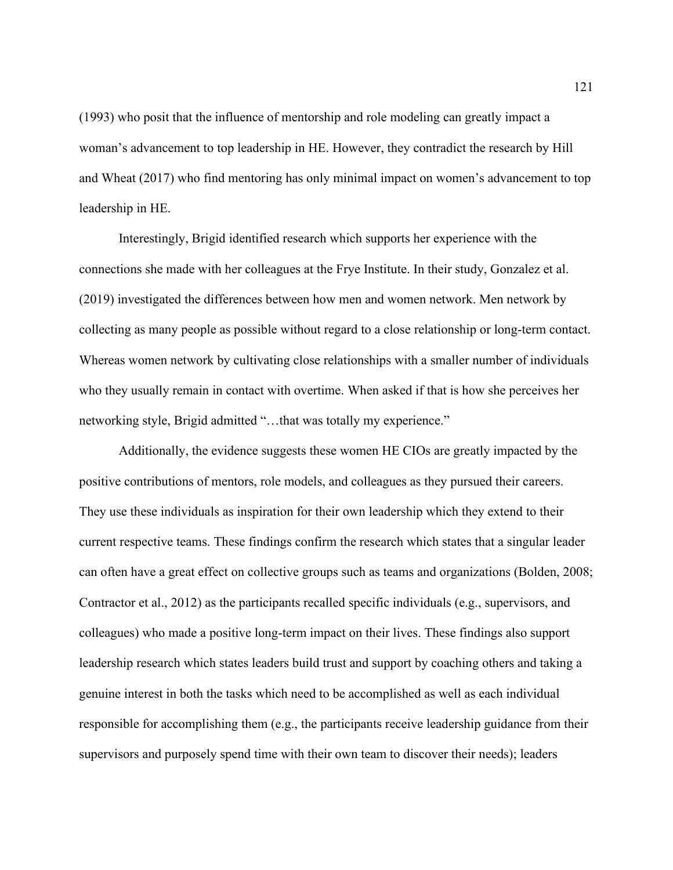(1993) who posit that the influence of mentorship and role modeling can greatly impact a woman's advancement to top leadership in HE. However, they contradict the research by Hill and Wheat (2017) who find mentoring has only minimal impact on women's advancement to top leadership in HE.

Interestingly, Brigid identified research which supports her experience with the connections she made with her colleagues at the Frye Institute. In their study, Gonzalez et al. (2019) investigated the differences between how men and women network. Men network by collecting as many people as possible without regard to a close relationship or long-term contact. Whereas women network by cultivating close relationships with a smaller number of individuals who they usually remain in contact with overtime. When asked if that is how she perceives her networking style, Brigid admitted "…that was totally my experience."

Additionally, the evidence suggests these women HE CIOs are greatly impacted by the positive contributions of mentors, role models, and colleagues as they pursued their careers. They use these individuals as inspiration for their own leadership which they extend to their current respective teams. These findings confirm the research which states that a singular leader can often have a great effect on collective groups such as teams and organizations (Bolden, 2008; Contractor et al., 2012) as the participants recalled specific individuals (e.g., supervisors, and colleagues) who made a positive long-term impact on their lives. These findings also support leadership research which states leaders build trust and support by coaching others and taking a genuine interest in both the tasks which need to be accomplished as well as each individual responsible for accomplishing them (e.g., the participants receive leadership guidance from their supervisors and purposely spend time with their own team to discover their needs); leaders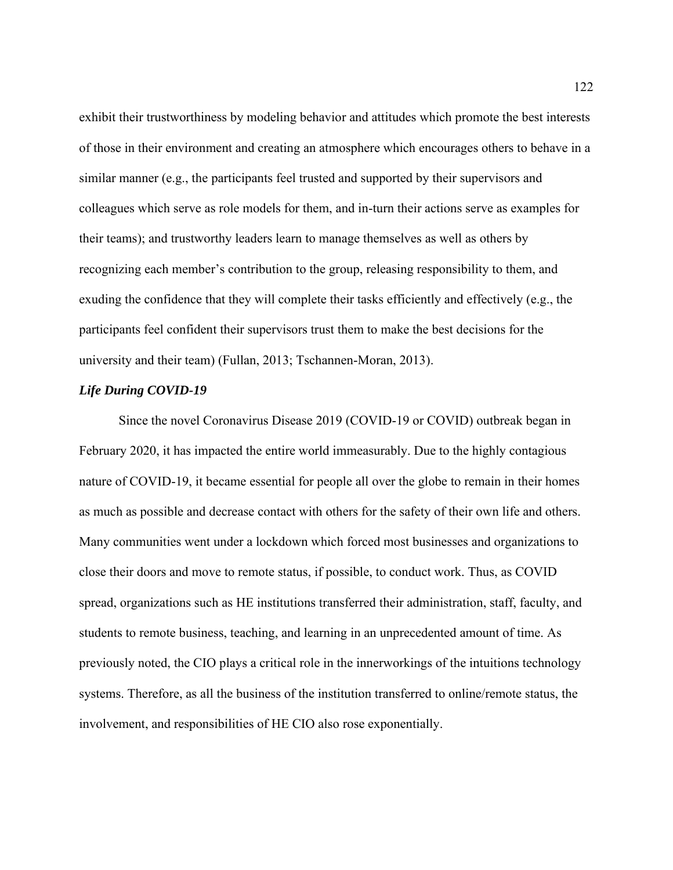exhibit their trustworthiness by modeling behavior and attitudes which promote the best interests of those in their environment and creating an atmosphere which encourages others to behave in a similar manner (e.g., the participants feel trusted and supported by their supervisors and colleagues which serve as role models for them, and in-turn their actions serve as examples for their teams); and trustworthy leaders learn to manage themselves as well as others by recognizing each member's contribution to the group, releasing responsibility to them, and exuding the confidence that they will complete their tasks efficiently and effectively (e.g., the participants feel confident their supervisors trust them to make the best decisions for the university and their team) (Fullan, 2013; Tschannen-Moran, 2013).

### *Life During COVID-19*

Since the novel Coronavirus Disease 2019 (COVID-19 or COVID) outbreak began in February 2020, it has impacted the entire world immeasurably. Due to the highly contagious nature of COVID-19, it became essential for people all over the globe to remain in their homes as much as possible and decrease contact with others for the safety of their own life and others. Many communities went under a lockdown which forced most businesses and organizations to close their doors and move to remote status, if possible, to conduct work. Thus, as COVID spread, organizations such as HE institutions transferred their administration, staff, faculty, and students to remote business, teaching, and learning in an unprecedented amount of time. As previously noted, the CIO plays a critical role in the innerworkings of the intuitions technology systems. Therefore, as all the business of the institution transferred to online/remote status, the involvement, and responsibilities of HE CIO also rose exponentially.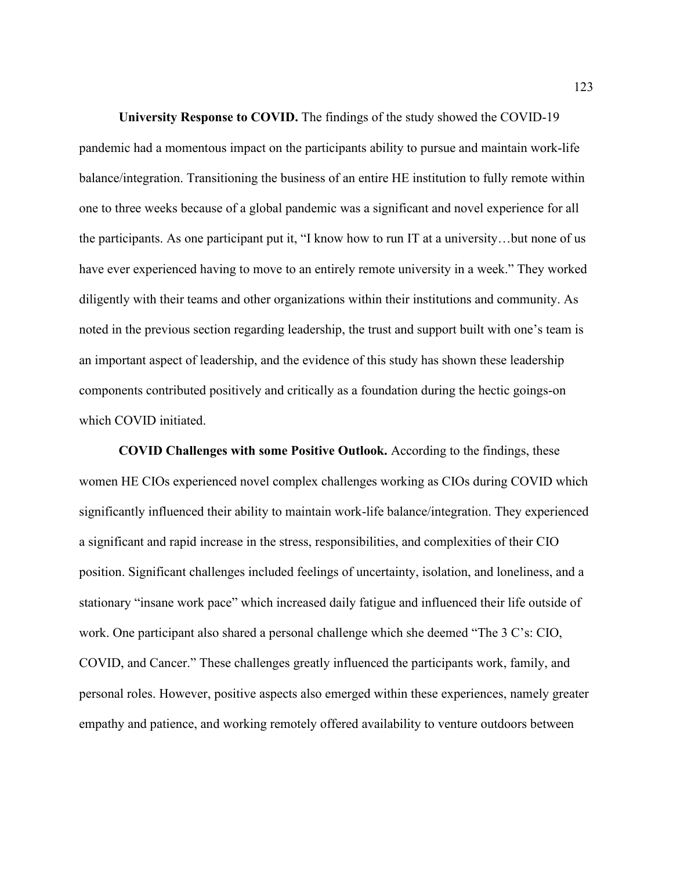**University Response to COVID.** The findings of the study showed the COVID-19 pandemic had a momentous impact on the participants ability to pursue and maintain work-life balance/integration. Transitioning the business of an entire HE institution to fully remote within one to three weeks because of a global pandemic was a significant and novel experience for all the participants. As one participant put it, "I know how to run IT at a university…but none of us have ever experienced having to move to an entirely remote university in a week." They worked diligently with their teams and other organizations within their institutions and community. As noted in the previous section regarding leadership, the trust and support built with one's team is an important aspect of leadership, and the evidence of this study has shown these leadership components contributed positively and critically as a foundation during the hectic goings-on which COVID initiated.

**COVID Challenges with some Positive Outlook.** According to the findings, these women HE CIOs experienced novel complex challenges working as CIOs during COVID which significantly influenced their ability to maintain work-life balance/integration. They experienced a significant and rapid increase in the stress, responsibilities, and complexities of their CIO position. Significant challenges included feelings of uncertainty, isolation, and loneliness, and a stationary "insane work pace" which increased daily fatigue and influenced their life outside of work. One participant also shared a personal challenge which she deemed "The 3 C's: CIO, COVID, and Cancer." These challenges greatly influenced the participants work, family, and personal roles. However, positive aspects also emerged within these experiences, namely greater empathy and patience, and working remotely offered availability to venture outdoors between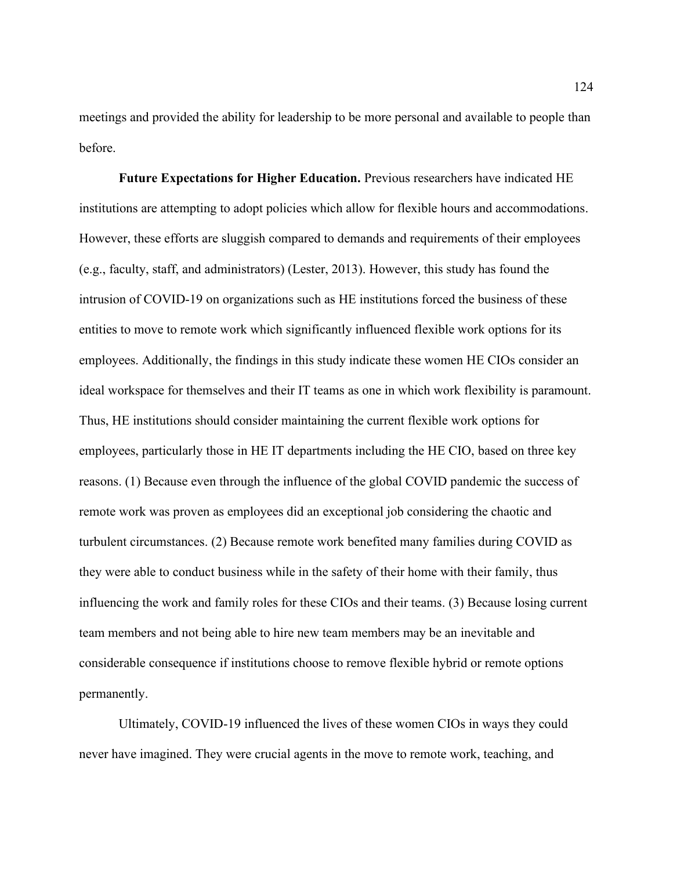meetings and provided the ability for leadership to be more personal and available to people than before.

**Future Expectations for Higher Education.** Previous researchers have indicated HE institutions are attempting to adopt policies which allow for flexible hours and accommodations. However, these efforts are sluggish compared to demands and requirements of their employees (e.g., faculty, staff, and administrators) (Lester, 2013). However, this study has found the intrusion of COVID-19 on organizations such as HE institutions forced the business of these entities to move to remote work which significantly influenced flexible work options for its employees. Additionally, the findings in this study indicate these women HE CIOs consider an ideal workspace for themselves and their IT teams as one in which work flexibility is paramount. Thus, HE institutions should consider maintaining the current flexible work options for employees, particularly those in HE IT departments including the HE CIO, based on three key reasons. (1) Because even through the influence of the global COVID pandemic the success of remote work was proven as employees did an exceptional job considering the chaotic and turbulent circumstances. (2) Because remote work benefited many families during COVID as they were able to conduct business while in the safety of their home with their family, thus influencing the work and family roles for these CIOs and their teams. (3) Because losing current team members and not being able to hire new team members may be an inevitable and considerable consequence if institutions choose to remove flexible hybrid or remote options permanently.

Ultimately, COVID-19 influenced the lives of these women CIOs in ways they could never have imagined. They were crucial agents in the move to remote work, teaching, and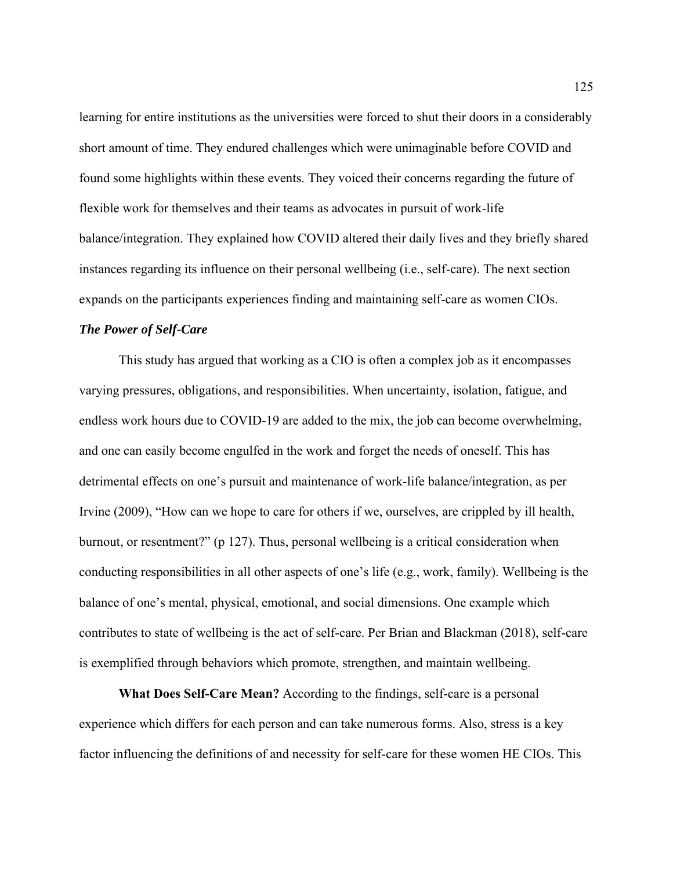learning for entire institutions as the universities were forced to shut their doors in a considerably short amount of time. They endured challenges which were unimaginable before COVID and found some highlights within these events. They voiced their concerns regarding the future of flexible work for themselves and their teams as advocates in pursuit of work-life balance/integration. They explained how COVID altered their daily lives and they briefly shared instances regarding its influence on their personal wellbeing (i.e., self-care). The next section expands on the participants experiences finding and maintaining self-care as women CIOs.

## *The Power of Self-Care*

This study has argued that working as a CIO is often a complex job as it encompasses varying pressures, obligations, and responsibilities. When uncertainty, isolation, fatigue, and endless work hours due to COVID-19 are added to the mix, the job can become overwhelming, and one can easily become engulfed in the work and forget the needs of oneself. This has detrimental effects on one's pursuit and maintenance of work-life balance/integration, as per Irvine (2009), "How can we hope to care for others if we, ourselves, are crippled by ill health, burnout, or resentment?" (p 127). Thus, personal wellbeing is a critical consideration when conducting responsibilities in all other aspects of one's life (e.g., work, family). Wellbeing is the balance of one's mental, physical, emotional, and social dimensions. One example which contributes to state of wellbeing is the act of self-care. Per Brian and Blackman (2018), self-care is exemplified through behaviors which promote, strengthen, and maintain wellbeing.

**What Does Self-Care Mean?** According to the findings, self-care is a personal experience which differs for each person and can take numerous forms. Also, stress is a key factor influencing the definitions of and necessity for self-care for these women HE CIOs. This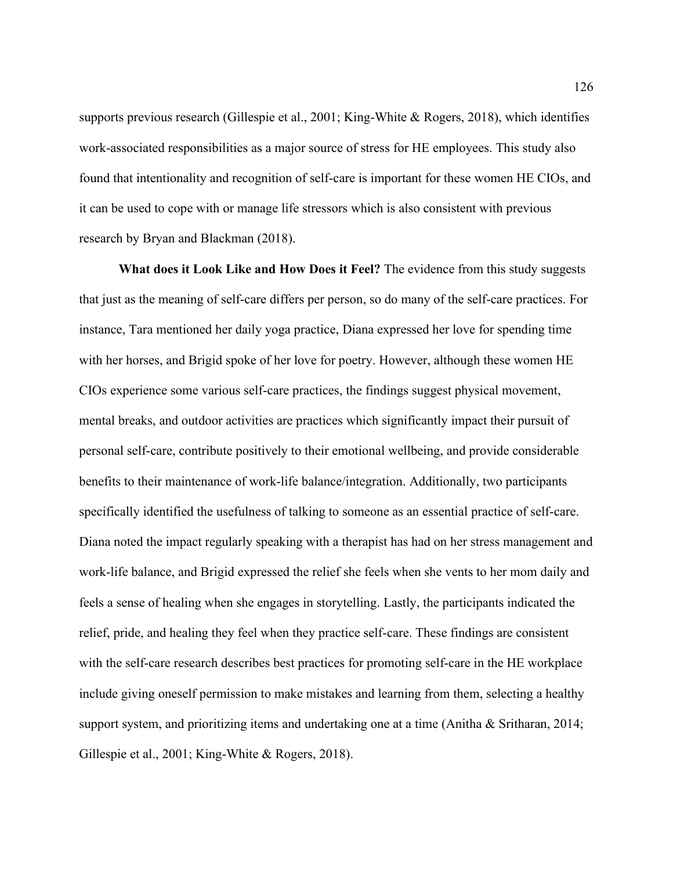supports previous research (Gillespie et al., 2001; King-White & Rogers, 2018), which identifies work-associated responsibilities as a major source of stress for HE employees. This study also found that intentionality and recognition of self-care is important for these women HE CIOs, and it can be used to cope with or manage life stressors which is also consistent with previous research by Bryan and Blackman (2018).

**What does it Look Like and How Does it Feel?** The evidence from this study suggests that just as the meaning of self-care differs per person, so do many of the self-care practices. For instance, Tara mentioned her daily yoga practice, Diana expressed her love for spending time with her horses, and Brigid spoke of her love for poetry. However, although these women HE CIOs experience some various self-care practices, the findings suggest physical movement, mental breaks, and outdoor activities are practices which significantly impact their pursuit of personal self-care, contribute positively to their emotional wellbeing, and provide considerable benefits to their maintenance of work-life balance/integration. Additionally, two participants specifically identified the usefulness of talking to someone as an essential practice of self-care. Diana noted the impact regularly speaking with a therapist has had on her stress management and work-life balance, and Brigid expressed the relief she feels when she vents to her mom daily and feels a sense of healing when she engages in storytelling. Lastly, the participants indicated the relief, pride, and healing they feel when they practice self-care. These findings are consistent with the self-care research describes best practices for promoting self-care in the HE workplace include giving oneself permission to make mistakes and learning from them, selecting a healthy support system, and prioritizing items and undertaking one at a time (Anitha & Sritharan, 2014; Gillespie et al., 2001; King-White & Rogers, 2018).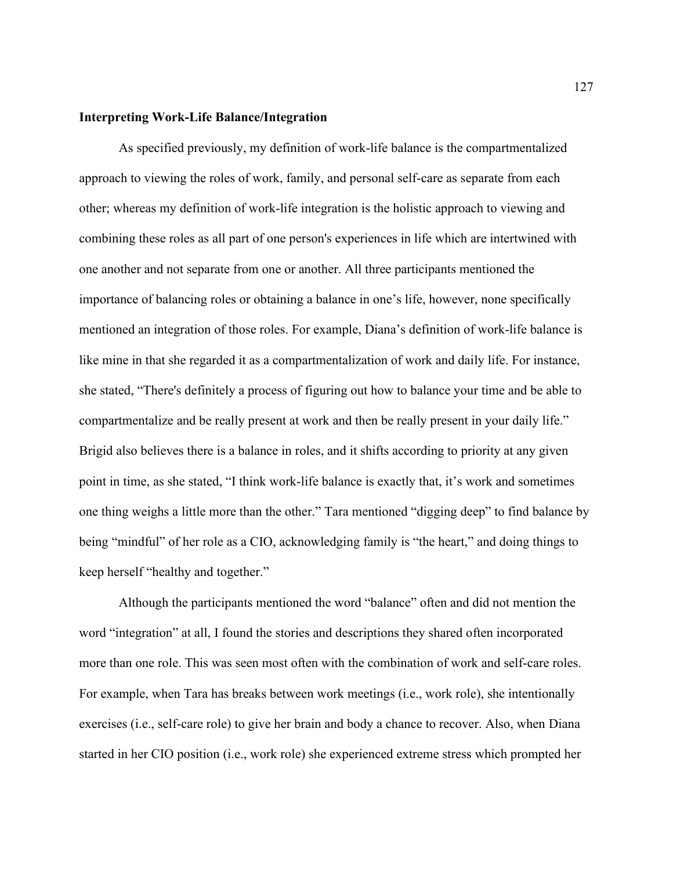# **Interpreting Work-Life Balance/Integration**

As specified previously, my definition of work-life balance is the compartmentalized approach to viewing the roles of work, family, and personal self-care as separate from each other; whereas my definition of work-life integration is the holistic approach to viewing and combining these roles as all part of one person's experiences in life which are intertwined with one another and not separate from one or another. All three participants mentioned the importance of balancing roles or obtaining a balance in one's life, however, none specifically mentioned an integration of those roles. For example, Diana's definition of work-life balance is like mine in that she regarded it as a compartmentalization of work and daily life. For instance, she stated, "There's definitely a process of figuring out how to balance your time and be able to compartmentalize and be really present at work and then be really present in your daily life." Brigid also believes there is a balance in roles, and it shifts according to priority at any given point in time, as she stated, "I think work-life balance is exactly that, it's work and sometimes one thing weighs a little more than the other." Tara mentioned "digging deep" to find balance by being "mindful" of her role as a CIO, acknowledging family is "the heart," and doing things to keep herself "healthy and together."

Although the participants mentioned the word "balance" often and did not mention the word "integration" at all, I found the stories and descriptions they shared often incorporated more than one role. This was seen most often with the combination of work and self-care roles. For example, when Tara has breaks between work meetings (i.e., work role), she intentionally exercises (i.e., self-care role) to give her brain and body a chance to recover. Also, when Diana started in her CIO position (i.e., work role) she experienced extreme stress which prompted her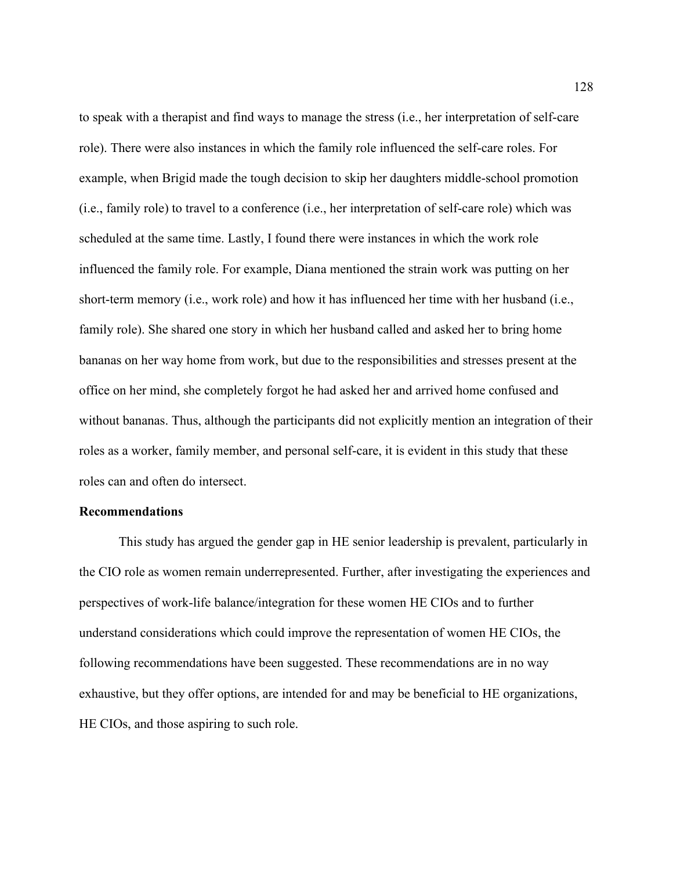to speak with a therapist and find ways to manage the stress (i.e., her interpretation of self-care role). There were also instances in which the family role influenced the self-care roles. For example, when Brigid made the tough decision to skip her daughters middle-school promotion (i.e., family role) to travel to a conference (i.e., her interpretation of self-care role) which was scheduled at the same time. Lastly, I found there were instances in which the work role influenced the family role. For example, Diana mentioned the strain work was putting on her short-term memory (i.e., work role) and how it has influenced her time with her husband (i.e., family role). She shared one story in which her husband called and asked her to bring home bananas on her way home from work, but due to the responsibilities and stresses present at the office on her mind, she completely forgot he had asked her and arrived home confused and without bananas. Thus, although the participants did not explicitly mention an integration of their roles as a worker, family member, and personal self-care, it is evident in this study that these roles can and often do intersect.

### **Recommendations**

This study has argued the gender gap in HE senior leadership is prevalent, particularly in the CIO role as women remain underrepresented. Further, after investigating the experiences and perspectives of work-life balance/integration for these women HE CIOs and to further understand considerations which could improve the representation of women HE CIOs, the following recommendations have been suggested. These recommendations are in no way exhaustive, but they offer options, are intended for and may be beneficial to HE organizations, HE CIOs, and those aspiring to such role.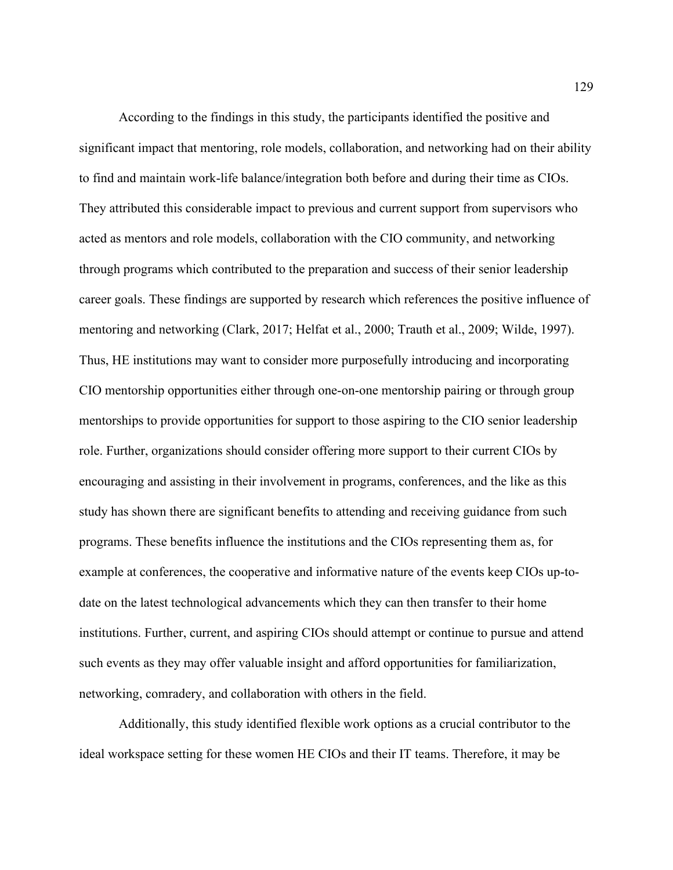According to the findings in this study, the participants identified the positive and significant impact that mentoring, role models, collaboration, and networking had on their ability to find and maintain work-life balance/integration both before and during their time as CIOs. They attributed this considerable impact to previous and current support from supervisors who acted as mentors and role models, collaboration with the CIO community, and networking through programs which contributed to the preparation and success of their senior leadership career goals. These findings are supported by research which references the positive influence of mentoring and networking (Clark, 2017; Helfat et al., 2000; Trauth et al., 2009; Wilde, 1997). Thus, HE institutions may want to consider more purposefully introducing and incorporating CIO mentorship opportunities either through one-on-one mentorship pairing or through group mentorships to provide opportunities for support to those aspiring to the CIO senior leadership role. Further, organizations should consider offering more support to their current CIOs by encouraging and assisting in their involvement in programs, conferences, and the like as this study has shown there are significant benefits to attending and receiving guidance from such programs. These benefits influence the institutions and the CIOs representing them as, for example at conferences, the cooperative and informative nature of the events keep CIOs up-todate on the latest technological advancements which they can then transfer to their home institutions. Further, current, and aspiring CIOs should attempt or continue to pursue and attend such events as they may offer valuable insight and afford opportunities for familiarization, networking, comradery, and collaboration with others in the field.

Additionally, this study identified flexible work options as a crucial contributor to the ideal workspace setting for these women HE CIOs and their IT teams. Therefore, it may be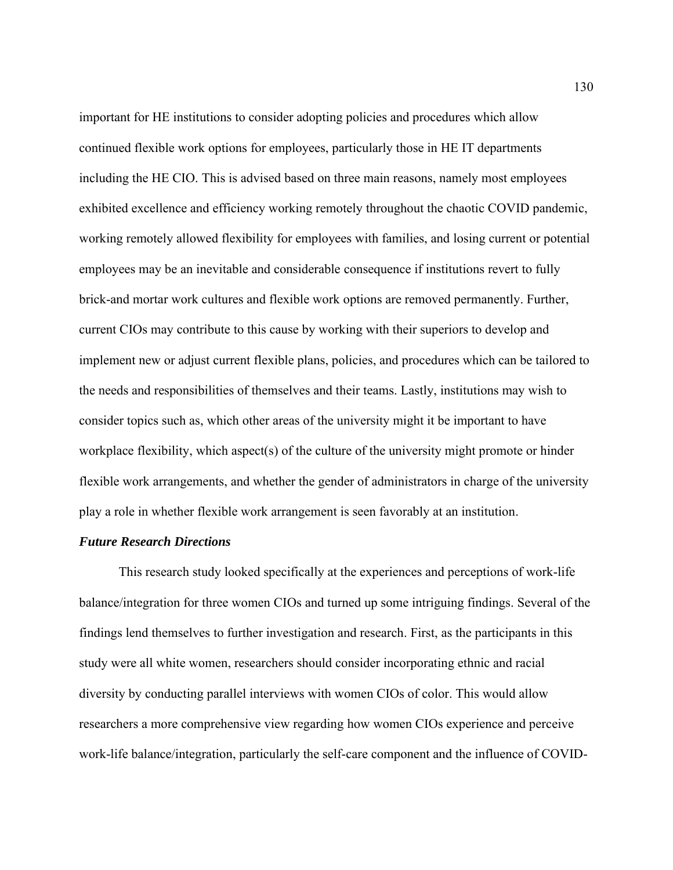important for HE institutions to consider adopting policies and procedures which allow continued flexible work options for employees, particularly those in HE IT departments including the HE CIO. This is advised based on three main reasons, namely most employees exhibited excellence and efficiency working remotely throughout the chaotic COVID pandemic, working remotely allowed flexibility for employees with families, and losing current or potential employees may be an inevitable and considerable consequence if institutions revert to fully brick-and mortar work cultures and flexible work options are removed permanently. Further, current CIOs may contribute to this cause by working with their superiors to develop and implement new or adjust current flexible plans, policies, and procedures which can be tailored to the needs and responsibilities of themselves and their teams. Lastly, institutions may wish to consider topics such as, which other areas of the university might it be important to have workplace flexibility, which aspect(s) of the culture of the university might promote or hinder flexible work arrangements, and whether the gender of administrators in charge of the university play a role in whether flexible work arrangement is seen favorably at an institution.

#### *Future Research Directions*

This research study looked specifically at the experiences and perceptions of work-life balance/integration for three women CIOs and turned up some intriguing findings. Several of the findings lend themselves to further investigation and research. First, as the participants in this study were all white women, researchers should consider incorporating ethnic and racial diversity by conducting parallel interviews with women CIOs of color. This would allow researchers a more comprehensive view regarding how women CIOs experience and perceive work-life balance/integration, particularly the self-care component and the influence of COVID-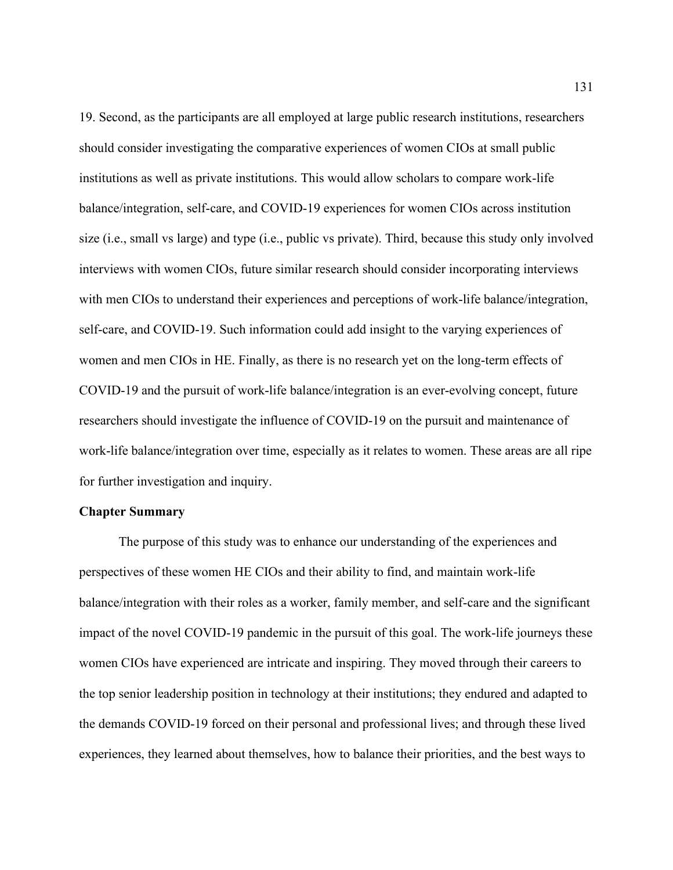19. Second, as the participants are all employed at large public research institutions, researchers should consider investigating the comparative experiences of women CIOs at small public institutions as well as private institutions. This would allow scholars to compare work-life balance/integration, self-care, and COVID-19 experiences for women CIOs across institution size (i.e., small vs large) and type (i.e., public vs private). Third, because this study only involved interviews with women CIOs, future similar research should consider incorporating interviews with men CIOs to understand their experiences and perceptions of work-life balance/integration, self-care, and COVID-19. Such information could add insight to the varying experiences of women and men CIOs in HE. Finally, as there is no research yet on the long-term effects of COVID-19 and the pursuit of work-life balance/integration is an ever-evolving concept, future researchers should investigate the influence of COVID-19 on the pursuit and maintenance of work-life balance/integration over time, especially as it relates to women. These areas are all ripe for further investigation and inquiry.

# **Chapter Summary**

The purpose of this study was to enhance our understanding of the experiences and perspectives of these women HE CIOs and their ability to find, and maintain work-life balance/integration with their roles as a worker, family member, and self-care and the significant impact of the novel COVID-19 pandemic in the pursuit of this goal. The work-life journeys these women CIOs have experienced are intricate and inspiring. They moved through their careers to the top senior leadership position in technology at their institutions; they endured and adapted to the demands COVID-19 forced on their personal and professional lives; and through these lived experiences, they learned about themselves, how to balance their priorities, and the best ways to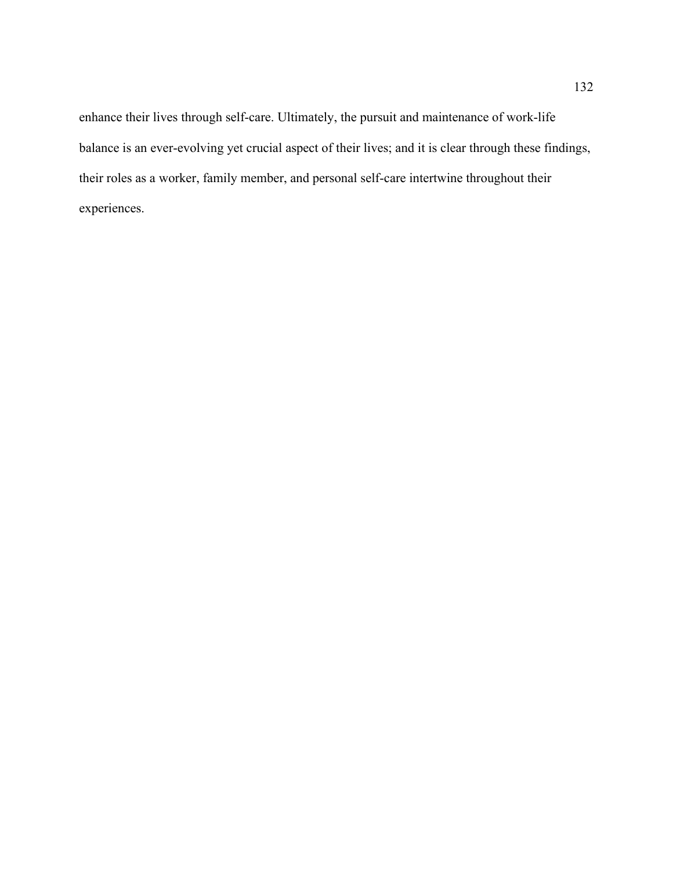enhance their lives through self-care. Ultimately, the pursuit and maintenance of work-life balance is an ever-evolving yet crucial aspect of their lives; and it is clear through these findings, their roles as a worker, family member, and personal self-care intertwine throughout their experiences.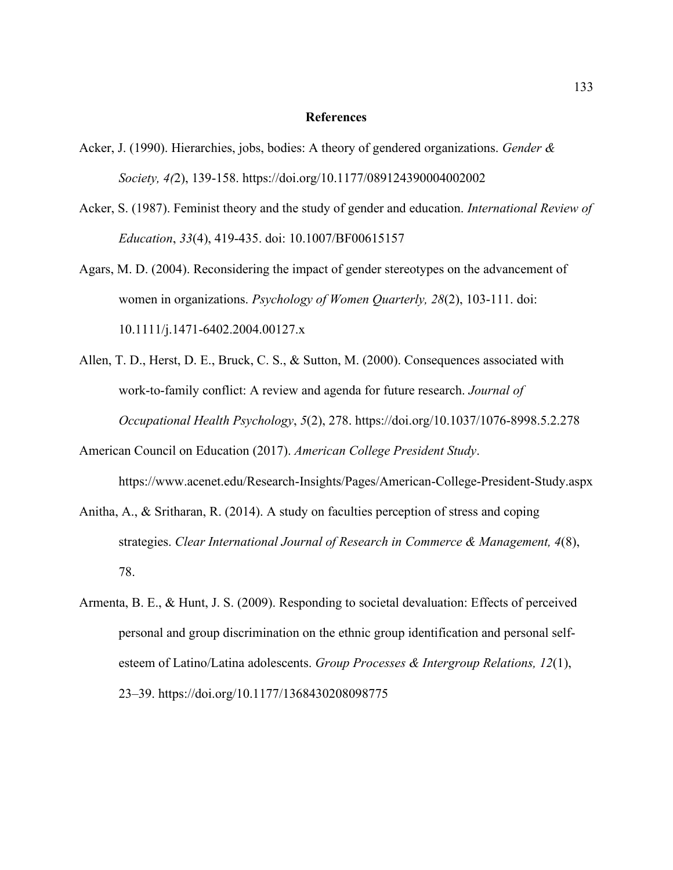# **References**

- Acker, J. (1990). Hierarchies, jobs, bodies: A theory of gendered organizations. *Gender & Society, 4(*2), 139-158. https://doi.org/10.1177/089124390004002002
- Acker, S. (1987). Feminist theory and the study of gender and education. *International Review of Education*, *33*(4), 419-435. doi: 10.1007/BF00615157
- Agars, M. D. (2004). Reconsidering the impact of gender stereotypes on the advancement of women in organizations. *Psychology of Women Quarterly, 28*(2), 103-111. doi: 10.1111/j.1471-6402.2004.00127.x
- Allen, T. D., Herst, D. E., Bruck, C. S., & Sutton, M. (2000). Consequences associated with work-to-family conflict: A review and agenda for future research. *Journal of Occupational Health Psychology*, *5*(2), 278. https://doi.org/10.1037/1076-8998.5.2.278
- American Council on Education (2017). *American College President Study*. https://www.acenet.edu/Research-Insights/Pages/American-College-President-Study.aspx
- Anitha, A., & Sritharan, R. (2014). A study on faculties perception of stress and coping strategies. *Clear International Journal of Research in Commerce & Management, 4*(8), 78.
- Armenta, B. E., & Hunt, J. S. (2009). Responding to societal devaluation: Effects of perceived personal and group discrimination on the ethnic group identification and personal selfesteem of Latino/Latina adolescents. *Group Processes & Intergroup Relations, 12*(1), 23–39. https://doi.org/10.1177/1368430208098775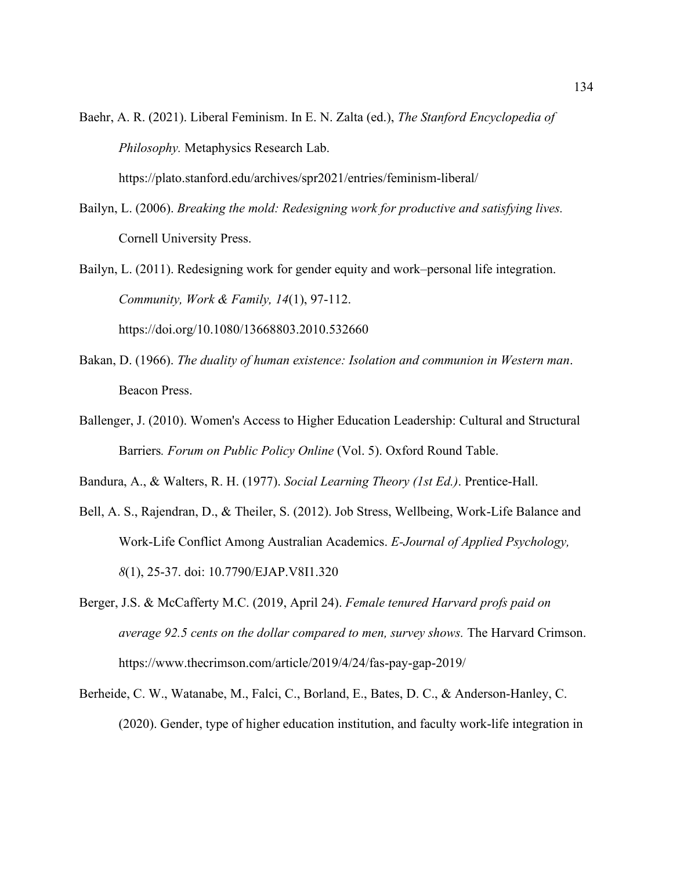Baehr, A. R. (2021). Liberal Feminism. In E. N. Zalta (ed.), *The Stanford Encyclopedia of Philosophy.* Metaphysics Research Lab.

https://plato.stanford.edu/archives/spr2021/entries/feminism-liberal/

Bailyn, L. (2006). *Breaking the mold: Redesigning work for productive and satisfying lives.* Cornell University Press.

Bailyn, L. (2011). Redesigning work for gender equity and work–personal life integration. *Community, Work & Family, 14*(1), 97-112. https://doi.org/10.1080/13668803.2010.532660

- Bakan, D. (1966). *The duality of human existence: Isolation and communion in Western man*. Beacon Press.
- Ballenger, J. (2010). Women's Access to Higher Education Leadership: Cultural and Structural Barriers*. Forum on Public Policy Online* (Vol. 5). Oxford Round Table.

Bandura, A., & Walters, R. H. (1977). *Social Learning Theory (1st Ed.)*. Prentice-Hall.

- Bell, A. S., Rajendran, D., & Theiler, S. (2012). Job Stress, Wellbeing, Work-Life Balance and Work-Life Conflict Among Australian Academics. *E-Journal of Applied Psychology, 8*(1), 25-37. doi: 10.7790/EJAP.V8I1.320
- Berger, J.S. & McCafferty M.C. (2019, April 24). *Female tenured Harvard profs paid on average 92.5 cents on the dollar compared to men, survey shows.* The Harvard Crimson. https://www.thecrimson.com/article/2019/4/24/fas-pay-gap-2019/
- Berheide, C. W., Watanabe, M., Falci, C., Borland, E., Bates, D. C., & Anderson-Hanley, C. (2020). Gender, type of higher education institution, and faculty work-life integration in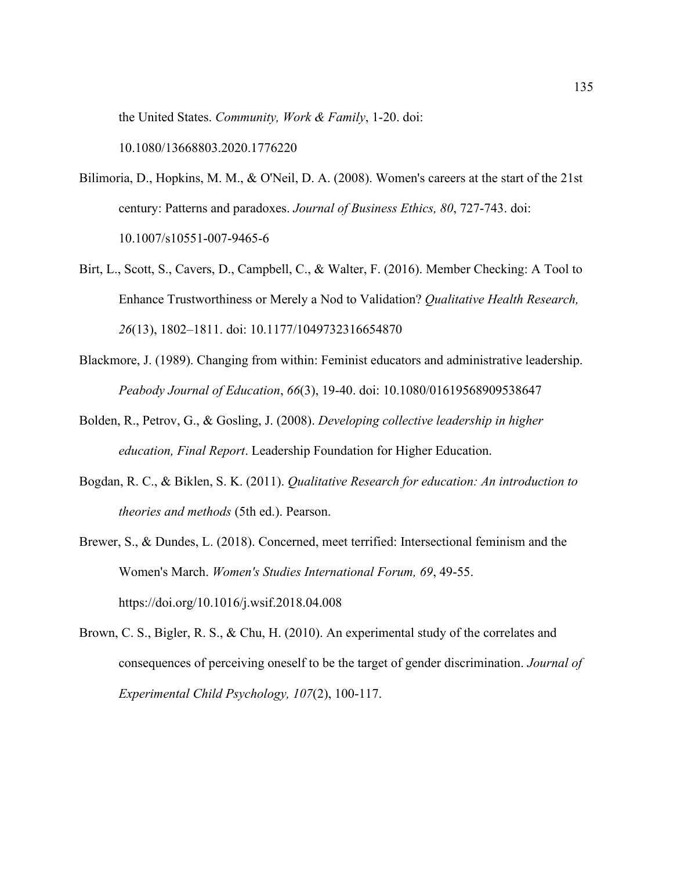the United States. *Community, Work & Family*, 1-20. doi:

10.1080/13668803.2020.1776220

- Bilimoria, D., Hopkins, M. M., & O'Neil, D. A. (2008). Women's careers at the start of the 21st century: Patterns and paradoxes. *Journal of Business Ethics, 80*, 727-743. doi: 10.1007/s10551-007-9465-6
- Birt, L., Scott, S., Cavers, D., Campbell, C., & Walter, F. (2016). Member Checking: A Tool to Enhance Trustworthiness or Merely a Nod to Validation? *Qualitative Health Research, 26*(13), 1802–1811. doi: 10.1177/1049732316654870
- Blackmore, J. (1989). Changing from within: Feminist educators and administrative leadership. *Peabody Journal of Education*, *66*(3), 19-40. doi: 10.1080/01619568909538647
- Bolden, R., Petrov, G., & Gosling, J. (2008). *Developing collective leadership in higher education, Final Report*. Leadership Foundation for Higher Education.
- Bogdan, R. C., & Biklen, S. K. (2011). *Qualitative Research for education: An introduction to theories and methods* (5th ed.). Pearson.
- Brewer, S., & Dundes, L. (2018). Concerned, meet terrified: Intersectional feminism and the Women's March. *Women's Studies International Forum, 69*, 49-55. https://doi.org/10.1016/j.wsif.2018.04.008
- Brown, C. S., Bigler, R. S., & Chu, H. (2010). An experimental study of the correlates and consequences of perceiving oneself to be the target of gender discrimination. *Journal of Experimental Child Psychology, 107*(2), 100-117.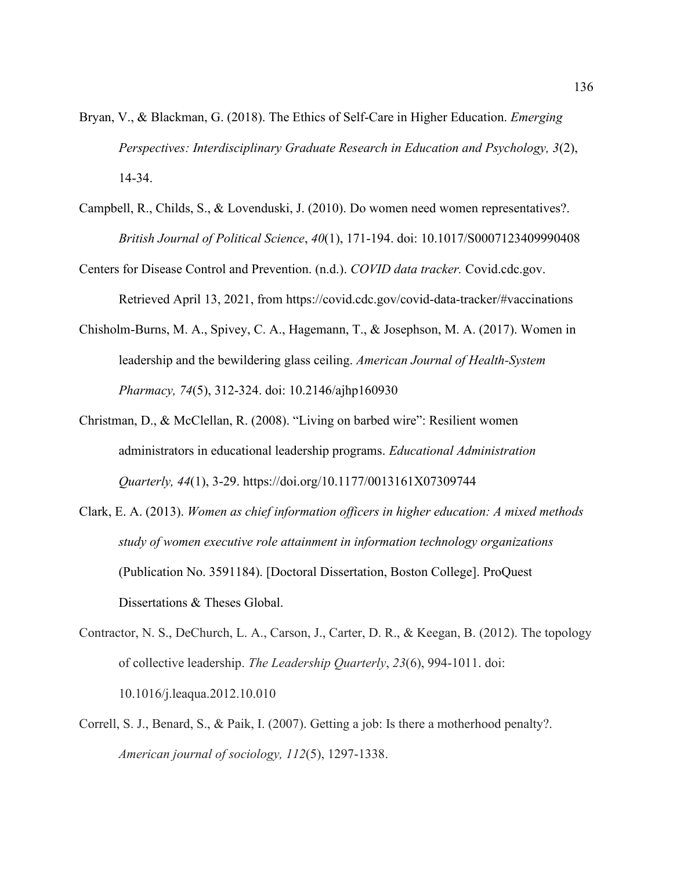- Bryan, V., & Blackman, G. (2018). The Ethics of Self-Care in Higher Education. *Emerging Perspectives: Interdisciplinary Graduate Research in Education and Psychology, 3*(2), 14-34.
- Campbell, R., Childs, S., & Lovenduski, J. (2010). Do women need women representatives?. *British Journal of Political Science*, *40*(1), 171-194. doi: 10.1017/S0007123409990408
- Centers for Disease Control and Prevention. (n.d.). *COVID data tracker.* Covid.cdc.gov. Retrieved April 13, 2021, from https://covid.cdc.gov/covid-data-tracker/#vaccinations
- Chisholm-Burns, M. A., Spivey, C. A., Hagemann, T., & Josephson, M. A. (2017). Women in leadership and the bewildering glass ceiling. *American Journal of Health-System Pharmacy, 74*(5), 312-324. doi: 10.2146/ajhp160930
- Christman, D., & McClellan, R. (2008). "Living on barbed wire": Resilient women administrators in educational leadership programs. *Educational Administration Quarterly, 44*(1), 3-29. https://doi.org/10.1177/0013161X07309744
- Clark, E. A. (2013). *Women as chief information officers in higher education: A mixed methods study of women executive role attainment in information technology organizations* (Publication No. 3591184). [Doctoral Dissertation, Boston College]. ProQuest Dissertations & Theses Global.
- Contractor, N. S., DeChurch, L. A., Carson, J., Carter, D. R., & Keegan, B. (2012). The topology of collective leadership. *The Leadership Quarterly*, *23*(6), 994-1011. doi: 10.1016/j.leaqua.2012.10.010
- Correll, S. J., Benard, S., & Paik, I. (2007). Getting a job: Is there a motherhood penalty?. *American journal of sociology, 112*(5), 1297-1338.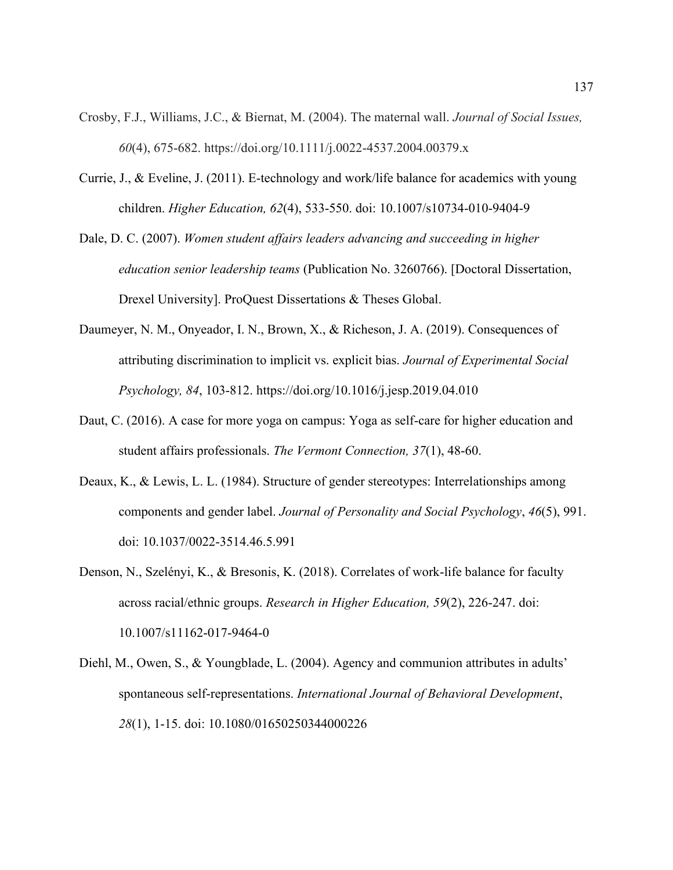- Crosby, F.J., Williams, J.C., & Biernat, M. (2004). The maternal wall. *Journal of Social Issues, 60*(4), 675-682. https://doi.org/10.1111/j.0022-4537.2004.00379.x
- Currie, J., & Eveline, J. (2011). E-technology and work/life balance for academics with young children. *Higher Education, 62*(4), 533-550. doi: 10.1007/s10734-010-9404-9
- Dale, D. C. (2007). *Women student affairs leaders advancing and succeeding in higher education senior leadership teams* (Publication No. 3260766). [Doctoral Dissertation, Drexel University]. ProQuest Dissertations & Theses Global.
- Daumeyer, N. M., Onyeador, I. N., Brown, X., & Richeson, J. A. (2019). Consequences of attributing discrimination to implicit vs. explicit bias. *Journal of Experimental Social Psychology, 84*, 103-812. https://doi.org/10.1016/j.jesp.2019.04.010
- Daut, C. (2016). A case for more yoga on campus: Yoga as self-care for higher education and student affairs professionals. *The Vermont Connection, 37*(1), 48-60.
- Deaux, K., & Lewis, L. L. (1984). Structure of gender stereotypes: Interrelationships among components and gender label. *Journal of Personality and Social Psychology*, *46*(5), 991. doi: 10.1037/0022-3514.46.5.991
- Denson, N., Szelényi, K., & Bresonis, K. (2018). Correlates of work-life balance for faculty across racial/ethnic groups. *Research in Higher Education, 59*(2), 226-247. doi: 10.1007/s11162-017-9464-0
- Diehl, M., Owen, S., & Youngblade, L. (2004). Agency and communion attributes in adults' spontaneous self-representations. *International Journal of Behavioral Development*, *28*(1), 1-15. doi: 10.1080/01650250344000226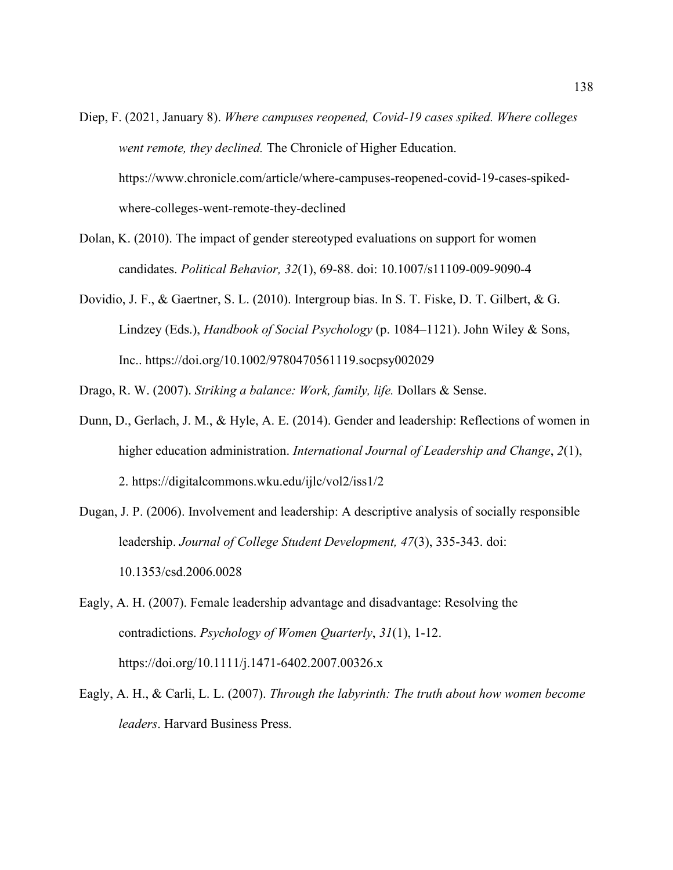- Diep, F. (2021, January 8). *Where campuses reopened, Covid-19 cases spiked. Where colleges went remote, they declined.* The Chronicle of Higher Education. https://www.chronicle.com/article/where-campuses-reopened-covid-19-cases-spikedwhere-colleges-went-remote-they-declined
- Dolan, K. (2010). The impact of gender stereotyped evaluations on support for women candidates. *Political Behavior, 32*(1), 69-88. doi: 10.1007/s11109-009-9090-4
- Dovidio, J. F., & Gaertner, S. L. (2010). Intergroup bias. In S. T. Fiske, D. T. Gilbert, & G. Lindzey (Eds.), *Handbook of Social Psychology* (p. 1084–1121). John Wiley & Sons, Inc.. https://doi.org/10.1002/9780470561119.socpsy002029

Drago, R. W. (2007). *Striking a balance: Work, family, life.* Dollars & Sense.

- Dunn, D., Gerlach, J. M., & Hyle, A. E. (2014). Gender and leadership: Reflections of women in higher education administration. *International Journal of Leadership and Change*, *2*(1), 2. https://digitalcommons.wku.edu/ijlc/vol2/iss1/2
- Dugan, J. P. (2006). Involvement and leadership: A descriptive analysis of socially responsible leadership. *Journal of College Student Development, 47*(3), 335-343. doi: 10.1353/csd.2006.0028
- Eagly, A. H. (2007). Female leadership advantage and disadvantage: Resolving the contradictions. *Psychology of Women Quarterly*, *31*(1), 1-12. https://doi.org/10.1111/j.1471-6402.2007.00326.x
- Eagly, A. H., & Carli, L. L. (2007). *Through the labyrinth: The truth about how women become leaders*. Harvard Business Press.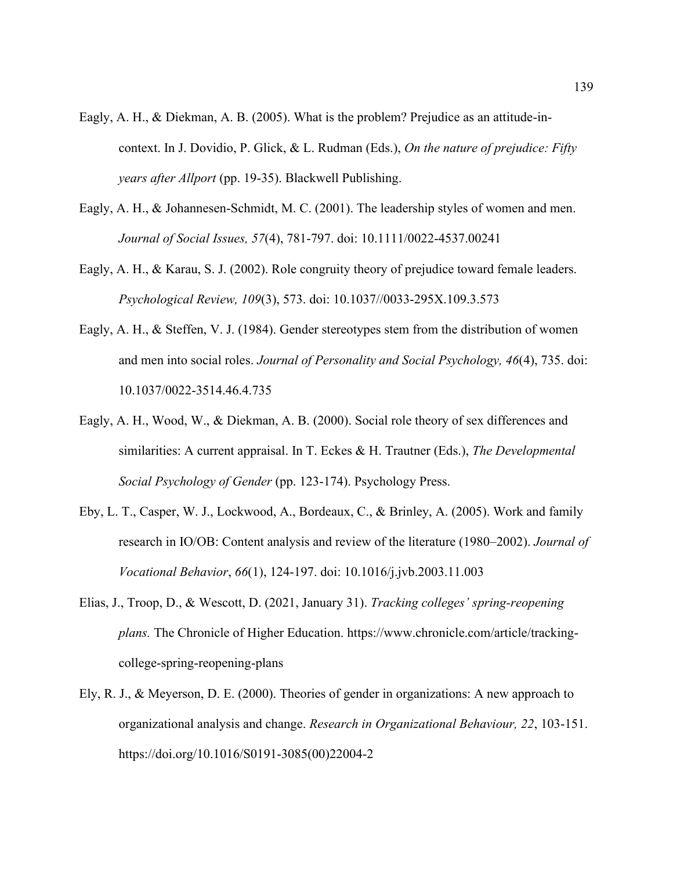- Eagly, A. H., & Diekman, A. B. (2005). What is the problem? Prejudice as an attitude-incontext. In J. Dovidio, P. Glick, & L. Rudman (Eds.), *On the nature of prejudice: Fifty years after Allport* (pp. 19-35). Blackwell Publishing.
- Eagly, A. H., & Johannesen-Schmidt, M. C. (2001). The leadership styles of women and men. *Journal of Social Issues, 57*(4), 781-797. doi: 10.1111/0022-4537.00241
- Eagly, A. H., & Karau, S. J. (2002). Role congruity theory of prejudice toward female leaders. *Psychological Review, 109*(3), 573. doi: 10.1037//0033-295X.109.3.573
- Eagly, A. H., & Steffen, V. J. (1984). Gender stereotypes stem from the distribution of women and men into social roles. *Journal of Personality and Social Psychology, 46*(4), 735. doi: 10.1037/0022-3514.46.4.735
- Eagly, A. H., Wood, W., & Diekman, A. B. (2000). Social role theory of sex differences and similarities: A current appraisal. In T. Eckes & H. Trautner (Eds.), *The Developmental Social Psychology of Gender* (pp. 123-174). Psychology Press.
- Eby, L. T., Casper, W. J., Lockwood, A., Bordeaux, C., & Brinley, A. (2005). Work and family research in IO/OB: Content analysis and review of the literature (1980–2002). *Journal of Vocational Behavior*, *66*(1), 124-197. doi: 10.1016/j.jvb.2003.11.003
- Elias, J., Troop, D., & Wescott, D. (2021, January 31). *Tracking colleges' spring-reopening plans.* The Chronicle of Higher Education. https://www.chronicle.com/article/trackingcollege-spring-reopening-plans
- Ely, R. J., & Meyerson, D. E. (2000). Theories of gender in organizations: A new approach to organizational analysis and change. *Research in Organizational Behaviour, 22*, 103-151. https://doi.org/10.1016/S0191-3085(00)22004-2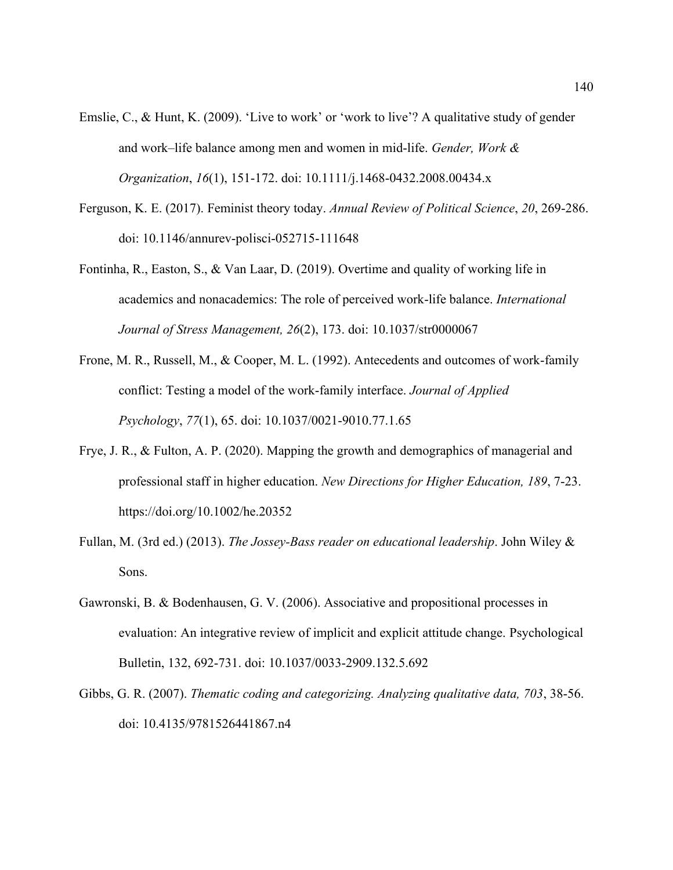- Emslie, C., & Hunt, K. (2009). 'Live to work' or 'work to live'? A qualitative study of gender and work–life balance among men and women in mid‐life. *Gender, Work & Organization*, *16*(1), 151-172. doi: 10.1111/j.1468-0432.2008.00434.x
- Ferguson, K. E. (2017). Feminist theory today. *Annual Review of Political Science*, *20*, 269-286. doi: [10.1146/annurev-polisci-052715-111648](https://doi.org/10.1146/annurev-polisci-052715-111648)
- Fontinha, R., Easton, S., & Van Laar, D. (2019). Overtime and quality of working life in academics and nonacademics: The role of perceived work-life balance. *International Journal of Stress Management, 26*(2), 173. doi: 10.1037/str0000067
- Frone, M. R., Russell, M., & Cooper, M. L. (1992). Antecedents and outcomes of work-family conflict: Testing a model of the work-family interface. *Journal of Applied Psychology*, *77*(1), 65. doi: 10.1037/0021-9010.77.1.65
- Frye, J. R., & Fulton, A. P. (2020). Mapping the growth and demographics of managerial and professional staff in higher education. *New Directions for Higher Education, 189*, 7-23. https://doi.org/10.1002/he.20352
- Fullan, M. (3rd ed.) (2013). *The Jossey-Bass reader on educational leadership*. John Wiley & Sons.
- Gawronski, B. & Bodenhausen, G. V. (2006). Associative and propositional processes in evaluation: An integrative review of implicit and explicit attitude change. Psychological Bulletin, 132, 692-731. doi: 10.1037/0033-2909.132.5.692
- Gibbs, G. R. (2007). *Thematic coding and categorizing. Analyzing qualitative data, 703*, 38-56. doi: 10.4135/9781526441867.n4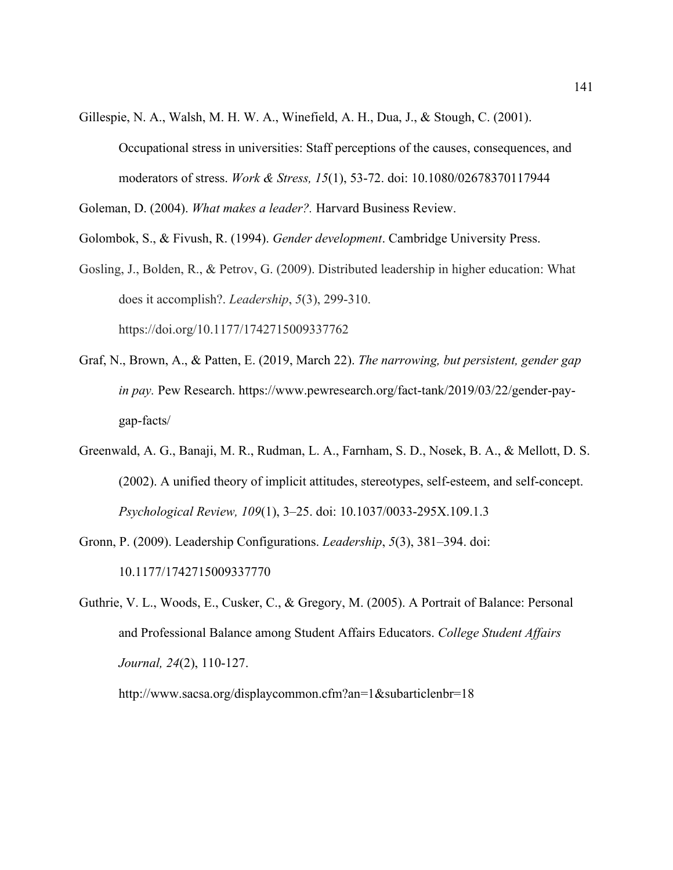Gillespie, N. A., Walsh, M. H. W. A., Winefield, A. H., Dua, J., & Stough, C. (2001).

Occupational stress in universities: Staff perceptions of the causes, consequences, and moderators of stress. *Work & Stress, 15*(1), 53-72. doi: 10.1080/02678370117944

Goleman, D. (2004). *What makes a leader?.* Harvard Business Review.

Golombok, S., & Fivush, R. (1994). *Gender development*. Cambridge University Press.

- Gosling, J., Bolden, R., & Petrov, G. (2009). Distributed leadership in higher education: What does it accomplish?. *Leadership*, *5*(3), 299-310. https://doi.org/10.1177/1742715009337762
- Graf, N., Brown, A., & Patten, E. (2019, March 22). *The narrowing, but persistent, gender gap in pay.* Pew Research. https://www.pewresearch.org/fact-tank/2019/03/22/gender-paygap-facts/
- Greenwald, A. G., Banaji, M. R., Rudman, L. A., Farnham, S. D., Nosek, B. A., & Mellott, D. S. (2002). A unified theory of implicit attitudes, stereotypes, self-esteem, and self-concept. *Psychological Review, 109*(1), 3–25. doi: 10.1037/0033-295X.109.1.3
- Gronn, P. (2009). Leadership Configurations. *Leadership*, *5*(3), 381–394. doi: 10.1177/1742715009337770
- Guthrie, V. L., Woods, E., Cusker, C., & Gregory, M. (2005). A Portrait of Balance: Personal and Professional Balance among Student Affairs Educators. *College Student Affairs Journal, 24*(2), 110-127.

http://www.sacsa.org/displaycommon.cfm?an=1&subarticlenbr=18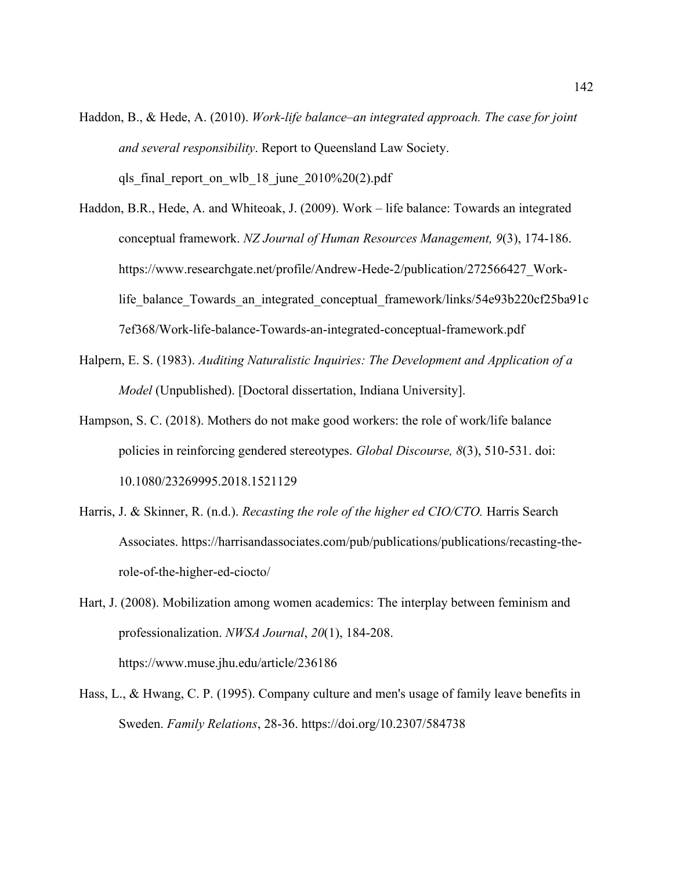- Haddon, B., & Hede, A. (2010). *Work-life balance–an integrated approach. The case for joint and several responsibility*. Report to Queensland Law Society. qls final report on wlb 18 june  $2010\frac{320(2)}{20}$ .pdf
- Haddon, B.R., Hede, A. and Whiteoak, J. (2009). Work life balance: Towards an integrated conceptual framework. *NZ Journal of Human Resources Management, 9*(3), 174-186. https://www.researchgate.net/profile/Andrew-Hede-2/publication/272566427\_Worklife\_balance\_Towards\_an\_integrated\_conceptual\_framework/links/54e93b220cf25ba91c 7ef368/Work-life-balance-Towards-an-integrated-conceptual-framework.pdf
- Halpern, E. S. (1983). *Auditing Naturalistic Inquiries: The Development and Application of a Model* (Unpublished). [Doctoral dissertation, Indiana University].
- Hampson, S. C. (2018). Mothers do not make good workers: the role of work/life balance policies in reinforcing gendered stereotypes. *Global Discourse, 8*(3), 510-531. doi: 10.1080/23269995.2018.1521129
- Harris, J. & Skinner, R. (n.d.). *Recasting the role of the higher ed CIO/CTO.* Harris Search Associates. https://harrisandassociates.com/pub/publications/publications/recasting-therole-of-the-higher-ed-ciocto/
- Hart, J. (2008). Mobilization among women academics: The interplay between feminism and professionalization. *NWSA Journal*, *20*(1), 184-208. https://www.muse.jhu.edu/article/236186
- Hass, L., & Hwang, C. P. (1995). Company culture and men's usage of family leave benefits in Sweden. *Family Relations*, 28-36. https://doi.org/10.2307/584738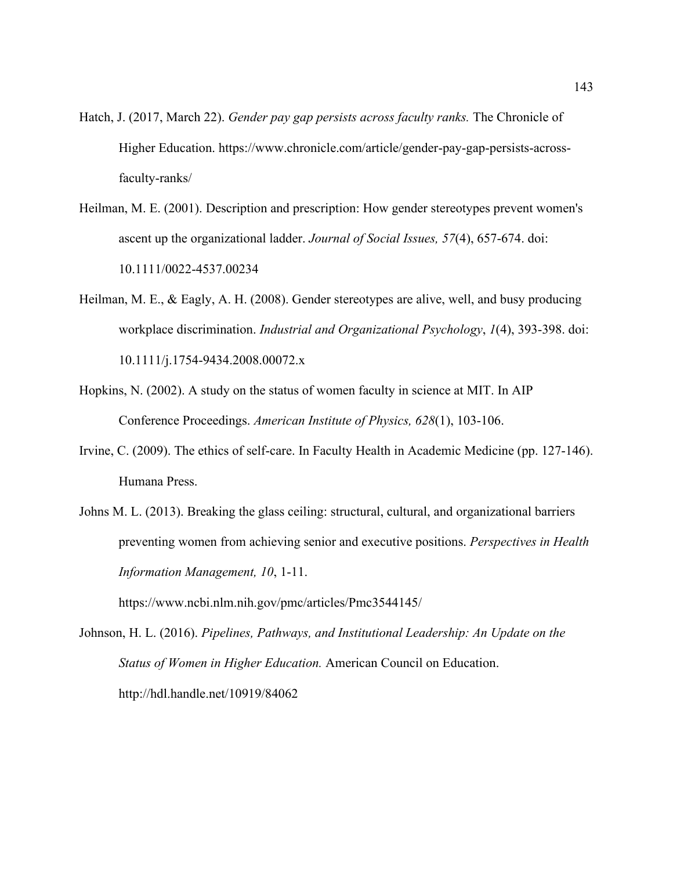- Hatch, J. (2017, March 22). *Gender pay gap persists across faculty ranks.* The Chronicle of Higher Education. https://www.chronicle.com/article/gender-pay-gap-persists-acrossfaculty-ranks/
- Heilman, M. E. (2001). Description and prescription: How gender stereotypes prevent women's ascent up the organizational ladder. *Journal of Social Issues, 57*(4), 657-674. doi: 10.1111/0022-4537.00234
- Heilman, M. E., & Eagly, A. H. (2008). Gender stereotypes are alive, well, and busy producing workplace discrimination. *Industrial and Organizational Psychology*, *1*(4), 393-398. doi: 10.1111/j.1754-9434.2008.00072.x
- Hopkins, N. (2002). A study on the status of women faculty in science at MIT. In AIP Conference Proceedings. *American Institute of Physics, 628*(1), 103-106.
- Irvine, C. (2009). The ethics of self-care. In Faculty Health in Academic Medicine (pp. 127-146). Humana Press.
- Johns M. L. (2013). Breaking the glass ceiling: structural, cultural, and organizational barriers preventing women from achieving senior and executive positions. *Perspectives in Health Information Management, 10*, 1-11.

https://www.ncbi.nlm.nih.gov/pmc/articles/Pmc3544145/

Johnson, H. L. (2016). *Pipelines, Pathways, and Institutional Leadership: An Update on the Status of Women in Higher Education.* American Council on Education. http://hdl.handle.net/10919/84062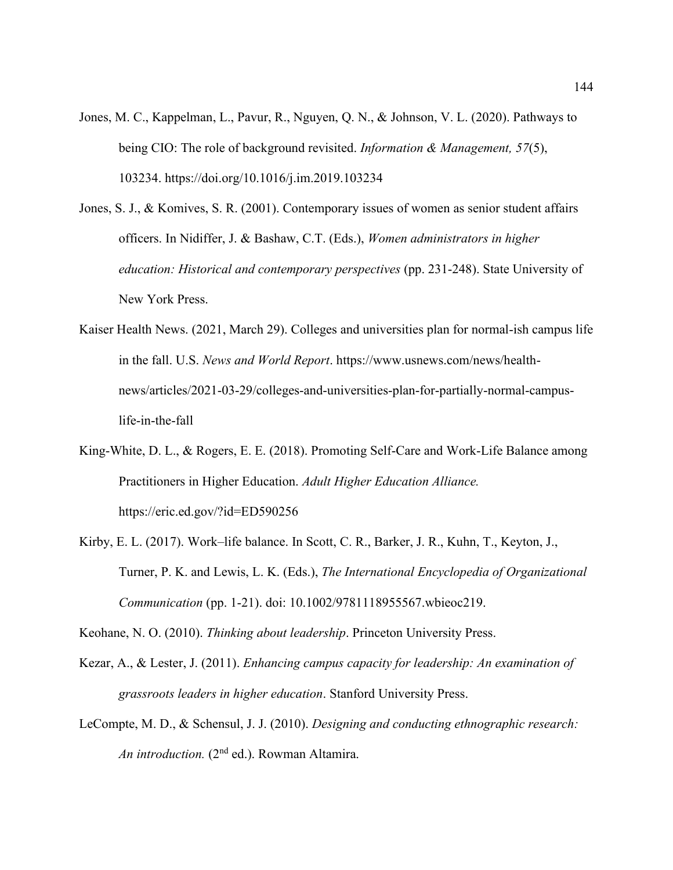- Jones, M. C., Kappelman, L., Pavur, R., Nguyen, Q. N., & Johnson, V. L. (2020). Pathways to being CIO: The role of background revisited. *Information & Management, 57*(5), 103234. https://doi.org/10.1016/j.im.2019.103234
- Jones, S. J., & Komives, S. R. (2001). Contemporary issues of women as senior student affairs officers. In Nidiffer, J. & Bashaw, C.T. (Eds.), *Women administrators in higher education: Historical and contemporary perspectives* (pp. 231-248). State University of New York Press.
- Kaiser Health News. (2021, March 29). Colleges and universities plan for normal-ish campus life in the fall. U.S. *News and World Report*. https://www.usnews.com/news/healthnews/articles/2021-03-29/colleges-and-universities-plan-for-partially-normal-campuslife-in-the-fall
- King-White, D. L., & Rogers, E. E. (2018). Promoting Self-Care and Work-Life Balance among Practitioners in Higher Education. *Adult Higher Education Alliance.* https://eric.ed.gov/?id=ED590256
- Kirby, E. L. (2017). Work–life balance. In Scott, C. R., Barker, J. R., Kuhn, T., Keyton, J., Turner, P. K. and Lewis, L. K. (Eds.), *The International Encyclopedia of Organizational Communication* (pp. 1-21). doi: 10.1002/9781118955567.wbieoc219.

Keohane, N. O. (2010). *Thinking about leadership*. Princeton University Press.

- Kezar, A., & Lester, J. (2011). *Enhancing campus capacity for leadership: An examination of grassroots leaders in higher education*. Stanford University Press.
- LeCompte, M. D., & Schensul, J. J. (2010). *Designing and conducting ethnographic research: An introduction.* (2nd ed.). Rowman Altamira.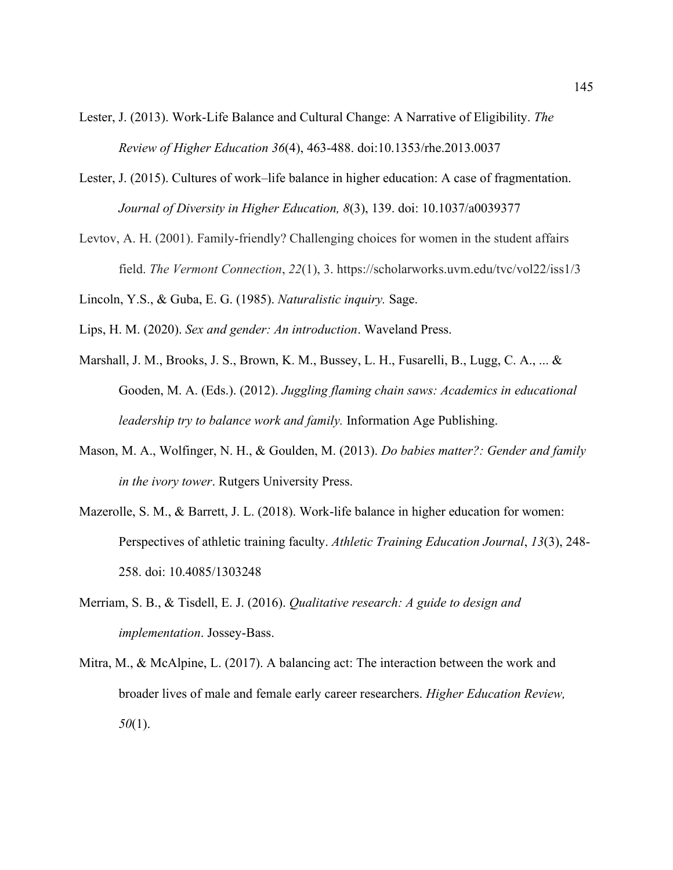- Lester, J. (2013). Work-Life Balance and Cultural Change: A Narrative of Eligibility. *The Review of Higher Education 36*(4), 463-488. doi:10.1353/rhe.2013.0037
- Lester, J. (2015). Cultures of work–life balance in higher education: A case of fragmentation. *Journal of Diversity in Higher Education, 8*(3), 139. doi: 10.1037/a0039377
- Levtov, A. H. (2001). Family-friendly? Challenging choices for women in the student affairs field. *The Vermont Connection*, *22*(1), 3. https://scholarworks.uvm.edu/tvc/vol22/iss1/3

Lincoln, Y.S., & Guba, E. G. (1985). *Naturalistic inquiry.* Sage.

Lips, H. M. (2020). *Sex and gender: An introduction*. Waveland Press.

- Marshall, J. M., Brooks, J. S., Brown, K. M., Bussey, L. H., Fusarelli, B., Lugg, C. A., ... & Gooden, M. A. (Eds.). (2012). *Juggling flaming chain saws: Academics in educational leadership try to balance work and family.* Information Age Publishing.
- Mason, M. A., Wolfinger, N. H., & Goulden, M. (2013). *Do babies matter?: Gender and family in the ivory tower*. Rutgers University Press.
- Mazerolle, S. M., & Barrett, J. L. (2018). Work-life balance in higher education for women: Perspectives of athletic training faculty. *Athletic Training Education Journal*, *13*(3), 248- 258. doi: 10.4085/1303248
- Merriam, S. B., & Tisdell, E. J. (2016). *Qualitative research: A guide to design and implementation*. Jossey-Bass.
- Mitra, M., & McAlpine, L. (2017). A balancing act: The interaction between the work and broader lives of male and female early career researchers. *Higher Education Review, 50*(1).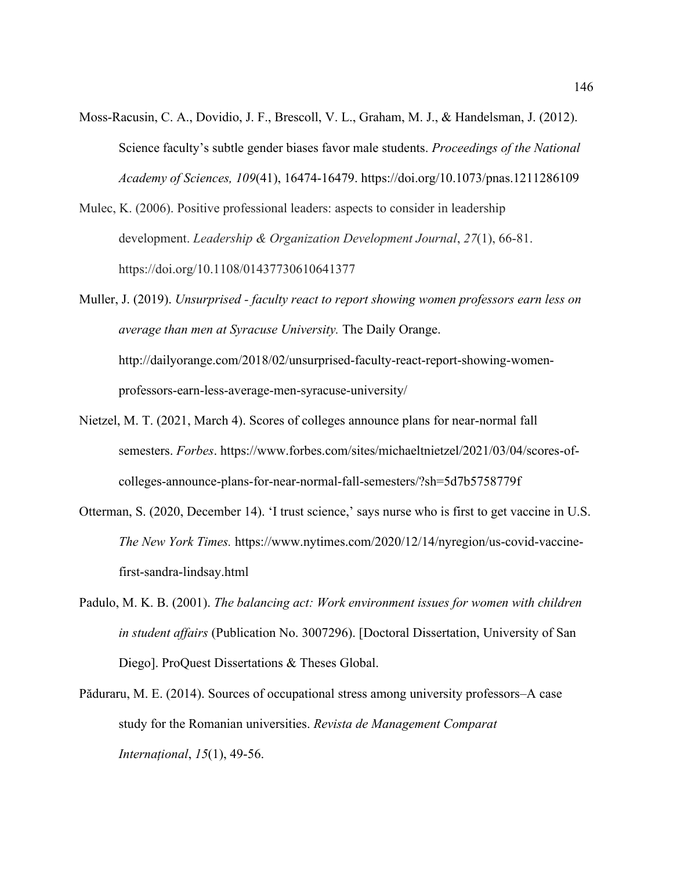- Moss-Racusin, C. A., Dovidio, J. F., Brescoll, V. L., Graham, M. J., & Handelsman, J. (2012). Science faculty's subtle gender biases favor male students. *Proceedings of the National Academy of Sciences, 109*(41), 16474-16479. https://doi.org/10.1073/pnas.1211286109
- Mulec, K. (2006). Positive professional leaders: aspects to consider in leadership development. *Leadership & Organization Development Journal*, *27*(1), 66-81. https://doi.org/10.1108/01437730610641377
- Muller, J. (2019). *Unsurprised - faculty react to report showing women professors earn less on average than men at Syracuse University.* The Daily Orange. http://dailyorange.com/2018/02/unsurprised-faculty-react-report-showing-womenprofessors-earn-less-average-men-syracuse-university/
- Nietzel, M. T. (2021, March 4). Scores of colleges announce plans for near-normal fall semesters. *Forbes*. https://www.forbes.com/sites/michaeltnietzel/2021/03/04/scores-ofcolleges-announce-plans-for-near-normal-fall-semesters/?sh=5d7b5758779f
- Otterman, S. (2020, December 14). 'I trust science,' says nurse who is first to get vaccine in U.S. *The New York Times.* https://www.nytimes.com/2020/12/14/nyregion/us-covid-vaccinefirst-sandra-lindsay.html
- Padulo, M. K. B. (2001). *The balancing act: Work environment issues for women with children in student affairs* (Publication No. 3007296). [Doctoral Dissertation, University of San Diego]. ProQuest Dissertations & Theses Global.
- Păduraru, M. E. (2014). Sources of occupational stress among university professors–A case study for the Romanian universities. *Revista de Management Comparat Internațional*, *15*(1), 49-56.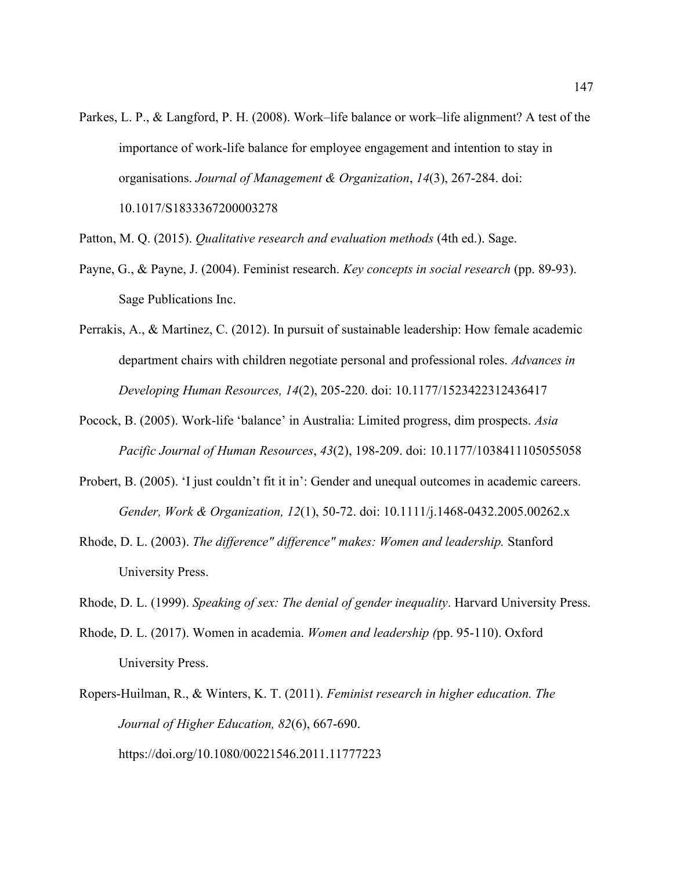- Parkes, L. P., & Langford, P. H. (2008). Work–life balance or work–life alignment? A test of the importance of work-life balance for employee engagement and intention to stay in organisations. *Journal of Management & Organization*, *14*(3), 267-284. doi: 10.1017/S1833367200003278
- Patton, M. Q. (2015). *Qualitative research and evaluation methods* (4th ed.). Sage.
- Payne, G., & Payne, J. (2004). Feminist research. *Key concepts in social research* (pp. 89-93). Sage Publications Inc.
- Perrakis, A., & Martinez, C. (2012). In pursuit of sustainable leadership: How female academic department chairs with children negotiate personal and professional roles. *Advances in Developing Human Resources, 14*(2), 205-220. doi: 10.1177/1523422312436417
- Pocock, B. (2005). Work‐life 'balance' in Australia: Limited progress, dim prospects. *Asia Pacific Journal of Human Resources*, *43*(2), 198-209. doi: 10.1177/1038411105055058
- Probert, B. (2005). 'I just couldn't fit it in': Gender and unequal outcomes in academic careers. *Gender, Work & Organization, 12*(1), 50-72. doi: 10.1111/j.1468-0432.2005.00262.x
- Rhode, D. L. (2003). *The difference" difference" makes: Women and leadership.* Stanford University Press.
- Rhode, D. L. (1999). *Speaking of sex: The denial of gender inequality*. Harvard University Press.
- Rhode, D. L. (2017). Women in academia. *Women and leadership (*pp. 95-110). Oxford University Press.
- Ropers-Huilman, R., & Winters, K. T. (2011). *Feminist research in higher education. The Journal of Higher Education, 82*(6), 667-690. https://doi.org/10.1080/00221546.2011.11777223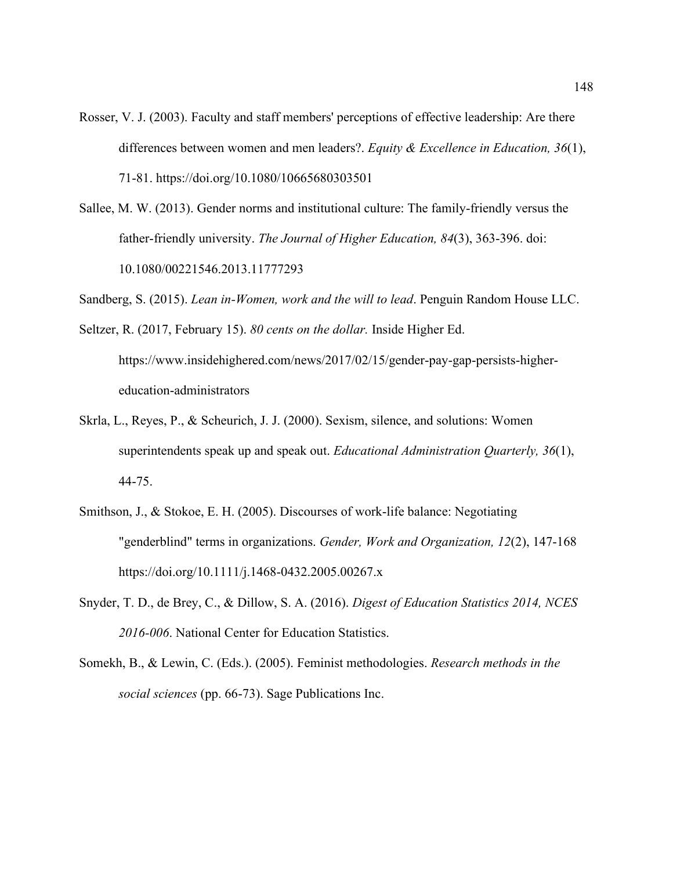- Rosser, V. J. (2003). Faculty and staff members' perceptions of effective leadership: Are there differences between women and men leaders?. *Equity & Excellence in Education, 36*(1), 71-81. https://doi.org/10.1080/10665680303501
- Sallee, M. W. (2013). Gender norms and institutional culture: The family-friendly versus the father-friendly university. *The Journal of Higher Education, 84*(3), 363-396. doi: [10.1080/00221546.2013.11777293](https://doi.org/10.1080/00221546.2013.11777293)

Sandberg, S. (2015). *Lean in-Women, work and the will to lead*. Penguin Random House LLC.

- Seltzer, R. (2017, February 15). *80 cents on the dollar.* Inside Higher Ed. https://www.insidehighered.com/news/2017/02/15/gender-pay-gap-persists-highereducation-administrators
- Skrla, L., Reyes, P., & Scheurich, J. J. (2000). Sexism, silence, and solutions: Women superintendents speak up and speak out. *Educational Administration Quarterly, 36*(1), 44-75.
- Smithson, J., & Stokoe, E. H. (2005). Discourses of work-life balance: Negotiating "genderblind" terms in organizations. *Gender, Work and Organization, 12*(2), 147-168 https://doi.org/10.1111/j.1468-0432.2005.00267.x
- Snyder, T. D., de Brey, C., & Dillow, S. A. (2016). *Digest of Education Statistics 2014, NCES 2016-006*. National Center for Education Statistics.
- Somekh, B., & Lewin, C. (Eds.). (2005). Feminist methodologies. *Research methods in the social sciences* (pp. 66-73). Sage Publications Inc.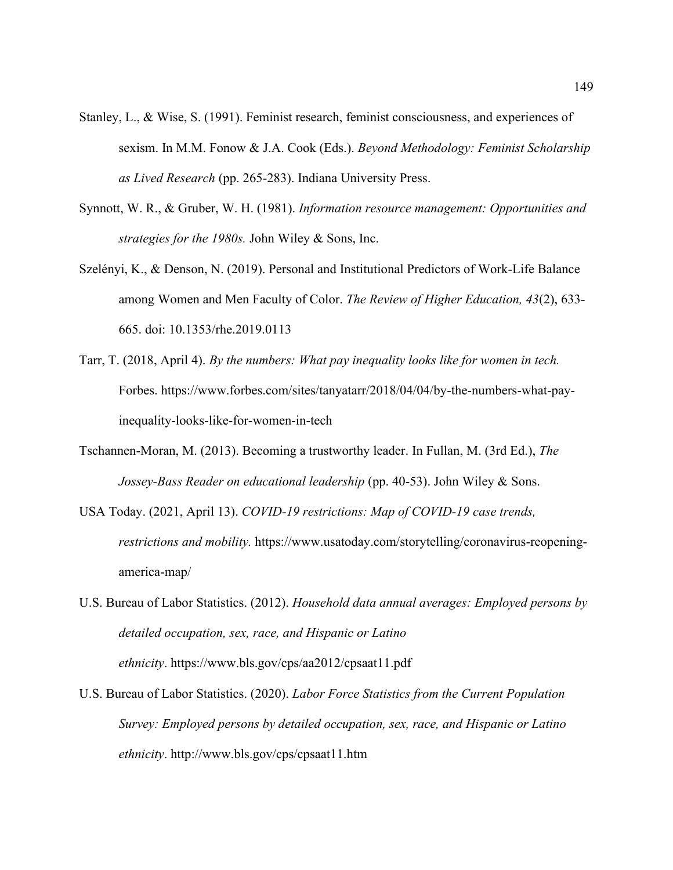- Stanley, L., & Wise, S. (1991). Feminist research, feminist consciousness, and experiences of sexism. In M.M. Fonow & J.A. Cook (Eds.). *Beyond Methodology: Feminist Scholarship as Lived Research* (pp. 265-283). Indiana University Press.
- Synnott, W. R., & Gruber, W. H. (1981). *Information resource management: Opportunities and strategies for the 1980s.* John Wiley & Sons, Inc.
- Szelényi, K., & Denson, N. (2019). Personal and Institutional Predictors of Work-Life Balance among Women and Men Faculty of Color. *The Review of Higher Education, 43*(2), 633- 665. doi: 10.1353/rhe.2019.0113
- Tarr, T. (2018, April 4). *By the numbers: What pay inequality looks like for women in tech.*  Forbes. https://www.forbes.com/sites/tanyatarr/2018/04/04/by-the-numbers-what-payinequality-looks-like-for-women-in-tech
- Tschannen-Moran, M. (2013). Becoming a trustworthy leader. In Fullan, M. (3rd Ed.), *The Jossey-Bass Reader on educational leadership* (pp. 40-53). John Wiley & Sons.
- USA Today. (2021, April 13). *COVID-19 restrictions: Map of COVID-19 case trends, restrictions and mobility.* https://www.usatoday.com/storytelling/coronavirus-reopeningamerica-map/
- U.S. Bureau of Labor Statistics. (2012). *Household data annual averages: Employed persons by detailed occupation, sex, race, and Hispanic or Latino ethnicity*. https://www.bls.gov/cps/aa2012/cpsaat11.pdf
- U.S. Bureau of Labor Statistics. (2020). *Labor Force Statistics from the Current Population Survey: Employed persons by detailed occupation, sex, race, and Hispanic or Latino ethnicity*. http://www.bls.gov/cps/cpsaat11.htm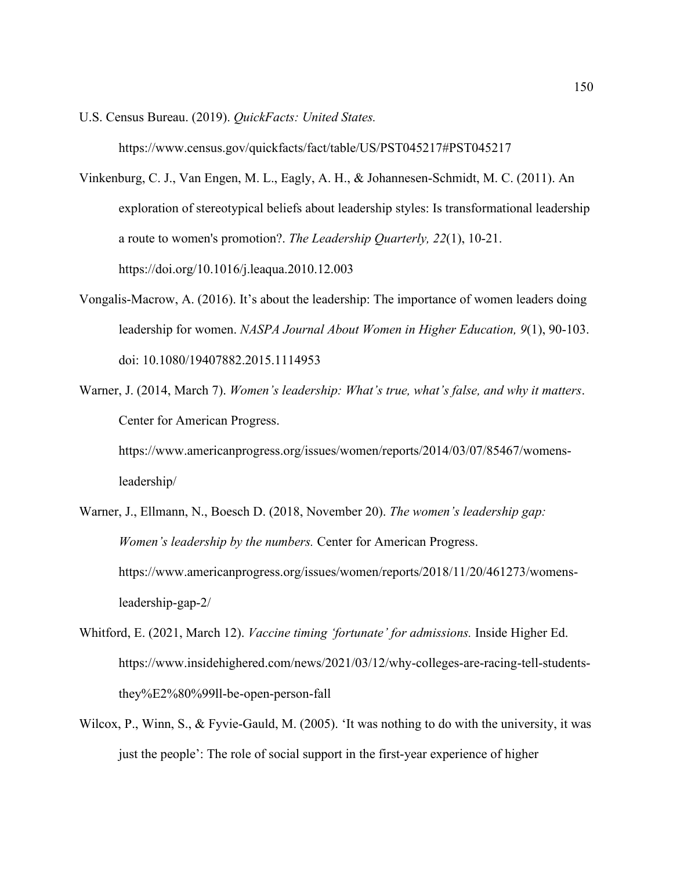U.S. Census Bureau. (2019). *QuickFacts: United States.* 

https://www.census.gov/quickfacts/fact/table/US/PST045217#PST045217

- Vinkenburg, C. J., Van Engen, M. L., Eagly, A. H., & Johannesen-Schmidt, M. C. (2011). An exploration of stereotypical beliefs about leadership styles: Is transformational leadership a route to women's promotion?. *The Leadership Quarterly, 22*(1), 10-21. https://doi.org/10.1016/j.leaqua.2010.12.003
- Vongalis-Macrow, A. (2016). It's about the leadership: The importance of women leaders doing leadership for women. *NASPA Journal About Women in Higher Education, 9*(1), 90-103. doi: 10.1080/19407882.2015.1114953
- Warner, J. (2014, March 7). *Women's leadership: What's true, what's false, and why it matters*. Center for American Progress.

https://www.americanprogress.org/issues/women/reports/2014/03/07/85467/womensleadership/

- Warner, J., Ellmann, N., Boesch D. (2018, November 20). *The women's leadership gap: Women's leadership by the numbers.* Center for American Progress. https://www.americanprogress.org/issues/women/reports/2018/11/20/461273/womensleadership-gap-2/
- Whitford, E. (2021, March 12). *Vaccine timing 'fortunate' for admissions.* Inside Higher Ed. https://www.insidehighered.com/news/2021/03/12/why-colleges-are-racing-tell-studentsthey%E2%80%99ll-be-open-person-fall
- Wilcox, P., Winn, S., & Fyvie-Gauld, M. (2005). 'It was nothing to do with the university, it was just the people': The role of social support in the first‐year experience of higher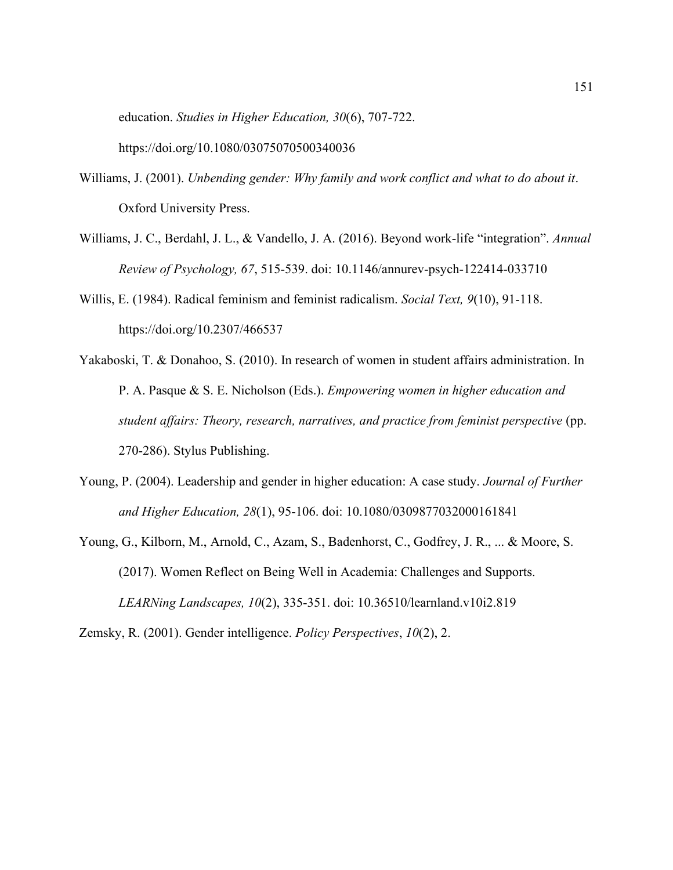education. *Studies in Higher Education, 30*(6), 707-722. https://doi.org/10.1080/03075070500340036

- Williams, J. (2001). *Unbending gender: Why family and work conflict and what to do about it*. Oxford University Press.
- Williams, J. C., Berdahl, J. L., & Vandello, J. A. (2016). Beyond work-life "integration". *Annual Review of Psychology, 67*, 515-539. doi: 10.1146/annurev-psych-122414-033710
- Willis, E. (1984). Radical feminism and feminist radicalism. *Social Text, 9*(10), 91-118. https://doi.org/10.2307/466537
- Yakaboski, T. & Donahoo, S. (2010). In research of women in student affairs administration. In P. A. Pasque & S. E. Nicholson (Eds.). *Empowering women in higher education and student affairs: Theory, research, narratives, and practice from feminist perspective* (pp. 270-286). Stylus Publishing.
- Young, P. (2004). Leadership and gender in higher education: A case study. *Journal of Further and Higher Education, 28*(1), 95-106. doi: 10.1080/0309877032000161841
- Young, G., Kilborn, M., Arnold, C., Azam, S., Badenhorst, C., Godfrey, J. R., ... & Moore, S. (2017). Women Reflect on Being Well in Academia: Challenges and Supports. *LEARNing Landscapes, 10*(2), 335-351. doi: 10.36510/learnland.v10i2.819

Zemsky, R. (2001). Gender intelligence. *Policy Perspectives*, *10*(2), 2.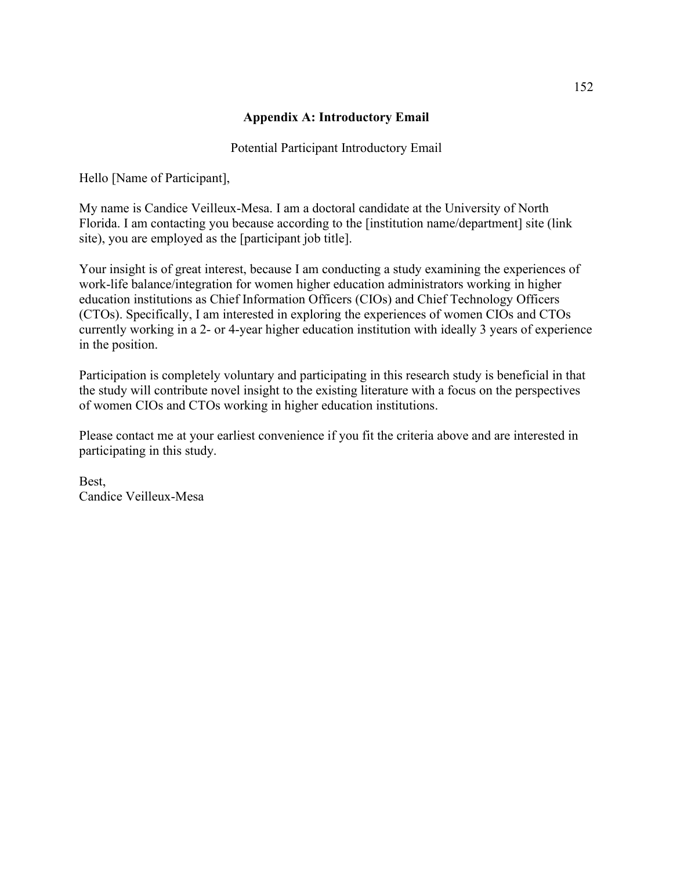# **Appendix A: Introductory Email**

## Potential Participant Introductory Email

Hello [Name of Participant],

My name is Candice Veilleux-Mesa. I am a doctoral candidate at the University of North Florida. I am contacting you because according to the [institution name/department] site (link site), you are employed as the [participant job title].

Your insight is of great interest, because I am conducting a study examining the experiences of work-life balance/integration for women higher education administrators working in higher education institutions as Chief Information Officers (CIOs) and Chief Technology Officers (CTOs). Specifically, I am interested in exploring the experiences of women CIOs and CTOs currently working in a 2- or 4-year higher education institution with ideally 3 years of experience in the position.

Participation is completely voluntary and participating in this research study is beneficial in that the study will contribute novel insight to the existing literature with a focus on the perspectives of women CIOs and CTOs working in higher education institutions.

Please contact me at your earliest convenience if you fit the criteria above and are interested in participating in this study.

Best, Candice Veilleux-Mesa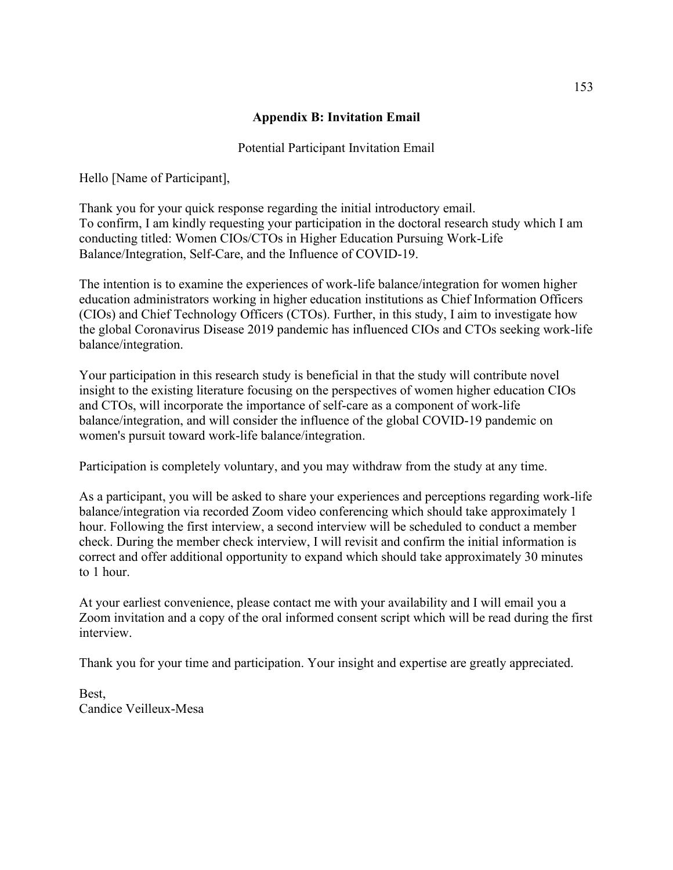# **Appendix B: Invitation Email**

## Potential Participant Invitation Email

Hello [Name of Participant],

Thank you for your quick response regarding the initial introductory email. To confirm, I am kindly requesting your participation in the doctoral research study which I am conducting titled: Women CIOs/CTOs in Higher Education Pursuing Work-Life Balance/Integration, Self-Care, and the Influence of COVID-19.

The intention is to examine the experiences of work-life balance/integration for women higher education administrators working in higher education institutions as Chief Information Officers (CIOs) and Chief Technology Officers (CTOs). Further, in this study, I aim to investigate how the global Coronavirus Disease 2019 pandemic has influenced CIOs and CTOs seeking work-life balance/integration.

Your participation in this research study is beneficial in that the study will contribute novel insight to the existing literature focusing on the perspectives of women higher education CIOs and CTOs, will incorporate the importance of self-care as a component of work-life balance/integration, and will consider the influence of the global COVID-19 pandemic on women's pursuit toward work-life balance/integration.

Participation is completely voluntary, and you may withdraw from the study at any time.

As a participant, you will be asked to share your experiences and perceptions regarding work-life balance/integration via recorded Zoom video conferencing which should take approximately 1 hour. Following the first interview, a second interview will be scheduled to conduct a member check. During the member check interview, I will revisit and confirm the initial information is correct and offer additional opportunity to expand which should take approximately 30 minutes to 1 hour.

At your earliest convenience, please contact me with your availability and I will email you a Zoom invitation and a copy of the oral informed consent script which will be read during the first interview.

Thank you for your time and participation. Your insight and expertise are greatly appreciated.

Best, Candice Veilleux-Mesa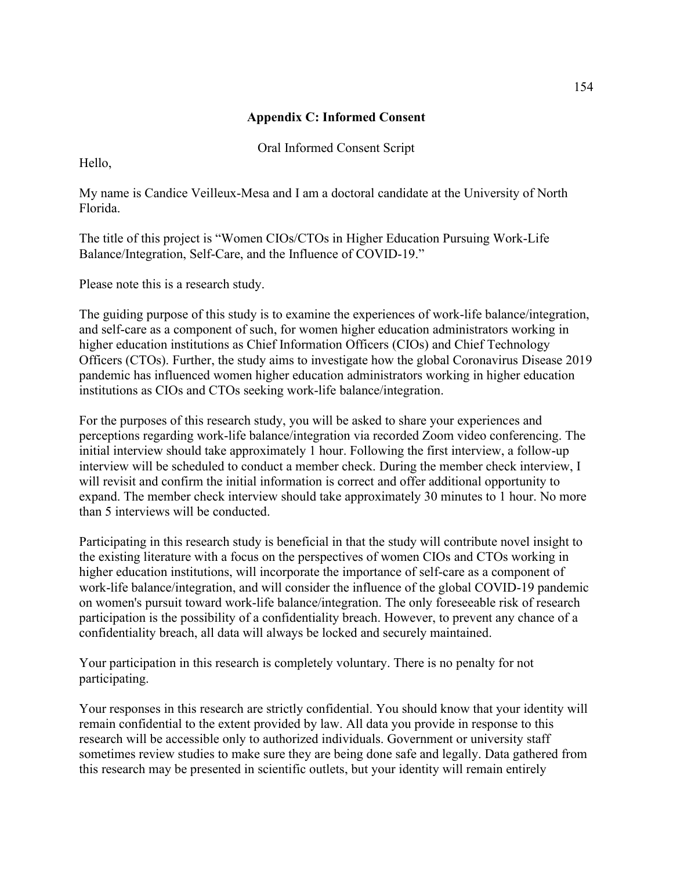# **Appendix C: Informed Consent**

Oral Informed Consent Script

Hello,

My name is Candice Veilleux-Mesa and I am a doctoral candidate at the University of North Florida.

The title of this project is "Women CIOs/CTOs in Higher Education Pursuing Work-Life Balance/Integration, Self-Care, and the Influence of COVID-19."

Please note this is a research study.

The guiding purpose of this study is to examine the experiences of work-life balance/integration, and self-care as a component of such, for women higher education administrators working in higher education institutions as Chief Information Officers (CIOs) and Chief Technology Officers (CTOs). Further, the study aims to investigate how the global Coronavirus Disease 2019 pandemic has influenced women higher education administrators working in higher education institutions as CIOs and CTOs seeking work-life balance/integration.

For the purposes of this research study, you will be asked to share your experiences and perceptions regarding work-life balance/integration via recorded Zoom video conferencing. The initial interview should take approximately 1 hour. Following the first interview, a follow-up interview will be scheduled to conduct a member check. During the member check interview, I will revisit and confirm the initial information is correct and offer additional opportunity to expand. The member check interview should take approximately 30 minutes to 1 hour. No more than 5 interviews will be conducted.

Participating in this research study is beneficial in that the study will contribute novel insight to the existing literature with a focus on the perspectives of women CIOs and CTOs working in higher education institutions, will incorporate the importance of self-care as a component of work-life balance/integration, and will consider the influence of the global COVID-19 pandemic on women's pursuit toward work-life balance/integration. The only foreseeable risk of research participation is the possibility of a confidentiality breach. However, to prevent any chance of a confidentiality breach, all data will always be locked and securely maintained.

Your participation in this research is completely voluntary. There is no penalty for not participating.

Your responses in this research are strictly confidential. You should know that your identity will remain confidential to the extent provided by law. All data you provide in response to this research will be accessible only to authorized individuals. Government or university staff sometimes review studies to make sure they are being done safe and legally. Data gathered from this research may be presented in scientific outlets, but your identity will remain entirely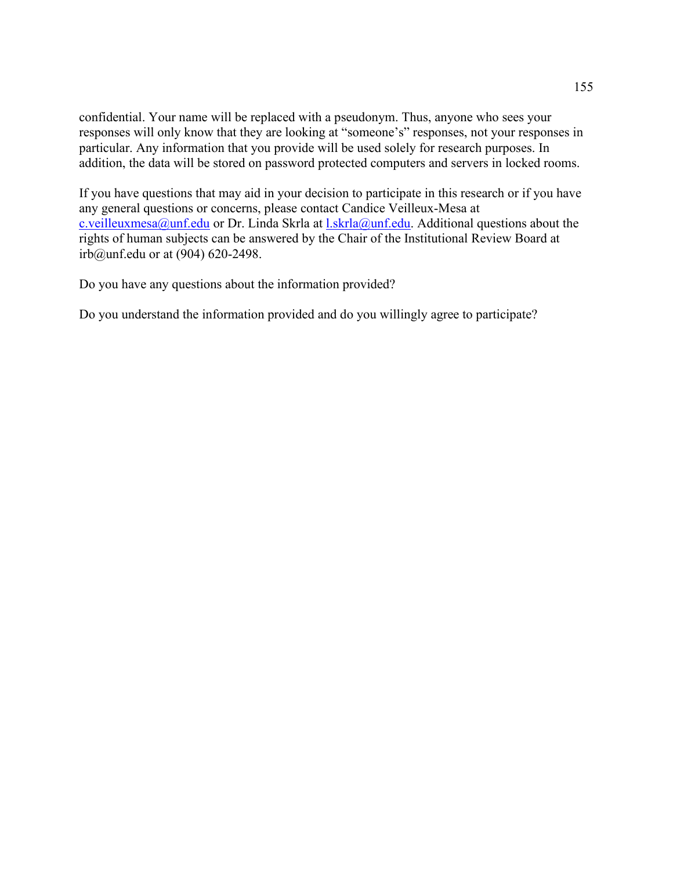confidential. Your name will be replaced with a pseudonym. Thus, anyone who sees your responses will only know that they are looking at "someone's" responses, not your responses in particular. Any information that you provide will be used solely for research purposes. In addition, the data will be stored on password protected computers and servers in locked rooms.

If you have questions that may aid in your decision to participate in this research or if you have any general questions or concerns, please contact Candice Veilleux-Mesa at [c.veilleuxmesa@unf.edu](mailto:c.veilleuxmesa@unf.edu) or Dr. Linda Skrla at [l.skrla@unf.edu.](mailto:l.skrla@unf.edu) Additional questions about the rights of human subjects can be answered by the Chair of the Institutional Review Board at irb@unf.edu or at (904) 620-2498.

Do you have any questions about the information provided?

Do you understand the information provided and do you willingly agree to participate?